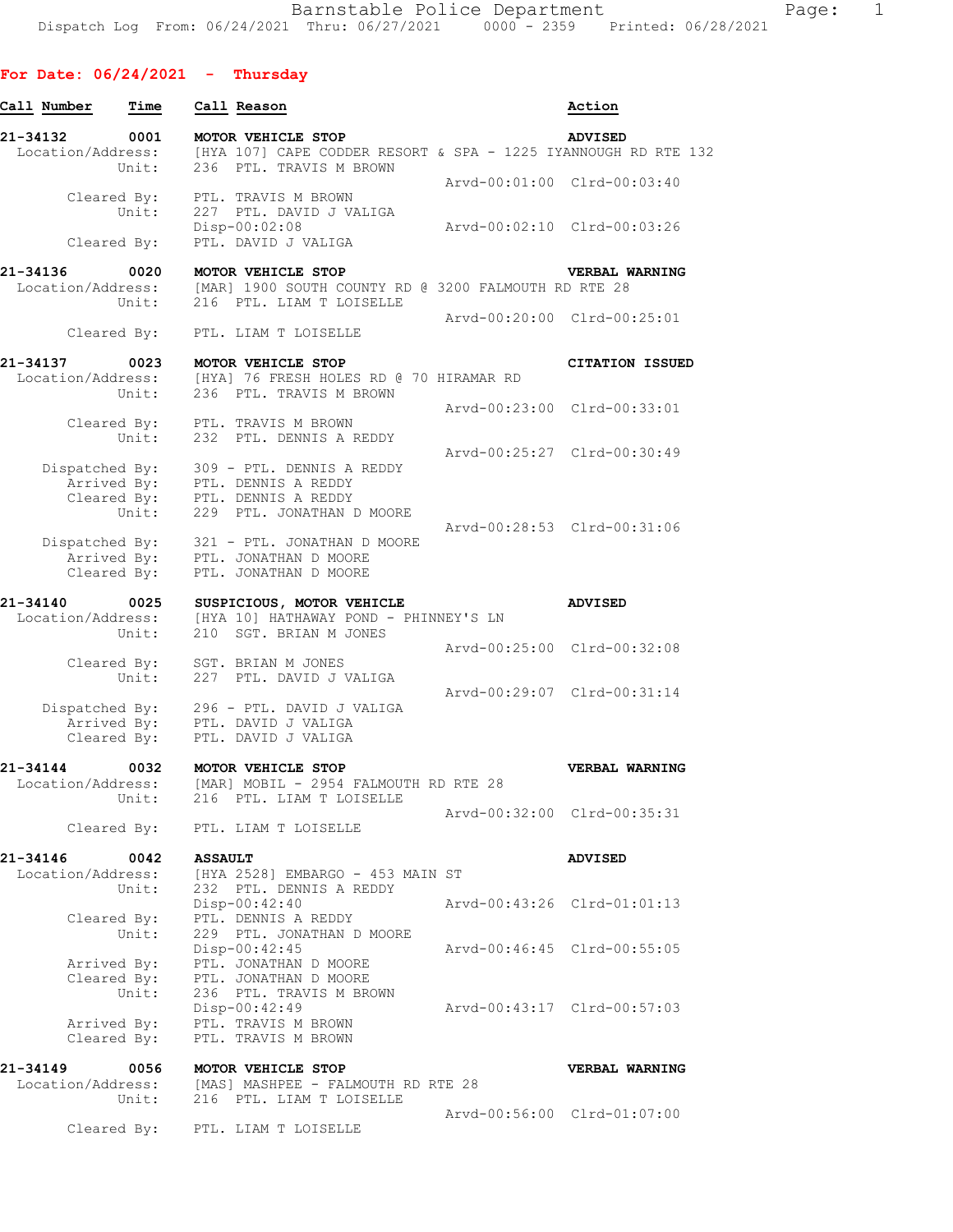| Call Number       | Time                 | Call Reason                                                                                                                            | Action                      |
|-------------------|----------------------|----------------------------------------------------------------------------------------------------------------------------------------|-----------------------------|
| 21-34132          | 0001<br>Unit:        | MOTOR VEHICLE STOP<br>Location/Address: [HYA 107] CAPE CODDER RESORT & SPA - 1225 IYANNOUGH RD RTE 132<br>236 PTL. TRAVIS M BROWN      | <b>ADVISED</b>              |
|                   |                      |                                                                                                                                        | Arvd-00:01:00 Clrd-00:03:40 |
|                   | Unit:<br>Cleared By: | Cleared By: PTL. TRAVIS M BROWN<br>227 PTL. DAVID J VALIGA<br>Disp-00:02:08<br>PTL. DAVID J VALIGA                                     | Arvd-00:02:10 Clrd-00:03:26 |
|                   |                      |                                                                                                                                        |                             |
|                   | Unit:                | 21-34136 0020 MOTOR VEHICLE STOP<br>Location/Address: [MAR] 1900 SOUTH COUNTY RD @ 3200 FALMOUTH RD RTE 28<br>216 PTL. LIAM T LOISELLE | VERBAL WARNING              |
|                   |                      | Cleared By: PTL. LIAM T LOISELLE                                                                                                       | Arvd-00:20:00 Clrd-00:25:01 |
|                   |                      | 21-34137 0023 MOTOR VEHICLE STOP                                                                                                       | <b>CITATION ISSUED</b>      |
|                   |                      | Location/Address: [HYA] 76 FRESH HOLES RD @ 70 HIRAMAR RD<br>Unit: 236 PTL. TRAVIS M BROWN                                             |                             |
|                   |                      | Cleared By: PTL. TRAVIS M BROWN                                                                                                        | Arvd-00:23:00 Clrd-00:33:01 |
|                   | Unit:                | 232 PTL. DENNIS A REDDY                                                                                                                |                             |
|                   |                      | Dispatched By: 309 - PTL. DENNIS A REDDY                                                                                               | Arvd-00:25:27 Clrd-00:30:49 |
|                   |                      | Arrived By: PTL. DENNIS A REDDY<br>Cleared By: PTL. DENNIS A REDDY<br>Unit: 229 PTL. JONATHAN I                                        |                             |
|                   |                      | 229 PTL. JONATHAN D MOORE                                                                                                              | Arvd-00:28:53 Clrd-00:31:06 |
|                   |                      | Dispatched By: 321 - PTL. JONATHAN D MOORE                                                                                             |                             |
|                   | Cleared By:          | Arrived By: PTL. JONATHAN D MOORE<br>PTL. JONATHAN D MOORE                                                                             |                             |
|                   |                      | 21-34140 0025 SUSPICIOUS, MOTOR VEHICLE<br>Location/Address: [HYA 10] HATHAWAY POND - PHINNEY'S LN                                     | <b>ADVISED</b>              |
|                   | Unit:                | 210 SGT. BRIAN M JONES                                                                                                                 |                             |
|                   |                      | Cleared By: SGT. BRIAN M JONES                                                                                                         | Arvd-00:25:00 Clrd-00:32:08 |
|                   | Unit:                | 227 PTL. DAVID J VALIGA                                                                                                                | Arvd-00:29:07 Clrd-00:31:14 |
|                   |                      | Dispatched By: 296 - PTL. DAVID J VALIGA<br>Arrived By: PTL. DAVID J VALIGA<br>Cleared By: PTL. DAVID J VALIGA                         |                             |
| 21-34144          | 0032                 | MOTOR VEHICLE STOP                                                                                                                     | VERBAL WARNING              |
| Location/Address: | Unit:                | [MAR] MOBIL - 2954 FALMOUTH RD RTE 28<br>216<br>PTL. LIAM T LOISELLE                                                                   |                             |
|                   |                      | Cleared By: PTL. LIAM T LOISELLE                                                                                                       | Arvd-00:32:00 Clrd-00:35:31 |
| 21-34146          | 0042                 | <b>ASSAULT</b>                                                                                                                         | <b>ADVISED</b>              |
| Location/Address: | Unit:                | [HYA 2528] EMBARGO - 453 MAIN ST<br>232 PTL. DENNIS A REDDY                                                                            |                             |
|                   | Cleared By:          | $Disp-00:42:40$<br>PTL. DENNIS A REDDY                                                                                                 | Arvd-00:43:26 Clrd-01:01:13 |
|                   | Unit:                | 229 PTL. JONATHAN D MOORE                                                                                                              |                             |
|                   | Arrived By:          | Disp-00:42:45<br>PTL. JONATHAN D MOORE                                                                                                 | Arvd-00:46:45 Clrd-00:55:05 |
|                   | Cleared By:          | PTL. JONATHAN D MOORE                                                                                                                  |                             |
|                   | Unit:                | 236 PTL. TRAVIS M BROWN<br>$Disp-00:42:49$                                                                                             | Arvd-00:43:17 Clrd-00:57:03 |
|                   | Cleared By:          | Arrived By: PTL. TRAVIS M BROWN<br>PTL. TRAVIS M BROWN                                                                                 |                             |
| 21-34149          | 0056                 | MOTOR VEHICLE STOP                                                                                                                     | VERBAL WARNING              |
| Location/Address: | Unit:                | [MAS] MASHPEE - FALMOUTH RD RTE 28<br>216 PTL. LIAM T LOISELLE                                                                         |                             |
|                   |                      | Cleared By: PTL. LIAM T LOISELLE                                                                                                       | Arvd-00:56:00 Clrd-01:07:00 |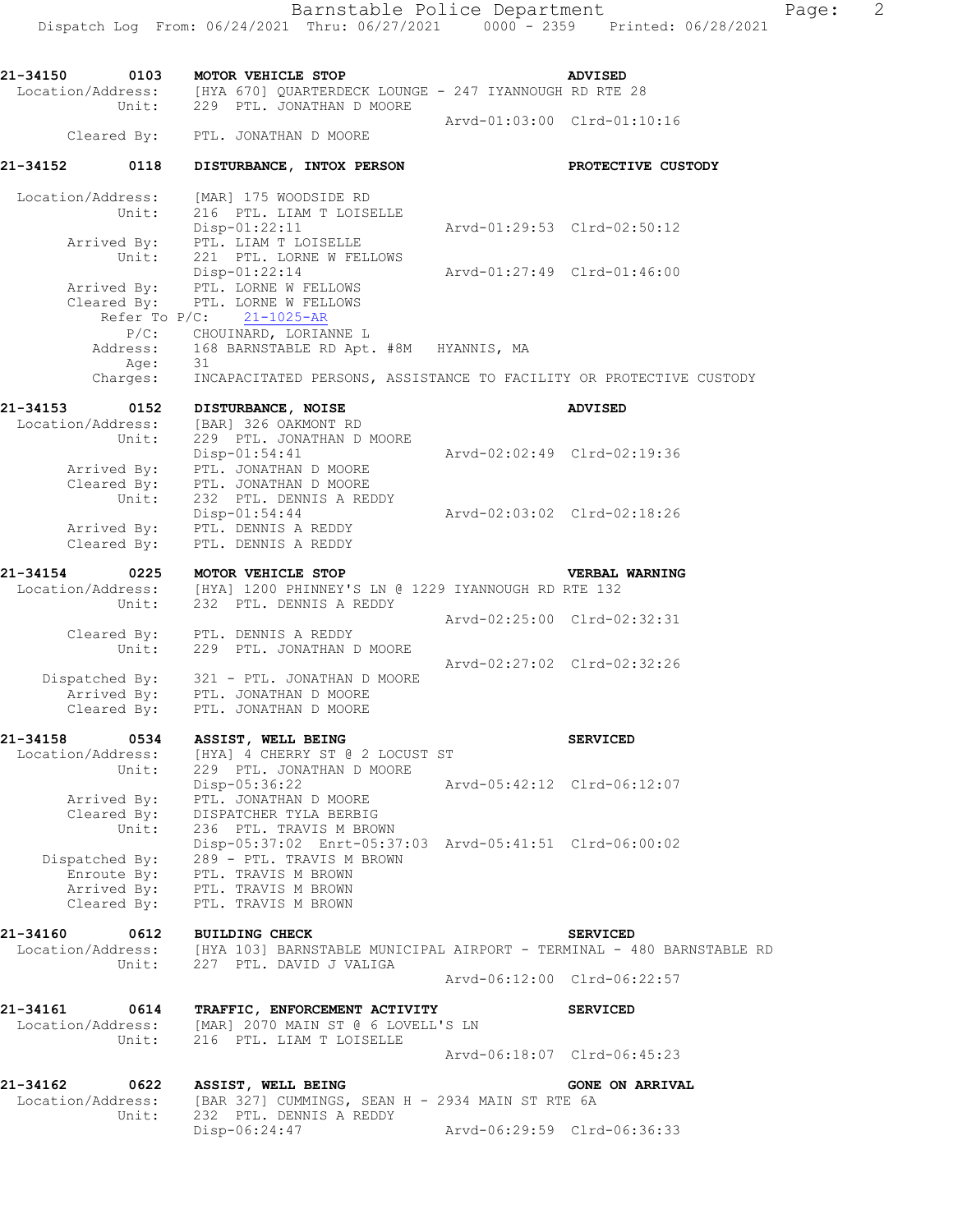| 21-34150                      | 0103                       | MOTOR VEHICLE STOP                                                                                                     |  |                                                                                                        | <b>ADVISED</b>                                                                                             |
|-------------------------------|----------------------------|------------------------------------------------------------------------------------------------------------------------|--|--------------------------------------------------------------------------------------------------------|------------------------------------------------------------------------------------------------------------|
|                               |                            | Unit: 229 PTL. JONATHAN D MOORE                                                                                        |  | Location/Address: [HYA 670] QUARTERDECK LOUNGE - 247 IYANNOUGH RD RTE 28                               |                                                                                                            |
|                               |                            | Cleared By: PTL. JONATHAN D MOORE                                                                                      |  | Arvd-01:03:00 Clrd-01:10:16                                                                            |                                                                                                            |
| 21-34152                      | 0118                       | DISTURBANCE, INTOX PERSON                                                                                              |  |                                                                                                        | PROTECTIVE CUSTODY                                                                                         |
| Location/Address:             |                            | [MAR] 175 WOODSIDE RD                                                                                                  |  |                                                                                                        |                                                                                                            |
|                               | Unit:<br>Arrived By:       | 216 PTL. LIAM T LOISELLE<br>$Disp-01:22:11$<br>PTL. LIAM T LOISELLE                                                    |  | Arvd-01:29:53 Clrd-02:50:12                                                                            |                                                                                                            |
|                               | Unit:                      | 221 PTL. LORNE W FELLOWS<br>Disp-01:22:14<br>Arrived By: PTL. LORNE W FELLOWS<br>Cleared By: PTL. LORNE W FELLOWS      |  | Arvd-01:27:49 Clrd-01:46:00                                                                            |                                                                                                            |
|                               |                            | Refer To $P/C$ : 21-1025-AR<br>P/C: CHOUINARD, LORIANNE L                                                              |  |                                                                                                        |                                                                                                            |
|                               | Address:<br>Age:           | 168 BARNSTABLE RD Apt. #8M HYANNIS, MA<br>31                                                                           |  |                                                                                                        |                                                                                                            |
|                               | Charges:                   |                                                                                                                        |  |                                                                                                        | INCAPACITATED PERSONS, ASSISTANCE TO FACILITY OR PROTECTIVE CUSTODY                                        |
| 21-34153<br>Location/Address: | 0152                       | DISTURBANCE, NOISE<br>[BAR] 326 OAKMONT RD                                                                             |  |                                                                                                        | <b>ADVISED</b>                                                                                             |
|                               | Unit:                      | 229 PTL. JONATHAN D MOORE<br>$Disp-01:54:41$<br>Arrived By: PTL. JONATHAN D MOORE<br>Cleared By: PTL. JONATHAN D MOORE |  | Arvd-02:02:49 Clrd-02:19:36                                                                            |                                                                                                            |
|                               | Unit:                      | 232 PTL. DENNIS A REDDY<br>Disp-01:54:44<br>Arrived By: PTL. DENNIS A REDDY                                            |  | Arvd-02:03:02 Clrd-02:18:26                                                                            |                                                                                                            |
|                               | Cleared By:                | PTL. DENNIS A REDDY                                                                                                    |  |                                                                                                        |                                                                                                            |
| 21-34154                      |                            | 0225 MOTOR VEHICLE STOP                                                                                                |  | Location/Address: [HYA] 1200 PHINNEY'S LN @ 1229 IYANNOUGH RD RTE 132<br>Unit: 232 PTL. DENNIS A REDDY | VERBAL WARNING                                                                                             |
|                               | Unit:                      | Cleared By: PTL. DENNIS A REDDY<br>229 PTL. JONATHAN D MOORE                                                           |  | Arvd-02:25:00 Clrd-02:32:31                                                                            |                                                                                                            |
|                               |                            | Dispatched By: 321 - PTL. JONATHAN D MOORE<br>Arrived By: PTL. JONATHAN D MOORE<br>Cleared By: PTL. JONATHAN D MOORE   |  | Arvd-02:27:02 Clrd-02:32:26                                                                            |                                                                                                            |
| 21-34158                      | 0534                       | ASSIST, WELL BEING                                                                                                     |  |                                                                                                        | <b>SERVICED</b>                                                                                            |
|                               | Unit:                      | Location/Address: [HYA] 4 CHERRY ST @ 2 LOCUST ST<br>229 PTL. JONATHAN D MOORE                                         |  |                                                                                                        |                                                                                                            |
|                               | Arrived By:<br>Cleared By: | Disp-05:36:22<br>PTL. JONATHAN D MOORE<br>DISPATCHER TYLA BERBIG                                                       |  | Arvd-05:42:12 Clrd-06:12:07                                                                            |                                                                                                            |
|                               | Unit:<br>Dispatched By:    | 236 PTL. TRAVIS M BROWN<br>289 - PTL. TRAVIS M BROWN<br>Enroute By: PTL. TRAVIS M BROWN                                |  | Disp-05:37:02 Enrt-05:37:03 Arvd-05:41:51 Clrd-06:00:02                                                |                                                                                                            |
|                               | Arrived By:<br>Cleared By: | PTL. TRAVIS M BROWN<br>PTL. TRAVIS M BROWN                                                                             |  |                                                                                                        |                                                                                                            |
| 21-34160                      | 0612<br>Unit:              | <b>BUILDING CHECK</b><br>227 PTL. DAVID J VALIGA                                                                       |  |                                                                                                        | <b>SERVICED</b><br>Location/Address: [HYA 103] BARNSTABLE MUNICIPAL AIRPORT - TERMINAL - 480 BARNSTABLE RD |
|                               |                            |                                                                                                                        |  | Arvd-06:12:00 Clrd-06:22:57                                                                            |                                                                                                            |
| 21-34161<br>Location/Address: | 0614<br>Unit:              | TRAFFIC, ENFORCEMENT ACTIVITY<br>[MAR] 2070 MAIN ST @ 6 LOVELL'S LN<br>216 PTL. LIAM T LOISELLE                        |  |                                                                                                        | <b>SERVICED</b>                                                                                            |
|                               |                            |                                                                                                                        |  | Arvd-06:18:07 Clrd-06:45:23                                                                            |                                                                                                            |
| 21-34162<br>Location/Address: | 0622<br>Unit:              | ASSIST, WELL BEING<br>232 PTL. DENNIS A REDDY                                                                          |  | [BAR 327] CUMMINGS, SEAN H - 2934 MAIN ST RTE 6A                                                       | <b>GONE ON ARRIVAL</b>                                                                                     |
|                               |                            | Disp-06:24:47                                                                                                          |  | Arvd-06:29:59 Clrd-06:36:33                                                                            |                                                                                                            |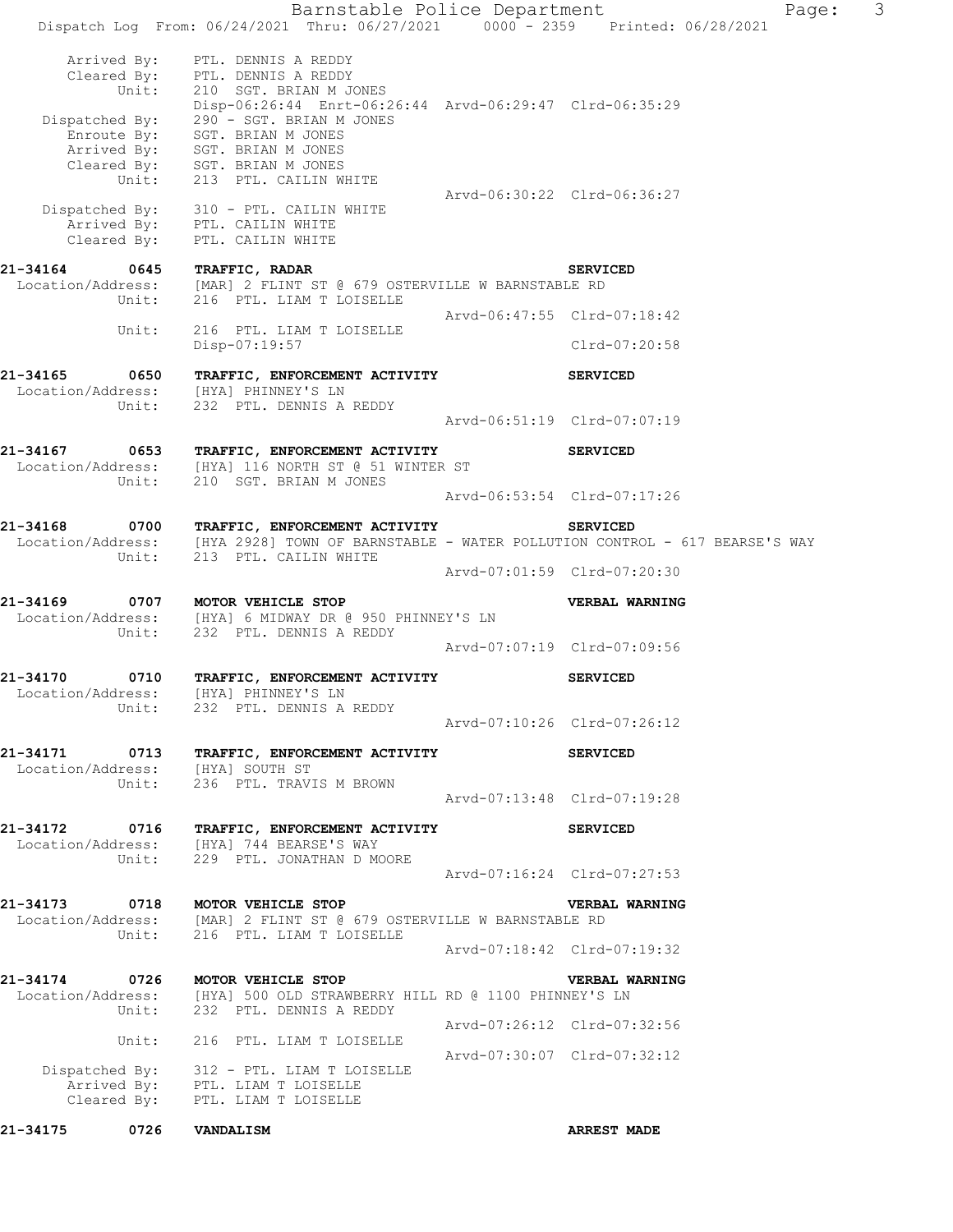Barnstable Police Department Fage: 3 Dispatch Log From: 06/24/2021 Thru: 06/27/2021 0000 - 2359 Printed: 06/28/2021 Arrived By: PTL. DENNIS A REDDY Cleared By: PTL. DENNIS A REDDY Unit: 210 SGT. BRIAN M JONES Disp-06:26:44 Enrt-06:26:44 Arvd-06:29:47 Clrd-06:35:29 Dispatched By: 290 - SGT. BRIAN M JONES .<br>Enroute By: SGT. BRIAN M JONES Arrived By: SGT. BRIAN M JONES Cleared  $\overline{\text{{\tt Bv}}}$ : SGT. BRIAN M JONES Unit: 213 PTL. CAILIN WHITE Arvd-06:30:22 Clrd-06:36:27 Dispatched By: 310 - PTL. CAILIN WHITE .<br>Arrived By: PTL. CAILIN WHITE Cleared By: PTL. CAILIN WHITE **21-34164 0645 TRAFFIC, RADAR SERVICED**  Location/Address: [MAR] 2 FLINT ST @ 679 OSTERVILLE W BARNSTABLE RD Unit: 216 PTL. LIAM T LOISELLE Arvd-06:47:55 Clrd-07:18:42 Unit: 216 PTL. LIAM T LOISELLE Disp-07:19:57 Clrd-07:20:58 **21-34165 0650 TRAFFIC, ENFORCEMENT ACTIVITY SERVICED**  Location/Address: [HYA] PHINNEY'S LN Unit: 232 PTL. DENNIS A REDDY 232 PTL. DENNIS A REDDY<br>Arvd-06:51:19 Clrd-07:07:19 **21-34167 0653 TRAFFIC, ENFORCEMENT ACTIVITY SERVICED**  Location/Address: [HYA] 116 NORTH ST @ 51 WINTER ST Unit: 210 SGT. BRIAN M JONES Arvd-06:53:54 Clrd-07:17:26 **21-34168 0700 TRAFFIC, ENFORCEMENT ACTIVITY SERVICED**  [HYA 2928] TOWN OF BARNSTABLE - WATER POLLUTION CONTROL - 617 BEARSE'S WAY Unit: 213 PTL. CAILIN WHITE Arvd-07:01:59 Clrd-07:20:30 **21-34169 0707 MOTOR VEHICLE STOP VERBAL WARNING**  Location/Address: [HYA] 6 MIDWAY DR @ 950 PHINNEY'S LN Unit: 232 PTL. DENNIS A REDDY Arvd-07:07:19 Clrd-07:09:56 **21-34170 0710 TRAFFIC, ENFORCEMENT ACTIVITY SERVICED**  Location/Address: [HYA] PHINNEY'S LN Unit: 232 PTL. DENNIS A REDDY Arvd-07:10:26 Clrd-07:26:12 **21-34171 0713 TRAFFIC, ENFORCEMENT ACTIVITY SERVICED**  Location/Address: [HYA] SOUTH ST Unit: 236 PTL. TRAVIS M BROWN Arvd-07:13:48 Clrd-07:19:28 **21-34172 0716 TRAFFIC, ENFORCEMENT ACTIVITY SERVICED**  Location/Address: [HYA] 744 BEARSE'S WAY Unit: 229 PTL. JONATHAN D MOORE Arvd-07:16:24 Clrd-07:27:53 **21-34173 0718 MOTOR VEHICLE STOP VERBAL WARNING**  Location/Address: [MAR] 2 FLINT ST @ 679 OSTERVILLE W BARNSTABLE RD Unit: 216 PTL. LIAM T LOISELLE Arvd-07:18:42 Clrd-07:19:32 **21-34174 0726 MOTOR VEHICLE STOP VERBAL WARNING**  Location/Address: [HYA] 500 OLD STRAWBERRY HILL RD @ 1100 PHINNEY'S LN Unit: 232 PTL. DENNIS A REDDY Arvd-07:26:12 Clrd-07:32:56 Unit: 216 PTL. LIAM T LOISELLE Arvd-07:30:07 Clrd-07:32:12 Dispatched By: 312 - PTL. LIAM T LOISELLE .<br>Arrived By: PTL. LIAM T LOISELLE Cleared By: PTL. LIAM T LOISELLE **21-34175 0726 VANDALISM ARREST MADE**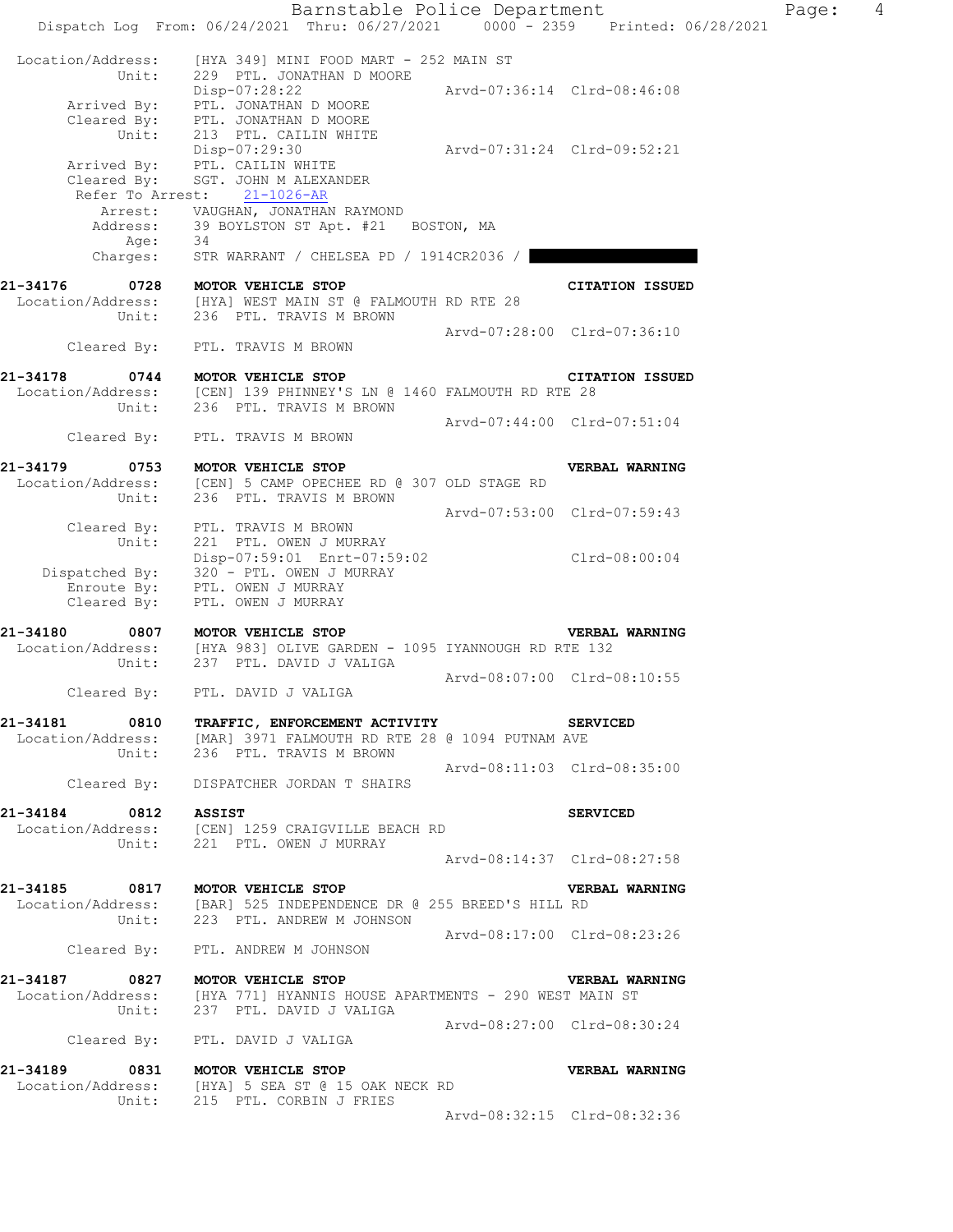|                   | Barnstable Police Department<br>Dispatch Log From: 06/24/2021 Thru: 06/27/2021 0000 - 2359 Printed: 06/28/2021                                             |                             |                             | Page: | 4 |
|-------------------|------------------------------------------------------------------------------------------------------------------------------------------------------------|-----------------------------|-----------------------------|-------|---|
| Location/Address: | [HYA 349] MINI FOOD MART - 252 MAIN ST                                                                                                                     |                             |                             |       |   |
| Unit:             | 229 PTL. JONATHAN D MOORE<br>Disp-07:28:22                                                                                                                 | Arvd-07:36:14 Clrd-08:46:08 |                             |       |   |
| Unit:             | Arrived By: PTL. JONATHAN D MOORE<br>Cleared By: PTL. JONATHAN D MOORE<br>213 PTL. CAILIN WHITE                                                            |                             |                             |       |   |
|                   | Disp-07:29:30<br>Arrived By: PTL. CAILIN WHITE                                                                                                             | Arvd-07:31:24 Clrd-09:52:21 |                             |       |   |
| Cleared By:       | SGT. JOHN M ALEXANDER<br>Refer To Arrest: 21-1026-AR<br>Arrest: VAUGHAN, JONATHAN RAYMOND                                                                  |                             |                             |       |   |
| Address:<br>Age:  | 39 BOYLSTON ST Apt. #21 BOSTON, MA<br>34                                                                                                                   |                             |                             |       |   |
| Charges:          | STR WARRANT / CHELSEA PD / 1914CR2036 /                                                                                                                    |                             |                             |       |   |
| 21-34176<br>Unit: | 0728 MOTOR VEHICLE STOP<br>Location/Address: [HYA] WEST MAIN ST @ FALMOUTH RD RTE 28<br>236 PTL. TRAVIS M BROWN                                            |                             | <b>CITATION ISSUED</b>      |       |   |
|                   | Cleared By: PTL. TRAVIS M BROWN                                                                                                                            | Arvd-07:28:00 Clrd-07:36:10 |                             |       |   |
| 21-34178          | 0744 MOTOR VEHICLE STOP<br>Location/Address: [CEN] 139 PHINNEY'S LN @ 1460 FALMOUTH RD RTE 28                                                              |                             | <b>CITATION ISSUED</b>      |       |   |
| Unit:             | 236 PTL. TRAVIS M BROWN                                                                                                                                    | Arvd-07:44:00 Clrd-07:51:04 |                             |       |   |
| Cleared By:       | PTL. TRAVIS M BROWN                                                                                                                                        |                             |                             |       |   |
| 21-34179<br>Unit: | 0753 MOTOR VEHICLE STOP<br>Location/Address: [CEN] 5 CAMP OPECHEE RD @ 307 OLD STAGE RD<br>236 PTL. TRAVIS M BROWN                                         |                             | VERBAL WARNING              |       |   |
|                   | Cleared By: PTL. TRAVIS M BROWN                                                                                                                            | Arvd-07:53:00 Clrd-07:59:43 |                             |       |   |
| Unit:             | 221 PTL. OWEN J MURRAY<br>Disp-07:59:01 Enrt-07:59:02 Clrd-08:00:04                                                                                        |                             |                             |       |   |
| Cleared By:       | Dispatched By: 320 - PTL. OWEN J MURRAY<br>Enroute By: PTL. OWEN J MURRAY<br>PTL. OWEN J MURRAY                                                            |                             |                             |       |   |
| 21-34180          | 0807 MOTOR VEHICLE STOP<br>Location/Address: [HYA 983] OLIVE GARDEN - 1095 IYANNOUGH RD RTE 132                                                            |                             | <b>VERBAL WARNING</b>       |       |   |
| Unit:             | 237 PTL. DAVID J VALIGA                                                                                                                                    |                             | Arvd-08:07:00 Clrd-08:10:55 |       |   |
| Cleared By:       | PTL. DAVID J VALIGA                                                                                                                                        |                             |                             |       |   |
|                   | 21-34181 0810 TRAFFIC, ENFORCEMENT ACTIVITY SERVICED<br>Location/Address: [MAR] 3971 FALMOUTH RD RTE 28 @ 1094 PUTNAM AVE<br>Unit: 236 PTL. TRAVIS M BROWN |                             |                             |       |   |
|                   | Cleared By: DISPATCHER JORDAN T SHAIRS                                                                                                                     | Arvd-08:11:03 Clrd-08:35:00 |                             |       |   |
|                   |                                                                                                                                                            |                             | <b>SERVICED</b>             |       |   |
|                   | 21-34184 0812 ASSIST<br>Location/Address: [CEN] 1259 CRAIGVILLE BEACH RD<br>Unit: 221 PTL. OWEN J MURRAY                                                   |                             |                             |       |   |
|                   |                                                                                                                                                            | Arvd-08:14:37 Clrd-08:27:58 |                             |       |   |
|                   | 21-34185 0817 MOTOR VEHICLE STOP<br>Location/Address: [BAR] 525 INDEPENDENCE DR @ 255 BREED'S HILL RD<br>Unit: 223 PTL. ANDREW M JOHNSON                   |                             | <b>VERBAL WARNING</b>       |       |   |
|                   | Cleared By: PTL. ANDREW M JOHNSON                                                                                                                          | Arvd-08:17:00 Clrd-08:23:26 |                             |       |   |
|                   | 21-34187 0827 MOTOR VEHICLE STOP                                                                                                                           |                             | <b>VERBAL WARNING</b>       |       |   |
|                   | Location/Address: [HYA 771] HYANNIS HOUSE APARTMENTS - 290 WEST MAIN ST<br>Unit: 237 PTL. DAVID J VALIGA                                                   |                             |                             |       |   |
|                   | Cleared By: PTL. DAVID J VALIGA                                                                                                                            | Arvd-08:27:00 Clrd-08:30:24 |                             |       |   |
|                   | 21-34189 0831 MOTOR VEHICLE STOP<br>Location/Address: [HYA] 5 SEA ST @ 15 OAK NECK RD                                                                      |                             | <b>VERBAL WARNING</b>       |       |   |
|                   | Unit: 215 PTL. CORBIN J FRIES                                                                                                                              |                             | Arvd-08:32:15 Clrd-08:32:36 |       |   |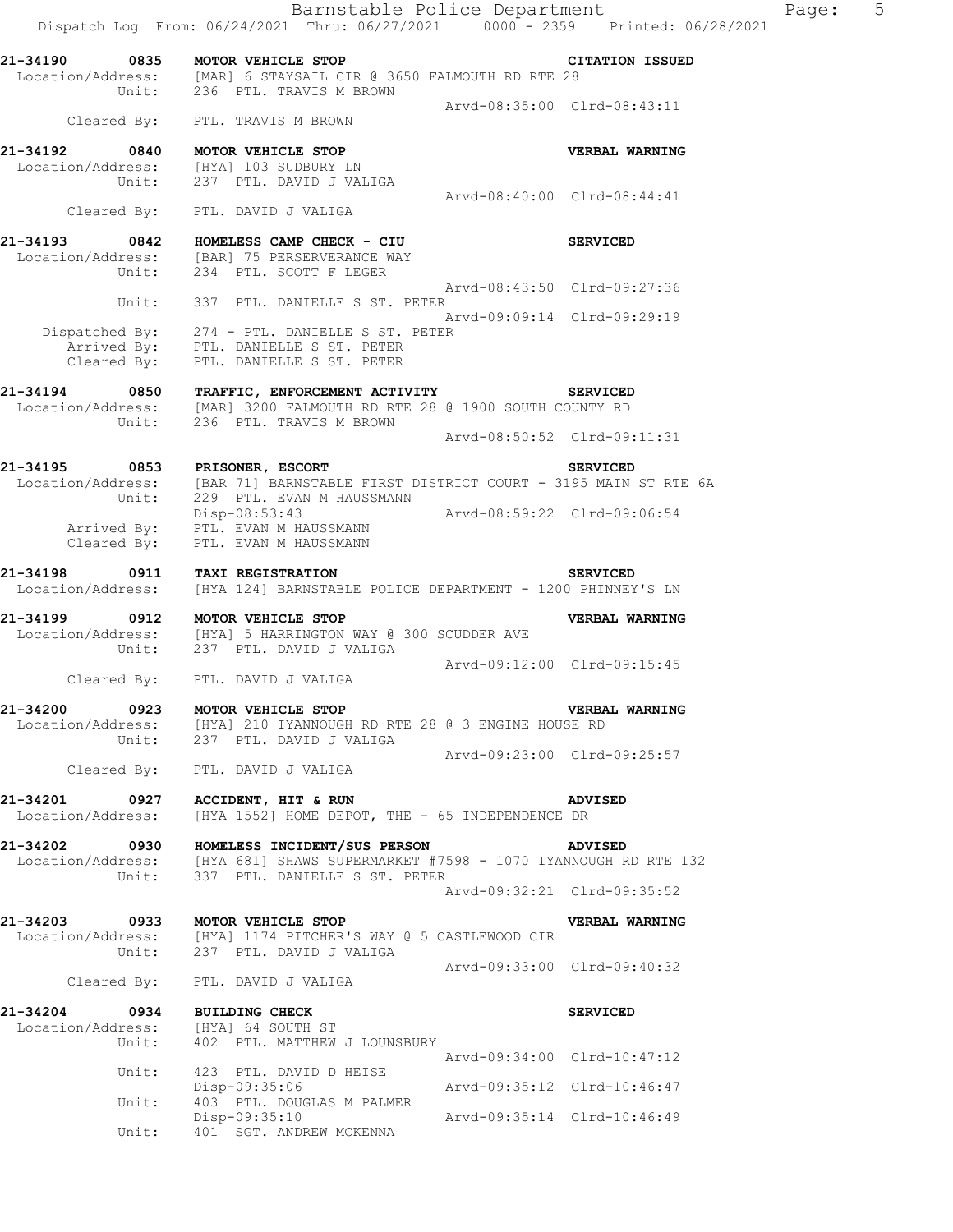| 21-34190                              | L-34190 0835 MOTOR VEHICLE STOP<br>Location/Address: [MAR] 6 STAYSAIL CIR @ 3650 FALMOUTH RD RTE 28       |                             | <b>CITATION ISSUED</b>      |
|---------------------------------------|-----------------------------------------------------------------------------------------------------------|-----------------------------|-----------------------------|
|                                       | Unit: 236 PTL. TRAVIS M BROWN                                                                             | Arvd-08:35:00 Clrd-08:43:11 |                             |
|                                       | Cleared By: PTL. TRAVIS M BROWN                                                                           |                             |                             |
| 21-34192                              | 0840 MOTOR VEHICLE STOP                                                                                   |                             | <b>VERBAL WARNING</b>       |
|                                       | Location/Address: [HYA] 103 SUDBURY LN<br>Unit: 237 PTL. DAVID J VALIGA                                   |                             |                             |
|                                       | Cleared By: PTL. DAVID J VALIGA                                                                           | Arvd-08:40:00 Clrd-08:44:41 |                             |
| 21-34193                              | 0842 HOMELESS CAMP CHECK - CIU                                                                            |                             | <b>SERVICED</b>             |
|                                       | Location/Address: [BAR] 75 PERSERVERANCE WAY Unit: 234 PTL. SCOTT F LEGER                                 |                             |                             |
|                                       | Unit: 337 PTL. DANIELLE S ST. PETER                                                                       |                             | Arvd-08:43:50 Clrd-09:27:36 |
|                                       |                                                                                                           |                             | Arvd-09:09:14 Clrd-09:29:19 |
|                                       | Dispatched By: 274 - PTL. DANIELLE S ST. PETER<br>Arrived By: PTL. DANIELLE S ST. PETER                   |                             |                             |
|                                       | Cleared By: PTL. DANIELLE S ST. PETER                                                                     |                             |                             |
| 21-34194                              | 0850 TRAFFIC, ENFORCEMENT ACTIVITY SERVICED                                                               |                             |                             |
| Unit:                                 | Location/Address: [MAR] 3200 FALMOUTH RD RTE 28 @ 1900 SOUTH COUNTY RD<br>236 PTL. TRAVIS M BROWN         |                             |                             |
|                                       |                                                                                                           |                             | Arvd-08:50:52 Clrd-09:11:31 |
| 21-34195                              | 0853 PRISONER, ESCORT<br>Location/Address: [BAR 71] BARNSTABLE FIRST DISTRICT COURT - 3195 MAIN ST RTE 6A |                             | <b>SERVICED</b>             |
| Unit:                                 | 229 PTL. EVAN M HAUSSMANN                                                                                 | Arvd-08:59:22 Clrd-09:06:54 |                             |
|                                       | Disp-08:53:43<br>Arrived By: PTL. EVAN M HAUSSMANN<br>Cleared By: PTL. EVAN M HAUSSMANN                   |                             |                             |
|                                       |                                                                                                           |                             |                             |
| 21-34198<br>0911<br>Location/Address: | TAXI REGISTRATION<br>[HYA 124] BARNSTABLE POLICE DEPARTMENT - 1200 PHINNEY'S LN                           |                             | <b>SERVICED</b>             |
| 21-34199                              | 0912 MOTOR VEHICLE STOP                                                                                   |                             | VERBAL WARNING              |
| Unit:                                 | Location/Address: [HYA] 5 HARRINGTON WAY @ 300 SCUDDER AVE<br>237 PTL. DAVID J VALIGA                     |                             |                             |
|                                       | Cleared By: PTL. DAVID J VALIGA                                                                           | Arvd-09:12:00 Clrd-09:15:45 |                             |
| 21-34200                              | 0923 MOTOR VEHICLE STOP                                                                                   |                             | VERBAL WARNING              |
|                                       | Location/Address: [HYA] 210 IYANNOUGH RD RTE 28 @ 3 ENGINE HOUSE RD<br>Unit: 237 PTL. DAVID J VALIGA      |                             |                             |
|                                       |                                                                                                           |                             | Arvd-09:23:00 Clrd-09:25:57 |
|                                       | Cleared By: PTL. DAVID J VALIGA                                                                           |                             |                             |
| 21-34201                              | 0927 ACCIDENT, HIT & RUN<br>Location/Address: [HYA 1552] HOME DEPOT, THE - 65 INDEPENDENCE DR             |                             | <b>ADVISED</b>              |
|                                       | 21-34202 0930 HOMELESS INCIDENT/SUS PERSON                                                                |                             | <b>ADVISED</b>              |
| Location/Address:                     | [HYA 681] SHAWS SUPERMARKET #7598 - 1070 IYANNOUGH RD RTE 132<br>Unit: 337 PTL. DANIELLE S ST. PETER      |                             |                             |
|                                       |                                                                                                           |                             | Arvd-09:32:21 Clrd-09:35:52 |
| 21-34203                              | 0933 MOTOR VEHICLE STOP                                                                                   |                             | VERBAL WARNING              |
|                                       | Location/Address: [HYA] 1174 PITCHER'S WAY @ 5 CASTLEWOOD CIR<br>Unit: 237 PTL. DAVID J VALIGA            |                             |                             |
|                                       | Cleared By: PTL. DAVID J VALIGA                                                                           |                             | Arvd-09:33:00 Clrd-09:40:32 |
| 21-34204 0934                         | <b>BUILDING CHECK</b>                                                                                     |                             | <b>SERVICED</b>             |
|                                       | Location/Address: [HYA] 64 SOUTH ST<br>Unit: 402 PTL. MATTHEW J LOUNSBURY                                 |                             |                             |
|                                       |                                                                                                           |                             | Arvd-09:34:00 Clrd-10:47:12 |
|                                       | Unit: 423 PTL. DAVID D HEISE<br>Disp-09:35:06                                                             | Arvd-09:35:12 Clrd-10:46:47 |                             |
| Unit:                                 | 403 PTL. DOUGLAS M PALMER<br>Disp-09:35:10                                                                | Arvd-09:35:14 Clrd-10:46:49 |                             |
| Unit:                                 | 401 SGT. ANDREW MCKENNA                                                                                   |                             |                             |

Page: 5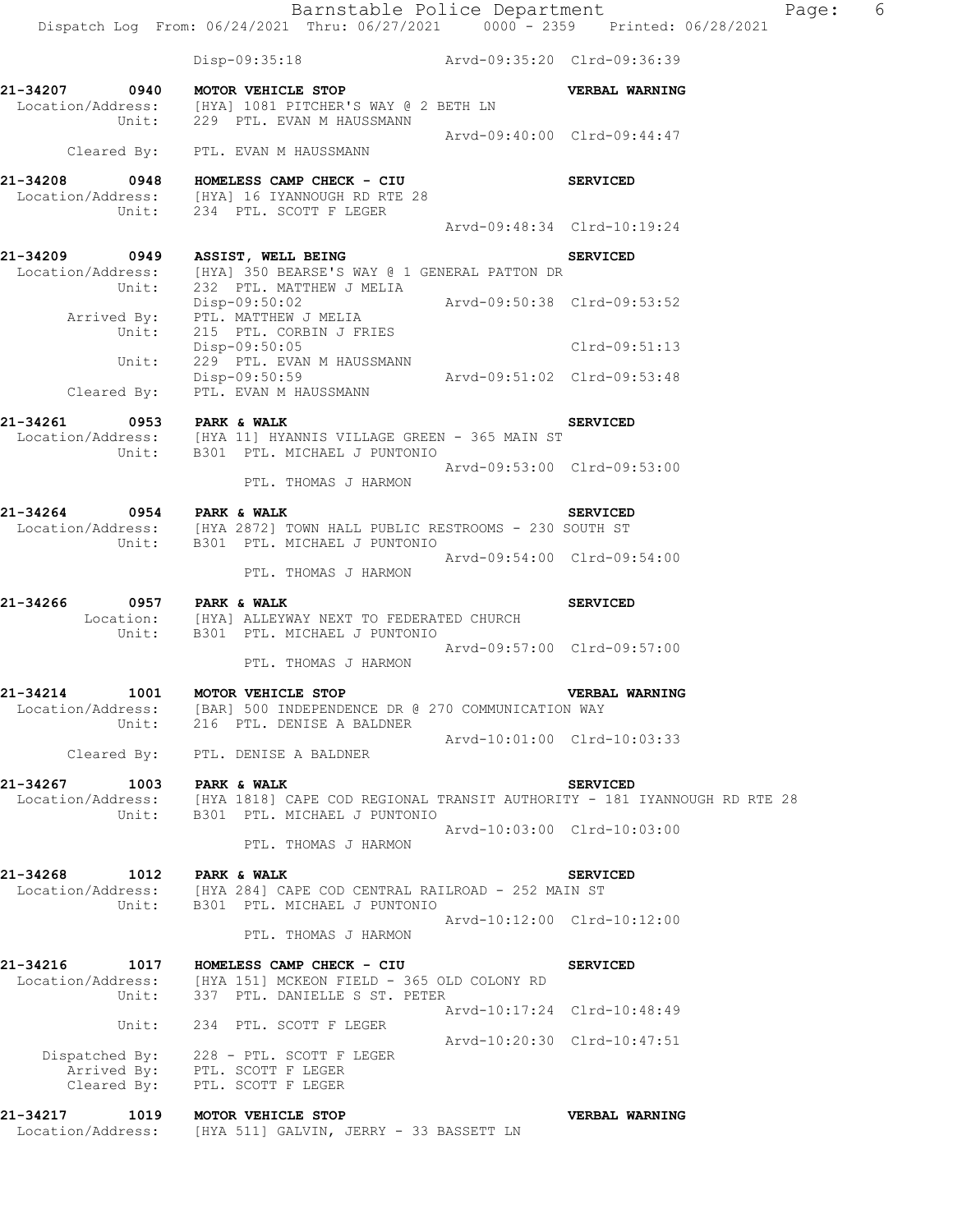|                           | Dispatch Log From: 06/24/2021 Thru: 06/27/2021 0000 - 2359 Printed: 06/28/2021                                                                       | Barnstable Police Department | Page:                       | 6 |
|---------------------------|------------------------------------------------------------------------------------------------------------------------------------------------------|------------------------------|-----------------------------|---|
|                           | Disp-09:35:18 Arvd-09:35:20 Clrd-09:36:39                                                                                                            |                              |                             |   |
|                           | 21-34207 0940 MOTOR VEHICLE STOP<br>Location/Address: [HYA] 1081 PITCHER'S WAY @ 2 BETH LN<br>Unit: 229 PTL. EVAN M HAUSSMANN                        |                              | <b>VERBAL WARNING</b>       |   |
|                           | Cleared By: PTL. EVAN M HAUSSMANN                                                                                                                    | Arvd-09:40:00 Clrd-09:44:47  |                             |   |
| 21-34208                  | 0948 HOMELESS CAMP CHECK - CIU<br>Location/Address: [HYA] 16 IYANNOUGH RD RTE 28<br>Unit: 234 PTL. SCOTT F LEGER                                     |                              | <b>SERVICED</b>             |   |
|                           |                                                                                                                                                      |                              | Arvd-09:48:34 Clrd-10:19:24 |   |
|                           | 21-34209 0949 ASSIST, WELL BEING<br>Location/Address: [HYA] 350 BEARSE'S WAY @ 1 GENERAL PATTON DR                                                   |                              | <b>SERVICED</b>             |   |
| Unit:                     | 232 PTL. MATTHEW J MELIA<br>Disp-09:50:02 Arvd-09:50:38 Clrd-09:53:52<br>Arrived By: PTL. MATTHEW J MELIA                                            |                              |                             |   |
|                           | Unit: 215 PTL. CORBIN J FRIES<br>Disp-09:50:05                                                                                                       |                              | Clrd-09:51:13               |   |
| Unit:                     | 229 PTL. EVAN M HAUSSMANN<br>Disp-09:50:59<br>Arvd-09:51:02 Clrd-09:53:48<br>Cleared By: PTL. EVAN M HAUSSMANN                                       |                              |                             |   |
| 21-34261                  |                                                                                                                                                      |                              | <b>SERVICED</b>             |   |
|                           | Unit: B301 PTL. MICHAEL J PUNTONIO<br>PTL. THOMAS J HARMON                                                                                           | Arvd-09:53:00 Clrd-09:53:00  |                             |   |
| 21-34264 0954 PARK & WALK | Location/Address: [HYA 2872] TOWN HALL PUBLIC RESTROOMS - 230 SOUTH ST<br>Unit: B301 PTL. MICHAEL J PUNTONIO                                         |                              | <b>SERVICED</b>             |   |
|                           | PTL. THOMAS J HARMON                                                                                                                                 | Arvd-09:54:00 Clrd-09:54:00  |                             |   |
| 21-34266                  | 0957 PARK & WALK<br>Location: [HYA] ALLEYWAY NEXT TO FEDERATED CHURCH<br>Unit: B301 PTL. MICHAEL J PUNTONIO                                          |                              | <b>SERVICED</b>             |   |
|                           | PTL. THOMAS J HARMON                                                                                                                                 |                              | Arvd-09:57:00 Clrd-09:57:00 |   |
| 21-34214<br>1001<br>Unit: | MOTOR VEHICLE STOP<br>Location/Address: [BAR] 500 INDEPENDENCE DR @ 270 COMMUNICATION WAY<br>216 PTL. DENISE A BALDNER                               |                              | VERBAL WARNING              |   |
|                           | Cleared By: PTL. DENISE A BALDNER                                                                                                                    |                              | Arvd-10:01:00 Clrd-10:03:33 |   |
| 21-34267                  | 1003 PARK & WALK<br>Location/Address: [HYA 1818] CAPE COD REGIONAL TRANSIT AUTHORITY - 181 IYANNOUGH RD RTE 28<br>Unit: B301 PTL. MICHAEL J PUNTONIO |                              | <b>SERVICED</b>             |   |
|                           | PTL. THOMAS J HARMON                                                                                                                                 |                              | Arvd-10:03:00 Clrd-10:03:00 |   |
| 21-34268<br>Unit:         | 1012 PARK & WALK<br>Location/Address: [HYA 284] CAPE COD CENTRAL RAILROAD - 252 MAIN ST<br>B301 PTL. MICHAEL J PUNTONIO                              |                              | <b>SERVICED</b>             |   |
|                           | PTL. THOMAS J HARMON                                                                                                                                 |                              | Arvd-10:12:00 Clrd-10:12:00 |   |
| 21-34216<br>Unit:         | 1017 HOMELESS CAMP CHECK - CIU<br>Location/Address: [HYA 151] MCKEON FIELD - 365 OLD COLONY RD<br>337 PTL. DANIELLE S ST. PETER                      |                              | <b>SERVICED</b>             |   |
| Unit:                     | 234 PTL. SCOTT F LEGER                                                                                                                               |                              | Arvd-10:17:24 Clrd-10:48:49 |   |
|                           | Dispatched By: 228 - PTL. SCOTT F LEGER<br>Arrived By: PTL. SCOTT F LEGER<br>Cleared By: PTL. SCOTT F LEGER                                          | Arvd-10:20:30 Clrd-10:47:51  |                             |   |
|                           | 21-34217 1019 MOTOR VEHICLE STOP                                                                                                                     |                              | <b>VERBAL WARNING</b>       |   |

Location/Address: [HYA 511] GALVIN, JERRY - 33 BASSETT LN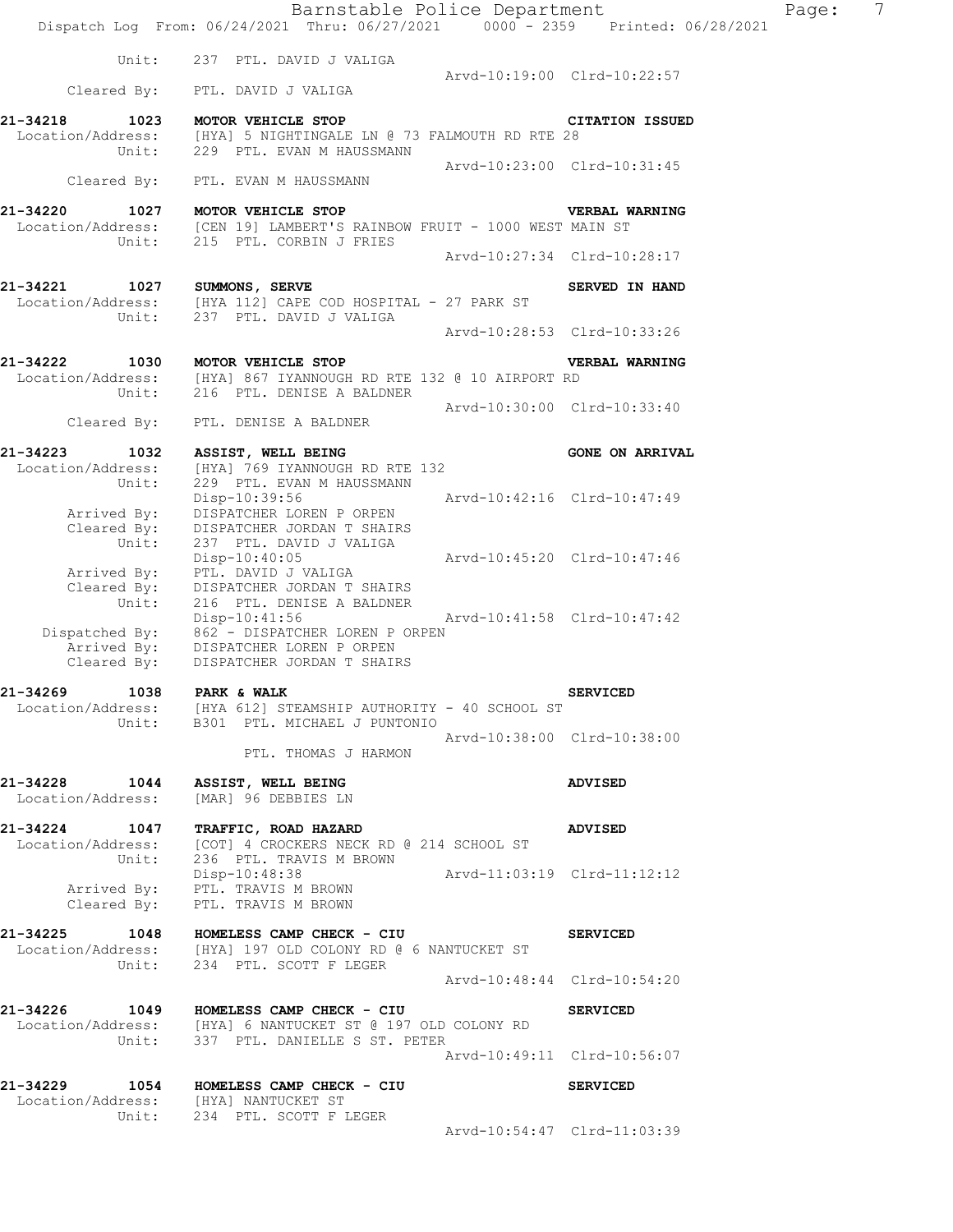|                                                       | Barnstable Police Department<br>Dispatch Log From: 06/24/2021 Thru: 06/27/2021 0000 - 2359 Printed: 06/28/2021                               |                             |                             | Page: | $\overline{7}$ |
|-------------------------------------------------------|----------------------------------------------------------------------------------------------------------------------------------------------|-----------------------------|-----------------------------|-------|----------------|
|                                                       | Unit: 237 PTL. DAVID J VALIGA                                                                                                                |                             |                             |       |                |
|                                                       | Cleared By: PTL. DAVID J VALIGA                                                                                                              |                             | Arvd-10:19:00 Clrd-10:22:57 |       |                |
| 21-34218<br>1023                                      | MOTOR VEHICLE STOP<br>Location/Address: [HYA] 5 NIGHTINGALE LN @ 73 FALMOUTH RD RTE 28<br>Unit: 229 PTL. EVAN M HAUSSMANN                    |                             | <b>CITATION ISSUED</b>      |       |                |
|                                                       | Cleared By: PTL. EVAN M HAUSSMANN                                                                                                            |                             | Arvd-10:23:00 Clrd-10:31:45 |       |                |
| 21-34220<br>Unit:                                     | 1027 MOTOR VEHICLE STOP<br>Location/Address: [CEN 19] LAMBERT'S RAINBOW FRUIT - 1000 WEST MAIN ST<br>215 PTL. CORBIN J FRIES                 |                             | <b>VERBAL WARNING</b>       |       |                |
|                                                       |                                                                                                                                              |                             | Arvd-10:27:34 Clrd-10:28:17 |       |                |
| 21-34221 1027 SUMMONS, SERVE<br>Unit:                 | Location/Address: [HYA 112] CAPE COD HOSPITAL - 27 PARK ST<br>237 PTL. DAVID J VALIGA                                                        |                             | SERVED IN HAND              |       |                |
|                                                       |                                                                                                                                              |                             | Arvd-10:28:53 Clrd-10:33:26 |       |                |
| 21-34222                                              | 1030 MOTOR VEHICLE STOP<br>Location/Address: [HYA] 867 IYANNOUGH RD RTE 132 @ 10 AIRPORT RD                                                  |                             | VERBAL WARNING              |       |                |
| Cleared By:                                           | Unit: 216 PTL. DENISE A BALDNER<br>PTL. DENISE A BALDNER                                                                                     |                             | Arvd-10:30:00 Clrd-10:33:40 |       |                |
| 21-34223<br>1032<br>Location/Address:                 | ASSIST, WELL BEING<br>[HYA] 769 IYANNOUGH RD RTE 132                                                                                         |                             | <b>GONE ON ARRIVAL</b>      |       |                |
| Unit:<br>Arrived By:                                  | 229 PTL. EVAN M HAUSSMANN<br>Disp-10:39:56<br>DISPATCHER LOREN P ORPEN                                                                       | Arvd-10:42:16 Clrd-10:47:49 |                             |       |                |
| Cleared By:<br>Unit:                                  | DISPATCHER JORDAN T SHAIRS<br>237 PTL. DAVID J VALIGA<br>$Disp-10:40:05$                                                                     | Arvd-10:45:20 Clrd-10:47:46 |                             |       |                |
| Arrived By:<br>Cleared By:<br>Unit:                   | PTL. DAVID J VALIGA<br>DISPATCHER JORDAN T SHAIRS<br>216 PTL. DENISE A BALDNER                                                               |                             |                             |       |                |
| Cleared By:                                           | Disp-10:41:56<br>Dispatched By: 862 - DISPATCHER LOREN P ORPEN Arrived By: DISPATCHER LOREN P ORPEN<br>DISPATCHER JORDAN T SHAIRS            | Arvd-10:41:58 Clrd-10:47:42 |                             |       |                |
| 21-34269 1038                                         | PARK & WALK<br>Location/Address: [HYA 612] STEAMSHIP AUTHORITY - 40 SCHOOL ST                                                                |                             | <b>SERVICED</b>             |       |                |
|                                                       | Unit: B301 PTL. MICHAEL J PUNTONIO<br>PTL. THOMAS J HARMON                                                                                   | Arvd-10:38:00 Clrd-10:38:00 |                             |       |                |
| 21-34228 1044 ASSIST, WELL BEING<br>Location/Address: | [MAR] 96 DEBBIES LN                                                                                                                          |                             | <b>ADVISED</b>              |       |                |
|                                                       | 21-34224 1047 TRAFFIC, ROAD HAZARD<br>Location/Address: [COT] 4 CROCKERS NECK RD @ 214 SCHOOL ST                                             |                             | <b>ADVISED</b>              |       |                |
| Unit:<br>Cleared By:                                  | 236 PTL. TRAVIS M BROWN<br>Disp-10:48:38<br>Arrived By: PTL. TRAVIS M BROWN<br>PTL. TRAVIS M BROWN                                           | Arvd-11:03:19 Clrd-11:12:12 |                             |       |                |
|                                                       |                                                                                                                                              |                             |                             |       |                |
| 21-34225                                              | 1048 HOMELESS CAMP CHECK - CIU<br>Location/Address: [HYA] 197 OLD COLONY RD @ 6 NANTUCKET ST<br>Unit: 234 PTL. SCOTT F LEGER                 |                             | <b>SERVICED</b>             |       |                |
|                                                       |                                                                                                                                              | Arvd-10:48:44 Clrd-10:54:20 |                             |       |                |
|                                                       | 21-34226 1049 HOMELESS CAMP CHECK - CIU<br>Location/Address: [HYA] 6 NANTUCKET ST @ 197 OLD COLONY RD<br>Unit: 337 PTL. DANIELLE S ST. PETER |                             | <b>SERVICED</b>             |       |                |
|                                                       |                                                                                                                                              | Arvd-10:49:11 Clrd-10:56:07 |                             |       |                |
| 21-34229<br>Location/Address: [HYA] NANTUCKET ST      | 1054 HOMELESS CAMP CHECK - CIU<br>Unit: 234 PTL. SCOTT F LEGER                                                                               |                             | <b>SERVICED</b>             |       |                |
|                                                       |                                                                                                                                              |                             | Arvd-10:54:47 Clrd-11:03:39 |       |                |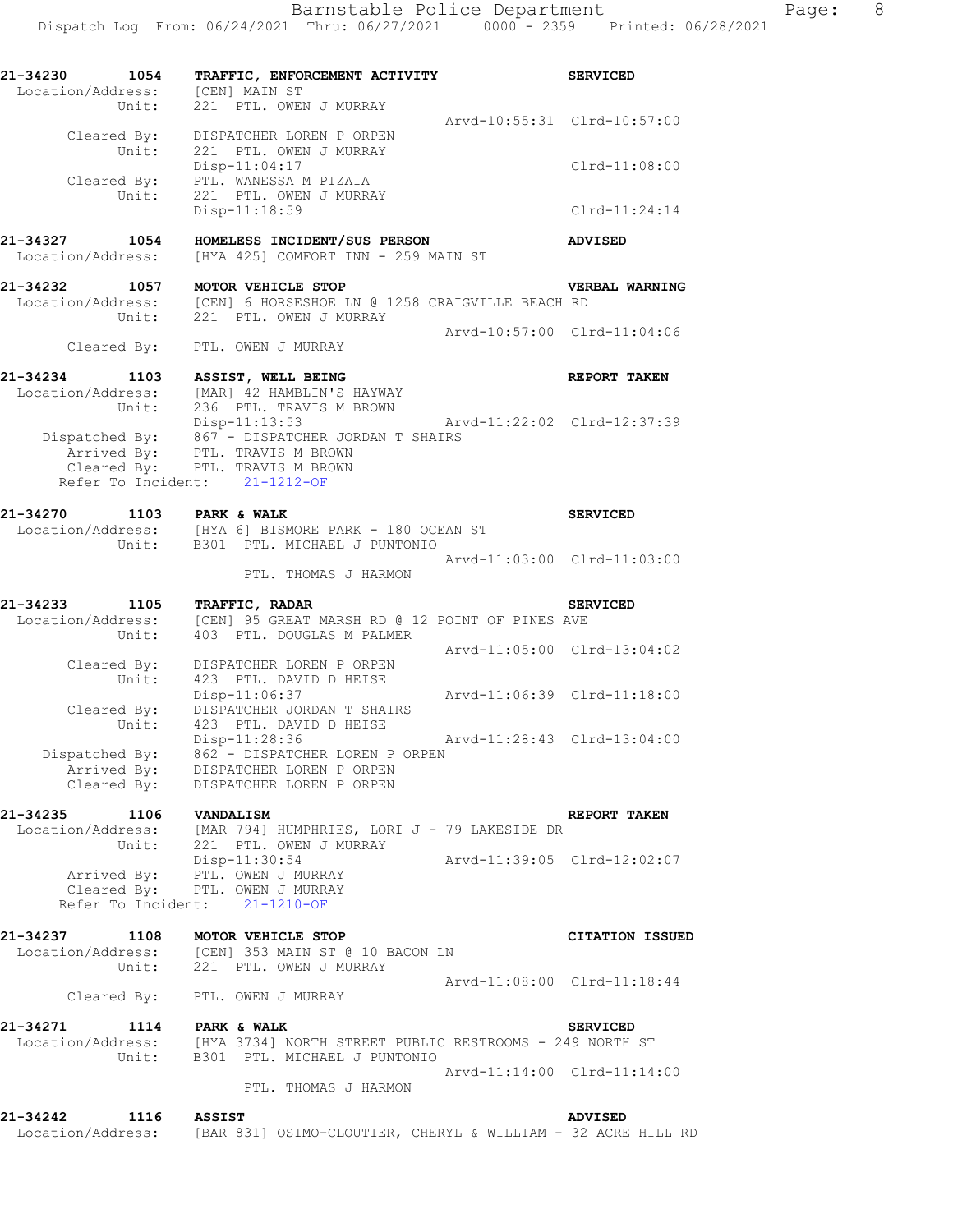**21-34230 1054 TRAFFIC, ENFORCEMENT ACTIVITY SERVICED** 

| Location/Address: [CEN] MAIN ST<br>Unit: |                                                                                                                       |                             |                        |
|------------------------------------------|-----------------------------------------------------------------------------------------------------------------------|-----------------------------|------------------------|
|                                          | 221 PTL. OWEN J MURRAY                                                                                                | Arvd-10:55:31 Clrd-10:57:00 |                        |
| Cleared By:<br>Unit:                     | DISPATCHER LOREN P ORPEN<br>221 PTL. OWEN J MURRAY                                                                    |                             |                        |
|                                          | $Disp-11:04:17$                                                                                                       |                             | $Clrd-11:08:00$        |
| Unit:                                    | Cleared By: PTL. WANESSA M PIZAIA<br>221 PTL. OWEN J MURRAY                                                           |                             |                        |
|                                          | $Disp-11:18:59$                                                                                                       |                             | Clrd-11:24:14          |
| 21-34327 1054                            | HOMELESS INCIDENT/SUS PERSON                                                                                          |                             | <b>ADVISED</b>         |
| Location/Address:                        | [HYA 425] COMFORT INN - 259 MAIN ST                                                                                   |                             |                        |
| 21-34232<br>1057                         | MOTOR VEHICLE STOP                                                                                                    |                             | VERBAL WARNING         |
| Unit:                                    | Location/Address: [CEN] 6 HORSESHOE LN @ 1258 CRAIGVILLE BEACH RD<br>221 PTL. OWEN J MURRAY                           |                             |                        |
|                                          |                                                                                                                       | Arvd-10:57:00 Clrd-11:04:06 |                        |
|                                          | Cleared By: PTL. OWEN J MURRAY                                                                                        |                             |                        |
| 21-34234                                 | 1103 ASSIST, WELL BEING                                                                                               |                             | REPORT TAKEN           |
| Unit:                                    | Location/Address: [MAR] 42 HAMBLIN'S HAYWAY<br>236 PTL. TRAVIS M BROWN                                                |                             |                        |
|                                          | Disp-11:13:53                                                                                                         | Arvd-11:22:02 Clrd-12:37:39 |                        |
|                                          | Dispatched By: 867 - DISPATCHER JORDAN T SHAIRS<br>Arrived By: PTL. TRAVIS M BROWN<br>Cleared By: PTL. TRAVIS M BROWN |                             |                        |
|                                          | Refer To Incident: 21-1212-OF                                                                                         |                             |                        |
|                                          |                                                                                                                       |                             |                        |
| 21-34270<br>1103 PARK & WALK             |                                                                                                                       |                             | <b>SERVICED</b>        |
|                                          | Location/Address: [HYA 6] BISMORE PARK - 180 OCEAN ST<br>Unit: B301 PTL. MICHAEL J PUNTONIO                           |                             |                        |
|                                          | PTL. THOMAS J HARMON                                                                                                  | Arvd-11:03:00 Clrd-11:03:00 |                        |
|                                          |                                                                                                                       |                             |                        |
| 21-34233<br>1105<br>Location/Address:    | TRAFFIC, RADAR<br>[CEN] 95 GREAT MARSH RD @ 12 POINT OF PINES AVE                                                     |                             | <b>SERVICED</b>        |
| Unit:                                    | 403 PTL. DOUGLAS M PALMER                                                                                             | Arvd-11:05:00 Clrd-13:04:02 |                        |
| Cleared By:                              | DISPATCHER LOREN P ORPEN                                                                                              |                             |                        |
| Unit:                                    | 423 PTL. DAVID D HEISE<br>Disp-11:06:37                                                                               | Arvd-11:06:39 Clrd-11:18:00 |                        |
| Cleared By:                              | DISPATCHER JORDAN T SHAIRS                                                                                            |                             |                        |
| Unit:                                    | 423 PTL. DAVID D HEISE<br>Disp-11:28:36                                                                               | Arvd-11:28:43 Clrd-13:04:00 |                        |
|                                          | Dispatched By: 862 - DISPATCHER LOREN P ORPEN<br>Arrived By: DISPATCHER LOREN P ORPEN                                 |                             |                        |
| Arrived By:<br>Cleared By:               | DISPATCHER LOREN P ORPEN<br>DISPATCHER LOREN P ORPEN                                                                  |                             |                        |
| 21-34235<br>1106 VANDALISM               |                                                                                                                       |                             | REPORT TAKEN           |
|                                          | Location/Address: [MAR 794] HUMPHRIES, LORI J - 79 LAKESIDE DR<br>Unit: 221 PTL. OWEN J MURRAY                        |                             |                        |
|                                          | Disp-11:30:54                                                                                                         |                             |                        |
|                                          | Arrived By: PTL. OWEN J MURRAY<br>Cleared By: PTL. OWEN J MURRAY                                                      |                             |                        |
|                                          | Refer To Incident: 21-1210-OF                                                                                         |                             |                        |
| 21-34237 1108 MOTOR VEHICLE STOP         |                                                                                                                       |                             |                        |
|                                          | Location/Address: [CEN] 353 MAIN ST @ 10 BACON LN<br>Unit: 221 PTL. OWEN J MURRAY                                     |                             | <b>CITATION ISSUED</b> |
|                                          |                                                                                                                       | Arvd-11:08:00 Clrd-11:18:44 |                        |
|                                          | Cleared By: PTL. OWEN J MURRAY                                                                                        |                             |                        |
| 21-34271 1114 PARK & WALK                |                                                                                                                       |                             | <b>SERVICED</b>        |
|                                          | Location/Address: [HYA 3734] NORTH STREET PUBLIC RESTROOMS - 249 NORTH ST                                             |                             |                        |
|                                          | Unit: B301 PTL. MICHAEL J PUNTONIO                                                                                    | Arvd-11:14:00 Clrd-11:14:00 |                        |
|                                          | PTL. THOMAS J HARMON                                                                                                  |                             |                        |
| 21-34242 1116 ASSIST                     |                                                                                                                       |                             | ADVISED                |
|                                          | Location/Address: [BAR 831] OSIMO-CLOUTIER, CHERYL & WILLIAM - 32 ACRE HILL RD                                        |                             |                        |
|                                          |                                                                                                                       |                             |                        |
|                                          |                                                                                                                       |                             |                        |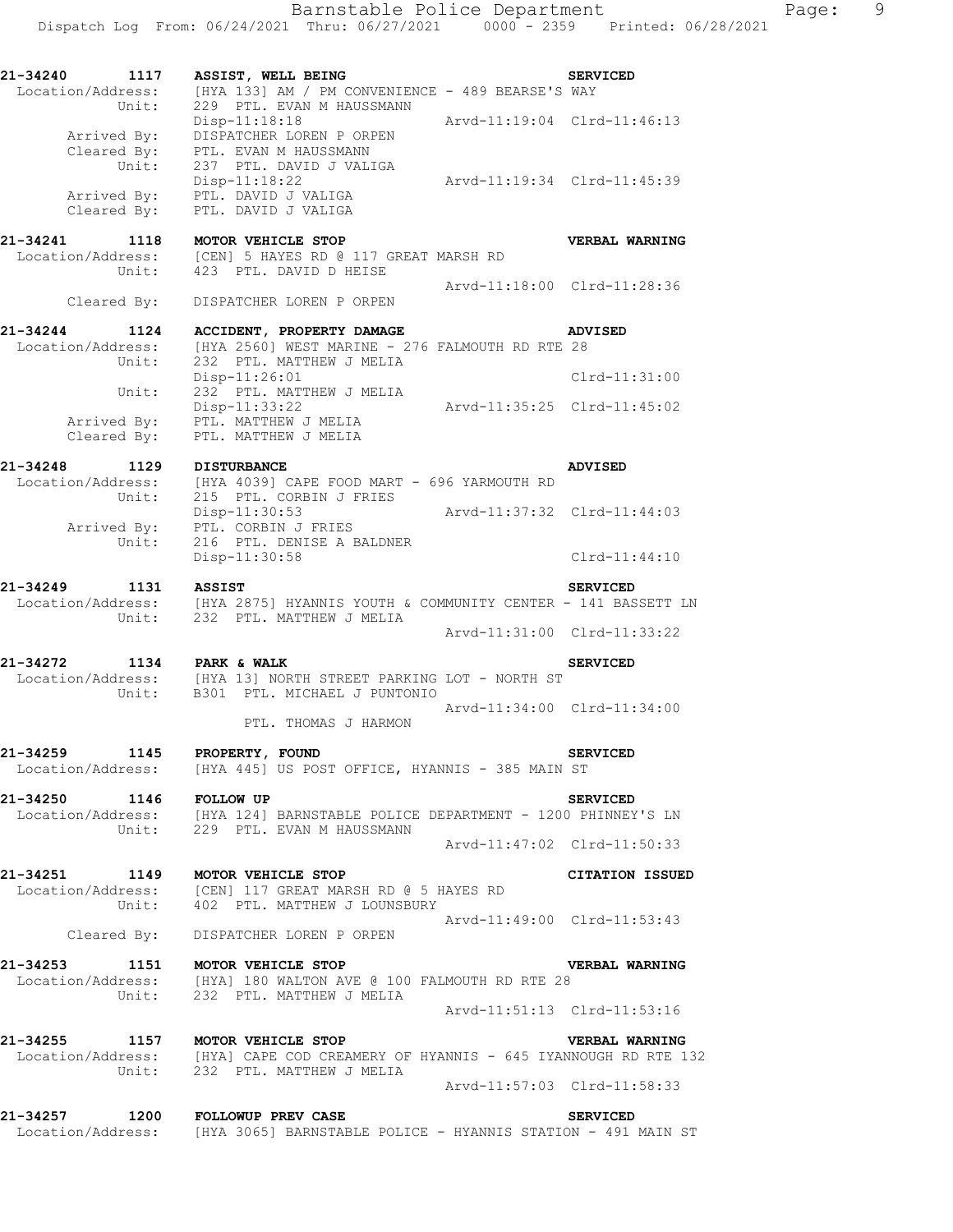**21-34240 1117 ASSIST, WELL BEING SERVICED**  Location/Address: [HYA 133] AM / PM CONVENIENCE - 489 BEARSE'S WAY Unit: 229 PTL. EVAN M HAUSSMANN Disp-11:18:18 Arvd-11:19:04 Clrd-11:46:13 Arrived By: DISPATCHER LOREN P ORPEN Arrived By: DISPATCHER LOREN PORPEN<br>Cleared By: PTL. EVAN M HAUSSMANN Unit: 237 PTL. DAVID J VALIGA Disp-11:18:22 Arvd-11:19:34 Clrd-11:45:39 Arrived By: PTL. DAVID J VALIGA Cleared By: PTL. DAVID J VALIGA **21-34241 1118 MOTOR VEHICLE STOP VERBAL WARNING**  Location/Address: [CEN] 5 HAYES RD @ 117 GREAT MARSH RD Unit: 423 PTL. DAVID D HEISE Arvd-11:18:00 Clrd-11:28:36 Cleared By: DISPATCHER LOREN P ORPEN **21-34244 1124 ACCIDENT, PROPERTY DAMAGE ADVISED**  Location/Address: [HYA 2560] WEST MARINE - 276 FALMOUTH RD RTE 28 Unit: 232 PTL. MATTHEW J MELIA Disp-11:26:01 Clrd-11:31:00 Unit: 232 PTL. MATTHEW J MELIA Disp-11:33:22 Arvd-11:35:25 Clrd-11:45:02 Arrived By: PTL. MATTHEW J MELIA Cleared By: PTL. MATTHEW J MELIA **21-34248 1129 DISTURBANCE ADVISED**  Location/Address: [HYA 4039] CAPE FOOD MART - 696 YARMOUTH RD Unit: 215 PTL. CORBIN J FRIES Disp-11:30:53 Arvd-11:37:32 Clrd-11:44:03 Arrived By: PTL. CORBIN J FRIES Unit: 216 PTL. DENISE A BALDNER Disp-11:30:58 Clrd-11:44:10 **21-34249 1131 ASSIST SERVICED**  Location/Address: [HYA 2875] HYANNIS YOUTH & COMMUNITY CENTER - 141 BASSETT LN Unit: 232 PTL. MATTHEW J MELIA Arvd-11:31:00 Clrd-11:33:22 **21-34272 1134 PARK & WALK SERVICED**  Location/Address: [HYA 13] NORTH STREET PARKING LOT - NORTH ST Unit: B301 PTL. MICHAEL J PUNTONIO Arvd-11:34:00 Clrd-11:34:00 PTL. THOMAS J HARMON **21-34259 1145 PROPERTY, FOUND SERVICED**  Location/Address: [HYA 445] US POST OFFICE, HYANNIS - 385 MAIN ST **21-34250 1146 FOLLOW UP SERVICED**  Location/Address: [HYA 124] BARNSTABLE POLICE DEPARTMENT - 1200 PHINNEY'S LN Unit: 229 PTL. EVAN M HAUSSMANN Arvd-11:47:02 Clrd-11:50:33 **21-34251 1149 MOTOR VEHICLE STOP CITATION ISSUED**  Location/Address: [CEN] 117 GREAT MARSH RD @ 5 HAYES RD Unit: 402 PTL. MATTHEW J LOUNSBURY Arvd-11:49:00 Clrd-11:53:43 Cleared By: DISPATCHER LOREN P ORPEN **21-34253 1151 MOTOR VEHICLE STOP VERBAL WARNING**  Location/Address: [HYA] 180 WALTON AVE @ 100 FALMOUTH RD RTE 28 Unit: 232 PTL. MATTHEW J MELIA Arvd-11:51:13 Clrd-11:53:16 **21-34255 1157 MOTOR VEHICLE STOP VERBAL WARNING**  Location/Address: [HYA] CAPE COD CREAMERY OF HYANNIS - 645 IYANNOUGH RD RTE 132 Unit: 232 PTL. MATTHEW J MELIA Arvd-11:57:03 Clrd-11:58:33 **21-34257 1200 FOLLOWUP PREV CASE SERVICED**  Location/Address: [HYA 3065] BARNSTABLE POLICE - HYANNIS STATION - 491 MAIN ST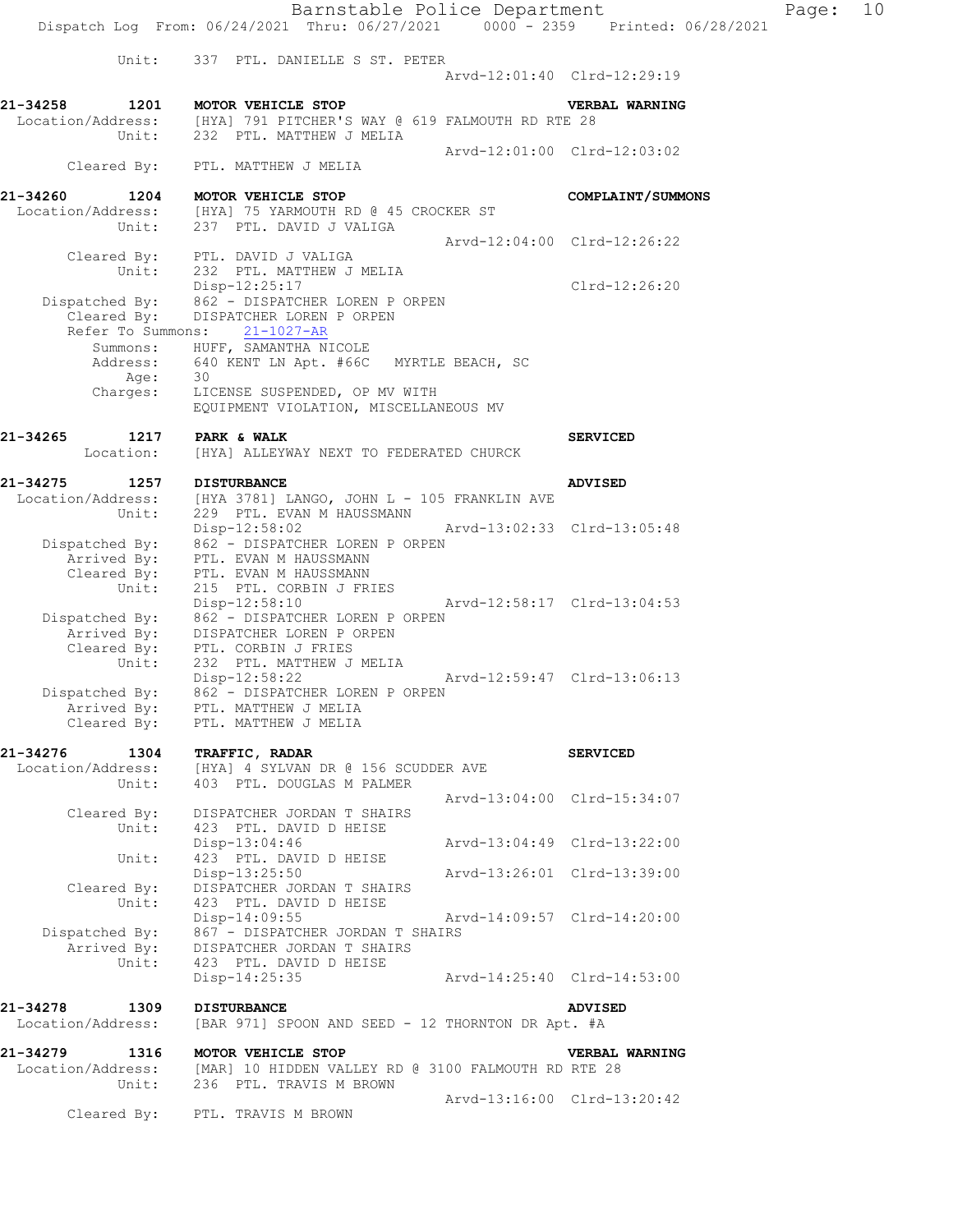Unit: 337 PTL. DANIELLE S ST. PETER Arvd-12:01:40 Clrd-12:29:19 **21-34258 1201 MOTOR VEHICLE STOP VERBAL WARNING**  Location/Address: [HYA] 791 PITCHER'S WAY @ 619 FALMOUTH RD RTE 28 Unit: 232 PTL. MATTHEW J MELIA Arvd-12:01:00 Clrd-12:03:02 Cleared By: PTL. MATTHEW J MELIA **21-34260 1204 MOTOR VEHICLE STOP COMPLAINT/SUMMONS**  Location/Address: [HYA] 75 YARMOUTH RD @ 45 CROCKER ST Unit: 237 PTL. DAVID J VALIGA Arvd-12:04:00 Clrd-12:26:22 Cleared By: PTL. DAVID J VALIGA<br>Unit: 232 PTL. MATTHEW J 232 PTL. MATTHEW J MELIA Disp-12:25:17 Clrd-12:26:20 Dispatched By: 862 - DISPATCHER LOREN P ORPEN Cleared By: DISPATCHER LOREN P ORPEN Refer To Summons: 21-1027-AR Summons: HUFF, SAMANTHA NICOLE Address: 640 KENT LN Apt. #66C MYRTLE BEACH, SC age: 30 Charges: LICENSE SUSPENDED, OP MV WITH EQUIPMENT VIOLATION, MISCELLANEOUS MV **21-34265** 1217 PARK & WALK **1217** PARK & WALK Location: [HYA] ALLEYWAY NEXT TO FEDERATED CHURCK **21-34275 1257 DISTURBANCE ADVISED**  Location/Address: [HYA 3781] LANGO, JOHN L - 105 FRANKLIN AVE Unit: 229 PTL. EVAN M HAUSSMANN Disp-12:58:02 Arvd-13:02:33 Clrd-13:05:48 Dispatched By: 862 - DISPATCHER LOREN P ORPEN

.<br>Arrived By: PTL. EVAN M HAUSSMANN Cleared By: PTL. EVAN M HAUSSMANN Unit: 215 PTL. CORBIN J FRIES Disp-12:58:10 Arvd-12:58:17 Clrd-13:04:53 Dispatched By: 062 - DISPATCHER LOREN P ORPEN<br>Dispatched By: 862 - DISPATCHER LOREN P ORPEN .<br>Arrived By: DISPATCHER LOREN P ORPEN Cleared By: PTL. CORBIN J FRIES Unit: 232 PTL. MATTHEW J MELIA Disp-12:58:22 Arvd-12:59:47 Clrd-13:06:13 Dispatched By: 862 - DISPATCHER LOREN P ORPEN .<br>Arrived By: PTL. MATTHEW J MELIA Cleared By: PTL. MATTHEW J MELIA

**21-34276 1304 TRAFFIC, RADAR SERVICED**  Location/Address: [HYA] 4 SYLVAN DR @ 156 SCUDDER AVE Unit: 403 PTL. DOUGLAS M PALMER Arvd-13:04:00 Clrd-15:34:07 Cleared By: DISPATCHER JORDAN T SHAIRS Unit: 423 PTL. DAVID D HEISE Disp-13:04:46 Arvd-13:04:49 Clrd-13:22:00 Unit: 423 PTL. DAVID D HEISE Disp-13:25:50 Arvd-13:26:01 Clrd-13:39:00 Cleared By: DISPATCHER JORDAN T SHAIRS Unit: 423 PTL. DAVID D HEISE Disp-14:09:55 Arvd-14:09:57 Clrd-14:20:00 Dispatched By: 867 - DISPATCHER JORDAN T SHAIRS Arrived By: DISPATCHER JORDAN T SHAIRS Unit: 423 PTL. DAVID D HEISE Disp-14:25:35 Arvd-14:25:40 Clrd-14:53:00

**21-34278 1309 DISTURBANCE ADVISED**  Location/Address: [BAR 971] SPOON AND SEED - 12 THORNTON DR Apt. #A **21-34279 1316 MOTOR VEHICLE STOP VERBAL WARNING**  Location/Address: [MAR] 10 HIDDEN VALLEY RD @ 3100 FALMOUTH RD RTE 28 Unit: 236 PTL. TRAVIS M BROWN Arvd-13:16:00 Clrd-13:20:42

Cleared By: PTL. TRAVIS M BROWN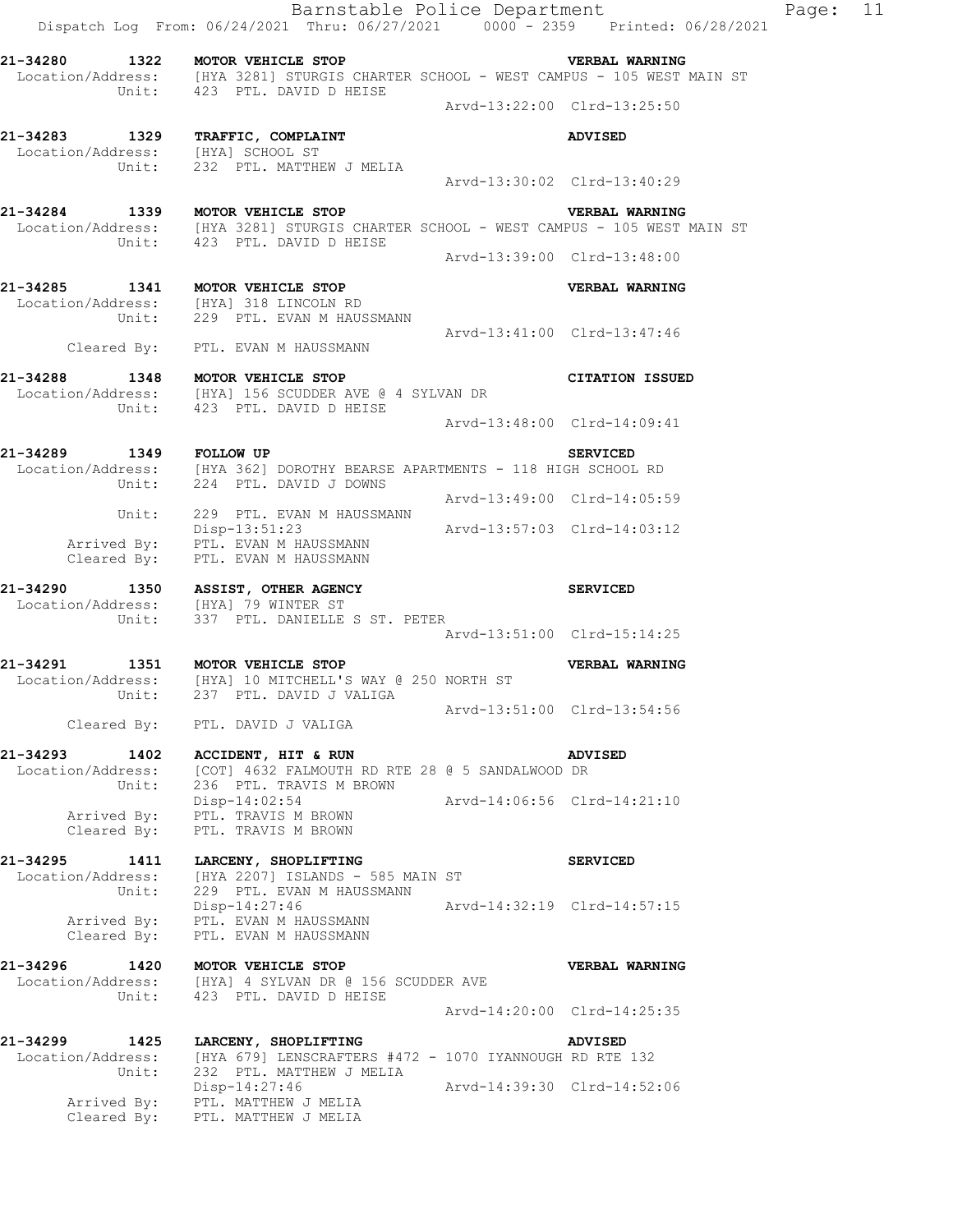|                                      | Dispatch Log From: 06/24/2021 Thru: 06/27/2021 0000 - 2359 Printed: 06/28/2021                                                                           |                             | Barnstable Police Department | Page: | 11 |
|--------------------------------------|----------------------------------------------------------------------------------------------------------------------------------------------------------|-----------------------------|------------------------------|-------|----|
|                                      | 21-34280 1322 MOTOR VEHICLE STOP<br>Location/Address: [HYA 3281] STURGIS CHARTER SCHOOL - WEST CAMPUS - 105 WEST MAIN ST<br>Unit: 423 PTL. DAVID D HEISE | <b>THE VERBAL WARNING</b>   |                              |       |    |
|                                      |                                                                                                                                                          | Arvd-13:22:00 Clrd-13:25:50 |                              |       |    |
|                                      | 21-34283 1329 TRAFFIC, COMPLAINT                                                                                                                         |                             | <b>ADVISED</b>               |       |    |
| Location/Address: [HYA] SCHOOL ST    |                                                                                                                                                          |                             |                              |       |    |
| Unit:                                | 232 PTL. MATTHEW J MELIA                                                                                                                                 | Arvd-13:30:02 Clrd-13:40:29 |                              |       |    |
|                                      | 21-34284 1339 MOTOR VEHICLE STOP                                                                                                                         |                             | <b>VERBAL WARNING</b>        |       |    |
|                                      | Location/Address: [HYA 3281] STURGIS CHARTER SCHOOL - WEST CAMPUS - 105 WEST MAIN ST<br>Unit: 423 PTL. DAVID D HEISE                                     |                             |                              |       |    |
|                                      |                                                                                                                                                          | Arvd-13:39:00 Clrd-13:48:00 |                              |       |    |
|                                      | 21-34285 1341 MOTOR VEHICLE STOP                                                                                                                         |                             | VERBAL WARNING               |       |    |
|                                      | Location/Address: [HYA] 318 LINCOLN RD                                                                                                                   |                             |                              |       |    |
|                                      | Unit: 229 PTL. EVAN M HAUSSMANN                                                                                                                          | Arvd-13:41:00 Clrd-13:47:46 |                              |       |    |
|                                      | Cleared By: PTL. EVAN M HAUSSMANN                                                                                                                        |                             |                              |       |    |
|                                      | 21-34288 1348 MOTOR VEHICLE STOP<br>Location/Address: [HYA] 156 SCUDDER AVE @ 4 SYLVAN DR                                                                |                             | <b>CITATION ISSUED</b>       |       |    |
|                                      | Unit: 423 PTL. DAVID D HEISE                                                                                                                             | Arvd-13:48:00 Clrd-14:09:41 |                              |       |    |
| 21-34289 1349 FOLLOW UP              |                                                                                                                                                          |                             | <b>SERVICED</b>              |       |    |
|                                      | Location/Address: [HYA 362] DOROTHY BEARSE APARTMENTS - 118 HIGH SCHOOL RD<br>Unit: 224 PTL. DAVID J DOWNS                                               |                             |                              |       |    |
|                                      |                                                                                                                                                          | Arvd-13:49:00 Clrd-14:05:59 |                              |       |    |
|                                      | Unit: 229 PTL. EVAN M HAUSSMANN<br>Disp-13:51:23 Arvd-13:57:03 Clrd-14:03:12                                                                             |                             |                              |       |    |
|                                      | Arrived By: PTL. EVAN M HAUSSMANN<br>Cleared By: PTL. EVAN M HAUSSMANN                                                                                   |                             |                              |       |    |
|                                      | 21-34290 1350 ASSIST, OTHER AGENCY                                                                                                                       |                             | <b>SERVICED</b>              |       |    |
| Location/Address: [HYA] 79 WINTER ST |                                                                                                                                                          |                             |                              |       |    |
| Unit:                                | 337 PTL. DANIELLE S ST. PETER                                                                                                                            | Arvd-13:51:00 Clrd-15:14:25 |                              |       |    |
| 21-34291                             | 1351 MOTOR VEHICLE STOP                                                                                                                                  |                             | VERBAL WARNING               |       |    |
|                                      | Location/Address: [HYA] 10 MITCHELL'S WAY @ 250 NORTH ST                                                                                                 |                             |                              |       |    |
|                                      | Unit: 237 PTL. DAVID J VALIGA                                                                                                                            | Arvd-13:51:00 Clrd-13:54:56 |                              |       |    |
|                                      | Cleared By: PTL. DAVID J VALIGA                                                                                                                          |                             |                              |       |    |
| 21-34293 1402                        | ACCIDENT, HIT & RUN                                                                                                                                      |                             | <b>ADVISED</b>               |       |    |
| Location/Address:<br>Unit:           | [COT] 4632 FALMOUTH RD RTE 28 @ 5 SANDALWOOD DR<br>236 PTL. TRAVIS M BROWN                                                                               |                             |                              |       |    |
|                                      | $Disp-14:02:54$                                                                                                                                          | Arvd-14:06:56 Clrd-14:21:10 |                              |       |    |
| Cleared By:                          | Arrived By: PTL. TRAVIS M BROWN<br>PTL. TRAVIS M BROWN                                                                                                   |                             |                              |       |    |
|                                      |                                                                                                                                                          |                             |                              |       |    |
| 21-34295 1411                        | LARCENY, SHOPLIFTING<br>Location/Address: [HYA 2207] ISLANDS - 585 MAIN ST                                                                               |                             | <b>SERVICED</b>              |       |    |
| Unit:                                | 229 PTL. EVAN M HAUSSMANN<br>Disp-14:27:46                                                                                                               | Arvd-14:32:19 Clrd-14:57:15 |                              |       |    |
|                                      | Arrived By: PTL. EVAN M HAUSSMANN                                                                                                                        |                             |                              |       |    |
| Cleared By:                          | PTL. EVAN M HAUSSMANN                                                                                                                                    |                             |                              |       |    |
| 21-34296 1420 MOTOR VEHICLE STOP     |                                                                                                                                                          |                             | VERBAL WARNING               |       |    |
| Unit:                                | Location/Address: [HYA] 4 SYLVAN DR @ 156 SCUDDER AVE<br>423 PTL. DAVID D HEISE                                                                          |                             |                              |       |    |
|                                      |                                                                                                                                                          | Arvd-14:20:00 Clrd-14:25:35 |                              |       |    |
|                                      | 21-34299 1425 LARCENY, SHOPLIFTING                                                                                                                       |                             | ADVISED                      |       |    |
| Location/Address:<br>Unit:           | [HYA 679] LENSCRAFTERS #472 - 1070 IYANNOUGH RD RTE 132<br>232 PTL. MATTHEW J MELIA                                                                      |                             |                              |       |    |
|                                      | $Disp-14:27:46$                                                                                                                                          | Arvd-14:39:30 Clrd-14:52:06 |                              |       |    |
|                                      | Arrived By: PTL. MATTHEW J MELIA<br>Cleared By: PTL, MATTHEW J MELIA                                                                                     |                             |                              |       |    |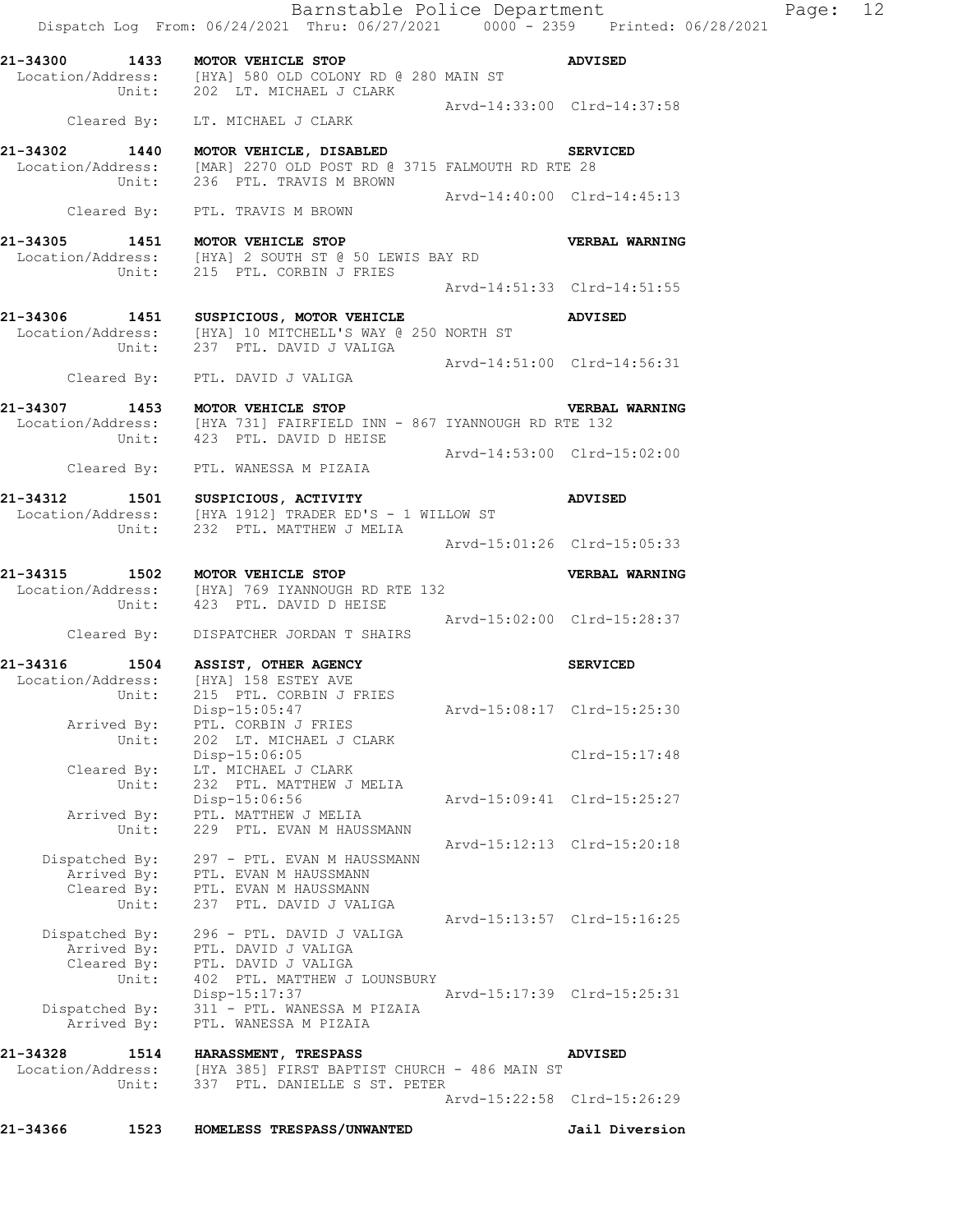|                   |                                        | Barnstable Police Department<br>Dispatch Log From: 06/24/2021 Thru: 06/27/2021 0000 - 2359 Printed: 06/28/2021                                        |                             | Page: 12 |  |
|-------------------|----------------------------------------|-------------------------------------------------------------------------------------------------------------------------------------------------------|-----------------------------|----------|--|
|                   |                                        | 21-34300 1433 MOTOR VEHICLE STOP<br>Location/Address: [HYA] 580 OLD COLONY RD @ 280 MAIN ST                                                           | <b>ADVISED</b>              |          |  |
|                   |                                        | Unit: 202 LT. MICHAEL J CLARK<br>Cleared By: LT. MICHAEL J CLARK                                                                                      | Arvd-14:33:00 Clrd-14:37:58 |          |  |
|                   |                                        | 21-34302 1440 MOTOR VEHICLE, DISABLED SERVICED<br>Location/Address: [MAR] 2270 OLD POST RD @ 3715 FALMOUTH RD RTE 28<br>Unit: 236 PTL. TRAVIS M BROWN |                             |          |  |
|                   |                                        | Cleared By: PTL. TRAVIS M BROWN                                                                                                                       | Arvd-14:40:00 Clrd-14:45:13 |          |  |
|                   |                                        | 21-34305 1451 MOTOR VEHICLE STOP<br>Location/Address: [HYA] 2 SOUTH ST @ 50 LEWIS BAY RD<br>Unit: 215 PTL. CORBIN J FRIES                             | VERBAL WARNING              |          |  |
|                   |                                        |                                                                                                                                                       | Arvd-14:51:33 Clrd-14:51:55 |          |  |
|                   |                                        | 21-34306 1451 SUSPICIOUS, MOTOR VEHICLE ADVISED<br>Location/Address: [HYA] 10 MITCHELL'S WAY @ 250 NORTH ST<br>Unit: 237 PTL. DAVID J VALIGA          |                             |          |  |
|                   |                                        | Cleared By: PTL. DAVID J VALIGA                                                                                                                       | Arvd-14:51:00 Clrd-14:56:31 |          |  |
|                   |                                        | 21-34307 1453 MOTOR VEHICLE STOP VERBAL<br>Location/Address: [HYA 731] FAIRFIELD INN - 867 IYANNOUGH RD RTE 132                                       | <b>VERBAL WARNING</b>       |          |  |
|                   |                                        | Unit: 423 PTL. DAVID D HEISE<br>Cleared By: PTL. WANESSA M PIZAIA                                                                                     | Arvd-14:53:00 Clrd-15:02:00 |          |  |
|                   |                                        | 21-34312 1501 SUSPICIOUS, ACTIVITY<br>Location/Address: [HYA 1912] TRADER ED'S - 1 WILLOW ST                                                          | <b>ADVISED</b>              |          |  |
|                   |                                        | Unit: 232 PTL. MATTHEW J MELIA                                                                                                                        | Arvd-15:01:26 Clrd-15:05:33 |          |  |
|                   |                                        | 21-34315 1502 MOTOR VEHICLE STOP<br>Location/Address: [HYA] 769 IYANNOUGH RD RTE 132<br>Unit: 423 PTL. DAVID D HEISE                                  | <b>VERBAL WARNING</b>       |          |  |
|                   |                                        | Cleared By: DISPATCHER JORDAN T SHAIRS                                                                                                                | Arvd-15:02:00 Clrd-15:28:37 |          |  |
|                   |                                        | 21-34316 1504 ASSIST, OTHER AGENCY<br>Location/Address: [HYA] 158 ESTEY AVE                                                                           | <b>SERVICED</b>             |          |  |
|                   | Arrived By:                            | Unit: 215 PTL. CORBIN J FRIES<br>Disp-15:05:47<br>PTL. CORBIN J FRIES                                                                                 | Arvd-15:08:17 Clrd-15:25:30 |          |  |
|                   | Unit:<br>Cleared By:                   | 202 LT. MICHAEL J CLARK<br>Disp-15:06:05<br>LT. MICHAEL J CLARK                                                                                       | Clrd-15:17:48               |          |  |
|                   | Unit:                                  | 232 PTL. MATTHEW J MELIA<br>Disp-15:06:56<br>Arrived By: PTL. MATTHEW J MELIA                                                                         | Arvd-15:09:41 Clrd-15:25:27 |          |  |
|                   | Unit:<br>Arrived By:<br>Unit:          | 229 PTL. EVAN M HAUSSMANN<br>Dispatched By: 297 - PTL. EVAN M HAUSSMANN<br>PTL. EVAN M HAUSSMANN<br>Cleared By: PTL. EVAN M HAUSSMANN                 | Arvd-15:12:13 Clrd-15:20:18 |          |  |
| Dispatched By:    | Arrived By:                            | 237 PTL. DAVID J VALIGA<br>296 - PTL. DAVID J VALIGA<br>PTL. DAVID J VALIGA                                                                           | Arvd-15:13:57 Clrd-15:16:25 |          |  |
|                   | Unit:<br>Dispatched By:<br>Arrived By: | Cleared By: PTL. DAVID J VALIGA<br>402 PTL. MATTHEW J LOUNSBURY<br>Disp-15:17:37<br>311 - PTL. WANESSA M PIZAIA<br>PTL. WANESSA M PIZAIA              | Arvd-15:17:39 Clrd-15:25:31 |          |  |
| 21-34328          | 1514                                   | <b>HARASSMENT, TRESPASS</b>                                                                                                                           | <b>ADVISED</b>              |          |  |
| Location/Address: | Unit:                                  | [HYA 385] FIRST BAPTIST CHURCH - 486 MAIN ST<br>337 PTL. DANIELLE S ST. PETER                                                                         | Arvd-15:22:58 Clrd-15:26:29 |          |  |
| 21-34366          | 1523                                   | HOMELESS TRESPASS/UNWANTED                                                                                                                            | Jail Diversion              |          |  |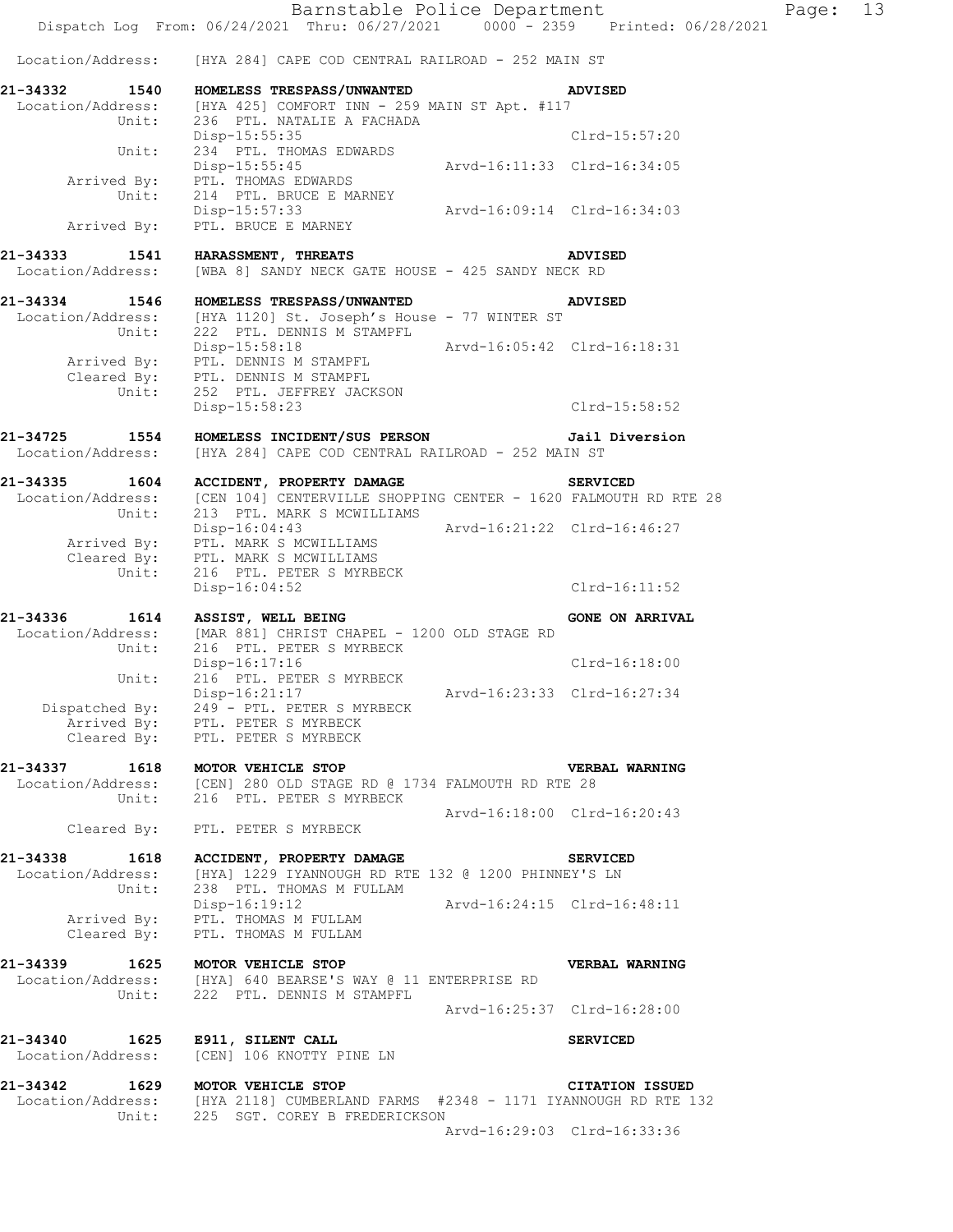Barnstable Police Department Fage: 13 Dispatch Log From: 06/24/2021 Thru: 06/27/2021 0000 - 2359 Printed: 06/28/2021 Location/Address: [HYA 284] CAPE COD CENTRAL RAILROAD - 252 MAIN ST **21-34332 1540 HOMELESS TRESPASS/UNWANTED ADVISED**  Location/Address: [HYA 425] COMFORT INN - 259 MAIN ST Apt. #117 Unit: 236 PTL. NATALIE A FACHADA Disp-15:55:35 Clrd-15:57:20 Unit: 234 PTL. THOMAS EDWARDS Disp-15:55:45 Arvd-16:11:33 Clrd-16:34:05 Arrived By: PTL. THOMAS EDWARDS Unit: 214 PTL. BRUCE E MARNEY Unit: 214 PTL. BRUCE E MARNEY<br>Disp-15:57:33 Arvd-16:09:14 Clrd-16:34:03 Arrived By: PTL. BRUCE E MARNEY **21-34333 1541 HARASSMENT, THREATS ADVISED**  Location/Address: [WBA 8] SANDY NECK GATE HOUSE - 425 SANDY NECK RD **21-34334 1546 HOMELESS TRESPASS/UNWANTED ADVISED**  Location/Address: [HYA 1120] St. Joseph's House - 77 WINTER ST Unit: 222 PTL. DENNIS M STAMPFL Disp-15:58:18 Arvd-16:05:42 Clrd-16:18:31 Arrived By: PTL. DENNIS M STAMPFL Cleared By: PTL. DENNIS M STAMPFL Unit: 252 PTL. JEFFREY JACKSON Disp-15:58:23 Clrd-15:58:52 **21-34725 1554 HOMELESS INCIDENT/SUS PERSON Jail Diversion**  Location/Address: [HYA 284] CAPE COD CENTRAL RAILROAD - 252 MAIN ST **21-34335 1604 ACCIDENT, PROPERTY DAMAGE SERVICED**  Location/Address: [CEN 104] CENTERVILLE SHOPPING CENTER - 1620 FALMOUTH RD RTE 28 Unit: 213 PTL. MARK S MCWILLIAMS Disp-16:04:43 Arvd-16:21:22 Clrd-16:46:27 Arrived By: PTL. MARK S MCWILLIAMS Cleared By: PTL. MARK S MCWILLIAMS Unit: 216 PTL. PETER S MYRBECK Disp-16:04:52 Clrd-16:11:52 21-34336 1614 ASSIST, WELL BEING **1988 120 CONE ON ARRIVAL** Location/Address: [MAR 881] CHRIST CHAPEL - 1200 OLD STAGE RD Unit: 216 PTL. PETER S MYRBECK Disp-16:17:16 Clrd-16:18:00 Unit: 216 PTL. PETER S MYRBECK Disp-16:21:17 Arvd-16:23:33 Clrd-16:27:34 Dispatched By: 249 - PTL. PETER S MYRBECK .<br>Arrived By: PTL. PETER S MYRBECK Arrived By: PTL. PETER S MYRBECK<br>Cleared By: PTL. PETER S MYRBECK **21-34337 1618 MOTOR VEHICLE STOP VERBAL WARNING**  Location/Address: [CEN] 280 OLD STAGE RD @ 1734 FALMOUTH RD RTE 28 Unit: 216 PTL. PETER S MYRBECK Arvd-16:18:00 Clrd-16:20:43 Cleared By: PTL. PETER S MYRBECK **21-34338 1618 ACCIDENT, PROPERTY DAMAGE SERVICED**  Location/Address: [HYA] 1229 IYANNOUGH RD RTE 132 @ 1200 PHINNEY'S LN Unit: 238 PTL. THOMAS M FULLAM Disp-16:19:12 Arvd-16:24:15 Clrd-16:48:11 Arrived By: PTL. THOMAS M FULLAM Cleared By: PTL. THOMAS M FULLAM **21-34339 1625 MOTOR VEHICLE STOP VERBAL WARNING**  Location/Address: [HYA] 640 BEARSE'S WAY @ 11 ENTERPRISE RD Unit: 222 PTL. DENNIS M STAMPFL Arvd-16:25:37 Clrd-16:28:00 **21-34340 1625 E911, SILENT CALL SERVICED**  Location/Address: [CEN] 106 KNOTTY PINE LN **21-34342 1629 MOTOR VEHICLE STOP CITATION ISSUED**  Location/Address: [HYA 2118] CUMBERLAND FARMS #2348 - 1171 IYANNOUGH RD RTE 132 Unit: 225 SGT. COREY B FREDERICKSON Arvd-16:29:03 Clrd-16:33:36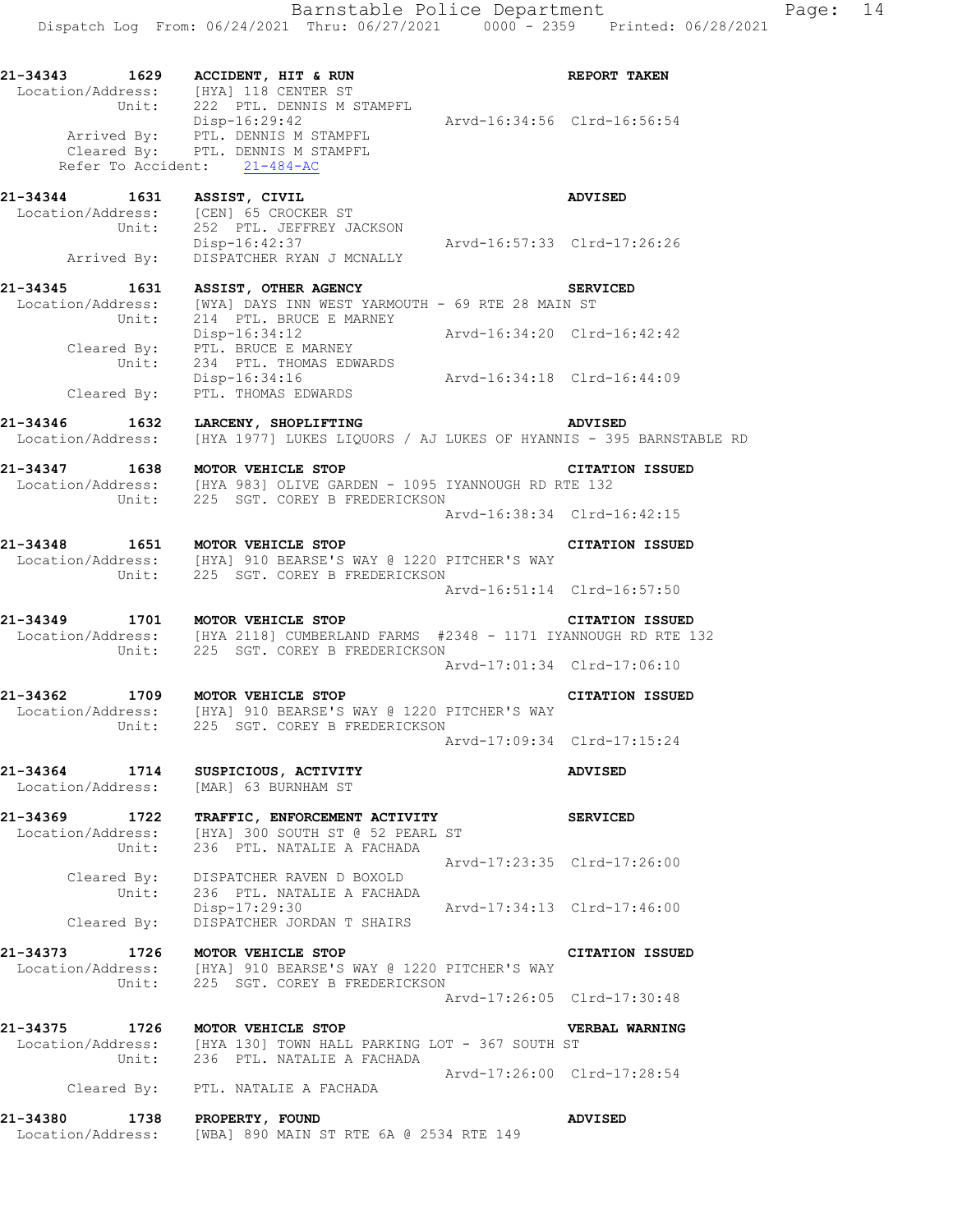| 21-34343 1629 ACCIDENT, HIT & RUN  | Location/Address: [HYA] 118 CENTER ST<br>Unit: 222 PTL. DENNIS M STAMPFL                                                                                                                 |                             | <b>REPORT TAKEN</b>    |
|------------------------------------|------------------------------------------------------------------------------------------------------------------------------------------------------------------------------------------|-----------------------------|------------------------|
| Refer To Accident: 21-484-AC       | Disp-16:29:42<br>Arvd-16:34:56 Clrd-16:56:54<br>Arrived By: PTL. DENNIS M STAMPFL<br>Cleared By: PTL. DENNIS M STAMPFL                                                                   |                             |                        |
| 21-34344 1631 ASSIST, CIVIL        | Location/Address: [CEN] 65 CROCKER ST<br>Unit: 252 PTL. JEFFREY JACKSON                                                                                                                  |                             | <b>ADVISED</b>         |
|                                    | Disp-16:42:37 Arvd-16:57:33 Clrd-17:26:26<br>Arrived By: DISPATCHER RYAN J MCNALLY                                                                                                       |                             |                        |
|                                    | 21-34345 1631 ASSIST, OTHER AGENCY                                                                                                                                                       |                             | <b>SERVICED</b>        |
|                                    | Location/Address: [WYA] DAYS INN WEST YARMOUTH - 69 RTE 28 MAIN ST<br>Unit: 214 PTL. BRUCE E MARNEY                                                                                      |                             |                        |
|                                    | Disp-16:34:12<br>Cleared By: PTL. BRUCE E MARNEY<br>Unit: 234 PTL. THOMAS EDWARDS                                                                                                        |                             |                        |
|                                    | Disp-16:34:16<br>Cleared By: PTL. THOMAS EDWARDS<br>Cleared By: PTL. THOMAS EDWARDS                                                                                                      |                             |                        |
| 21-34346 1632 LARCENY, SHOPLIFTING | Location/Address: [HYA 1977] LUKES LIQUORS / AJ LUKES OF HYANNIS - 395 BARNSTABLE RD                                                                                                     | <b>ADVISED</b>              |                        |
| 21-34347 1638 MOTOR VEHICLE STOP   | Location/Address: [HYA 983] OLIVE GARDEN - 1095 IYANNOUGH RD RTE 132                                                                                                                     |                             | <b>CITATION ISSUED</b> |
|                                    | Unit: 225 SGT. COREY B FREDERICKSON                                                                                                                                                      | Arvd-16:38:34 Clrd-16:42:15 |                        |
| 21-34348 1651 MOTOR VEHICLE STOP   | Location/Address: [HYA] 910 BEARSE'S WAY @ 1220 PITCHER'S WAY                                                                                                                            |                             | <b>CITATION ISSUED</b> |
|                                    | Unit: 225 SGT. COREY B FREDERICKSON                                                                                                                                                      | Arvd-16:51:14 Clrd-16:57:50 |                        |
|                                    | 21-34349 1701 MOTOR VEHICLE STOP<br>Location/Address: [HYA 2118] CUMBERLAND FARMS #2348 - 1171 IYANNOUGH RD RTE 132<br>Unit: 225 SGT. COREY B FREDERICKSON                               |                             | <b>CITATION ISSUED</b> |
|                                    |                                                                                                                                                                                          | Arvd-17:01:34 Clrd-17:06:10 |                        |
|                                    | 21-34362 1709 MOTOR VEHICLE STOP<br>Location/Address: [HYA] 910 BEARSE'S WAY @ 1220 PITCHER'S WAY<br>Unit: 225 SGT. COREY B FREDERICKSON                                                 |                             | <b>CITATION ISSUED</b> |
|                                    |                                                                                                                                                                                          | Arvd-17:09:34 Clrd-17:15:24 |                        |
| 21-34364 1714<br>Location/Address: | SUSPICIOUS, ACTIVITY<br>[MAR] 63 BURNHAM ST                                                                                                                                              |                             | <b>ADVISED</b>         |
| Unit:                              | 21-34369 1722 TRAFFIC, ENFORCEMENT ACTIVITY<br>Location/Address: [HYA] 300 SOUTH ST @ 52 PEARL ST<br>236 PTL. NATALIE A FACHADA                                                          |                             | <b>SERVICED</b>        |
| $\overline{unit}$ :                | Cleared By: DISPATCHER RAVEN D BOXOLD<br>236 PTL. NATALIE A FACHADA                                                                                                                      | Arvd-17:23:35 Clrd-17:26:00 |                        |
|                                    | Disp-17:29:30<br>Cleared By: DISPATCHER JORDAN T SHAIRS                                                                                                                                  |                             |                        |
| 21-34373 1726 MOTOR VEHICLE STOP   | Location/Address: [HYA] 910 BEARSE'S WAY @ 1220 PITCHER'S WAY Unit: 225 SGT. COREY B FREDERICKSON                                                                                        |                             | <b>CITATION ISSUED</b> |
|                                    |                                                                                                                                                                                          | Arvd-17:26:05 Clrd-17:30:48 |                        |
| 21-34375 1726 MOTOR VEHICLE STOP   | $\texttt{Location/Address:} \qquad \texttt{[HYA 130]} \texttt{TOWN HALL PARKING LOT - 367 } \texttt{SOUTH} \texttt{ ST} \\ \texttt{Unit:} \qquad \texttt{236 PTL. NATALIE A FACHADA} \\$ |                             | VERBAL WARNING         |
|                                    | Cleared By: PTL. NATALIE A FACHADA                                                                                                                                                       | Arvd-17:26:00 Clrd-17:28:54 |                        |
| 21-34380 1738 PROPERTY, FOUND      | Location/Address: [WBA] 890 MAIN ST RTE 6A @ 2534 RTE 149                                                                                                                                |                             | <b>ADVISED</b>         |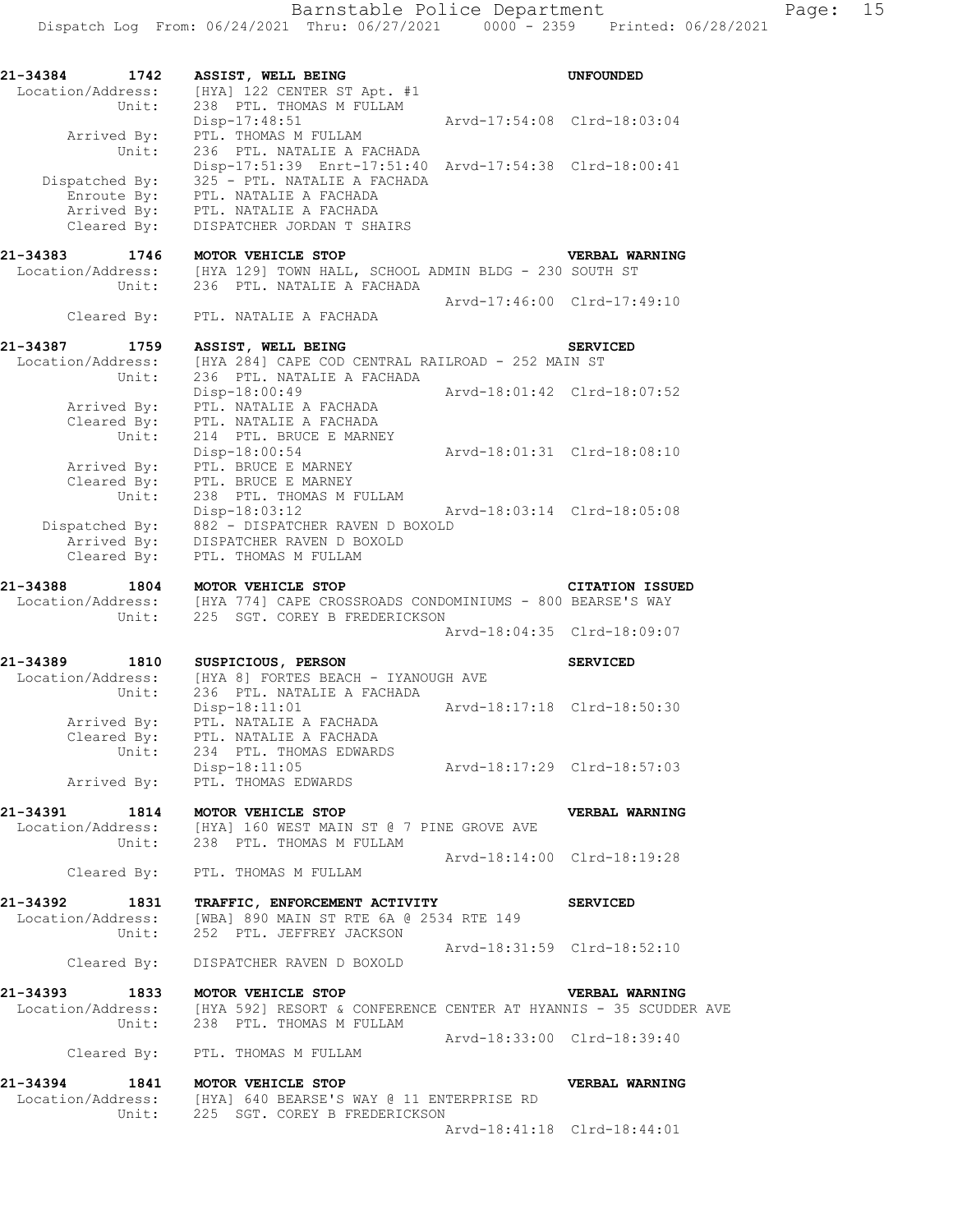| 21-34384<br>Location/Address: | 1742<br>Unit:                                | ASSIST, WELL BEING<br>[HYA] 122 CENTER ST Apt. #1<br>238 PTL. THOMAS M FULLAM                                                               |                             | UNFOUNDED                                                                                                            |
|-------------------------------|----------------------------------------------|---------------------------------------------------------------------------------------------------------------------------------------------|-----------------------------|----------------------------------------------------------------------------------------------------------------------|
|                               | Arrived By:<br>Unit:                         | Disp-17:48:51<br>PTL. THOMAS M FULLAM<br>236 PTL. NATALIE A FACHADA                                                                         | Arvd-17:54:08 Clrd-18:03:04 |                                                                                                                      |
|                               | Dispatched By:<br>Enroute By:<br>Arrived By: | Disp-17:51:39 Enrt-17:51:40 Arvd-17:54:38 Clrd-18:00:41<br>325 - PTL. NATALIE A FACHADA<br>PTL. NATALIE A FACHADA<br>PTL. NATALIE A FACHADA |                             |                                                                                                                      |
|                               | Cleared By:                                  | DISPATCHER JORDAN T SHAIRS                                                                                                                  |                             |                                                                                                                      |
| 21-34383                      | 1746<br>Unit:                                | MOTOR VEHICLE STOP<br>Location/Address: [HYA 129] TOWN HALL, SCHOOL ADMIN BLDG - 230 SOUTH ST<br>236 PTL. NATALIE A FACHADA                 |                             | VERBAL WARNING                                                                                                       |
|                               |                                              | Cleared By: PTL. NATALIE A FACHADA                                                                                                          | Arvd-17:46:00 Clrd-17:49:10 |                                                                                                                      |
| 21-34387                      | 1759                                         | ASSIST, WELL BEING                                                                                                                          |                             | <b>SERVICED</b>                                                                                                      |
| Location/Address:             | Unit:                                        | [HYA 284] CAPE COD CENTRAL RAILROAD - 252 MAIN ST<br>236 PTL. NATALIE A FACHADA                                                             |                             |                                                                                                                      |
|                               | Arrived By:<br>Cleared By:                   | $Disp-18:00:49$<br>PTL. NATALIE A FACHADA<br>PTL. NATALIE A FACHADA                                                                         | Arvd-18:01:42 Clrd-18:07:52 |                                                                                                                      |
|                               | Unit:<br>Arrived By:<br>Cleared By:          | 214 PTL. BRUCE E MARNEY<br>Disp-18:00:54<br>PTL. BRUCE E MARNEY<br>PTL. BRUCE E MARNEY                                                      | Arvd-18:01:31 Clrd-18:08:10 |                                                                                                                      |
|                               | Unit:<br>Dispatched By:                      | 238 PTL. THOMAS M FULLAM<br>Disp-18:03:12<br>Ar<br>10XOLD - DISPATCHER RAVEN D BOXOLD<br>11SPATCHER PAURN D DOUGLE                          | Arvd-18:03:14 Clrd-18:05:08 |                                                                                                                      |
|                               | Arrived By:<br>Cleared By:                   | DISPATCHER RAVEN D BOXOLD<br>PTL. THOMAS M FULLAM                                                                                           |                             |                                                                                                                      |
| 21-34388                      | 1804                                         | MOTOR VEHICLE STOP                                                                                                                          |                             | <b>CITATION ISSUED</b>                                                                                               |
|                               | Unit:                                        | Location/Address: [HYA 774] CAPE CROSSROADS CONDOMINIUMS - 800 BEARSE'S WAY<br>225 SGT. COREY B FREDERICKSON                                |                             |                                                                                                                      |
|                               |                                              |                                                                                                                                             | Arvd-18:04:35 Clrd-18:09:07 |                                                                                                                      |
| 21-34389                      | 1810                                         | SUSPICIOUS, PERSON                                                                                                                          |                             | <b>SERVICED</b>                                                                                                      |
|                               | Location/Address:<br>Unit:                   | [HYA 8] FORTES BEACH - IYANOUGH AVE<br>236 PTL. NATALIE A FACHADA                                                                           |                             |                                                                                                                      |
|                               | Arrived By:                                  | $Disp-18:11:01$<br>PTL. NATALIE A FACHADA                                                                                                   | Arvd-18:17:18 Clrd-18:50:30 |                                                                                                                      |
|                               | Cleared By:                                  | PTL. NATALIE A FACHADA                                                                                                                      |                             |                                                                                                                      |
|                               | Unit:                                        | 234 PTL. THOMAS EDWARDS<br>Disp-18:11:05                                                                                                    | Arvd-18:17:29 Clrd-18:57:03 |                                                                                                                      |
|                               | Arrived By:                                  | PTL. THOMAS EDWARDS                                                                                                                         |                             |                                                                                                                      |
| 21-34391                      |                                              | 1814 MOTOR VEHICLE STOP                                                                                                                     |                             | <b>VERBAL WARNING</b>                                                                                                |
|                               |                                              | Location/Address: [HYA] 160 WEST MAIN ST @ 7 PINE GROVE AVE<br>Unit: 238 PTL. THOMAS M FULLAM                                               |                             |                                                                                                                      |
|                               |                                              | Cleared By: PTL. THOMAS M FULLAM                                                                                                            | Arvd-18:14:00 Clrd-18:19:28 |                                                                                                                      |
| 21-34392                      |                                              |                                                                                                                                             |                             |                                                                                                                      |
|                               |                                              | 1831 TRAFFIC, ENFORCEMENT ACTIVITY<br>Location/Address: [WBA] 890 MAIN ST RTE 6A @ 2534 RTE 149<br>Unit: 252 PTL. JEFFREY JACKSON           |                             | <b>SERVICED</b>                                                                                                      |
|                               |                                              |                                                                                                                                             | Arvd-18:31:59 Clrd-18:52:10 |                                                                                                                      |
|                               |                                              | Cleared By: DISPATCHER RAVEN D BOXOLD                                                                                                       |                             |                                                                                                                      |
| 21-34393                      |                                              |                                                                                                                                             |                             | -34393 1833 MOTOR VEHICLE STOP<br>Location/Address: [HYA 592] RESORT & CONFERENCE CENTER AT HYANNIS - 35 SCUDDER AVE |
|                               |                                              | Unit: 238 PTL. THOMAS M FULLAM                                                                                                              |                             |                                                                                                                      |
|                               |                                              | Cleared By: PTL. THOMAS M FULLAM                                                                                                            | Arvd-18:33:00 Clrd-18:39:40 |                                                                                                                      |
| 21-34394                      |                                              | 1841 MOTOR VEHICLE STOP                                                                                                                     |                             | <b>VERBAL WARNING</b>                                                                                                |
|                               |                                              | Location/Address: [HYA] 640 BEARSE'S WAY @ 11 ENTERPRISE RD<br>Unit: 225 SGT. COREY B FREDERICKSON                                          |                             |                                                                                                                      |
|                               |                                              |                                                                                                                                             | Arvd-18:41:18 Clrd-18:44:01 |                                                                                                                      |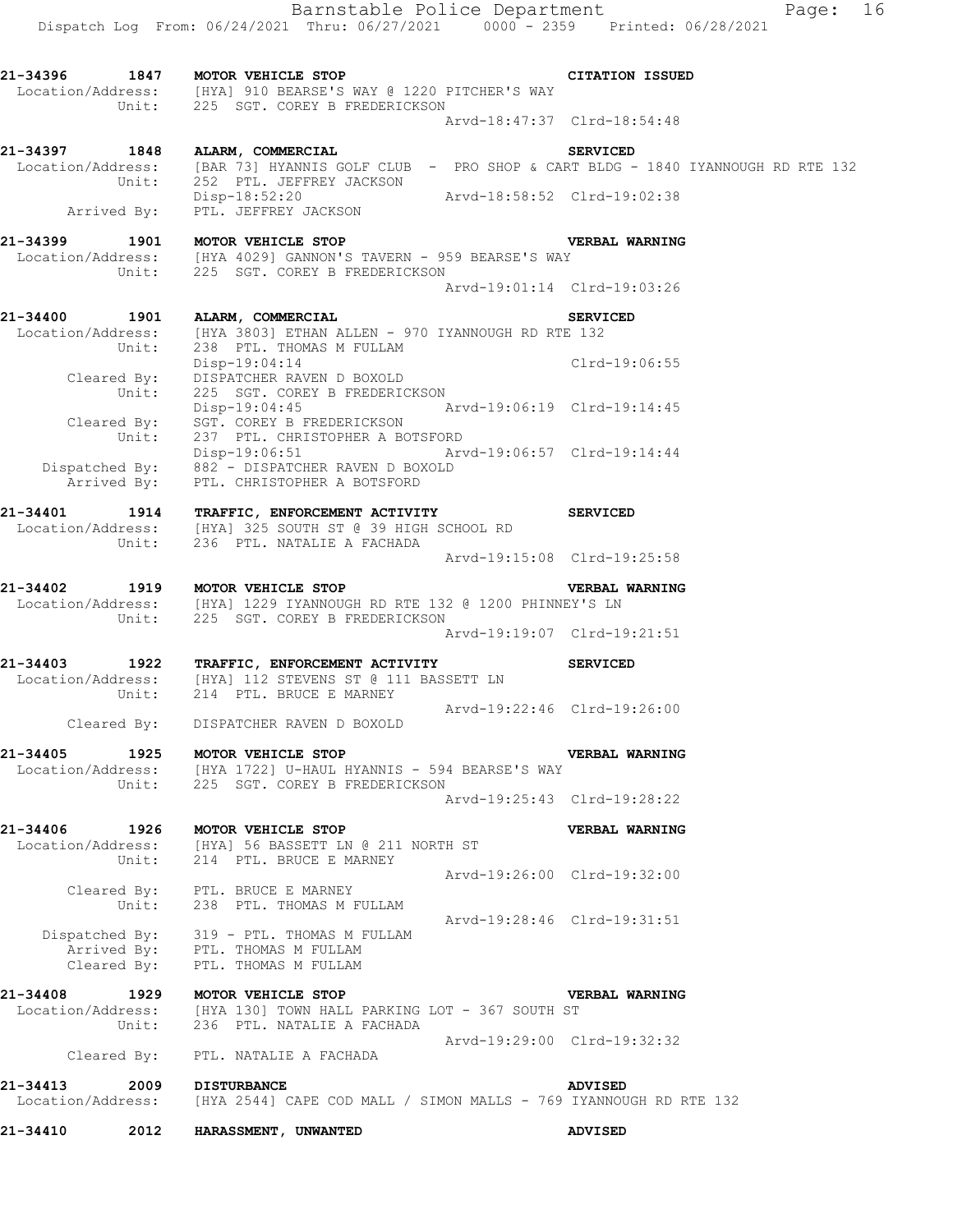Location/Address: [HYA] 910 BEARSE'S WAY @ 1220 PITCHER'S WAY Unit: 225 SGT. COREY B FREDERICKSON Arvd-18:47:37 Clrd-18:54:48

**21-34397 1848 ALARM, COMMERCIAL SERVICED**  Location/Address: [BAR 73] HYANNIS GOLF CLUB - PRO SHOP & CART BLDG - 1840 IYANNOUGH RD RTE 132 Unit: 252 PTL. JEFFREY JACKSON Disp-18:52:20 Arvd-18:58:52 Clrd-19:02:38 Disp-18:52:20<br>Arrived By: PTL. JEFFREY JACKSON

**21-34399 1901 MOTOR VEHICLE STOP VERBAL WARNING**  Location/Address: [HYA 4029] GANNON'S TAVERN - 959 BEARSE'S WAY Unit: 225 SGT. COREY B FREDERICKSON Arvd-19:01:14 Clrd-19:03:26 **21-34400 1901 ALARM, COMMERCIAL SERVICED**  Location/Address: [HYA 3803] ETHAN ALLEN - 970 IYANNOUGH RD RTE 132

 Unit: 238 PTL. THOMAS M FULLAM Disp-19:04:14 Clrd-19:06:55 Cleared By: DISPATCHER RAVEN D BOXOLD Unit: 225 SGT. COREY B FREDERICKSON Disp-19:04:45 Arvd-19:06:19 Clrd-19:14:45 Cleared By: SGT. COREY B FREDERICKSON Unit: 237 PTL. CHRISTOPHER A BOTSFORD Disp-19:06:51 Arvd-19:06:57 Clrd-19:14:44 Dispatched By: 882 - DISPATCHER RAVEN D BOXOLD .<br>Arrived By: PTL. CHRISTOPHER A BOTSFORD

**21-34401 1914 TRAFFIC, ENFORCEMENT ACTIVITY SERVICED**  Location/Address: [HYA] 325 SOUTH ST @ 39 HIGH SCHOOL RD Unit: 236 PTL. NATALIE A FACHADA Arvd-19:15:08 Clrd-19:25:58

**21-34402 1919 MOTOR VEHICLE STOP VERBAL WARNING**  Location/Address: [HYA] 1229 IYANNOUGH RD RTE 132 @ 1200 PHINNEY'S LN Unit: 225 SGT. COREY B FREDERICKSON Arvd-19:19:07 Clrd-19:21:51

**21-34403 1922 TRAFFIC, ENFORCEMENT ACTIVITY SERVICED**  Location/Address: [HYA] 112 STEVENS ST @ 111 BASSETT LN Unit: 214 PTL. BRUCE E MARNEY Arvd-19:22:46 Clrd-19:26:00

Cleared By: DISPATCHER RAVEN D BOXOLD

**21-34405 1925 MOTOR VEHICLE STOP VERBAL WARNING**  Location/Address: [HYA 1722] U-HAUL HYANNIS - 594 BEARSE'S WAY Unit: 225 SGT. COREY B FREDERICKSON Arvd-19:25:43 Clrd-19:28:22

**21-34406 1926 MOTOR VEHICLE STOP VERBAL WARNING**  Location/Address: [HYA] 56 BASSETT LN @ 211 NORTH ST Unit: 214 PTL. BRUCE E MARNEY Arvd-19:26:00 Clrd-19:32:00 Cleared By: PTL. BRUCE E MARNEY Unit: 238 PTL. THOMAS M FULLAM Arvd-19:28:46 Clrd-19:31:51 Dispatched By: 319 - PTL. THOMAS M FULLAM

.<br>Arrived By: PTL. THOMAS M FULLAM Cleared  $\overline{\text{By}}$ : PTL. THOMAS M FULLAM **21-34408 1929 MOTOR VEHICLE STOP VERBAL WARNING** 

 Location/Address: [HYA 130] TOWN HALL PARKING LOT - 367 SOUTH ST Unit: 236 PTL. NATALIE A FACHADA Arvd-19:29:00 Clrd-19:32:32 Cleared By: PTL. NATALIE A FACHADA

**21-34413 2009 DISTURBANCE ADVISED**  Location/Address: [HYA 2544] CAPE COD MALL / SIMON MALLS - 769 IYANNOUGH RD RTE 132

**21-34410 2012 HARASSMENT, UNWANTED ADVISED**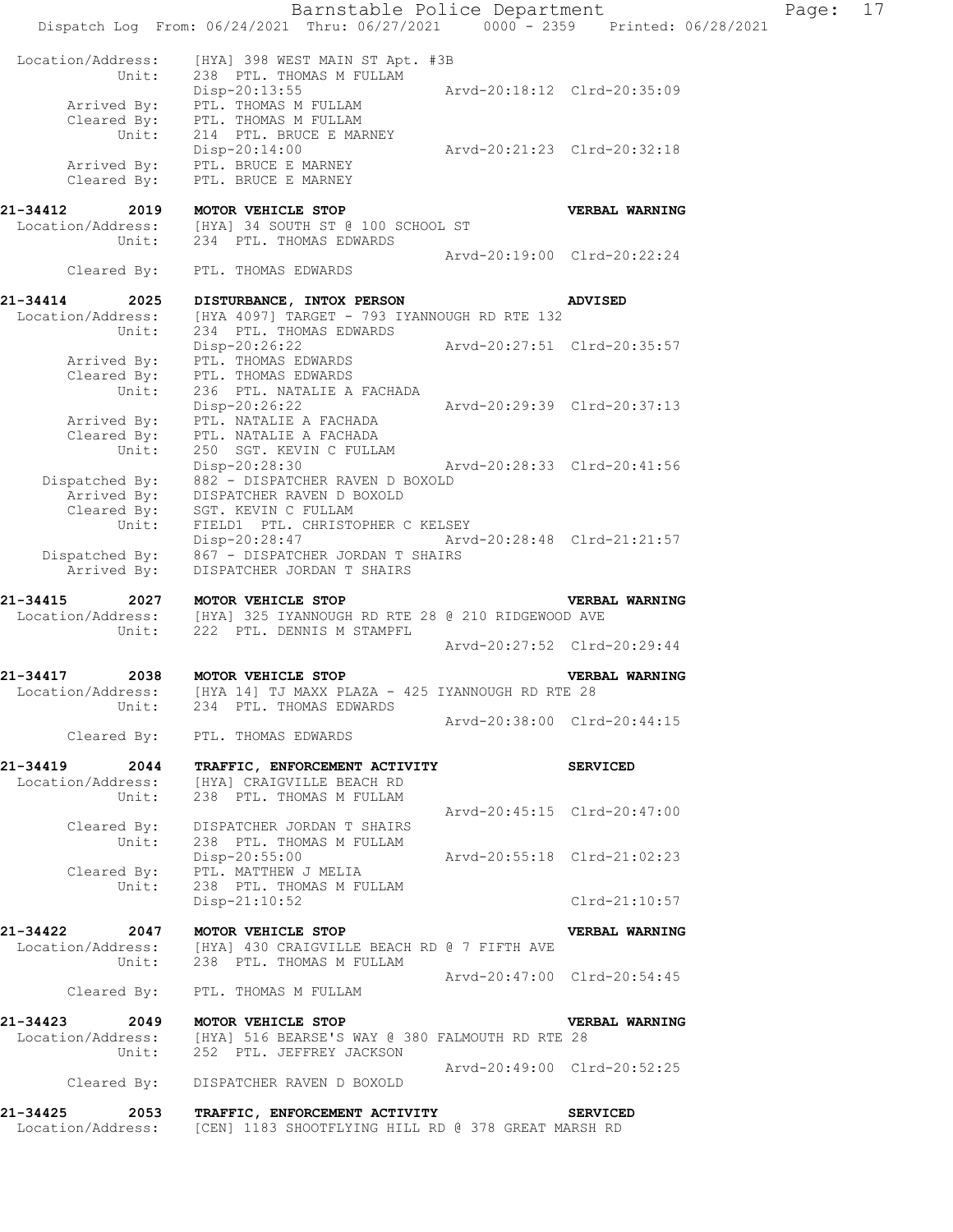|                                       |                                                                                                                      | Barnstable Police Department |                             | Page: | 17 |
|---------------------------------------|----------------------------------------------------------------------------------------------------------------------|------------------------------|-----------------------------|-------|----|
|                                       | Dispatch Log From: 06/24/2021 Thru: 06/27/2021 0000 - 2359 Printed: 06/28/2021                                       |                              |                             |       |    |
| Location/Address:                     | [HYA] 398 WEST MAIN ST Apt. #3B                                                                                      |                              |                             |       |    |
| Unit:                                 | 238 PTL. THOMAS M FULLAM<br>Disp-20:13:55                                                                            | Arvd-20:18:12 Clrd-20:35:09  |                             |       |    |
| Arrived By:                           | PTL. THOMAS M FULLAM                                                                                                 |                              |                             |       |    |
|                                       | Cleared By: PTL. THOMAS M FULLAM                                                                                     |                              |                             |       |    |
| Unit:                                 | 214 PTL. BRUCE E MARNEY<br>Disp-20:14:00                                                                             | Arvd-20:21:23 Clrd-20:32:18  |                             |       |    |
|                                       | Arrived By: PTL. BRUCE E MARNEY                                                                                      |                              |                             |       |    |
| Cleared By:                           | PTL. BRUCE E MARNEY                                                                                                  |                              |                             |       |    |
| 21-34412 2019 MOTOR VEHICLE STOP      |                                                                                                                      |                              | VERBAL WARNING              |       |    |
|                                       | Location/Address: [HYA] 34 SOUTH ST @ 100 SCHOOL ST<br>Unit: 234 PTL. THOMAS EDWARDS                                 |                              |                             |       |    |
|                                       |                                                                                                                      |                              | Arvd-20:19:00 Clrd-20:22:24 |       |    |
|                                       | Cleared By: PTL. THOMAS EDWARDS                                                                                      |                              |                             |       |    |
|                                       |                                                                                                                      |                              |                             |       |    |
| 21-34414                              | 2025 DISTURBANCE, INTOX PERSON<br>Location/Address: [HYA 4097] TARGET - 793 IYANNOUGH RD RTE 132                     |                              | <b>ADVISED</b>              |       |    |
| Unit:                                 | 234 PTL. THOMAS EDWARDS                                                                                              |                              |                             |       |    |
|                                       | Disp-20:26:22                                                                                                        | Arvd-20:27:51 Clrd-20:35:57  |                             |       |    |
|                                       | Arrived By: PTL. THOMAS EDWARDS<br>Cleared By: PTL. THOMAS EDWARDS                                                   |                              |                             |       |    |
| Unit:                                 | 236 PTL. NATALIE A FACHADA                                                                                           |                              |                             |       |    |
|                                       | Disp-20:26:22                                                                                                        | Arvd-20:29:39 Clrd-20:37:13  |                             |       |    |
| Arrived By:                           | PTL. NATALIE A FACHADA<br>Cleared $B_y$ : PTL. NATALIE A FACHADA                                                     |                              |                             |       |    |
| Unit:                                 | 250 SGT. KEVIN C FULLAM                                                                                              |                              |                             |       |    |
| Dispatched By:                        | Disp-20:28:30<br>882 - DISPATCHER RAVEN D BOXOLD                                                                     | Arvd-20:28:33 Clrd-20:41:56  |                             |       |    |
|                                       | DISPATCHER RAVEN D BOXOLD                                                                                            |                              |                             |       |    |
|                                       | Arrived By: DISPATCHER RAVEN D E<br>Cleared By: SGT. KEVIN C FULLAM                                                  |                              |                             |       |    |
| Unit:                                 | FIELD1 PTL. CHRISTOPHER C KELSEY<br>Disp-20:28:47 Arvd-20:28:48 Clrd-21:21:57                                        |                              |                             |       |    |
|                                       | Dispatched By: 867 - DISPATCHER JORDAN T SHAIRS                                                                      |                              |                             |       |    |
| Arrived By:                           | DISPATCHER JORDAN T SHAIRS                                                                                           |                              |                             |       |    |
|                                       | 21-34415 2027 MOTOR VEHICLE STOP                                                                                     |                              | VERBAL WARNING              |       |    |
|                                       | Location/Address: [HYA] 325 IYANNOUGH RD RTE 28 @ 210 RIDGEWOOD AVE                                                  |                              |                             |       |    |
| Unit:                                 | 222 PTL. DENNIS M STAMPFL                                                                                            |                              | Arvd-20:27:52 Clrd-20:29:44 |       |    |
|                                       |                                                                                                                      |                              |                             |       |    |
| 21-34417<br>2038<br>Location/Address: | MOTOR VEHICLE STOP<br>[HYA 14] TJ MAXX PLAZA - 425 IYANNOUGH RD RTE 28                                               |                              | VERBAL WARNING              |       |    |
| Unit:                                 | 234 PTL. THOMAS EDWARDS                                                                                              |                              |                             |       |    |
|                                       |                                                                                                                      | Arvd-20:38:00 Clrd-20:44:15  |                             |       |    |
|                                       | Cleared By: PTL. THOMAS EDWARDS                                                                                      |                              |                             |       |    |
|                                       | 21-34419 2044 TRAFFIC, ENFORCEMENT ACTIVITY                                                                          |                              | <b>SERVICED</b>             |       |    |
| Location/Address:<br>Unit:            | [HYA] CRAIGVILLE BEACH RD<br>238 PTL. THOMAS M FULLAM                                                                |                              |                             |       |    |
|                                       |                                                                                                                      | Arvd-20:45:15 Clrd-20:47:00  |                             |       |    |
|                                       | Cleared By: DISPATCHER JORDAN T SHAIRS                                                                               |                              |                             |       |    |
| Unit:                                 | 238 PTL. THOMAS M FULLAM<br>Disp-20:55:00 Arvd-20:55:18 Clrd-21:02:23                                                |                              |                             |       |    |
|                                       | Cleared By: PTL. MATTHEW J MELIA                                                                                     |                              |                             |       |    |
| Unit:                                 | 238 PTL. THOMAS M FULLAM                                                                                             |                              |                             |       |    |
|                                       | Disp-21:10:52                                                                                                        |                              | Clrd-21:10:57               |       |    |
| 21-34422 2047 MOTOR VEHICLE STOP      |                                                                                                                      |                              | VERBAL WARNING              |       |    |
| Unit:                                 | Location/Address: [HYA] 430 CRAIGVILLE BEACH RD @ 7 FIFTH AVE<br>238 PTL. THOMAS M FULLAM                            |                              |                             |       |    |
|                                       |                                                                                                                      | Arvd-20:47:00 Clrd-20:54:45  |                             |       |    |
|                                       | Cleared By: PTL. THOMAS M FULLAM                                                                                     |                              |                             |       |    |
|                                       | 21-34423 2049 MOTOR VEHICLE STOP                                                                                     |                              | <b>VERBAL WARNING</b>       |       |    |
|                                       | Location/Address: [HYA] 516 BEARSE'S WAY @ 380 FALMOUTH RD RTE 28                                                    |                              |                             |       |    |
| Unit:                                 | 252 PTL. JEFFREY JACKSON                                                                                             |                              |                             |       |    |
| Cleared By:                           | DISPATCHER RAVEN D BOXOLD                                                                                            | Arvd-20:49:00 Clrd-20:52:25  |                             |       |    |
|                                       |                                                                                                                      |                              |                             |       |    |
|                                       | 21-34425 2053 TRAFFIC, ENFORCEMENT ACTIVITY<br>Location/Address: [CEN] 1183 SHOOTFLYING HILL RD @ 378 GREAT MARSH RD |                              | <b>SERVICED</b>             |       |    |
|                                       |                                                                                                                      |                              |                             |       |    |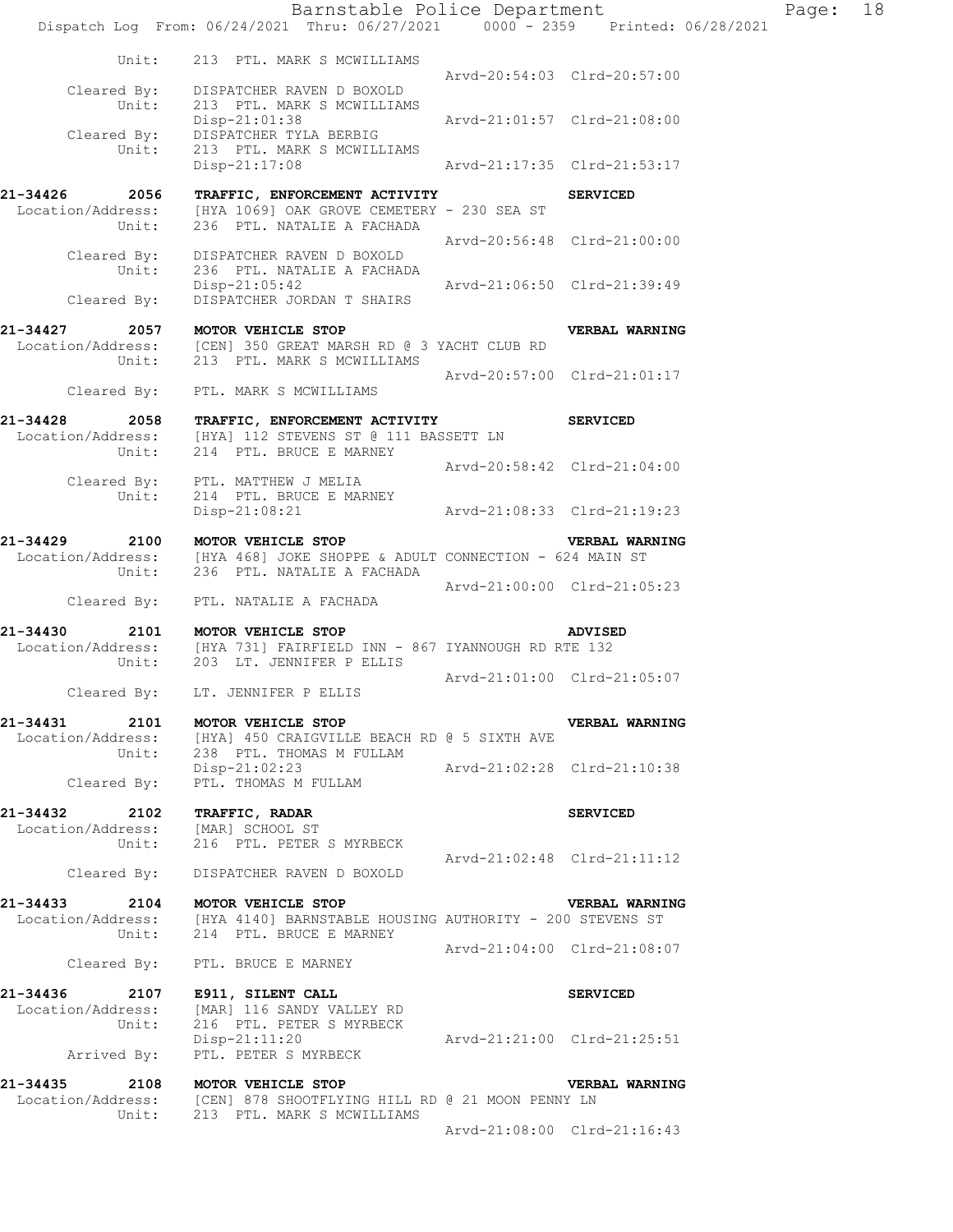Barnstable Police Department Fage: 18 Dispatch Log From: 06/24/2021 Thru: 06/27/2021 0000 - 2359 Printed: 06/28/2021 Unit: 213 PTL. MARK S MCWILLIAMS Arvd-20:54:03 Clrd-20:57:00 Cleared By: DISPATCHER RAVEN D BOXOLD Unit: 213 PTL. MARK S MCWILLIAMS Disp-21:01:38 Arvd-21:01:57 Clrd-21:08:00 Cleared By: DISPATCHER TYLA BERBIG Unit: 213 PTL. MARK S MCWILLIAMS Disp-21:17:08 Arvd-21:17:35 Clrd-21:53:17 **21-34426 2056 TRAFFIC, ENFORCEMENT ACTIVITY SERVICED**  Location/Address: [HYA 1069] OAK GROVE CEMETERY - 230 SEA ST Unit: 236 PTL. NATALIE A FACHADA Arvd-20:56:48 Clrd-21:00:00 Cleared By: DISPATCHER RAVEN D BOXOLD Unit:  $236$  PTL. NATALIE A FACHADA<br>  $N = 236$  PTL. NATALIE A FACHADA Disp-21:05:42 Arvd-21:06:50 Clrd-21:39:49 Cleared By: DISPATCHER JORDAN T SHAIRS **21-34427 2057 MOTOR VEHICLE STOP VERBAL WARNING**  Location/Address: [CEN] 350 GREAT MARSH RD @ 3 YACHT CLUB RD Unit: 213 PTL. MARK S MCWILLIAMS Arvd-20:57:00 Clrd-21:01:17 Cleared By: PTL. MARK S MCWILLIAMS **21-34428 2058 TRAFFIC, ENFORCEMENT ACTIVITY SERVICED**  Location/Address: [HYA] 112 STEVENS ST @ 111 BASSETT LN Unit: 214 PTL. BRUCE E MARNEY Arvd-20:58:42 Clrd-21:04:00 Cleared By: PTL. MATTHEW J MELIA Unit: 214 PTL. BRUCE E MARNEY Disp-21:08:21 Arvd-21:08:33 Clrd-21:19:23 **21-34429 2100 MOTOR VEHICLE STOP VERBAL WARNING**  Location/Address: [HYA 468] JOKE SHOPPE & ADULT CONNECTION - 624 MAIN ST Unit: 236 PTL. NATALIE A FACHADA Arvd-21:00:00 Clrd-21:05:23 Cleared By: PTL. NATALIE A FACHADA **21-34430 2101 MOTOR VEHICLE STOP ADVISED**  Location/Address: [HYA 731] FAIRFIELD INN - 867 IYANNOUGH RD RTE 132 Unit: 203 LT. JENNIFER P ELLIS Arvd-21:01:00 Clrd-21:05:07 Cleared By: LT. JENNIFER P ELLIS **21-34431 2101 MOTOR VEHICLE STOP VERBAL WARNING**  Location/Address: [HYA] 450 CRAIGVILLE BEACH RD @ 5 SIXTH AVE Unit: 238 PTL. THOMAS M FULLAM Disp-21:02:23 Arvd-21:02:28 Clrd-21:10:38 Cleared By: PTL. THOMAS M FULLAM **21-34432 2102 TRAFFIC, RADAR SERVICED**  Location/Address: [MAR] SCHOOL ST Unit: 216 PTL. PETER S MYRBECK Arvd-21:02:48 Clrd-21:11:12 Cleared By: DISPATCHER RAVEN D BOXOLD **21-34433 2104 MOTOR VEHICLE STOP VERBAL WARNING**  Location/Address: [HYA 4140] BARNSTABLE HOUSING AUTHORITY - 200 STEVENS ST Unit: 214 PTL. BRUCE E MARNEY Arvd-21:04:00 Clrd-21:08:07 Cleared By: PTL. BRUCE E MARNEY **21-34436 2107 E911, SILENT CALL SERVICED**  Location/Address: [MAR] 116 SANDY VALLEY RD Unit: 216 PTL. PETER S MYRBECK Disp-21:11:20 Arvd-21:21:00 Clrd-21:25:51 Disp-21:11:20<br>Arrived By: PTL. PETER S MYRBECK **21-34435 2108 MOTOR VEHICLE STOP VERBAL WARNING**  Location/Address: [CEN] 878 SHOOTFLYING HILL RD @ 21 MOON PENNY LN Unit: 213 PTL. MARK S MCWILLIAMS

Arvd-21:08:00 Clrd-21:16:43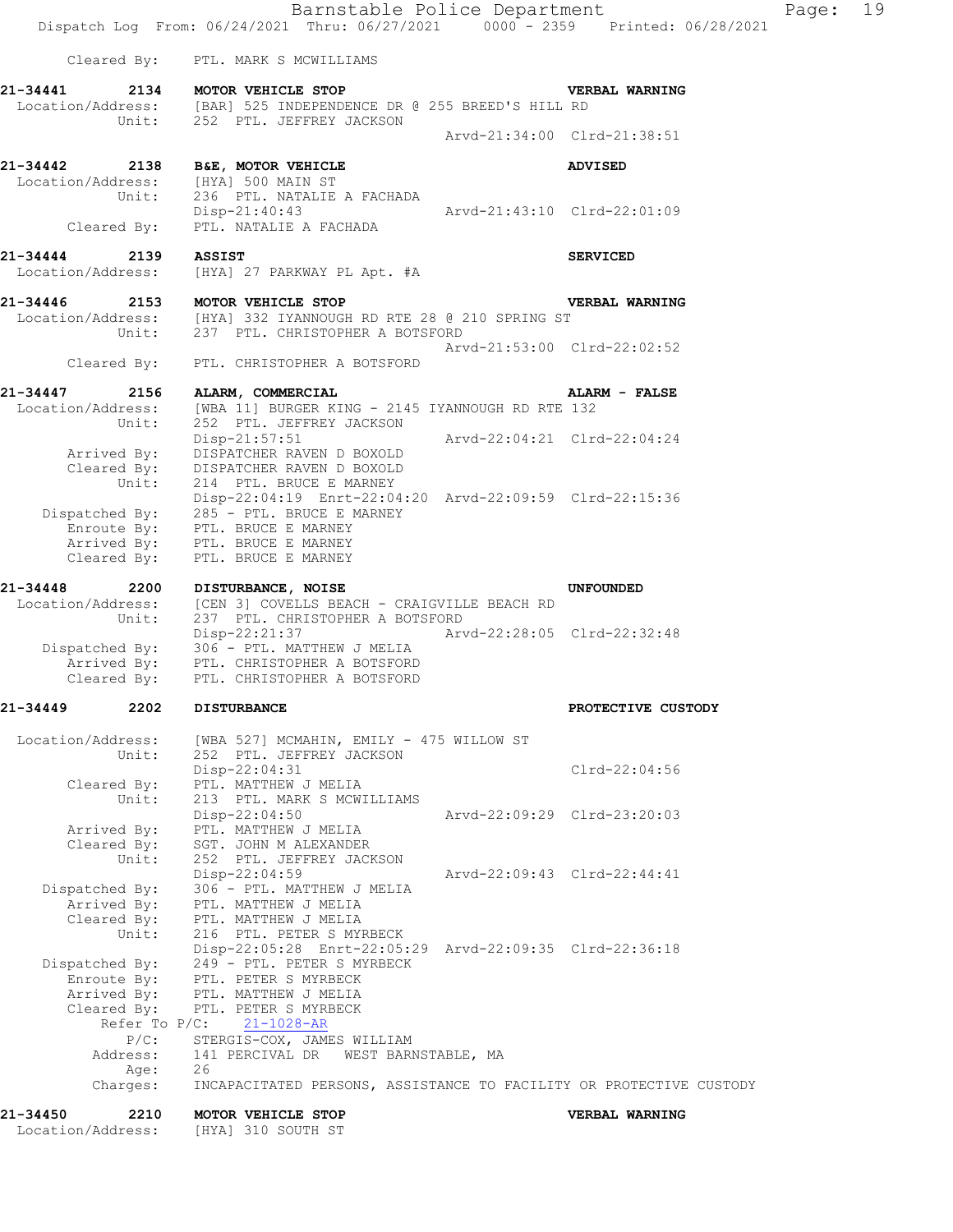Barnstable Police Department Page: 19 Dispatch Log From: 06/24/2021 Thru: 06/27/2021 0000 - 2359 Printed: 06/28/2021 Cleared By: PTL. MARK S MCWILLIAMS **21-34441 2134 MOTOR VEHICLE STOP VERBAL WARNING**  Location/Address: [BAR] 525 INDEPENDENCE DR @ 255 BREED'S HILL RD Unit: 252 PTL. JEFFREY JACKSON Arvd-21:34:00 Clrd-21:38:51 **21-34442 2138 B&E, MOTOR VEHICLE ADVISED**  Location/Address: [HYA] 500 MAIN ST Unit: 236 PTL. NATALIE A FACHADA Disp-21:40:43 Arvd-21:43:10 Clrd-22:01:09 Cleared By: PTL. NATALIE A FACHADA **21-34444 2139 ASSIST SERVICED**  Location/Address: [HYA] 27 PARKWAY PL Apt. #A **21-34446 2153 MOTOR VEHICLE STOP VERBAL WARNING**  Location/Address: [HYA] 332 IYANNOUGH RD RTE 28 @ 210 SPRING ST Unit: 237 PTL. CHRISTOPHER A BOTSFORD  $Arvd-21:53:00 \quad \text{Cl} \, \text{rd} -22:02:52$  Cleared By: PTL. CHRISTOPHER A BOTSFORD **21-34447 2156 ALARM, COMMERCIAL ALARM - FALSE**  Location/Address: [WBA 11] BURGER KING - 2145 IYANNOUGH RD RTE 132 Unit: 252 PTL. JEFFREY JACKSON Disp-21:57:51 Arvd-22:04:21 Clrd-22:04:24 Arrived By: DISPATCHER RAVEN D BOXOLD Cleared By: DISPATCHER RAVEN D BOXOLD Unit: 214 PTL. BRUCE E MARNEY Disp-22:04:19 Enrt-22:04:20 Arvd-22:09:59 Clrd-22:15:36 Dispatched By: 285 - PTL. BRUCE E MARNEY .<br>Enroute By: PTL. BRUCE E MARNEY Arrived By: PTL. BRUCE E MARNEY Cleared By: PTL. BRUCE E MARNEY **21-34448 2200 DISTURBANCE, NOISE UNFOUNDED**  Location/Address: [CEN 3] COVELLS BEACH - CRAIGVILLE BEACH RD Unit: 237 PTL. CHRISTOPHER A BOTSFORD Disp-22:21:37 Arvd-22:28:05 Clrd-22:32:48 Dispatched By: 306 - PTL. MATTHEW J MELIA .<br>Arrived By: PTL. CHRISTOPHER A BOTSFORD Cleared By: PTL. CHRISTOPHER A BOTSFORD **21-34449 2202 DISTURBANCE PROTECTIVE CUSTODY**  Location/Address: [WBA 527] MCMAHIN, EMILY - 475 WILLOW ST<br>Unit: 252 PTL. JEFFREY JACKSON 252 PTL. JEFFREY JACKSON Disp-22:04:31 Clrd-22:04:56 Cleared By: PTL. MATTHEW J MELIA Unit: 213 PTL. MARK S MCWILLIAMS Disp-22:04:50 Arvd-22:09:29 Clrd-23:20:03 Arrived By: PTL. MATTHEW J MELIA Cleared By: SGT. JOHN M ALEXANDER Unit: 252 PTL. JEFFREY JACKSON Disp-22:04:59 Arvd-22:09:43 Clrd-22:44:41 Dispatched By: 306 - PTL. MATTHEW J MELIA .<br>Arrived Bv: PTL. MATTHEW J MELIA Cleared By: PTL. MATTHEW J MELIA Unit: 216 PTL. PETER S MYRBECK Disp-22:05:28 Enrt-22:05:29 Arvd-22:09:35 Clrd-22:36:18 Dispatched By: 249 - PTL. PETER S MYRBECK Enroute By: PTL. PETER S MYRBECK Arrived By: PTL. MATTHEW J MELIA Cleared By: PTL. PETER S MYRBECK Refer To P/C: 21-1028-AR P/C: STERGIS-COX, JAMES WILLIAM Address: 141 PERCIVAL DR WEST BARNSTABLE, MA Age: 26 Charges: INCAPACITATED PERSONS, ASSISTANCE TO FACILITY OR PROTECTIVE CUSTODY **21-34450 2210 MOTOR VEHICLE STOP VERBAL WARNING** 

Location/Address: [HYA] 310 SOUTH ST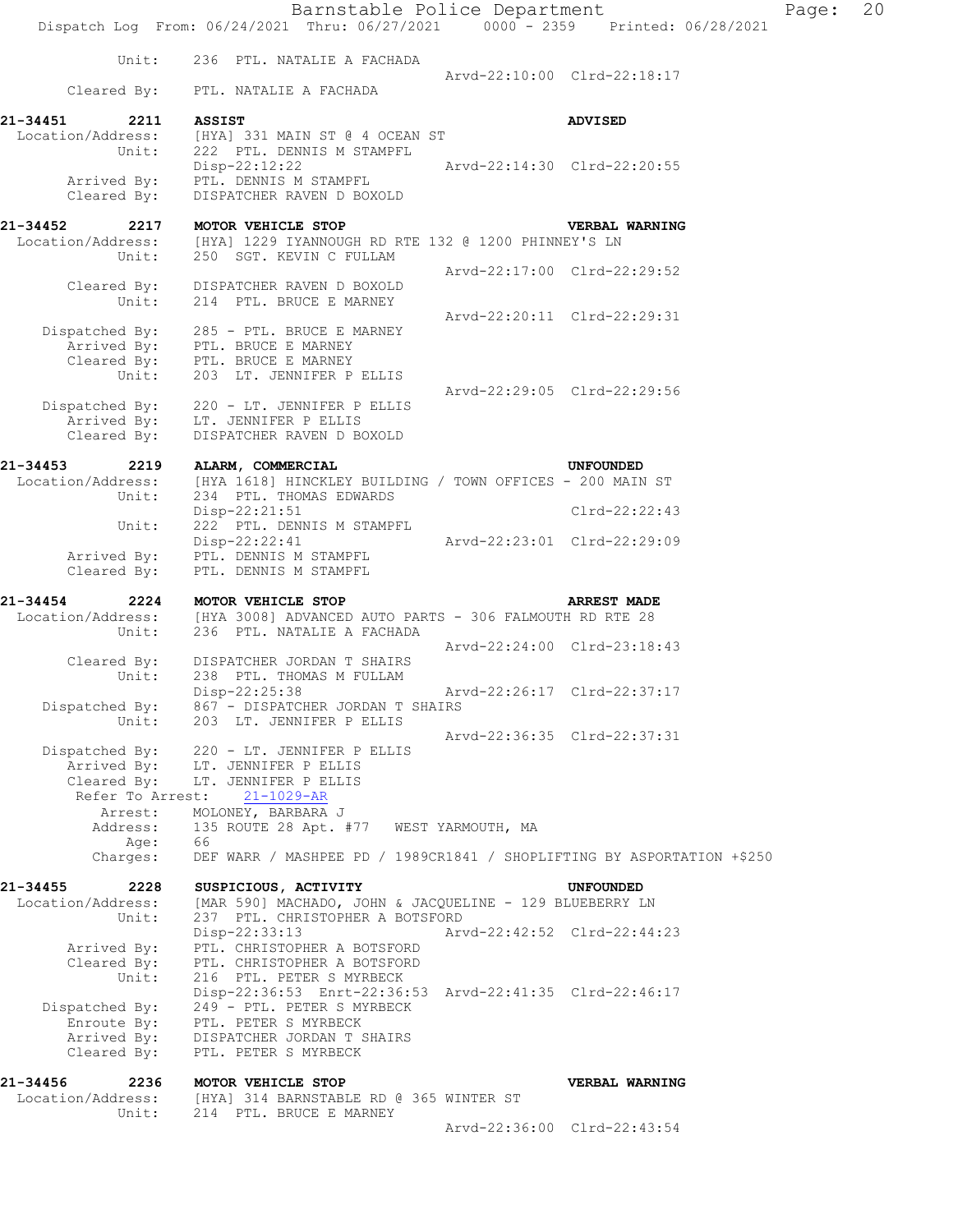Barnstable Police Department Page: 20 Dispatch Log From: 06/24/2021 Thru: 06/27/2021 0000 - 2359 Printed: 06/28/2021 Unit: 236 PTL. NATALIE A FACHADA Arvd-22:10:00 Clrd-22:18:17 Cleared By: PTL. NATALIE A FACHADA **21-34451 2211 ASSIST ADVISED**  Location/Address: [HYA] 331 MAIN ST @ 4 OCEAN ST Unit: 222 PTL. DENNIS M STAMPFL Disp-22:12:22 Arvd-22:14:30 Clrd-22:20:55 Arrived By: PTL. DENNIS M STAMPFL Cleared By: DISPATCHER RAVEN D BOXOLD **21-34452 2217 MOTOR VEHICLE STOP VERBAL WARNING**  Location/Address: [HYA] 1229 IYANNOUGH RD RTE 132 @ 1200 PHINNEY'S LN Unit: 250 SGT. KEVIN C FULLAM Arvd-22:17:00 Clrd-22:29:52 Cleared By: DISPATCHER RAVEN D BOXOLD Unit: 214 PTL. BRUCE E MARNEY Arvd-22:20:11 Clrd-22:29:31 Dispatched By: 285 - PTL. BRUCE E MARNEY .<br>Arrived By: PTL, BRUCE E MARNEY Cleared By: PTL. BRUCE E MARNEY Unit: 203 LT. JENNIFER P ELLIS Arvd-22:29:05 Clrd-22:29:56 Dispatched By: 220 - LT. JENNIFER P ELLIS .<br>Arrived By: LT. JENNIFER P ELLIS Cleared By: DISPATCHER RAVEN D BOXOLD **21-34453 2219 ALARM, COMMERCIAL UNFOUNDED**  Location/Address: [HYA 1618] HINCKLEY BUILDING / TOWN OFFICES - 200 MAIN ST Unit: 234 PTL. THOMAS EDWARDS Disp-22:21:51 Clrd-22:22:43 Unit: 222 PTL. DENNIS M STAMPFL Disp-22:22:41 Arvd-22:23:01 Clrd-22:29:09 Arrived By: PTL. DENNIS M STAMPFL Cleared By: PTL. DENNIS M STAMPFL **21-34454 2224 MOTOR VEHICLE STOP ARREST MADE**  Location/Address: [HYA 3008] ADVANCED AUTO PARTS - 306 FALMOUTH RD RTE 28 Unit: 236 PTL. NATALIE A FACHADA Arvd-22:24:00 Clrd-23:18:43 Cleared By: DISPATCHER JORDAN T SHAIRS Unit: 238 PTL. THOMAS M FULLAM Disp-22:25:38 Arvd-22:26:17 Clrd-22:37:17 Dispatched By: 867 - DISPATCHER JORDAN T SHAIRS Unit: 203 LT. JENNIFER P ELLIS Arvd-22:36:35 Clrd-22:37:31 Dispatched By: 220 - LT. JENNIFER P ELLIS .<br>Arrived By: LT. JENNIFER P ELLIS Cleared  $\overrightarrow{Bv}$ : LT. JENNIFER P ELLIS Refer To Arrest: 21-1029-AR Arrest: MOLONEY, BARBARA J<br>Address: 135 ROUTE 28 Apt. 135 ROUTE 28 Apt. #77 WEST YARMOUTH, MA Age: 66 Charges: DEF WARR / MASHPEE PD / 1989CR1841 / SHOPLIFTING BY ASPORTATION +\$250 **21-34455 2228 SUSPICIOUS, ACTIVITY UNFOUNDED**  Location/Address: [MAR 590] MACHADO, JOHN & JACQUELINE - 129 BLUEBERRY LN Unit: 237 PTL. CHRISTOPHER A BOTSFORD Disp-22:33:13 Arvd-22:42:52 Clrd-22:44:23 Disp-22:33:13<br>Arrived By: PTL. CHRISTOPHER A BOTSFORD Cleared By: PTL. CHRISTOPHER A BOTSFORD Unit: 216 PTL. PETER S MYRBECK Disp-22:36:53 Enrt-22:36:53 Arvd-22:41:35 Clrd-22:46:17 Dispatched By: 249 - PTL. PETER S MYRBECK Enroute By: PTL. PETER S MYRBECK Arrived By: DISPATCHER JORDAN T SHAIRS Cleared By: PTL. PETER S MYRBECK **21-34456 2236 MOTOR VEHICLE STOP VERBAL WARNING**  Location/Address: [HYA] 314 BARNSTABLE RD @ 365 WINTER ST Unit: 214 PTL. BRUCE E MARNEY Arvd-22:36:00 Clrd-22:43:54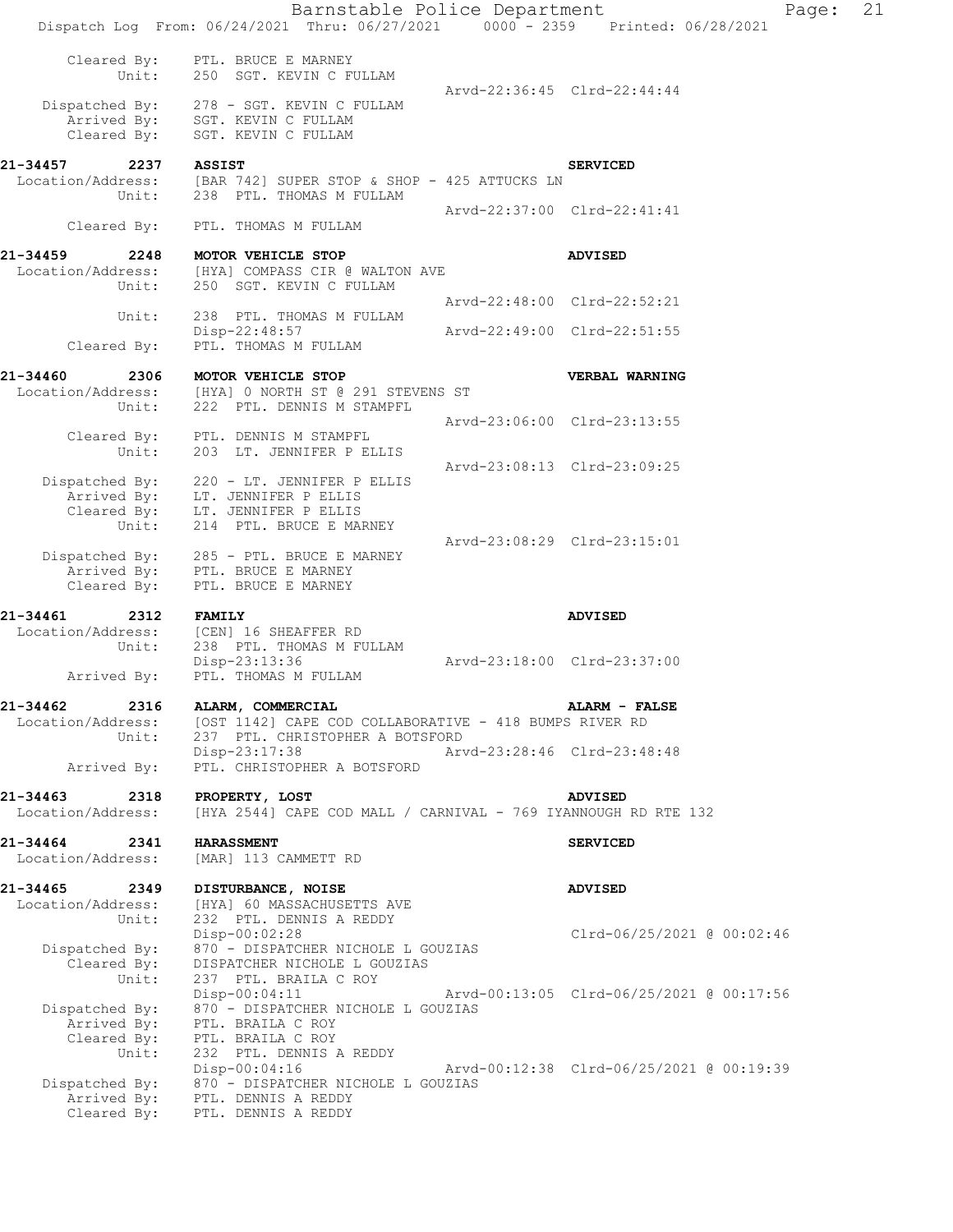|                                                | Barnstable Police Department<br>Dispatch Log From: 06/24/2021 Thru: 06/27/2021 0000 - 2359 Printed: 06/28/2021 |                                          | Page: | 21 |
|------------------------------------------------|----------------------------------------------------------------------------------------------------------------|------------------------------------------|-------|----|
| Cleared By:<br>Unit:                           | PTL. BRUCE E MARNEY<br>250 SGT. KEVIN C FULLAM                                                                 | Arvd-22:36:45 Clrd-22:44:44              |       |    |
| Arrived By:<br>Cleared By:                     | Dispatched By: 278 - SGT. KEVIN C FULLAM<br>SGT. KEVIN C FULLAM<br>SGT. KEVIN C FULLAM                         |                                          |       |    |
| 21-34457<br>2237                               | <b>ASSIST</b>                                                                                                  | <b>SERVICED</b>                          |       |    |
| Unit:                                          | Location/Address: [BAR 742] SUPER STOP & SHOP - 425 ATTUCKS LN<br>238 PTL. THOMAS M FULLAM                     |                                          |       |    |
| Cleared By:                                    | PTL. THOMAS M FULLAM                                                                                           | Arvd-22:37:00 Clrd-22:41:41              |       |    |
|                                                |                                                                                                                |                                          |       |    |
| 21-34459<br>2248<br>Location/Address:<br>Unit: | MOTOR VEHICLE STOP<br>[HYA] COMPASS CIR @ WALTON AVE<br>250 SGT. KEVIN C FULLAM                                | <b>ADVISED</b>                           |       |    |
| Unit:                                          | 238 PTL. THOMAS M FULLAM                                                                                       | Arvd-22:48:00 Clrd-22:52:21              |       |    |
| Cleared By:                                    | Disp-22:48:57<br>PTL. THOMAS M FULLAM                                                                          | Arvd-22:49:00 Clrd-22:51:55              |       |    |
| 21-34460<br>2306                               | MOTOR VEHICLE STOP                                                                                             | <b>VERBAL WARNING</b>                    |       |    |
|                                                | Location/Address: [HYA] 0 NORTH ST @ 291 STEVENS ST                                                            |                                          |       |    |
| Unit:                                          | 222 PTL. DENNIS M STAMPFL                                                                                      | Arvd-23:06:00 Clrd-23:13:55              |       |    |
| Cleared By:<br>Unit:                           | PTL. DENNIS M STAMPFL<br>203 LT. JENNIFER P ELLIS                                                              |                                          |       |    |
|                                                |                                                                                                                | Arvd-23:08:13 Clrd-23:09:25              |       |    |
| Dispatched By:<br>Arrived By:                  | 220 - LT. JENNIFER P ELLIS<br>LT. JENNIFER P ELLIS                                                             |                                          |       |    |
| Unit:                                          | Cleared By: LT. JENNIFER P ELLIS<br>214 PTL. BRUCE E MARNEY                                                    |                                          |       |    |
|                                                |                                                                                                                | Arvd-23:08:29 Clrd-23:15:01              |       |    |
| Dispatched By:<br>Arrived By:                  | 285 - PTL. BRUCE E MARNEY<br>PTL. BRUCE E MARNEY                                                               |                                          |       |    |
| Cleared By:                                    | PTL. BRUCE E MARNEY                                                                                            |                                          |       |    |
| 21-34461<br>2312                               | <b>FAMILY</b>                                                                                                  | <b>ADVISED</b>                           |       |    |
| Location/Address:<br>Unit:                     | [CEN] 16 SHEAFFER RD<br>238 PTL. THOMAS M FULLAM                                                               |                                          |       |    |
| Arrived By:                                    | Disp-23:13:36<br>PTL. THOMAS M FULLAM                                                                          | Arvd-23:18:00 Clrd-23:37:00              |       |    |
| 21-34462<br>2316                               |                                                                                                                | ALARM - FALSE                            |       |    |
| Location/Address:                              | ALARM, COMMERCIAL<br>[OST 1142] CAPE COD COLLABORATIVE - 418 BUMPS RIVER RD                                    |                                          |       |    |
| Unit:                                          | 237 PTL. CHRISTOPHER A BOTSFORD<br>$Disp-23:17:38$                                                             | Arvd-23:28:46 Clrd-23:48:48              |       |    |
| Arrived By:                                    | PTL. CHRISTOPHER A BOTSFORD                                                                                    |                                          |       |    |
| 21-34463<br>2318<br>Location/Address:          | PROPERTY, LOST<br>[HYA 2544] CAPE COD MALL / CARNIVAL - 769 IYANNOUGH RD RTE 132                               | <b>ADVISED</b>                           |       |    |
|                                                |                                                                                                                |                                          |       |    |
| 21-34464<br>2341<br>Location/Address:          | <b>HARASSMENT</b><br>[MAR] 113 CAMMETT RD                                                                      | <b>SERVICED</b>                          |       |    |
| 21-34465<br>2349                               | DISTURBANCE, NOISE                                                                                             | <b>ADVISED</b>                           |       |    |
| Location/Address:<br>Unit:                     | [HYA] 60 MASSACHUSETTS AVE<br>232 PTL. DENNIS A REDDY                                                          |                                          |       |    |
|                                                | Disp-00:02:28                                                                                                  | Clrd-06/25/2021 @ 00:02:46               |       |    |
| Dispatched By:<br>Cleared By:                  | 870 - DISPATCHER NICHOLE L GOUZIAS<br>DISPATCHER NICHOLE L GOUZIAS                                             |                                          |       |    |
| Unit:                                          | 237 PTL. BRAILA C ROY<br>$Disp-00:04:11$                                                                       | Arvd-00:13:05 Clrd-06/25/2021 @ 00:17:56 |       |    |
| Dispatched By:                                 | 870 - DISPATCHER NICHOLE L GOUZIAS                                                                             |                                          |       |    |
| Arrived By:<br>Cleared By:                     | PTL. BRAILA C ROY<br>PTL. BRAILA C ROY                                                                         |                                          |       |    |
| Unit:                                          | 232 PTL. DENNIS A REDDY<br>Disp-00:04:16                                                                       | Arvd-00:12:38 Clrd-06/25/2021 @ 00:19:39 |       |    |
| Dispatched By:                                 | 870 - DISPATCHER NICHOLE L GOUZIAS                                                                             |                                          |       |    |
| Arrived By:<br>Cleared By:                     | PTL. DENNIS A REDDY<br>PTL. DENNIS A REDDY                                                                     |                                          |       |    |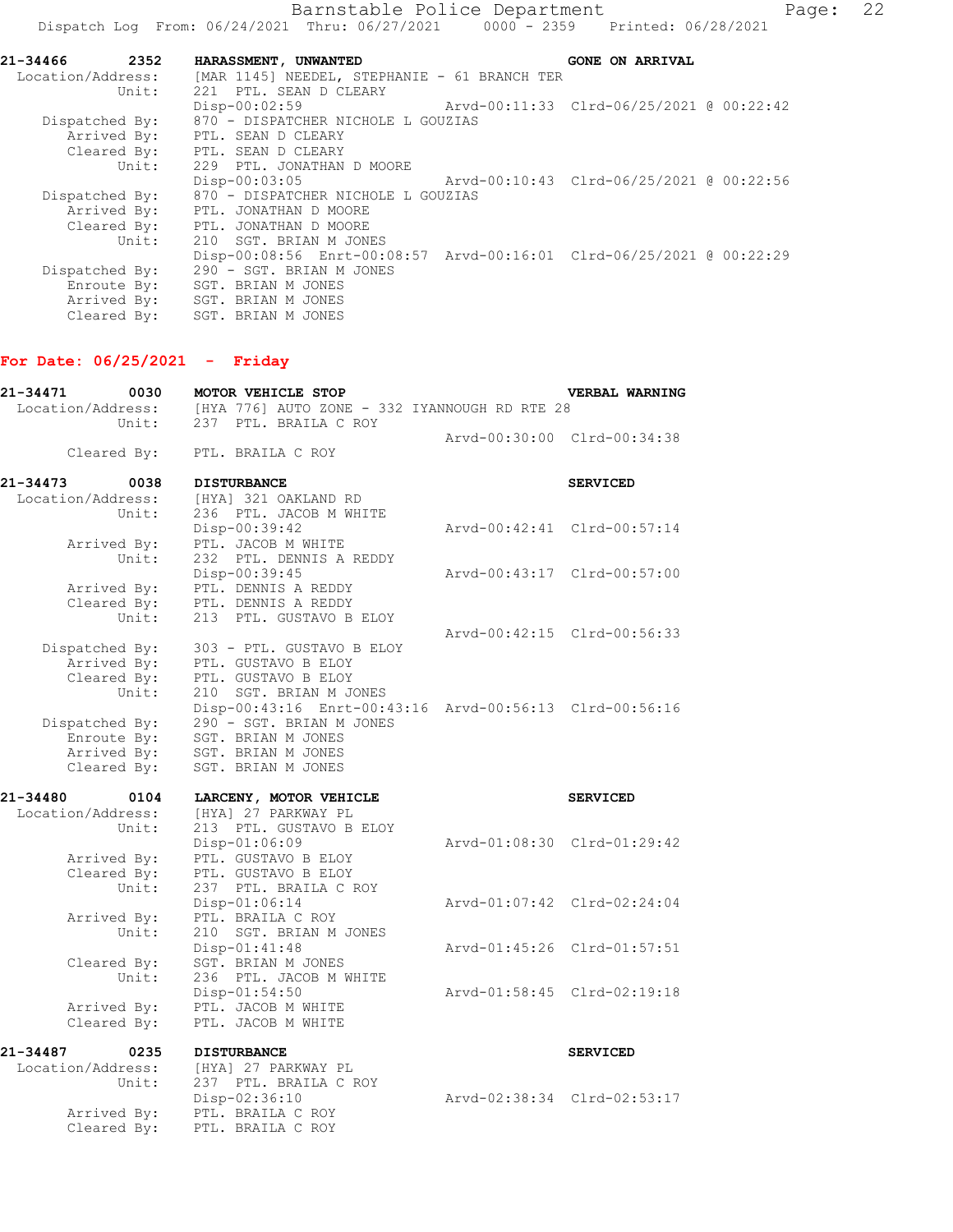| 21-34466<br>2352  | HARASSMENT, UNWANTED                         | <b>GONE ON ARRIVAL</b>                                               |
|-------------------|----------------------------------------------|----------------------------------------------------------------------|
| Location/Address: | [MAR 1145] NEEDEL, STEPHANIE - 61 BRANCH TER |                                                                      |
| Unit:             | 221 PTL. SEAN D CLEARY                       |                                                                      |
|                   | $Disp-00:02:59$                              | Arvd-00:11:33 Clrd-06/25/2021 @ 00:22:42                             |
| Dispatched By:    | 870 - DISPATCHER NICHOLE L GOUZIAS           |                                                                      |
| Arrived By:       | PTL. SEAN D CLEARY                           |                                                                      |
| Cleared By:       | PTL. SEAN D CLEARY                           |                                                                      |
| Unit:             | 229 PTL. JONATHAN D MOORE                    |                                                                      |
|                   | Disp-00:03:05                                |                                                                      |
| Dispatched By:    | 870 - DISPATCHER NICHOLE L GOUZIAS           |                                                                      |
| Arrived By:       | PTL. JONATHAN D MOORE                        |                                                                      |
| Cleared By:       | PTL. JONATHAN D MOORE                        |                                                                      |
| Unit:             | 210 SGT. BRIAN M JONES                       |                                                                      |
|                   |                                              | Disp-00:08:56 Enrt-00:08:57 Arvd-00:16:01 Clrd-06/25/2021 @ 00:22:29 |
| Dispatched By:    | 290 - SGT. BRIAN M JONES                     |                                                                      |
| Enroute By:       | SGT. BRIAN M JONES                           |                                                                      |
|                   | Arrived By: SGT. BRIAN M JONES               |                                                                      |
| Cleared By:       | SGT. BRIAN M JONES                           |                                                                      |

## **For Date: 06/25/2021 - Friday**

| 21-34471<br>Location/Address: | 0030                 | MOTOR VEHICLE STOP<br>[HYA 776] AUTO ZONE - 332 IYANNOUGH RD RTE 28 | VERBAL WARNING              |
|-------------------------------|----------------------|---------------------------------------------------------------------|-----------------------------|
|                               | Unit:                | 237 PTL. BRAILA C ROY                                               |                             |
|                               |                      |                                                                     | Arvd-00:30:00 Clrd-00:34:38 |
|                               | Cleared By:          | PTL. BRAILA C ROY                                                   |                             |
| 21-34473                      | 0038                 | <b>DISTURBANCE</b>                                                  | <b>SERVICED</b>             |
| Location/Address:             |                      | [HYA] 321 OAKLAND RD                                                |                             |
|                               | Unit:                | 236 PTL. JACOB M WHITE                                              |                             |
|                               |                      | Disp-00:39:42                                                       | Arvd-00:42:41 Clrd-00:57:14 |
|                               | Arrived By:          | PTL. JACOB M WHITE                                                  |                             |
|                               | Unit:                | 232 PTL. DENNIS A REDDY                                             |                             |
|                               |                      | Disp-00:39:45                                                       | Arvd-00:43:17 Clrd-00:57:00 |
|                               | Arrived By:          | PTL. DENNIS A REDDY                                                 |                             |
|                               | Cleared By:<br>Unit: | PTL. DENNIS A REDDY<br>213 PTL. GUSTAVO B ELOY                      |                             |
|                               |                      |                                                                     | Arvd-00:42:15 Clrd-00:56:33 |
| Dispatched By:                |                      | 303 - PTL. GUSTAVO B ELOY                                           |                             |
|                               | Arrived By:          | PTL. GUSTAVO B ELOY                                                 |                             |
|                               | Cleared By:          | PTL. GUSTAVO B ELOY                                                 |                             |
|                               | Unit:                | 210 SGT. BRIAN M JONES                                              |                             |
|                               |                      | Disp-00:43:16 Enrt-00:43:16 Arvd-00:56:13 Clrd-00:56:16             |                             |
|                               | Dispatched By:       | 290 - SGT. BRIAN M JONES                                            |                             |
|                               | Enroute By:          | SGT. BRIAN M JONES                                                  |                             |
|                               | Arrived By:          | SGT. BRIAN M JONES                                                  |                             |
|                               | Cleared By:          | SGT. BRIAN M JONES                                                  |                             |
| 21-34480                      | 0104                 | LARCENY, MOTOR VEHICLE                                              | <b>SERVICED</b>             |
| Location/Address:             |                      | [HYA] 27 PARKWAY PL                                                 |                             |
|                               | Unit:                | 213 PTL. GUSTAVO B ELOY                                             |                             |
|                               |                      | Disp-01:06:09                                                       | Arvd-01:08:30 Clrd-01:29:42 |
|                               | Arrived By:          | PTL. GUSTAVO B ELOY                                                 |                             |
|                               | Cleared By:<br>Unit: | PTL. GUSTAVO B ELOY<br>237 PTL. BRAILA C ROY                        |                             |
|                               |                      | Disp-01:06:14                                                       | Arvd-01:07:42 Clrd-02:24:04 |
|                               | Arrived By:          | PTL. BRAILA C ROY                                                   |                             |
|                               | Unit:                | 210 SGT. BRIAN M JONES                                              |                             |
|                               |                      | Disp-01:41:48                                                       | Arvd-01:45:26 Clrd-01:57:51 |
|                               | Cleared By:          | SGT. BRIAN M JONES                                                  |                             |
|                               | Unit:                | 236 PTL. JACOB M WHITE                                              |                             |
|                               |                      | $Disp-01:54:50$                                                     | Arvd-01:58:45 Clrd-02:19:18 |
|                               | Arrived By:          | PTL. JACOB M WHITE                                                  |                             |
|                               | Cleared By:          | PTL. JACOB M WHITE                                                  |                             |
| 21-34487                      | 0235                 | <b>DISTURBANCE</b>                                                  | <b>SERVICED</b>             |
| Location/Address:             |                      | [HYA] 27 PARKWAY PL                                                 |                             |
|                               | Unit:                | 237 PTL. BRAILA C ROY                                               |                             |
|                               |                      | Disp-02:36:10                                                       | Arvd-02:38:34 Clrd-02:53:17 |
|                               | Arrived By:          | PTL. BRAILA C ROY                                                   |                             |
|                               | Cleared By:          | PTL. BRAILA C ROY                                                   |                             |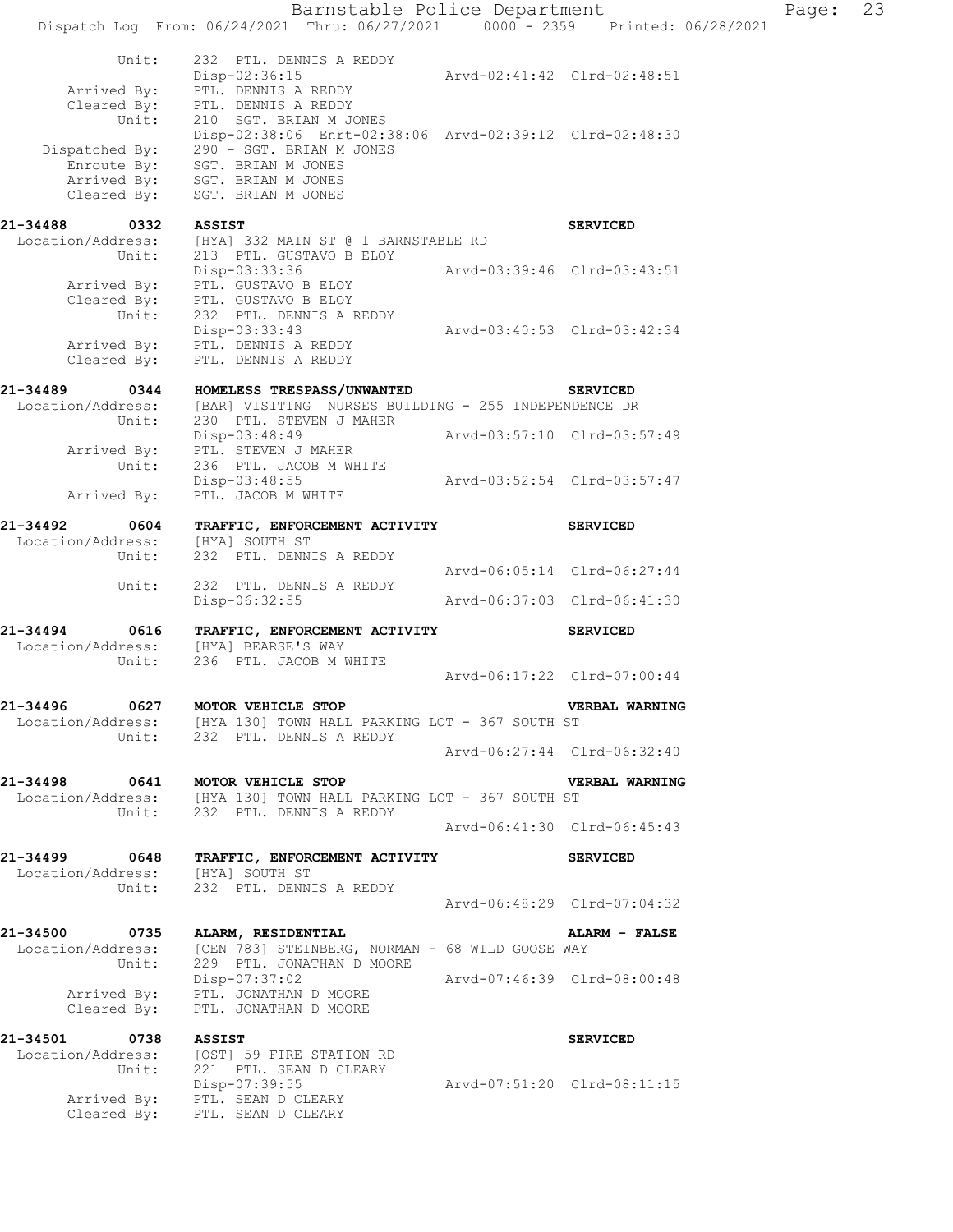Barnstable Police Department Page: 23 Dispatch Log From: 06/24/2021 Thru: 06/27/2021 0000 - 2359 Printed: 06/28/2021 Unit: 232 PTL. DENNIS A REDDY<br>Disp-02:36:15 <br>Arvd-02:41:42 Clrd-02:48:51 Disp-02:36:15 Arvd-02:41:42 Clrd-02:48:51 Arrived By: PTL. DENNIS A REDDY Cleared By: PTL. DENNIS A REDDY Unit: 210 SGT. BRIAN M JONES Disp-02:38:06 Enrt-02:38:06 Arvd-02:39:12 Clrd-02:48:30 Dispatched By: 290 - SGT. BRIAN M JONES .<br>Enroute By: SGT. BRIAN M JONES Arrived By: SGT. BRIAN M JONES Cleared  $\overline{\text{{\tt Bv}}}$ : SGT. BRIAN M JONES **21-34488 0332 ASSIST SERVICED**  Location/Address: [HYA] 332 MAIN ST @ 1 BARNSTABLE RD Unit: 213 PTL. GUSTAVO B ELOY Disp-03:33:36 Arvd-03:39:46 Clrd-03:43:51 Arrived By: PTL. GUSTAVO B ELOY Cleared By: PTL. GUSTAVO B ELOY Unit: 232 PTL. DENNIS A REDDY Disp-03:33:43 Arvd-03:40:53 Clrd-03:42:34 Arrived By: PTL. DENNIS A REDDY Cleared By: PTL. DENNIS A REDDY **21-34489 0344 HOMELESS TRESPASS/UNWANTED SERVICED**  Location/Address: [BAR] VISITING NURSES BUILDING - 255 INDEPENDENCE DR Unit: 230 PTL. STEVEN J MAHER Disp-03:48:49 Arvd-03:57:10 Clrd-03:57:49 Arrived By: PTL. STEVEN J MAHER Unit: 236 PTL. JACOB M WHITE Disp-03:48:55 Arvd-03:52:54 Clrd-03:57:47 Disp-03:48:55<br>Arrived By: PTL. JACOB M WHITE **21-34492 0604 TRAFFIC, ENFORCEMENT ACTIVITY SERVICED**  Location/Address: [HYA] SOUTH ST Unit: 232 PTL. DENNIS A REDDY Arvd-06:05:14 Clrd-06:27:44 Unit: 232 PTL. DENNIS A REDDY Disp-06:32:55 Arvd-06:37:03 Clrd-06:41:30 **21-34494 0616 TRAFFIC, ENFORCEMENT ACTIVITY SERVICED**  Location/Address: [HYA] BEARSE'S WAY Unit: 236 PTL. JACOB M WHITE Arvd-06:17:22 Clrd-07:00:44 **21-34496 0627 MOTOR VEHICLE STOP VERBAL WARNING**  Location/Address: [HYA 130] TOWN HALL PARKING LOT - 367 SOUTH ST Unit: 232 PTL. DENNIS A REDDY Arvd-06:27:44 Clrd-06:32:40 **21-34498 0641 MOTOR VEHICLE STOP VERBAL WARNING**  Location/Address: [HYA 130] TOWN HALL PARKING LOT - 367 SOUTH ST Unit: 232 PTL. DENNIS A REDDY Arvd-06:41:30 Clrd-06:45:43 **21-34499 0648 TRAFFIC, ENFORCEMENT ACTIVITY SERVICED**  Location/Address: [HYA] SOUTH ST Unit: 232 PTL. DENNIS A REDDY Arvd-06:48:29 Clrd-07:04:32 **21-34500 0735 ALARM, RESIDENTIAL ALARM - FALSE**  Location/Address: [CEN 783] STEINBERG, NORMAN - 68 WILD GOOSE WAY Unit: 229 PTL. JONATHAN D MOORE Disp-07:37:02 Arvd-07:46:39 Clrd-08:00:48 Arrived By: PTL. JONATHAN D MOORE Cleared By: PTL. JONATHAN D MOORE **21-34501 0738 ASSIST SERVICED**  Location/Address: [OST] 59 FIRE STATION RD Unit: 221 PTL. SEAN D CLEARY Disp-07:39:55 Arvd-07:51:20 Clrd-08:11:15 Arrived By: PTL. SEAN D CLEARY Cleared  $\overline{\text{By}}$ : PTL. SEAN D CLEARY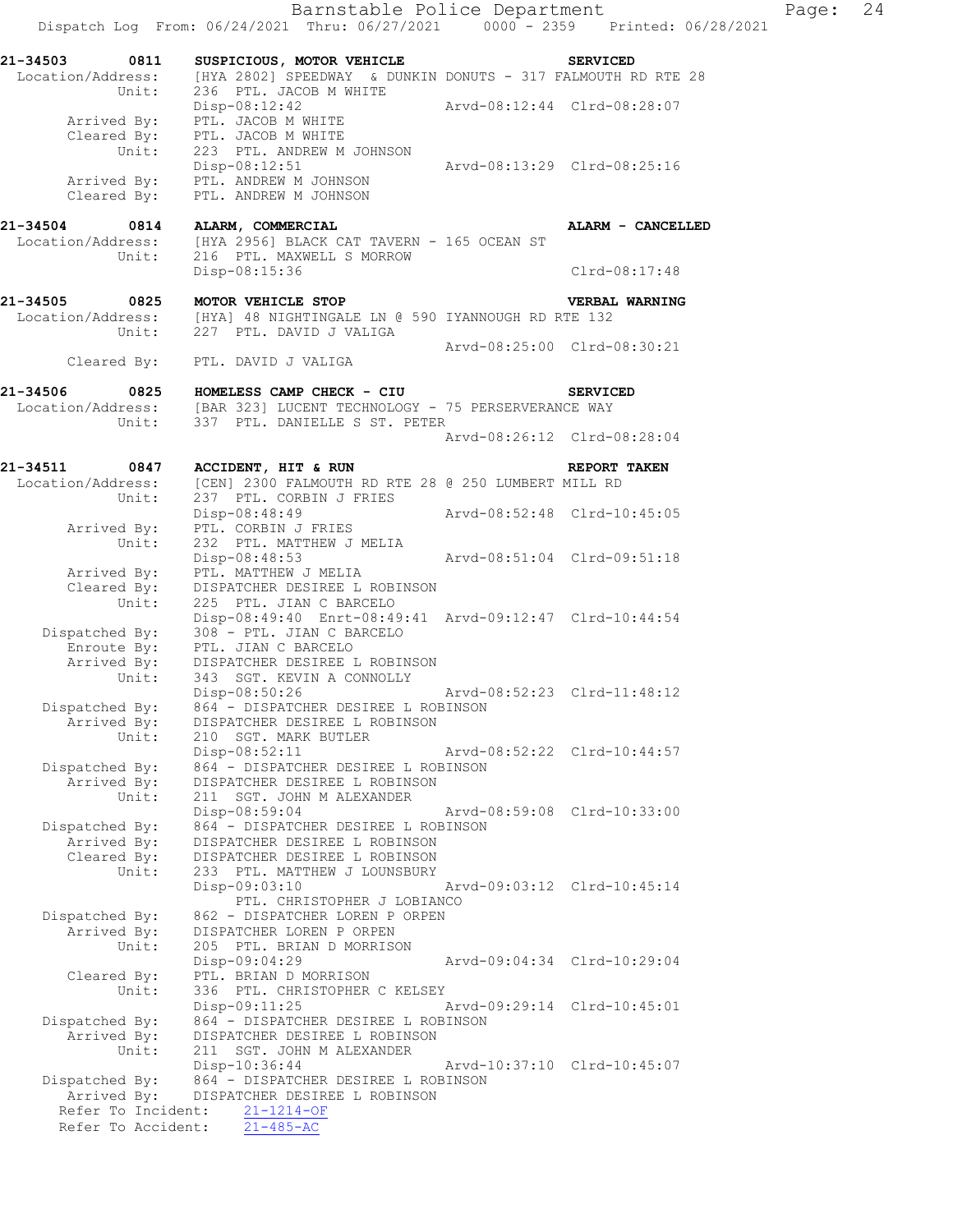Barnstable Police Department Page: 24 Dispatch Log From: 06/24/2021 Thru: 06/27/2021 0000 - 2359 Printed: 06/28/2021 **21-34503 0811 SUSPICIOUS, MOTOR VEHICLE SERVICED**  Location/Address: [HYA 2802] SPEEDWAY & DUNKIN DONUTS - 317 FALMOUTH RD RTE 28 Unit: 236 PTL. JACOB M WHITE Disp-08:12:42 Arvd-08:12:44 Clrd-08:28:07 Arrived By: PTL. JACOB M WHITE Cleared By: PTL. JACOB M WHITE Unit: 223 PTL. ANDREW M JOHNSON Disp-08:12:51 Arvd-08:13:29 Clrd-08:25:16 Arrived By: PTL. ANDREW M JOHNSON Cleared By: PTL. ANDREW M JOHNSON **21-34504 0814 ALARM, COMMERCIAL ALARM - CANCELLED**  Location/Address: [HYA 2956] BLACK CAT TAVERN - 165 OCEAN ST Unit: 216 PTL. MAXWELL S MORROW Disp-08:15:36 Clrd-08:17:48 **21-34505 0825 MOTOR VEHICLE STOP VERBAL WARNING**  Location/Address: [HYA] 48 NIGHTINGALE LN @ 590 IYANNOUGH RD RTE 132 Unit: 227 PTL. DAVID J VALIGA Arvd-08:25:00 Clrd-08:30:21 Cleared By: PTL. DAVID J VALIGA **21-34506 0825 HOMELESS CAMP CHECK - CIU SERVICED**  Location/Address: [BAR 323] LUCENT TECHNOLOGY - 75 PERSERVERANCE WAY Unit: 337 PTL. DANIELLE S ST. PETER Arvd-08:26:12 Clrd-08:28:04 **21-34511 0847 ACCIDENT, HIT & RUN REPORT TAKEN**  Location/Address: [CEN] 2300 FALMOUTH RD RTE 28 @ 250 LUMBERT MILL RD Unit: 237 PTL. CORBIN J FRIES Disp-08:48:49 Arvd-08:52:48 Clrd-10:45:05 Arrived By: PTL. CORBIN J FRIES Unit: 232 PTL. MATTHEW J MELIA Disp-08:48:53 Arvd-08:51:04 Clrd-09:51:18 Arrived By: PTL. MATTHEW J MELIA Cleared By: DISPATCHER DESIREE L ROBINSON Unit: 225 PTL. JIAN C BARCELO Disp-08:49:40 Enrt-08:49:41 Arvd-09:12:47 Clrd-10:44:54 Dispatched By: 308 - PTL. JIAN C BARCELO .<br>Enroute By: PTL. JIAN C BARCELO Arrived By: DISPATCHER DESIREE L ROBINSON Unit: 343 SGT. KEVIN A CONNOLLY Disp-08:50:26 Arvd-08:52:23 Clrd-11:48:12 Dispatched By: 864 - DISPATCHER DESIREE L ROBINSON Arrived By: DISPATCHER DESIREE L ROBINSON Unit: 210 SGT. MARK BUTLER Disp-08:52:11 Arvd-08:52:22 Clrd-10:44:57 Dispatched By: 864 - DISPATCHER DESIREE L ROBINSON Arrived By: DISPATCHER DESIREE L ROBINSON Unit: 211 SGT. JOHN M ALEXANDER Disp-08:59:04 Arvd-08:59:08 Clrd-10:33:00 Dispatched By: 864 - DISPATCHER DESIREE L ROBINSON Arrived By: DISPATCHER DESIREE L ROBINSON Cleared By: DISPATCHER DESIREE L ROBINSON Unit: 233 PTL. MATTHEW J LOUNSBURY Disp-09:03:10 Arvd-09:03:12 Clrd-10:45:14 PTL. CHRISTOPHER J LOBIANCO Dispatched By: 862 - DISPATCHER LOREN P ORPEN Arrived By: DISPATCHER LOREN P ORPEN Unit: 205 PTL. BRIAN D MORRISON Disp-09:04:29 Arvd-09:04:34 Clrd-10:29:04 Cleared By: PTL. BRIAN D MORRISON Unit: 336 PTL. CHRISTOPHER C KELSEY Disp-09:11:25 Arvd-09:29:14 Clrd-10:45:01 Dispatched By: 864 - DISPATCHER DESIREE L ROBINSON Arrived By: DISPATCHER DESIREE L ROBINSON Unit: 211 SGT. JOHN M ALEXANDER Disp-10:36:44 Arvd-10:37:10 Clrd-10:45:07 Dispatched By: 864 - DISPATCHER DESIREE L ROBINSON Arrived By: DISPATCHER DESIREE L ROBINSON Refer To Incident: 21-1214-OF Refer To Accident: 21-485-AC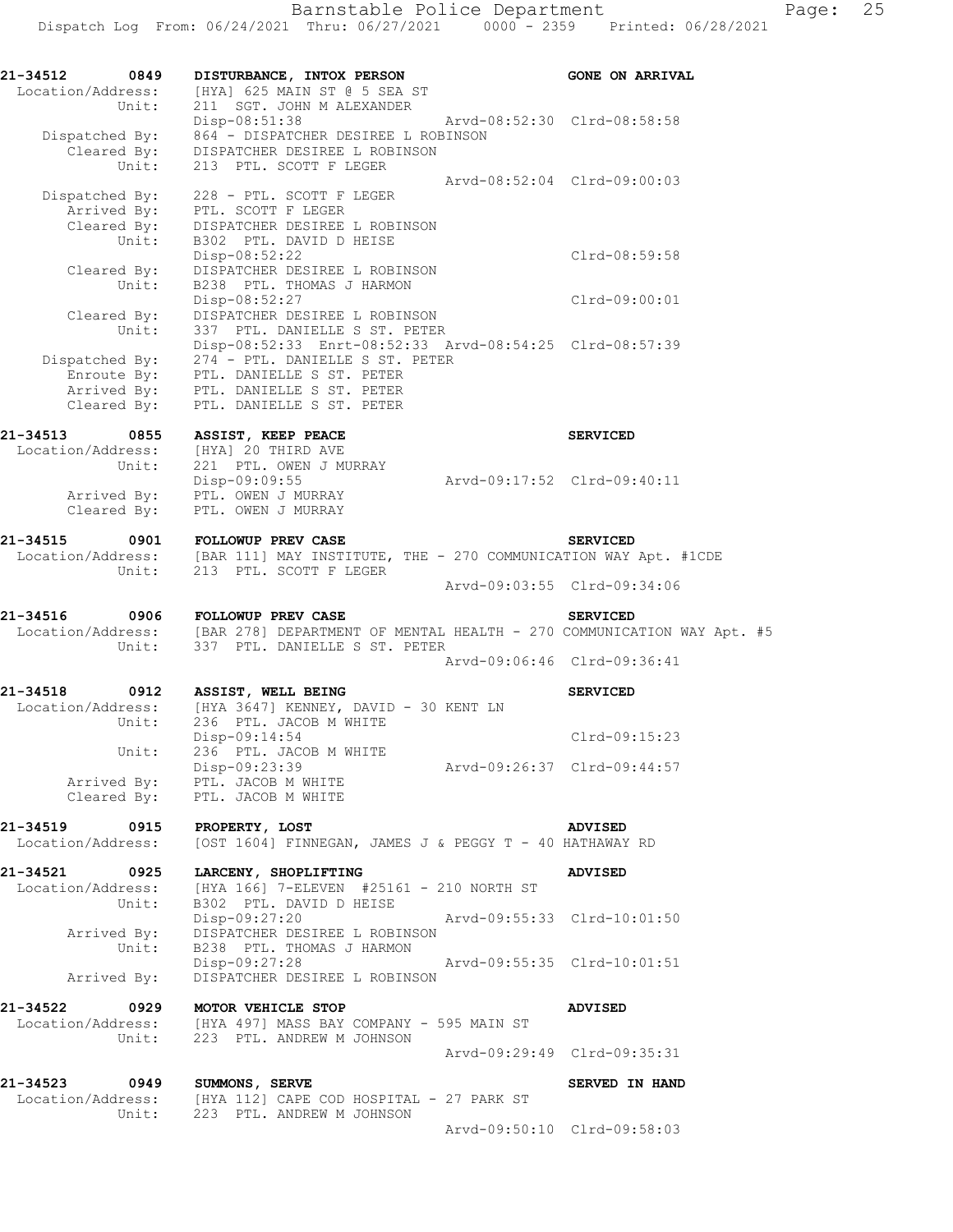| 21-34512<br>0849<br>Location/Address:<br>Unit:        | DISTURBANCE, INTOX PERSON<br>[HYA] 625 MAIN ST @ 5 SEA ST<br>211 SGT. JOHN M ALEXANDER                                                                                                        | <b>GONE ON ARRIVAL</b>      |
|-------------------------------------------------------|-----------------------------------------------------------------------------------------------------------------------------------------------------------------------------------------------|-----------------------------|
| Dispatched By:<br>Unit:                               | Arvd-08:52:30 Clrd-08:58:58<br>$Disp-08:51:38$<br>864 - DISPATCHER DESIREE L ROBINSON<br>Cleared By: DISPATCHER DESIREE L ROBINSON<br>213 PTL. SCOTT F LEGER                                  |                             |
| Dispatched By:<br>Arrived By:<br>Cleared By:<br>Unit: | Arvd-08:52:04 Clrd-09:00:03<br>228 - PTL. SCOTT F LEGER<br>PTL. SCOTT F LEGER<br>DISPATCHER DESIREE L ROBINSON<br>B302 PTL. DAVID D HEISE                                                     |                             |
| Unit:                                                 | $Disp-08:52:22$<br>Cleared By: DISPATCHER DESIREE L ROBINSON<br>B238 PTL. THOMAS J HARMON                                                                                                     | Clrd-08:59:58               |
|                                                       | Disp-08:52:27<br>DISPATCHER DESIREE L ROBINSON<br>Cleared By: DISPATCHER DESIREE L ROBINSON<br>Unit: 337 PTL. DANIELLE S ST. PETER                                                            | Clrd-09:00:01               |
| Dispatched By:<br>Arrived By:<br>Cleared $\vec{By}$ : | Disp-08:52:33 Enrt-08:52:33 Arvd-08:54:25 Clrd-08:57:39<br>274 - PTL. DANIELLE S ST. PETER<br>Enroute By: PTL. DANIELLE S ST. PETER<br>PTL. DANIELLE S ST. PETER<br>PTL. DANIELLE S ST. PETER |                             |
| 21-34513 0855                                         | ASSIST, KEEP PEACE                                                                                                                                                                            | <b>SERVICED</b>             |
| Unit:                                                 | Location/Address: [HYA] 20 THIRD AVE<br>221 PTL. OWEN J MURRAY<br>Arvd-09:17:52 Clrd-09:40:11<br>Disp-09:09:55                                                                                |                             |
| Cleared By:                                           | Arrived By: PTL. OWEN J MURRAY<br>PTL. OWEN J MURRAY                                                                                                                                          |                             |
| 21-34515<br>Unit:                                     | 1-34515 0901 FOLLOWUP PREV CASE SERVICED<br>Location/Address: [BAR 111] MAY INSTITUTE, THE - 270 COMMUNICATION WAY Apt. #1CDE<br>213 PTL. SCOTT F LEGER                                       |                             |
|                                                       |                                                                                                                                                                                               | Arvd-09:03:55 Clrd-09:34:06 |
| Unit:                                                 | 21-34516 0906 FOLLOWUP PREV CASE<br>Location/Address: [BAR 278] DEPARTMENT OF MENTAL HEALTH - 270 COMMUNICATION WAY Apt. #5<br>337 PTL. DANIELLE S ST. PETER                                  | <b>SERVICED</b>             |
|                                                       |                                                                                                                                                                                               | Arvd-09:06:46 Clrd-09:36:41 |
| 21-34518<br>0912                                      | ASSIST, WELL BEING<br>Location/Address: [HYA 3647] KENNEY, DAVID - 30 KENT LN<br>Unit: 236 PTL. JACOB M WHITE<br>236 PTL. JACOB M WHITE                                                       | <b>SERVICED</b>             |
| Unit:                                                 | Disp-09:14:54<br>236 PTL. JACOB M WHITE                                                                                                                                                       | $Clrd-09:15:23$             |
| Arrived By:<br>Cleared By:                            | Disp-09:23:39<br>PTL. JACOB M WHITE<br>PTL. JACOB M WHITE                                                                                                                                     | Arvd-09:26:37 Clrd-09:44:57 |
| 21-34519 0915<br>Location/Address:                    | PROPERTY, LOST<br>[OST 1604] FINNEGAN, JAMES J & PEGGY T - 40 HATHAWAY RD                                                                                                                     | ADVISED                     |
| 21-34521 0925<br>Unit:                                | LARCENY, SHOPLIFTING<br>Location/Address: [HYA 166] 7-ELEVEN #25161 - 210 NORTH ST<br>B302 PTL. DAVID D HEISE                                                                                 | <b>ADVISED</b>              |
| Unit:                                                 | Arvd-09:55:33 Clrd-10:01:50<br>Disp-09:27:20<br>Arrived By: DISPATCHER DESIREE L ROBINSON<br>B238 PTL. THOMAS J HARMON                                                                        |                             |
| Arrived By:                                           | Disp-09:27:28<br>Arvd-09:55:35 Clrd-10:01:51<br>DISPATCHER DESIREE L ROBINSON                                                                                                                 |                             |
| 0929<br>21-34522<br>Location/Address:<br>Unit:        | MOTOR VEHICLE STOP<br>[HYA 497] MASS BAY COMPANY - 595 MAIN ST<br>223 PTL. ANDREW M JOHNSON                                                                                                   | ADVISED                     |
|                                                       |                                                                                                                                                                                               | Arvd-09:29:49 Clrd-09:35:31 |
| 21-34523 0949<br>Location/Address:<br>Unit:           | <b>SUMMONS, SERVE</b><br>[HYA 112] CAPE COD HOSPITAL - 27 PARK ST<br>223 PTL. ANDREW M JOHNSON                                                                                                | SERVED IN HAND              |
|                                                       |                                                                                                                                                                                               | Arvd-09:50:10 Clrd-09:58:03 |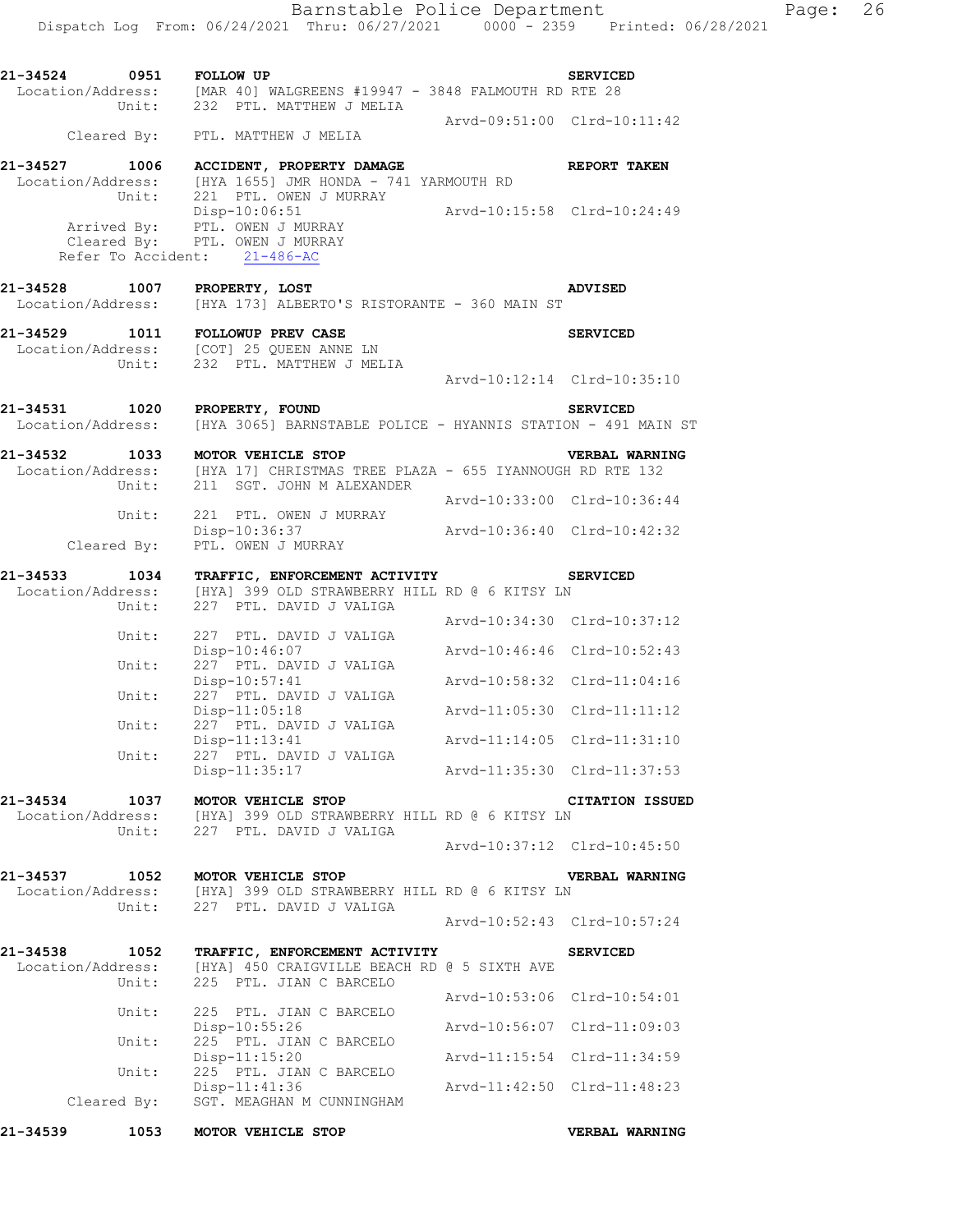| 21-34524 0951 |       | <b>FOLLOW UP</b>                                                                                        | <b>SERVICED</b>             |
|---------------|-------|---------------------------------------------------------------------------------------------------------|-----------------------------|
|               |       | Location/Address: [MAR 40] WALGREENS #19947 - 3848 FALMOUTH RD RTE 28<br>Unit: 232 PTL. MATTHEW J MELIA |                             |
|               |       | Cleared By: PTL. MATTHEW J MELIA                                                                        | Arvd-09:51:00 Clrd-10:11:42 |
|               |       | 21-34527 1006 ACCIDENT, PROPERTY DAMAGE                                                                 | REPORT TAKEN                |
|               |       | Location/Address: [HYA 1655] JMR HONDA - 741 YARMOUTH RD                                                |                             |
|               | Unit: | 221 PTL. OWEN J MURRAY                                                                                  |                             |
|               |       | Disp-10:06:51                                                                                           | Arvd-10:15:58 Clrd-10:24:49 |
|               |       | Arrived By: PTL. OWEN J MURRAY<br>Cleared By: PTL. OWEN J MURRAY                                        |                             |
|               |       | Refer To Accident: 21-486-AC                                                                            |                             |
|               |       | 21-34528 1007 PROPERTY, LOST                                                                            | ADVISED                     |
|               |       | Location/Address: [HYA 173] ALBERTO'S RISTORANTE - 360 MAIN ST                                          |                             |
|               |       | 21-34529 1011 FOLLOWUP PREV CASE                                                                        | <b>SERVICED</b>             |
|               |       | Location/Address: [COT] 25 QUEEN ANNE LN                                                                |                             |
|               |       | Unit: 232 PTL. MATTHEW J MELIA                                                                          |                             |
|               |       |                                                                                                         | Arvd-10:12:14 Clrd-10:35:10 |
| 21-34531 1020 |       | PROPERTY, FOUND                                                                                         | <b>SERVICED</b>             |
|               |       | Location/Address: [HYA 3065] BARNSTABLE POLICE - HYANNIS STATION - 491 MAIN ST                          |                             |
|               |       | 21-34532 1033 MOTOR VEHICLE STOP                                                                        | VERBAL WARNING              |
|               |       | Location/Address: [HYA 17] CHRISTMAS TREE PLAZA - 655 IYANNOUGH RD RTE 132                              |                             |
|               | Unit: | 211 SGT. JOHN M ALEXANDER                                                                               |                             |
|               | Unit: | 221 PTL. OWEN J MURRAY                                                                                  | Arvd-10:33:00 Clrd-10:36:44 |
|               |       | $Disp-10:36:37$                                                                                         | Arvd-10:36:40 Clrd-10:42:32 |
|               |       | Cleared By: PTL. OWEN J MURRAY                                                                          |                             |
|               |       | 21-34533 1034 TRAFFIC, ENFORCEMENT ACTIVITY SERVICED                                                    |                             |
|               |       | Location/Address: [HYA] 399 OLD STRAWBERRY HILL RD @ 6 KITSY LN                                         |                             |
|               |       | Unit: 227 PTL. DAVID J VALIGA                                                                           | Arvd-10:34:30 Clrd-10:37:12 |
|               | Unit: | 227 PTL. DAVID J VALIGA                                                                                 |                             |
|               |       | Disp-10:46:07                                                                                           | Arvd-10:46:46 Clrd-10:52:43 |
|               | Unit: | 227 PTL. DAVID J VALIGA<br>Disp-10:57:41                                                                | Arvd-10:58:32 Clrd-11:04:16 |
|               | Unit: | 227 PTL. DAVID J VALIGA                                                                                 |                             |
|               | Unit: | $Disp-11:05:18$<br>227 PTL. DAVID J VALIGA                                                              | Arvd-11:05:30 Clrd-11:11:12 |
|               |       | $Disp-11:13:41$                                                                                         | Arvd-11:14:05 Clrd-11:31:10 |
|               | Unit: | 227 PTL. DAVID J VALIGA                                                                                 |                             |
|               |       | Disp-11:35:17                                                                                           | Arvd-11:35:30 Clrd-11:37:53 |
| 21-34534      |       | 1037 MOTOR VEHICLE STOP                                                                                 | <b>CITATION ISSUED</b>      |
|               |       | Location/Address: [HYA] 399 OLD STRAWBERRY HILL RD @ 6 KITSY LN                                         |                             |
|               |       | Unit: 227 PTL. DAVID J VALIGA                                                                           | Arvd-10:37:12 Clrd-10:45:50 |
|               |       |                                                                                                         |                             |
| 21-34537      |       | 1052 MOTOR VEHICLE STOP<br>Location/Address: [HYA] 399 OLD STRAWBERRY HILL RD @ 6 KITSY LN              | VERBAL WARNING              |
|               |       | Unit: 227 PTL. DAVID J VALIGA                                                                           |                             |
|               |       |                                                                                                         | Arvd-10:52:43 Clrd-10:57:24 |
| 21-34538      | 1052  | TRAFFIC, ENFORCEMENT ACTIVITY                                                                           | <b>SERVICED</b>             |
|               |       | Location/Address: [HYA] 450 CRAIGVILLE BEACH RD @ 5 SIXTH AVE                                           |                             |
|               | Unit: | 225 PTL. JIAN C BARCELO                                                                                 |                             |
|               | Unit: | 225 PTL. JIAN C BARCELO                                                                                 | Arvd-10:53:06 Clrd-10:54:01 |
|               |       | Disp-10:55:26                                                                                           | Arvd-10:56:07 Clrd-11:09:03 |
|               | Unit: | 225 PTL. JIAN C BARCELO<br>$Disp-11:15:20$                                                              | Arvd-11:15:54 Clrd-11:34:59 |
|               | Unit: | 225 PTL. JIAN C BARCELO                                                                                 |                             |
|               |       | Disp-11:41:36                                                                                           | Arvd-11:42:50 Clrd-11:48:23 |

Cleared By: SGT. MEAGHAN M CUNNINGHAM

**21-34539 1053 MOTOR VEHICLE STOP VERBAL WARNING**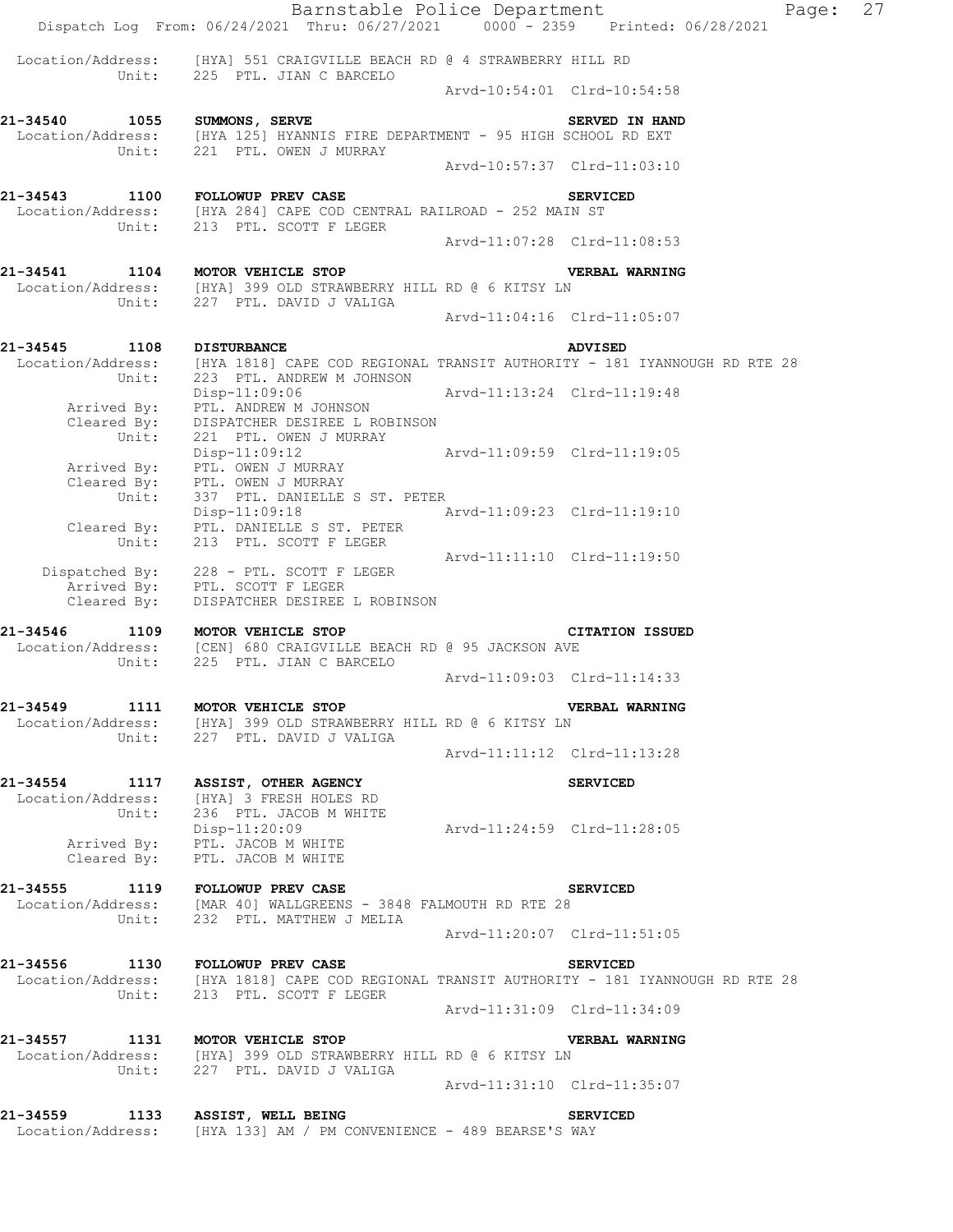Barnstable Police Department Fage: 27 Dispatch Log From: 06/24/2021 Thru: 06/27/2021 0000 - 2359 Printed: 06/28/2021 Location/Address: [HYA] 551 CRAIGVILLE BEACH RD @ 4 STRAWBERRY HILL RD Unit: 225 PTL. JIAN C BARCELO Arvd-10:54:01 Clrd-10:54:58 21-34540 1055 SUMMONS, SERVE **SUMMONS, SERVED SERVED IN HAND**  Location/Address: [HYA 125] HYANNIS FIRE DEPARTMENT - 95 HIGH SCHOOL RD EXT Unit: 221 PTL. OWEN J MURRAY Arvd-10:57:37 Clrd-11:03:10 **21-34543 1100 FOLLOWUP PREV CASE SERVICED**  Location/Address: [HYA 284] CAPE COD CENTRAL RAILROAD - 252 MAIN ST Unit: 213 PTL. SCOTT F LEGER Arvd-11:07:28 Clrd-11:08:53 **21-34541 1104 MOTOR VEHICLE STOP VERBAL WARNING**  Location/Address: [HYA] 399 OLD STRAWBERRY HILL RD @ 6 KITSY LN Unit: 227 PTL. DAVID J VALIGA Arvd-11:04:16 Clrd-11:05:07 **21-34545 1108 DISTURBANCE ADVISED**  Location/Address: [HYA 1818] CAPE COD REGIONAL TRANSIT AUTHORITY - 181 IYANNOUGH RD RTE 28 Unit: 223 PTL. ANDREW M JOHNSON Disp-11:09:06 Arvd-11:13:24 Clrd-11:19:48 Arrived By: PTL. ANDREW M JOHNSON Cleared By: DISPATCHER DESIREE L ROBINSON Unit: 221 PTL. OWEN J MURRAY Disp-11:09:12 Arvd-11:09:59 Clrd-11:19:05 Arrived By: PTL. OWEN J MURRAY Cleared  $\overline{\text{{\tt Bv}}}$ : PTL. OWEN J MURRAY Unit: 337 PTL. DANIELLE S ST. PETER Disp-11:09:18 Arvd-11:09:23 Clrd-11:19:10 Cleared By: PTL. DANIELLE S ST. PETER Unit: 213 PTL. SCOTT F LEGER Arvd-11:11:10 Clrd-11:19:50 Dispatched By: 228 - PTL. SCOTT F LEGER .<br>Arrived By: PTL. SCOTT F LEGER Cleared By: DISPATCHER DESIREE L ROBINSON **21-34546 1109 MOTOR VEHICLE STOP CITATION ISSUED**  Location/Address: [CEN] 680 CRAIGVILLE BEACH RD @ 95 JACKSON AVE Unit: 225 PTL. JIAN C BARCELO Arvd-11:09:03 Clrd-11:14:33 **21-34549 1111 MOTOR VEHICLE STOP VERBAL WARNING**  Location/Address: [HYA] 399 OLD STRAWBERRY HILL RD @ 6 KITSY LN Unit: 227 PTL. DAVID J VALIGA Arvd-11:11:12 Clrd-11:13:28 **21-34554 1117 ASSIST, OTHER AGENCY SERVICED**  Location/Address: [HYA] 3 FRESH HOLES RD Unit: 236 PTL. JACOB M WHITE Disp-11:20:09 Arvd-11:24:59 Clrd-11:28:05 Arrived By: PTL. JACOB M WHITE Cleared By: PTL. JACOB M WHITE **21-34555 1119 FOLLOWUP PREV CASE SERVICED**  Location/Address: [MAR 40] WALLGREENS - 3848 FALMOUTH RD RTE 28 Unit: 232 PTL. MATTHEW J MELIA Arvd-11:20:07 Clrd-11:51:05 21-34556 1130 FOLLOWUP PREV CASE **1130** SERVICED Location/Address: [HYA 1818] CAPE COD REGIONAL TRANSIT AUTHORITY - 181 IYANNOUGH RD RTE 28 Unit: 213 PTL. SCOTT F LEGER Arvd-11:31:09 Clrd-11:34:09 **21-34557 1131 MOTOR VEHICLE STOP VERBAL WARNING**  Location/Address: [HYA] 399 OLD STRAWBERRY HILL RD @ 6 KITSY LN Unit: 227 PTL. DAVID J VALIGA Arvd-11:31:10 Clrd-11:35:07 **21-34559 1133 ASSIST, WELL BEING SERVICED**  Location/Address: [HYA 133] AM / PM CONVENIENCE - 489 BEARSE'S WAY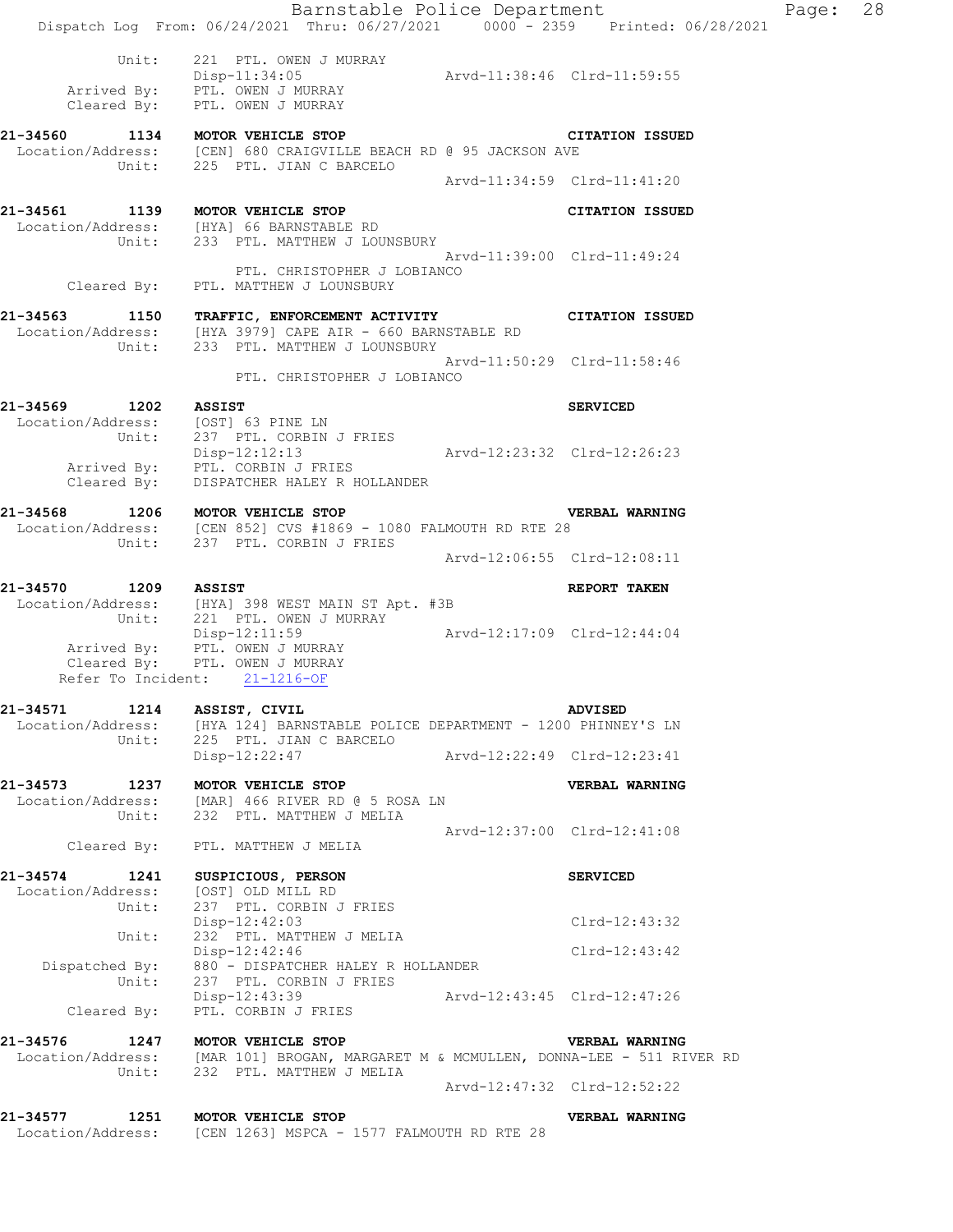|                                                            | Barnstable Police Department<br>Dispatch Log From: 06/24/2021 Thru: 06/27/2021 0000 - 2359 Printed: 06/28/2021                                                 |                             |                             | Page: 28 |  |
|------------------------------------------------------------|----------------------------------------------------------------------------------------------------------------------------------------------------------------|-----------------------------|-----------------------------|----------|--|
|                                                            | Unit: 221 PTL. OWEN J MURRAY<br>Disp-11:34:05<br>Arrived By: PTL. OWEN J MURRAY<br>Cleared By: PTL. OWEN J MURRAY                                              |                             |                             |          |  |
| 21-34560 1134 MOTOR VEHICLE STOP                           | Location/Address: [CEN] 680 CRAIGVILLE BEACH RD @ 95 JACKSON AVE                                                                                               |                             | <b>CITATION ISSUED</b>      |          |  |
|                                                            | Unit: 225 PTL. JIAN C BARCELO                                                                                                                                  |                             | Arvd-11:34:59 Clrd-11:41:20 |          |  |
| 21-34561 1139 MOTOR VEHICLE STOP                           | Location/Address: [HYA] 66 BARNSTABLE RD<br>Unit: 233 PTL. MATTHEW J LOUNSBURY                                                                                 |                             | <b>CITATION ISSUED</b>      |          |  |
|                                                            | PTL. CHRISTOPHER J LOBIANCO<br>Cleared By: PTL. MATTHEW J LOUNSBURY                                                                                            | Arvd-11:39:00 Clrd-11:49:24 |                             |          |  |
|                                                            | 21-34563 1150 TRAFFIC, ENFORCEMENT ACTIVITY CITATION ISSUED<br>Location/Address: [HYA 3979] CAPE AIR - 660 BARNSTABLE RD<br>Unit: 233 PTL. MATTHEW J LOUNSBURY |                             |                             |          |  |
|                                                            | PTL. CHRISTOPHER J LOBIANCO                                                                                                                                    | Arvd-11:50:29 Clrd-11:58:46 |                             |          |  |
| 21-34569 1202 ASSIST<br>Location/Address: [OST] 63 PINE LN |                                                                                                                                                                |                             | <b>SERVICED</b>             |          |  |
|                                                            | Unit: 237 PTL. CORBIN J FRIES<br>Disp-12:12:13<br>Arrived By: PTL. CORBIN J FRIES<br>Cleared By: DISPATCHER HALEY R HOLLANDER                                  |                             |                             |          |  |
|                                                            | VI<br>21-34568 1206 MOTOR VEHICLE STOP<br>Location/Address: [CEN 852] CVS #1869 - 1080 FALMOUTH RD RTE 28                                                      |                             | <b>VERBAL WARNING</b>       |          |  |
|                                                            | Unit: 237 PTL. CORBIN J FRIES                                                                                                                                  |                             | Arvd-12:06:55 Clrd-12:08:11 |          |  |
| 21-34570 1209 ASSIST                                       | Location/Address: [HYA] 398 WEST MAIN ST Apt. #3B<br>Unit: 221 PTL. OWEN J MURRAY                                                                              |                             | REPORT TAKEN                |          |  |
|                                                            | Disp-12:11:59 Arvd-12:17:09 Clrd-12:44:04<br>Arrived By: PTL. OWEN J MURRAY<br>Cleared By: PTL. OWEN J MURRAY<br>Refer To Incident: 21-1216-OF                 |                             |                             |          |  |
| 21-34571<br>Unit:                                          | 1214 ASSIST, CIVIL<br>Location/Address: [HYA 124] BARNSTABLE POLICE DEPARTMENT - 1200 PHINNEY'S LN<br>225 PTL. JIAN C BARCELO                                  |                             | <b>ADVISED</b>              |          |  |
|                                                            | Disp-12:22:47                                                                                                                                                  | Arvd-12:22:49 Clrd-12:23:41 |                             |          |  |
| 21-34573<br>Unit:                                          | 1237 MOTOR VEHICLE STOP<br>Location/Address: [MAR] 466 RIVER RD @ 5 ROSA LN<br>232 PTL. MATTHEW J MELIA                                                        |                             | <b>VERBAL WARNING</b>       |          |  |
|                                                            | Cleared By: PTL. MATTHEW J MELIA                                                                                                                               | Arvd-12:37:00 Clrd-12:41:08 |                             |          |  |
| 21-34574<br>1241<br>Location/Address:                      | SUSPICIOUS, PERSON<br>[OST] OLD MILL RD                                                                                                                        |                             | <b>SERVICED</b>             |          |  |
| Unit:<br>Unit:                                             | 237 PTL. CORBIN J FRIES<br>Disp-12:42:03<br>232 PTL. MATTHEW J MELIA                                                                                           |                             | Clrd-12:43:32               |          |  |
|                                                            | Disp-12:42:46<br>Dispatched By: 880 - DISPATCHER HALEY R HOLLANDER                                                                                             |                             | $Clrd-12:43:42$             |          |  |
| Unit:<br>Cleared By:                                       | 237 PTL. CORBIN J FRIES<br>Disp-12:43:39 Arvd-12:43:45 Clrd-12:47:26<br>PTL. CORBIN J FRIES                                                                    |                             |                             |          |  |
| 21-34576 1247 MOTOR VEHICLE STOP                           |                                                                                                                                                                |                             | VERBAL WARNING              |          |  |
|                                                            | Location/Address: [MAR 101] BROGAN, MARGARET M & MCMULLEN, DONNA-LEE - 511 RIVER RD<br>Unit: 232 PTL. MATTHEW J MELIA                                          |                             |                             |          |  |
|                                                            |                                                                                                                                                                |                             | Arvd-12:47:32 Clrd-12:52:22 |          |  |
| 21-34577<br>1251                                           | MOTOR VEHICLE STOP<br>Location/Address: [CEN 1263] MSPCA - 1577 FALMOUTH RD RTE 28                                                                             |                             | <b>VERBAL WARNING</b>       |          |  |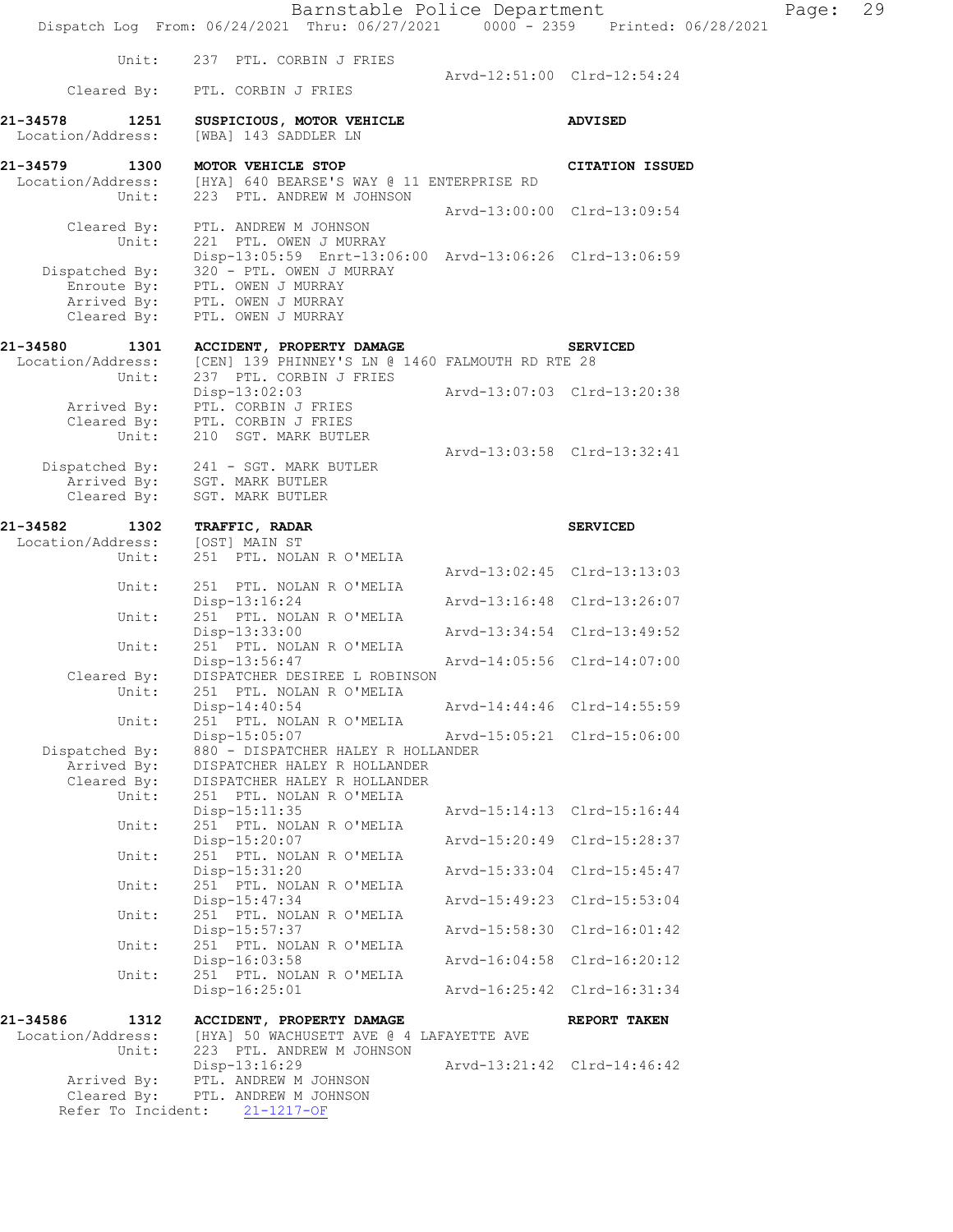|                                                | Barnstable Police Department<br>Dispatch Log From: 06/24/2021 Thru: 06/27/2021 0000 - 2359 Printed: 06/28/2021                         |                             | Page: | 29 |
|------------------------------------------------|----------------------------------------------------------------------------------------------------------------------------------------|-----------------------------|-------|----|
| Unit:                                          | 237 PTL. CORBIN J FRIES                                                                                                                |                             |       |    |
| Cleared By:                                    | PTL. CORBIN J FRIES                                                                                                                    | Arvd-12:51:00 Clrd-12:54:24 |       |    |
| 21-34578<br>1251<br>Location/Address:          | SUSPICIOUS, MOTOR VEHICLE<br>[WBA] 143 SADDLER LN                                                                                      | <b>ADVISED</b>              |       |    |
| 21-34579<br>1300<br>Location/Address:          | MOTOR VEHICLE STOP<br>[HYA] 640 BEARSE'S WAY @ 11 ENTERPRISE RD                                                                        | <b>CITATION ISSUED</b>      |       |    |
| Unit:                                          | 223 PTL. ANDREW M JOHNSON                                                                                                              | Arvd-13:00:00 Clrd-13:09:54 |       |    |
| Cleared By:<br>Unit:<br>Dispatched By:         | PTL. ANDREW M JOHNSON<br>221 PTL. OWEN J MURRAY<br>Disp-13:05:59 Enrt-13:06:00 Arvd-13:06:26 Clrd-13:06:59<br>320 - PTL. OWEN J MURRAY |                             |       |    |
| Enroute By:<br>Arrived By:<br>Cleared By:      | PTL. OWEN J MURRAY<br>PTL. OWEN J MURRAY<br>PTL. OWEN J MURRAY                                                                         |                             |       |    |
| 21-34580<br>1301<br>Location/Address:<br>Unit: | ACCIDENT, PROPERTY DAMAGE<br>[CEN] 139 PHINNEY'S LN @ 1460 FALMOUTH RD RTE 28<br>237 PTL. CORBIN J FRIES                               | <b>SERVICED</b>             |       |    |
| Arrived By:                                    | $Disp-13:02:03$<br>PTL. CORBIN J FRIES                                                                                                 | Arvd-13:07:03 Clrd-13:20:38 |       |    |
| Cleared By:<br>Unit:                           | PTL. CORBIN J FRIES<br>210 SGT. MARK BUTLER                                                                                            | Arvd-13:03:58 Clrd-13:32:41 |       |    |
| Dispatched By:<br>Arrived By:<br>Cleared By:   | 241 - SGT. MARK BUTLER<br>SGT. MARK BUTLER<br>SGT. MARK BUTLER                                                                         |                             |       |    |
| 21-34582<br>1302                               | TRAFFIC, RADAR                                                                                                                         | <b>SERVICED</b>             |       |    |
| Location/Address:                              | [OST] MAIN ST                                                                                                                          |                             |       |    |
| Unit:                                          | 251 PTL. NOLAN R O'MELIA                                                                                                               | Arvd-13:02:45 Clrd-13:13:03 |       |    |
| Unit:                                          | 251 PTL. NOLAN R O'MELIA<br>$Disp-13:16:24$                                                                                            | Arvd-13:16:48 Clrd-13:26:07 |       |    |
| Unit:                                          | 251 PTL. NOLAN R O'MELIA<br>Disp-13:33:00                                                                                              | Arvd-13:34:54 Clrd-13:49:52 |       |    |
| Unit:                                          | 251 PTL. NOLAN R O'MELIA<br>Disp-13:56:47                                                                                              | Arvd-14:05:56 Clrd-14:07:00 |       |    |
| Cleared By:                                    | DISPATCHER DESIREE L ROBINSON                                                                                                          |                             |       |    |
| Unit:<br>Unit:                                 | 251 PTL. NOLAN R O'MELIA<br>$Disp-14:40:54$<br>251 PTL. NOLAN R O'MELIA                                                                | Arvd-14:44:46 Clrd-14:55:59 |       |    |
| Dispatched By:                                 | Disp-15:05:07<br>880 - DISPATCHER HALEY R HOLLANDER                                                                                    | Arvd-15:05:21 Clrd-15:06:00 |       |    |
| Arrived By:<br>Cleared By:<br>Unit:            | DISPATCHER HALEY R HOLLANDER<br>DISPATCHER HALEY R HOLLANDER<br>251 PTL. NOLAN R O'MELIA                                               |                             |       |    |
| Unit:                                          | $Disp-15:11:35$<br>251 PTL. NOLAN R O'MELIA                                                                                            | Arvd-15:14:13 Clrd-15:16:44 |       |    |
| Unit:                                          | Disp-15:20:07<br>251 PTL. NOLAN R O'MELIA                                                                                              | Arvd-15:20:49 Clrd-15:28:37 |       |    |
| Unit:                                          | Disp-15:31:20<br>251 PTL. NOLAN R O'MELIA                                                                                              | Arvd-15:33:04 Clrd-15:45:47 |       |    |
| Unit:                                          | $Disp-15:47:34$<br>251 PTL. NOLAN R O'MELIA                                                                                            | Arvd-15:49:23 Clrd-15:53:04 |       |    |
| Unit:                                          | Disp-15:57:37<br>251 PTL. NOLAN R O'MELIA                                                                                              | Arvd-15:58:30 Clrd-16:01:42 |       |    |
| Unit:                                          | Disp-16:03:58<br>251 PTL. NOLAN R O'MELIA                                                                                              | Arvd-16:04:58 Clrd-16:20:12 |       |    |
|                                                | Disp-16:25:01                                                                                                                          | Arvd-16:25:42 Clrd-16:31:34 |       |    |
| 21-34586<br>1312<br>Location/Address:          | ACCIDENT, PROPERTY DAMAGE<br>[HYA] 50 WACHUSETT AVE @ 4 LAFAYETTE AVE                                                                  | REPORT TAKEN                |       |    |
| Unit:                                          | 223 PTL. ANDREW M JOHNSON<br>Disp-13:16:29                                                                                             | Arvd-13:21:42 Clrd-14:46:42 |       |    |
| Arrived By:                                    | PTL. ANDREW M JOHNSON                                                                                                                  |                             |       |    |
| Cleared By:                                    | PTL. ANDREW M JOHNSON                                                                                                                  |                             |       |    |
| Refer To Incident:                             | $21 - 1217 - OF$                                                                                                                       |                             |       |    |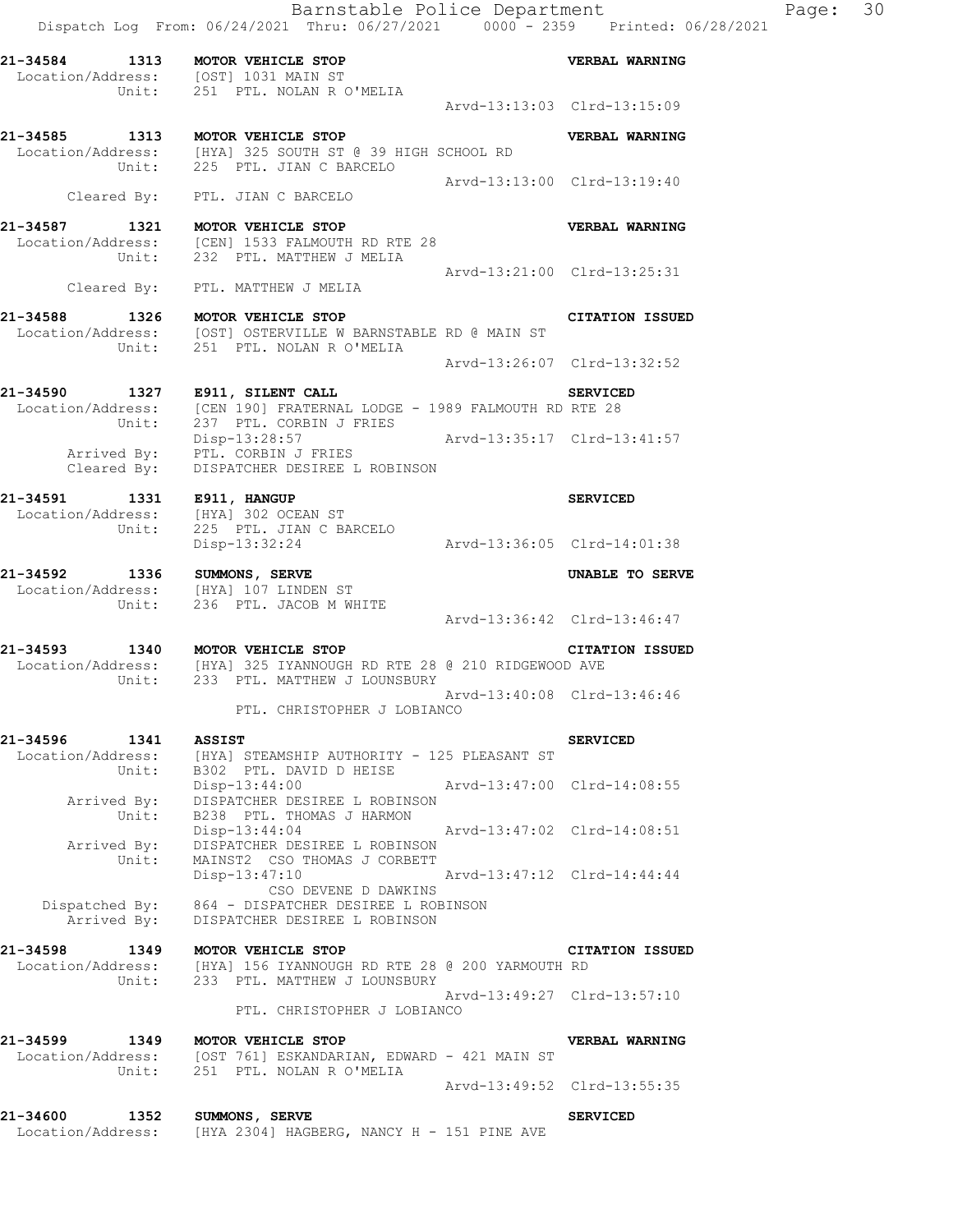**21-34584 1313 MOTOR VEHICLE STOP VERBAL WARNING**  Location/Address: [OST] 1031 MAIN ST Unit: 251 PTL. NOLAN R O'MELIA Arvd-13:13:03 Clrd-13:15:09 **21-34585 1313 MOTOR VEHICLE STOP VERBAL WARNING**  Location/Address: [HYA] 325 SOUTH ST @ 39 HIGH SCHOOL RD Unit: 225 PTL. JIAN C BARCELO Arvd-13:13:00 Clrd-13:19:40 Cleared By: PTL. JIAN C BARCELO **21-34587 1321 MOTOR VEHICLE STOP VERBAL WARNING**  Location/Address: [CEN] 1533 FALMOUTH RD RTE 28 Unit: 232 PTL. MATTHEW J MELIA Arvd-13:21:00 Clrd-13:25:31 Cleared By: PTL. MATTHEW J MELIA **21-34588 1326 MOTOR VEHICLE STOP CITATION ISSUED**  Location/Address: [OST] OSTERVILLE W BARNSTABLE RD @ MAIN ST Unit: 251 PTL. NOLAN R O'MELIA Arvd-13:26:07 Clrd-13:32:52 **21-34590 1327 E911, SILENT CALL SERVICED**  Location/Address: [CEN 190] FRATERNAL LODGE - 1989 FALMOUTH RD RTE 28 Unit: 237 PTL. CORBIN J FRIES Disp-13:28:57 Arvd-13:35:17 Clrd-13:41:57 Arrived By: PTL. CORBIN J FRIES Cleared By: DISPATCHER DESIREE L ROBINSON **21-34591 1331 E911, HANGUP SERVICED**  Location/Address: [HYA] 302 OCEAN ST Unit: 225 PTL. JIAN C BARCELO Disp-13:32:24 Arvd-13:36:05 Clrd-14:01:38 **21-34592 1336 SUMMONS, SERVE UNABLE TO SERVE**  Location/Address: [HYA] 107 LINDEN ST Unit: 236 PTL. JACOB M WHITE Arvd-13:36:42 Clrd-13:46:47 **21-34593 1340 MOTOR VEHICLE STOP CITATION ISSUED**  Location/Address: [HYA] 325 IYANNOUGH RD RTE 28 @ 210 RIDGEWOOD AVE Unit: 233 PTL. MATTHEW J LOUNSBURY Arvd-13:40:08 Clrd-13:46:46 Arvd-13:40:08 Clrd-13:46:46<br>PTL. CHRISTOPHER J LOBIANCO **21-34596 1341 ASSIST SERVICED**  Location/Address: [HYA] STEAMSHIP AUTHORITY - 125 PLEASANT ST Unit: B302 PTL. DAVID D HEISE Disp-13:44:00 Arvd-13:47:00 Clrd-14:08:55 Arrived By: DISPATCHER DESIREE L ROBINSON Unit: B238 PTL. THOMAS J HARMON Disp-13:44:04 Arvd-13:47:02 Clrd-14:08:51 Arrived By: DISPATCHER DESIREE L ROBINSON Unit: MAINST2 CSO THOMAS J CORBETT Disp-13:47:10 Arvd-13:47:12 Clrd-14:44:44 CSO DEVENE D DAWKINS Dispatched By: 864 - DISPATCHER DESIREE L ROBINSON Arrived By: DISPATCHER DESIREE L ROBINSON **21-34598 1349 MOTOR VEHICLE STOP CITATION ISSUED**  Location/Address: [HYA] 156 IYANNOUGH RD RTE 28 @ 200 YARMOUTH RD Unit: 233 PTL. MATTHEW J LOUNSBURY Arvd-13:49:27 Clrd-13:57:10 Arvd-13:49:27 Clrd-13:57:10<br>PTL. CHRISTOPHER J LOBIANCO **21-34599 1349 MOTOR VEHICLE STOP VERBAL WARNING**  Location/Address: [OST 761] ESKANDARIAN, EDWARD - 421 MAIN ST Unit: 251 PTL. NOLAN R O'MELIA Arvd-13:49:52 Clrd-13:55:35 **21-34600 1352 SUMMONS, SERVE SERVICED** 

Location/Address: [HYA 2304] HAGBERG, NANCY H - 151 PINE AVE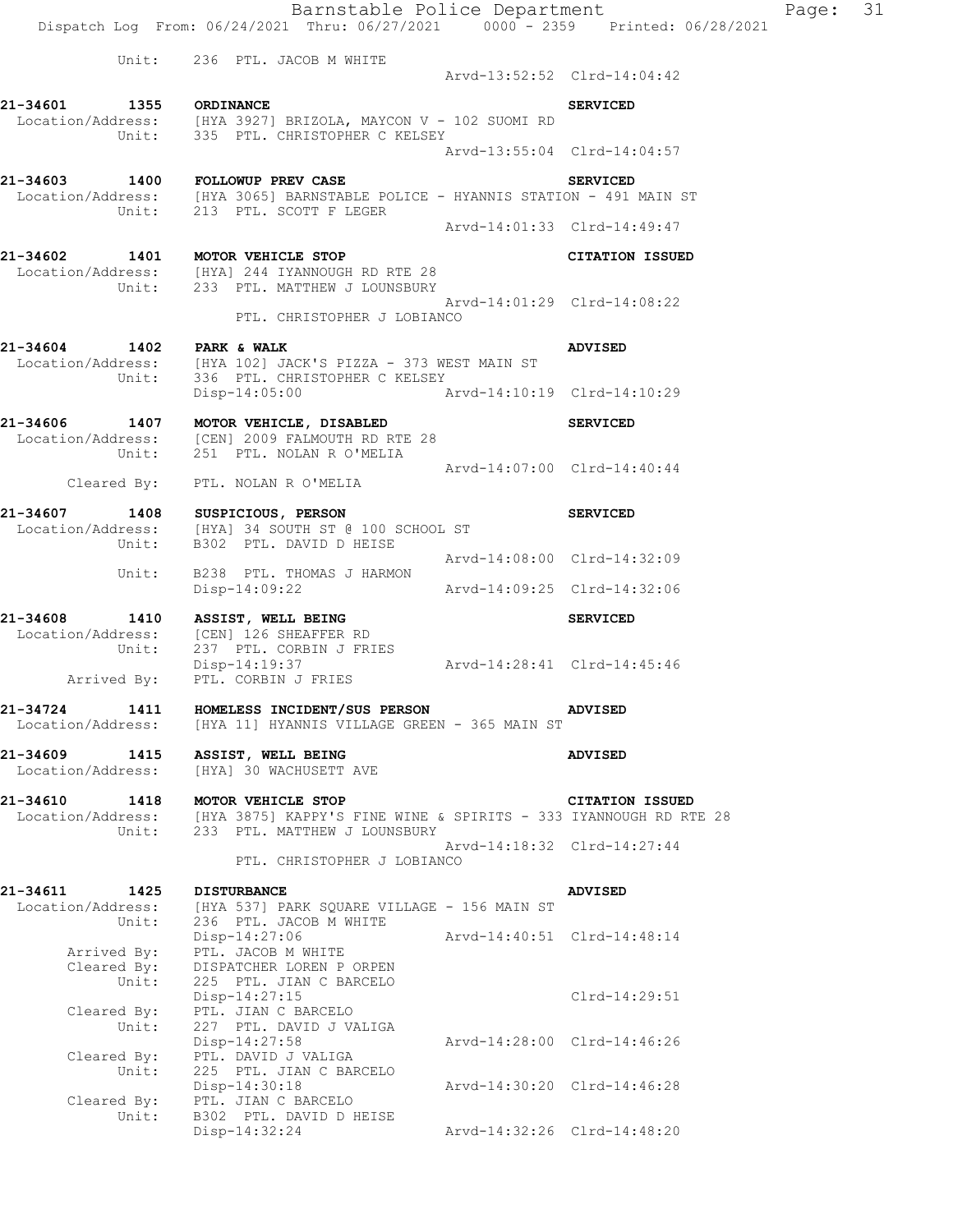|                                                | Unit: 236 PTL. JACOB M WHITE                                                                                                          | Arvd-13:52:52 Clrd-14:04:42 |                             |
|------------------------------------------------|---------------------------------------------------------------------------------------------------------------------------------------|-----------------------------|-----------------------------|
| 21-34601 1355 ORDINANCE                        |                                                                                                                                       |                             | <b>SERVICED</b>             |
|                                                | Location/Address: [HYA 3927] BRIZOLA, MAYCON V - 102 SUOMI RD<br>Unit: 335 PTL. CHRISTOPHER C KELSEY                                  |                             | Arvd-13:55:04 Clrd-14:04:57 |
|                                                | 21-34603 1400 FOLLOWUP PREV CASE                                                                                                      |                             | <b>SERVICED</b>             |
|                                                | Location/Address: [HYA 3065] BARNSTABLE POLICE - HYANNIS STATION - 491 MAIN ST<br>Unit: 213 PTL. SCOTT F LEGER                        |                             |                             |
|                                                |                                                                                                                                       | Arvd-14:01:33 Clrd-14:49:47 |                             |
|                                                | 21-34602 1401 MOTOR VEHICLE STOP<br>Location/Address: [HYA] 244 IYANNOUGH RD RTE 28<br>Unit: 233 PTL. MATTHEW J LOUNSBURY             |                             | <b>CITATION ISSUED</b>      |
|                                                | PTL. CHRISTOPHER J LOBIANCO                                                                                                           | Arvd-14:01:29 Clrd-14:08:22 |                             |
| 21-34604 1402 PARK & WALK<br>Unit:             | Location/Address: [HYA 102] JACK'S PIZZA - 373 WEST MAIN ST<br>336 PTL. CHRISTOPHER C KELSEY                                          |                             | <b>ADVISED</b>              |
|                                                | Disp-14:05:00                                                                                                                         | Arvd-14:10:19 Clrd-14:10:29 |                             |
|                                                | 21-34606 1407 MOTOR VEHICLE, DISABLED<br>Location/Address: [CEN] 2009 FALMOUTH RD RTE 28<br>Unit: 251 PTL. NOLAN R O'MELIA            |                             | <b>SERVICED</b>             |
|                                                | Cleared By: PTL. NOLAN R O'MELIA                                                                                                      | Arvd-14:07:00 Clrd-14:40:44 |                             |
|                                                | 21-34607 1408 SUSPICIOUS, PERSON<br>Location/Address: [HYA] 34 SOUTH ST @ 100 SCHOOL ST<br>Unit: B302 PTL. DAVID D HEISE              |                             | <b>SERVICED</b>             |
|                                                |                                                                                                                                       | Arvd-14:08:00 Clrd-14:32:09 |                             |
| Unit:                                          | B238 PTL. THOMAS J HARMON<br>Disp-14:09:22                                                                                            | Arvd-14:09:25 Clrd-14:32:06 |                             |
|                                                | 21-34608 1410 ASSIST, WELL BEING<br>Location/Address: [CEN] 126 SHEAFFER RD                                                           |                             | <b>SERVICED</b>             |
| Unit:                                          | Arrived By: PTL. CORBIN J FRIES                                                                                                       |                             |                             |
|                                                | 21-34724 1411 HOMELESS INCIDENT/SUS PERSON<br>Location/Address: [HYA 11] HYANNIS VILLAGE GREEN - 365 MAIN ST                          |                             | <b>ADVISED</b>              |
| 21-34609<br>1415<br>Location/Address:          | ASSIST, WELL BEING<br>[HYA] 30 WACHUSETT AVE                                                                                          |                             | <b>ADVISED</b>              |
| 21-34610<br>1418<br>Location/Address:<br>Unit: | MOTOR VEHICLE STOP<br>INCOURTER 1999<br>INCOURT 1997 1998 INCOURT AND THE RESERVE OF STRING OF THE 28<br>233 PTL. MATTHEW J LOUNSBURY |                             | CITATION ISSUED             |
|                                                | PTL. CHRISTOPHER J LOBIANCO                                                                                                           |                             | Arvd-14:18:32 Clrd-14:27:44 |
| 21-34611<br>1425<br>Location/Address:          | <b>DISTURBANCE</b><br>[HYA 537] PARK SQUARE VILLAGE - 156 MAIN ST                                                                     |                             | ADVISED                     |
| Unit:<br>Arrived By:                           | 236 PTL. JACOB M WHITE<br>Disp-14:27:06<br>PTL. JACOB M WHITE                                                                         | Arvd-14:40:51 Clrd-14:48:14 |                             |
| Cleared By:<br>Unit:                           | DISPATCHER LOREN P ORPEN<br>225 PTL. JIAN C BARCELO<br>Disp-14:27:15                                                                  |                             | Clrd-14:29:51               |
| Cleared By:<br>Unit:                           | PTL. JIAN C BARCELO<br>227 PTL. DAVID J VALIGA<br>Disp-14:27:58                                                                       |                             | Arvd-14:28:00 Clrd-14:46:26 |
| Cleared By:<br>Unit:                           | PTL. DAVID J VALIGA<br>225 PTL. JIAN C BARCELO<br>Disp-14:30:18                                                                       |                             | Arvd-14:30:20 Clrd-14:46:28 |
| Cleared By:<br>Unit:                           | PTL. JIAN C BARCELO<br>B302 PTL. DAVID D HEISE                                                                                        |                             |                             |
|                                                | Disp-14:32:24                                                                                                                         |                             | Arvd-14:32:26 Clrd-14:48:20 |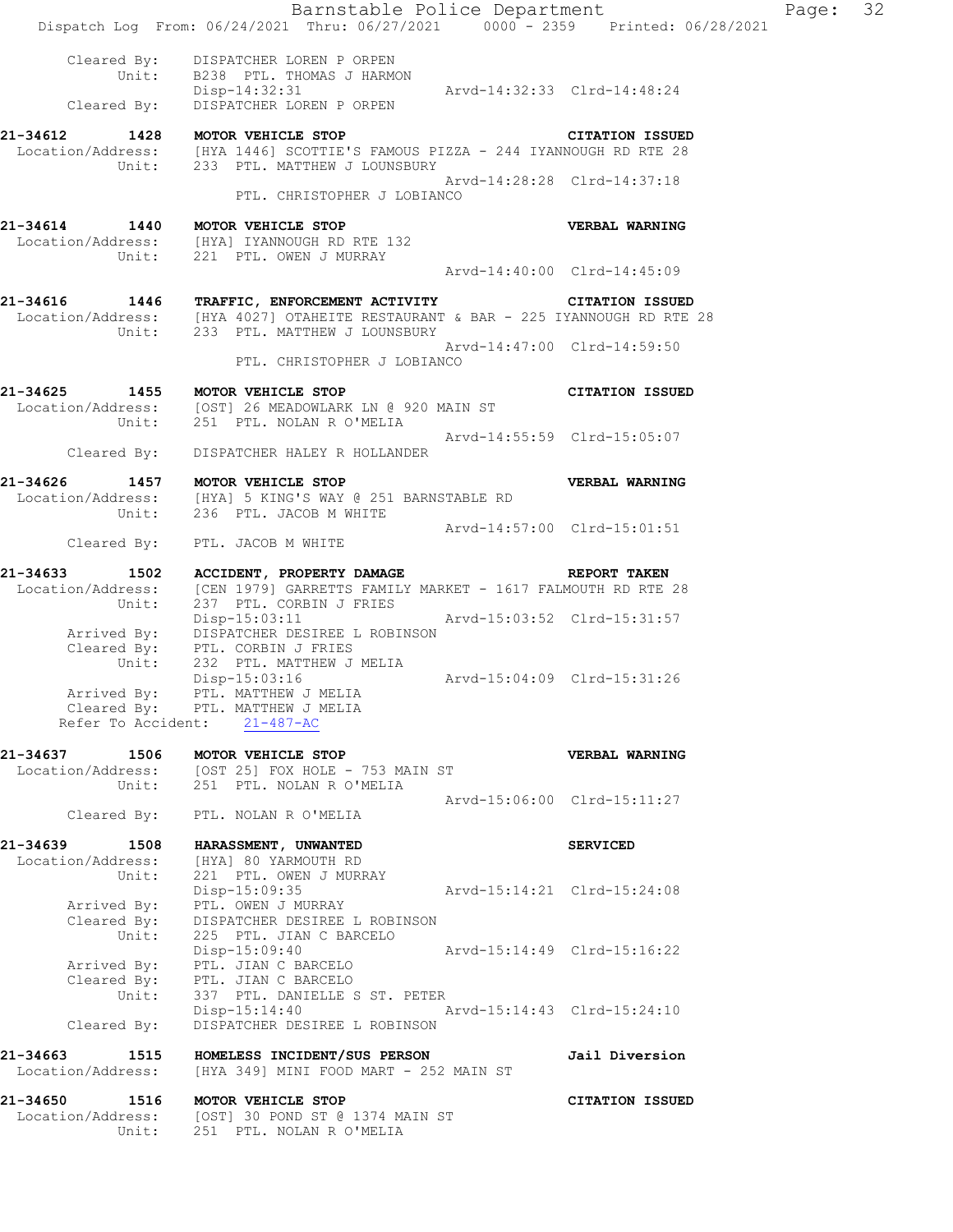|                                  | Barnstable Police Department<br>Dispatch Log From: 06/24/2021 Thru: 06/27/2021 0000 - 2359 Printed: 06/28/2021                                                                        |                             |                             | Page: 32 |  |
|----------------------------------|---------------------------------------------------------------------------------------------------------------------------------------------------------------------------------------|-----------------------------|-----------------------------|----------|--|
|                                  | Cleared By: DISPATCHER LOREN P ORPEN<br>Unit: B238 PTL. THOMAS J HARMON<br>Disp-14:32:31 Arvd-14:32:33 Clrd-14:48:24                                                                  |                             |                             |          |  |
|                                  | Cleared By: DISPATCHER LOREN P ORPEN                                                                                                                                                  |                             |                             |          |  |
|                                  | 21-34612 1428 MOTOR VEHICLE STOP<br>Location/Address: [HYA 1446] SCOTTIE'S FAMOUS PIZZA - 244 IYANNOUGH RD RTE 28<br>Unit: 233 PTL. MATTHEW J LOUNSBURY                               |                             | <b>CITATION ISSUED</b>      |          |  |
|                                  | PTL. CHRISTOPHER J LOBIANCO                                                                                                                                                           |                             | Arvd-14:28:28 Clrd-14:37:18 |          |  |
|                                  | 21-34614 1440 MOTOR VEHICLE STOP                                                                                                                                                      |                             | <b>VERBAL WARNING</b>       |          |  |
|                                  | Location/Address: [HYA] IYANNOUGH RD RTE 132<br>Unit: 221 PTL. OWEN J MURRAY                                                                                                          |                             |                             |          |  |
|                                  |                                                                                                                                                                                       |                             | Arvd-14:40:00 Clrd-14:45:09 |          |  |
|                                  | 21-34616 1446 TRAFFIC, ENFORCEMENT ACTIVITY CITATION ISSUED<br>Location/Address: [HYA 4027] OTAHEITE RESTAURANT & BAR - 225 IYANNOUGH RD RTE 28<br>Unit: 233 PTL. MATTHEW J LOUNSBURY |                             |                             |          |  |
|                                  | PTL. CHRISTOPHER J LOBIANCO                                                                                                                                                           | Arvd-14:47:00 Clrd-14:59:50 |                             |          |  |
| 21-34625 1455 MOTOR VEHICLE STOP | Location/Address: [OST] 26 MEADOWLARK LN @ 920 MAIN ST<br>Unit: 251 PTL. NOLAN R O'MELIA                                                                                              |                             | <b>CITATION ISSUED</b>      |          |  |
|                                  | Cleared By: DISPATCHER HALEY R HOLLANDER                                                                                                                                              | Arvd-14:55:59 Clrd-15:05:07 |                             |          |  |
|                                  | 21-34626 1457 MOTOR VEHICLE STOP                                                                                                                                                      |                             | VERBAL WARNING              |          |  |
|                                  | Location/Address: [HYA] 5 KING'S WAY @ 251 BARNSTABLE RD<br>Unit: 236 PTL. JACOB M WHITE                                                                                              |                             |                             |          |  |
|                                  |                                                                                                                                                                                       | Arvd-14:57:00 Clrd-15:01:51 |                             |          |  |
|                                  | Cleared By: PTL. JACOB M WHITE                                                                                                                                                        |                             |                             |          |  |
|                                  | 21-34633 1502 ACCIDENT, PROPERTY DAMAGE REPORT TAKEN                                                                                                                                  |                             |                             |          |  |
|                                  | Location/Address: [CEN 1979] GARRETTS FAMILY MARKET - 1617 FALMOUTH RD RTE 28<br>Unit: 237 PTL. CORBIN J FRIES                                                                        |                             |                             |          |  |
|                                  | Disp-15:03:11    Arvd-15:03:52    Clrd-15:31:57<br>Arrived By: DISPATCHER DESIREE L ROBINSON<br>Cleared By: PTL. CORBIN J FRIES<br>Unit: 232 PTL. MATTHEM INTI-                       |                             |                             |          |  |
|                                  |                                                                                                                                                                                       |                             |                             |          |  |
|                                  |                                                                                                                                                                                       |                             |                             |          |  |
|                                  | Arrived By: PTL. MATTHEW J MELIA<br>Cleared By: PTL. MATTHEW J MELIA                                                                                                                  |                             |                             |          |  |
|                                  | Refer To Accident: 21-487-AC                                                                                                                                                          |                             |                             |          |  |
| 21-34637 1506 MOTOR VEHICLE STOP |                                                                                                                                                                                       |                             | VERBAL WARNING              |          |  |
|                                  | Location/Address: [OST 25] FOX HOLE - 753 MAIN ST<br>Unit: 251 PTL. NOLAN R O'MELIA                                                                                                   |                             |                             |          |  |
|                                  | Cleared By: PTL. NOLAN R O'MELIA                                                                                                                                                      |                             | Arvd-15:06:00 Clrd-15:11:27 |          |  |
|                                  | 21-34639 1508 HARASSMENT, UNWANTED                                                                                                                                                    |                             | <b>SERVICED</b>             |          |  |
| Unit:                            | Location/Address: [HYA] 80 YARMOUTH RD<br>221 PTL. OWEN J MURRAY                                                                                                                      |                             |                             |          |  |
|                                  | Disp-15:09:35                                                                                                                                                                         | Arvd-15:14:21 Clrd-15:24:08 |                             |          |  |
|                                  | Arrived By: PTL. OWEN J MURRAY<br>Cleared By: DISPATCHER DESIREE L ROBINSON                                                                                                           |                             |                             |          |  |
| Unit:                            | 225 PTL. JIAN C BARCELO                                                                                                                                                               |                             |                             |          |  |
|                                  | Disp-15:09:40                                                                                                                                                                         | Arvd-15:14:49 Clrd-15:16:22 |                             |          |  |
|                                  | Arrived By: PTL. JIAN C BARCELO<br>Cleared By: PTL. JIAN C BARCELO<br>Unit: 337 PTL. DANIELLE S ST. PETER                                                                             |                             |                             |          |  |
|                                  | Disp-15:14:40 Arvd-15:14:43 Clrd-15:24:10                                                                                                                                             |                             |                             |          |  |
| Cleared By:                      | DISPATCHER DESIREE L ROBINSON                                                                                                                                                         |                             |                             |          |  |
| Location/Address:                | 21-34663 1515 HOMELESS INCIDENT/SUS PERSON<br>[HYA 349] MINI FOOD MART - 252 MAIN ST                                                                                                  |                             | Jail Diversion              |          |  |
| 21-34650 1516 MOTOR VEHICLE STOP |                                                                                                                                                                                       |                             | <b>CITATION ISSUED</b>      |          |  |
|                                  | Location/Address: [OST] 30 POND ST @ 1374 MAIN ST<br>Unit: 251 PTL. NOLAN R O'MELIA                                                                                                   |                             |                             |          |  |
|                                  |                                                                                                                                                                                       |                             |                             |          |  |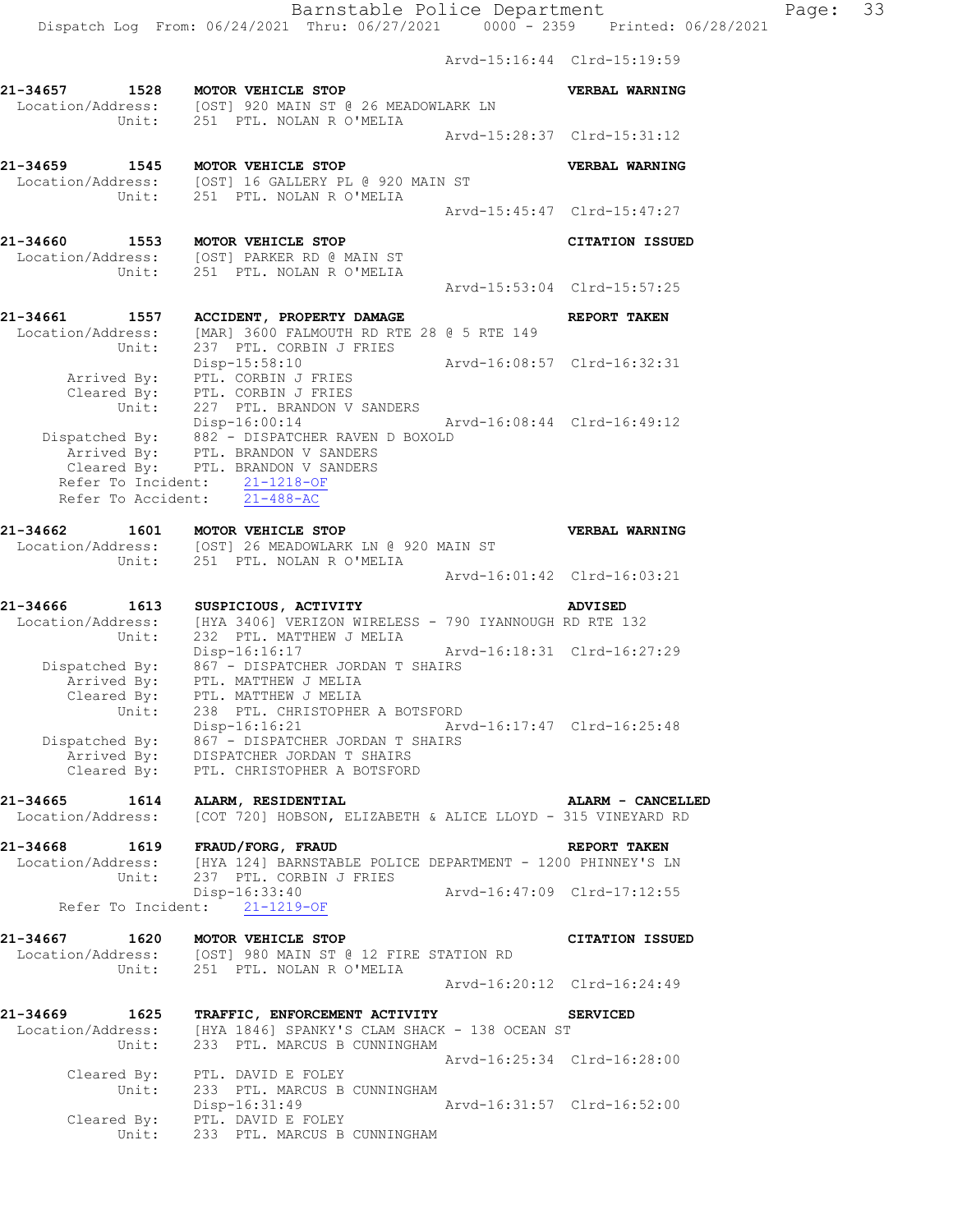Arvd-15:16:44 Clrd-15:19:59 **21-34657 1528 MOTOR VEHICLE STOP VERBAL WARNING**  Location/Address: [OST] 920 MAIN ST @ 26 MEADOWLARK LN Unit: 251 PTL. NOLAN R O'MELIA Arvd-15:28:37 Clrd-15:31:12 **21-34659 1545 MOTOR VEHICLE STOP VERBAL WARNING**  Location/Address: [OST] 16 GALLERY PL @ 920 MAIN ST Unit: 251 PTL. NOLAN R O'MELIA Arvd-15:45:47 Clrd-15:47:27 **21-34660 1553 MOTOR VEHICLE STOP CITATION ISSUED**  Location/Address: [OST] PARKER RD @ MAIN ST Unit: 251 PTL. NOLAN R O'MELIA Arvd-15:53:04 Clrd-15:57:25 **21-34661 1557 ACCIDENT, PROPERTY DAMAGE REPORT TAKEN**  Location/Address: [MAR] 3600 FALMOUTH RD RTE 28 @ 5 RTE 149 Unit: 237 PTL. CORBIN J FRIES Disp-15:58:10 Arvd-16:08:57 Clrd-16:32:31 Arrived By: PTL. CORBIN J FRIES Cleared By: PTL. CORBIN J FRIES Unit: 227 PTL. BRANDON V SANDERS Disp-16:00:14 Arvd-16:08:44 Clrd-16:49:12 Dispatched By: 882 - DISPATCHER RAVEN D BOXOLD .<br>Arrived By: PTL. BRANDON V SANDERS Cleared By: PTL. BRANDON V SANDERS Refer To Incident: 21-1218-OF Refer To Accident: 21-488-AC **21-34662 1601 MOTOR VEHICLE STOP VERBAL WARNING**  Location/Address: [OST] 26 MEADOWLARK LN @ 920 MAIN ST Unit: 251 PTL. NOLAN R O'MELIA Arvd-16:01:42 Clrd-16:03:21 **21-34666 1613 SUSPICIOUS, ACTIVITY ADVISED**  Location/Address: [HYA 3406] VERIZON WIRELESS - 790 IYANNOUGH RD RTE 132 Unit: 232 PTL. MATTHEW J MELIA Disp-16:16:17 Arvd-16:18:31 Clrd-16:27:29 Dispatched By: 867 - DISPATCHER JORDAN T SHAIRS .<br>Arrived Bv: PTL. MATTHEW J MELIA Cleared By: PTL. MATTHEW J MELIA Unit: 238 PTL. CHRISTOPHER A BOTSFORD Disp-16:16:21 Arvd-16:17:47 Clrd-16:25:48 Dispatched By: 867 - DISPATCHER JORDAN T SHAIRS Arrived By: DISPATCHER JORDAN T SHAIRS Cleared By: PTL. CHRISTOPHER A BOTSFORD **21-34665 1614 ALARM, RESIDENTIAL ALARM - CANCELLED**  Location/Address: [COT 720] HOBSON, ELIZABETH & ALICE LLOYD - 315 VINEYARD RD **21-34668 1619 FRAUD/FORG, FRAUD REPORT TAKEN**  Location/Address: [HYA 124] BARNSTABLE POLICE DEPARTMENT - 1200 PHINNEY'S LN Unit: 237 PTL. CORBIN J FRIES Disp-16:33:40 Arvd-16:47:09 Clrd-17:12:55 Disp-16:33:40<br>Refer To Incident: 21-1219-OF **21-34667 1620 MOTOR VEHICLE STOP CITATION ISSUED**  Location/Address: [OST] 980 MAIN ST @ 12 FIRE STATION RD Unit: 251 PTL. NOLAN R O'MELIA Arvd-16:20:12 Clrd-16:24:49 **21-34669 1625 TRAFFIC, ENFORCEMENT ACTIVITY SERVICED**  Location/Address: [HYA 1846] SPANKY'S CLAM SHACK - 138 OCEAN ST Unit: 233 PTL. MARCUS B CUNNINGHAM Arvd-16:25:34 Clrd-16:28:00 Cleared By: PTL. DAVID E FOLEY Unit: 233 PTL. MARCUS B CUNNINGHAM Disp-16:31:49 Arvd-16:31:57 Clrd-16:52:00 Disp-16:31:49<br>Cleared By: PTL. DAVID E FOLEY Unit: 233 PTL. MARCUS B CUNNINGHAM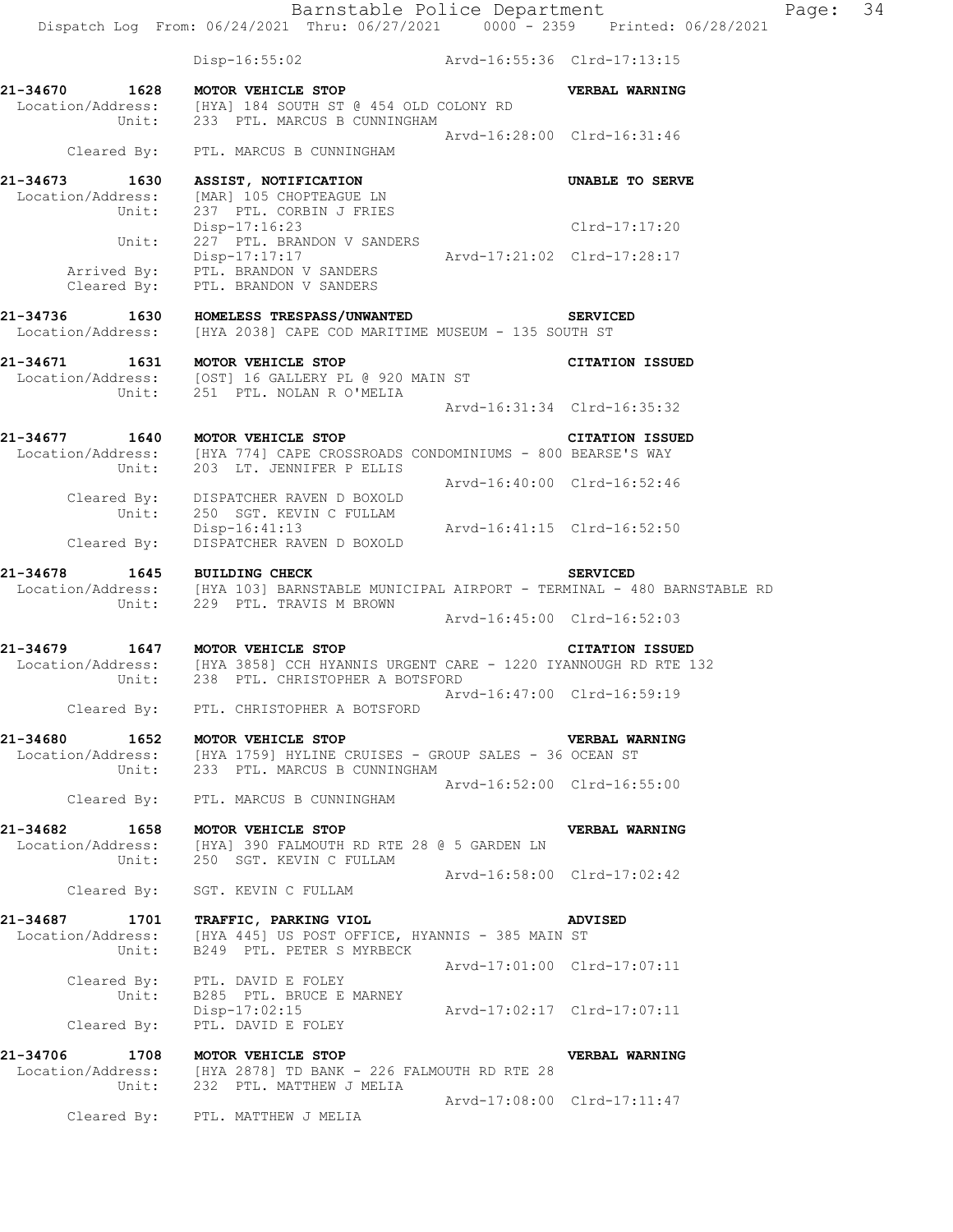|                   | Dispatch Log From: 06/24/2021 Thru: 06/27/2021 0000 - 2359 Printed: 06/28/2021                                                                                                                                     |                             |                        |
|-------------------|--------------------------------------------------------------------------------------------------------------------------------------------------------------------------------------------------------------------|-----------------------------|------------------------|
|                   | Disp-16:55:02 Arvd-16:55:36 Clrd-17:13:15                                                                                                                                                                          |                             |                        |
| 21-34670<br>1628  | MOTOR VEHICLE STOP<br>Location/Address: [HYA] 184 SOUTH ST @ 454 OLD COLONY RD<br>Unit: 233 PTL. MARCUS B CUNNINGHAM                                                                                               |                             | VERBAL WARNING         |
|                   | Cleared By: PTL. MARCUS B CUNNINGHAM                                                                                                                                                                               | Arvd-16:28:00 Clrd-16:31:46 |                        |
| Unit:             | 21-34673 1630 ASSIST, NOTIFICATION<br>Location/Address: [MAR] 105 CHOPTEAGUE LN<br>237 PTL. CORBIN J FRIES                                                                                                         |                             | UNABLE TO SERVE        |
|                   | Disp-17:16:23<br>227 PTL. BRANDON V SANDERS                                                                                                                                                                        |                             | Clrd-17:17:20          |
|                   | Disp-17:17:17<br>Arrived By: PTL. BRANDON V SANDERS<br>Cleared By: PTL. BRANDON V SANDERS                                                                                                                          |                             |                        |
|                   | 21-34736 1630 HOMELESS TRESPASS/UNWANTED<br>Location/Address: [HYA 2038] CAPE COD MARITIME MUSEUM - 135 SOUTH ST                                                                                                   |                             | <b>SERVICED</b>        |
| 21-34671          | 1631 MOTOR VEHICLE STOP<br>Location/Address: [OST] 16 GALLERY PL @ 920 MAIN ST<br>Unit: 251 PTL. NOLAN R O'MELIA                                                                                                   |                             | <b>CITATION ISSUED</b> |
|                   |                                                                                                                                                                                                                    | Arvd-16:31:34 Clrd-16:35:32 |                        |
|                   | 21-34677 1640 MOTOR VEHICLE STOP<br>$\texttt{Location/Address:} \qquad \texttt{[HYA 774] CAPE CROSROADS CONDOMINIUMS - 800 BEARSE'S WAY}\\ \texttt{Unit:} \qquad \texttt{203} \quad \texttt{LT. JENNIFER P ELLIS}$ |                             | <b>CITATION ISSUED</b> |
|                   | Cleared By: DISPATCHER RAVEN D BOXOLD<br>Unit: 250 SGT. KEVIN C FULLAM                                                                                                                                             | Arvd-16:40:00 Clrd-16:52:46 |                        |
|                   | Disp-16:41:13 Arvd-16:41:15 Clrd-16:52:50<br>Cleared By: DISPATCHER RAVEN D BOXOLD                                                                                                                                 |                             |                        |
| 21-34678          | 1645 BUILDING CHECK<br>Location/Address: [HYA 103] BARNSTABLE MUNICIPAL AIRPORT - TERMINAL - 480 BARNSTABLE RD<br>Unit: 229 PTL. TRAVIS M BROWN                                                                    |                             | <b>SERVICED</b>        |
|                   |                                                                                                                                                                                                                    | Arvd-16:45:00 Clrd-16:52:03 |                        |
|                   | 21-34679 1647 MOTOR VEHICLE STOP CITATION ISSUED<br>Location/Address: [HYA 3858] CCH HYANNIS URGENT CARE - 1220 IYANNOUGH RD RTE 132<br>Unit: 238 PTL. CHRISTOPHER A BOTSFORD                                      |                             |                        |
|                   | Cleared By: PTL. CHRISTOPHER A BOTSFORD                                                                                                                                                                            | Arvd-16:47:00 Clrd-16:59:19 |                        |
| 21-34680<br>Unit: | 1652 MOTOR VEHICLE STOP<br>Location/Address: [HYA 1759] HYLINE CRUISES - GROUP SALES - 36 OCEAN ST<br>233 PTL. MARCUS B CUNNINGHAM                                                                                 |                             | <b>VERBAL WARNING</b>  |

**21-34682 1658 MOTOR VEHICLE STOP VERBAL WARNING**  Location/Address: [HYA] 390 FALMOUTH RD RTE 28 @ 5 GARDEN LN Unit: 250 SGT. KEVIN C FULLAM Arvd-16:58:00 Clrd-17:02:42

Cleared By: PTL. MARCUS B CUNNINGHAM

Cleared By: SGT. KEVIN C FULLAM

Arvd-16:52:00 Clrd-16:55:00

**21-34687 1701 TRAFFIC, PARKING VIOL ADVISED**  Location/Address: [HYA 445] US POST OFFICE, HYANNIS - 385 MAIN ST Unit: B249 PTL. PETER S MYRBECK Arvd-17:01:00 Clrd-17:07:11 Cleared By: PTL. DAVID E FOLEY Unit: B285 PTL. BRUCE E MARNEY Disp-17:02:15 Arvd-17:02:17 Clrd-17:07:11 Cleared By: PTL. DAVID E FOLEY

**21-34706 1708 MOTOR VEHICLE STOP VERBAL WARNING**  Location/Address: [HYA 2878] TD BANK - 226 FALMOUTH RD RTE 28 Unit: 232 PTL. MATTHEW J MELIA Arvd-17:08:00 Clrd-17:11:47 Cleared By: PTL. MATTHEW J MELIA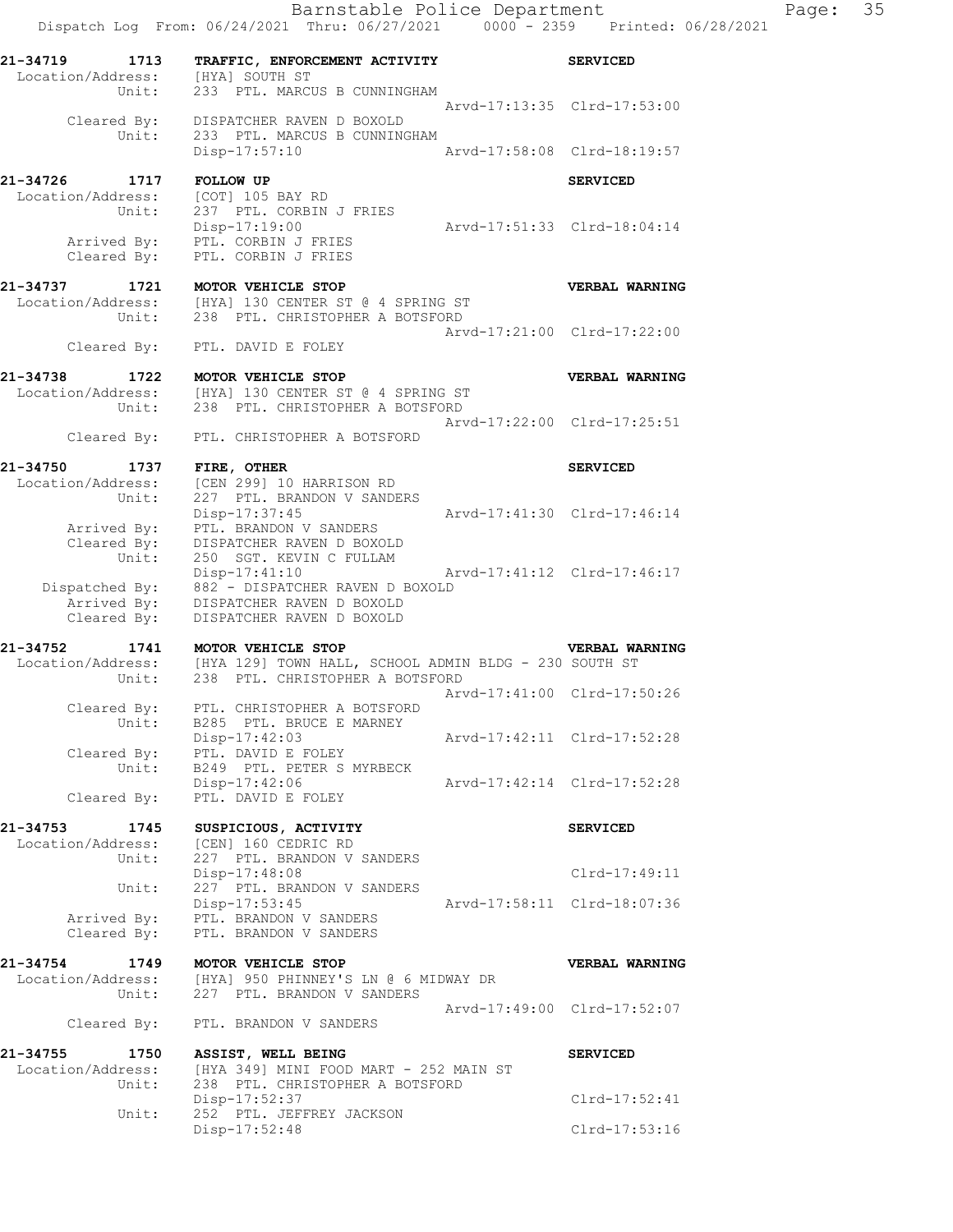Barnstable Police Department Page: 35 Dispatch Log From: 06/24/2021 Thru: 06/27/2021 0000 - 2359 Printed: 06/28/2021 **21-34719 1713 TRAFFIC, ENFORCEMENT ACTIVITY SERVICED**  Location/Address: [HYA] SOUTH ST Unit: 233 PTL. MARCUS B CUNNINGHAM Arvd-17:13:35 Clrd-17:53:00 Cleared By: DISPATCHER RAVEN D BOXOLD Unit: 233 PTL. MARCUS B CUNNINGHAM Disp-17:57:10 Arvd-17:58:08 Clrd-18:19:57 **21-34726 1717 FOLLOW UP SERVICED**  Location/Address: [COT] 105 BAY RD Unit: 237 PTL. CORBIN J FRIES Disp-17:19:00 Arvd-17:51:33 Clrd-18:04:14 Disp-17:19:00<br>Arrived By: PTL. CORBIN J FRIES Cleared By: PTL. CORBIN J FRIES **21-34737 1721 MOTOR VEHICLE STOP VERBAL WARNING**  Location/Address: [HYA] 130 CENTER ST @ 4 SPRING ST Unit: 238 PTL. CHRISTOPHER A BOTSFORD Arvd-17:21:00 Clrd-17:22:00 Cleared By: PTL. DAVID E FOLEY **21-34738 1722 MOTOR VEHICLE STOP VERBAL WARNING**  Location/Address: [HYA] 130 CENTER ST @ 4 SPRING ST Unit: 238 PTL. CHRISTOPHER A BOTSFORD Arvd-17:22:00 Clrd-17:25:51 Cleared By: PTL. CHRISTOPHER A BOTSFORD **21-34750 1737 FIRE, OTHER SERVICED**  Location/Address: [CEN 2991 10 HARRISON RD Unit: 227 PTL. BRANDON V SANDERS Disp-17:37:45 Arvd-17:41:30 Clrd-17:46:14 Arrived By: PTL. BRANDON V SANDERS Cleared By: DISPATCHER RAVEN D BOXOLD Unit: 250 SGT. KEVIN C FULLAM Disp-17:41:10 Arvd-17:41:12 Clrd-17:46:17 Dispatched By: 882 - DISPATCHER RAVEN D BOXOLD Arrived By: DISPATCHER RAVEN D BOXOLD Cleared By: DISPATCHER RAVEN D BOXOLD **21-34752 1741 MOTOR VEHICLE STOP VERBAL WARNING**  Location/Address: [HYA 129] TOWN HALL, SCHOOL ADMIN BLDG - 230 SOUTH ST Unit: 238 PTL. CHRISTOPHER A BOTSFORD Arvd-17:41:00 Clrd-17:50:26 Cleared By: PTL. CHRISTOPHER A BOTSFORD Unit: B285 PTL. BRUCE E MARNEY Disp-17:42:03 Arvd-17:42:11 Clrd-17:52:28 Cleared By: PTL. DAVID E FOLEY Unit: B249 PTL. PETER S MYRBECK Disp-17:42:06 Arvd-17:42:14 Clrd-17:52:28 Cleared By: PTL. DAVID E FOLEY **21-34753 1745 SUSPICIOUS, ACTIVITY SERVICED**  Location/Address: [CEN] 160 CEDRIC RD Unit: 227 PTL. BRANDON V SANDERS Disp-17:48:08 Clrd-17:49:11 Unit: 227 PTL. BRANDON V SANDERS Disp-17:53:45 Arvd-17:58:11 Clrd-18:07:36 Arrived By: PTL. BRANDON V SANDERS Cleared By: PTL. BRANDON V SANDERS **21-34754 1749 MOTOR VEHICLE STOP VERBAL WARNING**  Location/Address: [HYA] 950 PHINNEY'S LN @ 6 MIDWAY DR Unit: 227 PTL. BRANDON V SANDERS Unit: 227 PTL. BRANDON V SANDERS<br>Arvd-17:49:00 Clrd-17:52:07 Cleared By: PTL. BRANDON V SANDERS **21-34755 1750 ASSIST, WELL BEING SERVICED**  Location/Address: [HYA 349] MINI FOOD MART - 252 MAIN ST Unit: 238 PTL. CHRISTOPHER A BOTSFORD Disp-17:52:37 Clrd-17:52:41 Unit: 252 PTL. JEFFREY JACKSON Disp-17:52:48 Clrd-17:53:16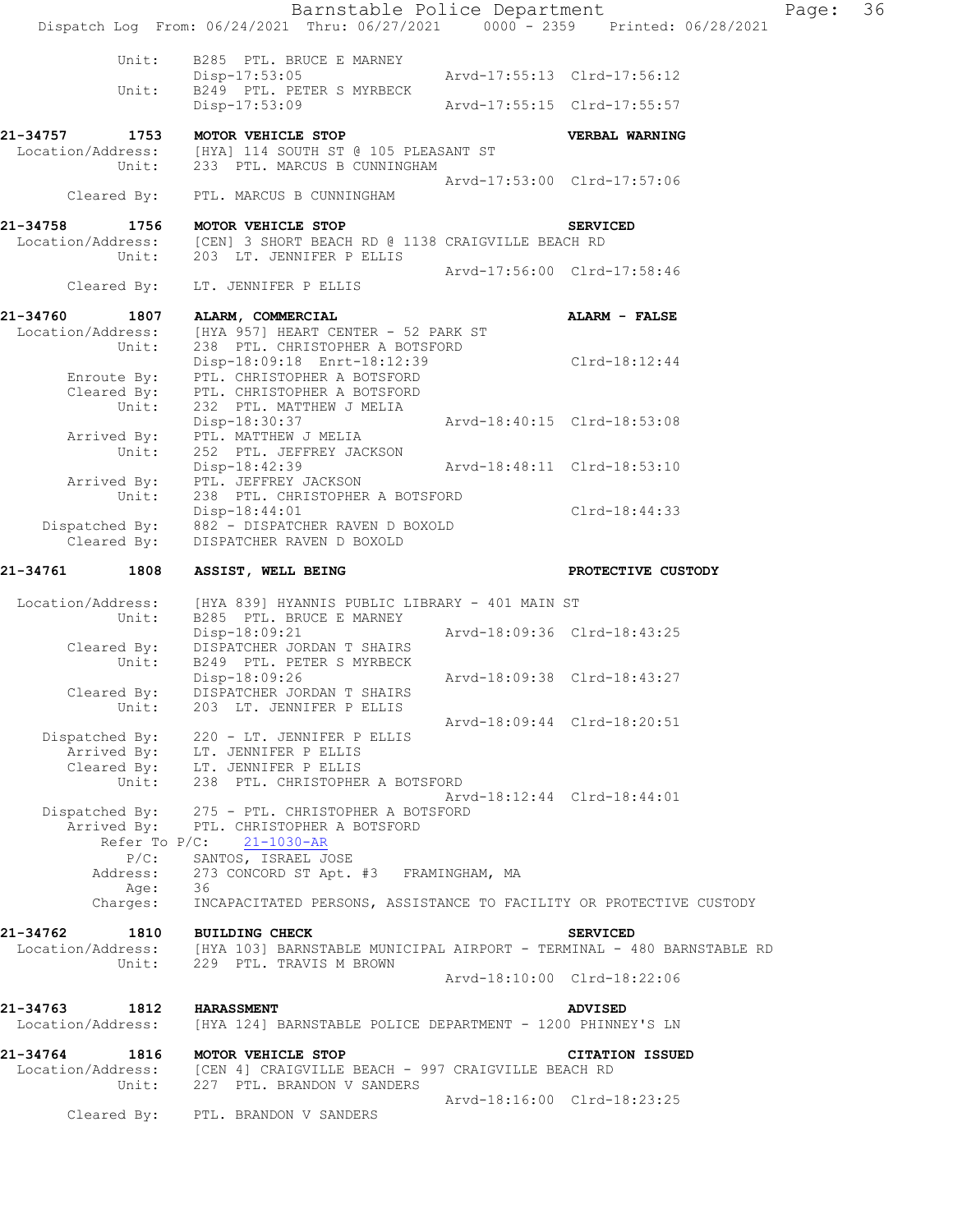Barnstable Police Department Page: 36 Dispatch Log From: 06/24/2021 Thru: 06/27/2021 0000 - 2359 Printed: 06/28/2021 Unit: B285 PTL. BRUCE E MARNEY Disp-17:53:05 Arvd-17:55:13 Clrd-17:56:12 Unit: B249 PTL. PETER S MYRBECK Disp-17:53:09 Arvd-17:55:15 Clrd-17:55:57 **21-34757 1753 MOTOR VEHICLE STOP VERBAL WARNING**  Location/Address: [HYA] 114 SOUTH ST @ 105 PLEASANT ST Unit: 233 PTL. MARCUS B CUNNINGHAM Arvd-17:53:00 Clrd-17:57:06 Cleared By: PTL. MARCUS B CUNNINGHAM **21-34758 1756 MOTOR VEHICLE STOP SERVICED**  Location/Address: [CEN] 3 SHORT BEACH RD @ 1138 CRAIGVILLE BEACH RD Unit: 203 LT. JENNIFER P ELLIS Arvd-17:56:00 Clrd-17:58:46 Cleared By: LT. JENNIFER P ELLIS **21-34760 1807 ALARM, COMMERCIAL ALARM - FALSE**  Location/Address: [HYA 957] HEART CENTER - 52 PARK ST Unit: 238 PTL. CHRISTOPHER A BOTSFORD Disp-18:09:18 Enrt-18:12:39 Clrd-18:12:44 Enroute By: PTL. CHRISTOPHER A BOTSFORD Cleared By: PTL. CHRISTOPHER A BOTSFORD Unit: 232 PTL. MATTHEW J MELIA Disp-18:30:37 Arvd-18:40:15 Clrd-18:53:08 Arrived By: PTL. MATTHEW J MELIA Unit: 252 PTL. JEFFREY JACKSON Disp-18:42:39 Arvd-18:48:11 Clrd-18:53:10 Arrived By: PTL. JEFFREY JACKSON Unit: 238 PTL. CHRISTOPHER A BOTSFORD Disp-18:44:01 Clrd-18:44:33 Dispatched By: 882 - DISPATCHER RAVEN D BOXOLD Cleared By: DISPATCHER RAVEN D BOXOLD **21-34761 1808 ASSIST, WELL BEING PROTECTIVE CUSTODY**  Location/Address: [HYA 839] HYANNIS PUBLIC LIBRARY - 401 MAIN ST Unit: B285 PTL. BRUCE E MARNEY Disp-18:09:21 Arvd-18:09:36 Clrd-18:43:25 Cleared By: DISPATCHER JORDAN T SHAIRS Unit: B249 PTL. PETER S MYRBECK Disp-18:09:26 Arvd-18:09:38 Clrd-18:43:27 Cleared By: DISPATCHER JORDAN T SHAIRS Unit: 203 LT. JENNIFER P ELLIS Arvd-18:09:44 Clrd-18:20:51 Dispatched By: 220 - LT. JENNIFER P ELLIS .<br>Arrived By: LT. JENNIFER P ELLIS Cleared By: LT. JENNIFER P ELLIS Unit: 238 PTL. CHRISTOPHER A BOTSFORD Arvd-18:12:44 Clrd-18:44:01 Dispatched By: 275 - PTL. CHRISTOPHER A BOTSFORD .<br>Arrived By: PTL. CHRISTOPHER A BOTSFORD Refer To P/C: 21-1030-AR P/C: SANTOS, ISRAEL JOSE Address: 273 CONCORD ST Apt. #3 FRAMINGHAM, MA Age: 36 Charges: INCAPACITATED PERSONS, ASSISTANCE TO FACILITY OR PROTECTIVE CUSTODY **21-34762 1810 BUILDING CHECK SERVICED**  Location/Address: [HYA 103] BARNSTABLE MUNICIPAL AIRPORT - TERMINAL - 480 BARNSTABLE RD Unit: 229 PTL. TRAVIS M BROWN Arvd-18:10:00 Clrd-18:22:06 **21-34763 1812 HARASSMENT ADVISED**  Location/Address: [HYA 124] BARNSTABLE POLICE DEPARTMENT - 1200 PHINNEY'S LN **21-34764 1816 MOTOR VEHICLE STOP CITATION ISSUED**  Location/Address: [CEN 4] CRAIGVILLE BEACH - 997 CRAIGVILLE BEACH RD Unit: 227 PTL. BRANDON V SANDERS Arvd-18:16:00 Clrd-18:23:25 Cleared By: PTL. BRANDON V SANDERS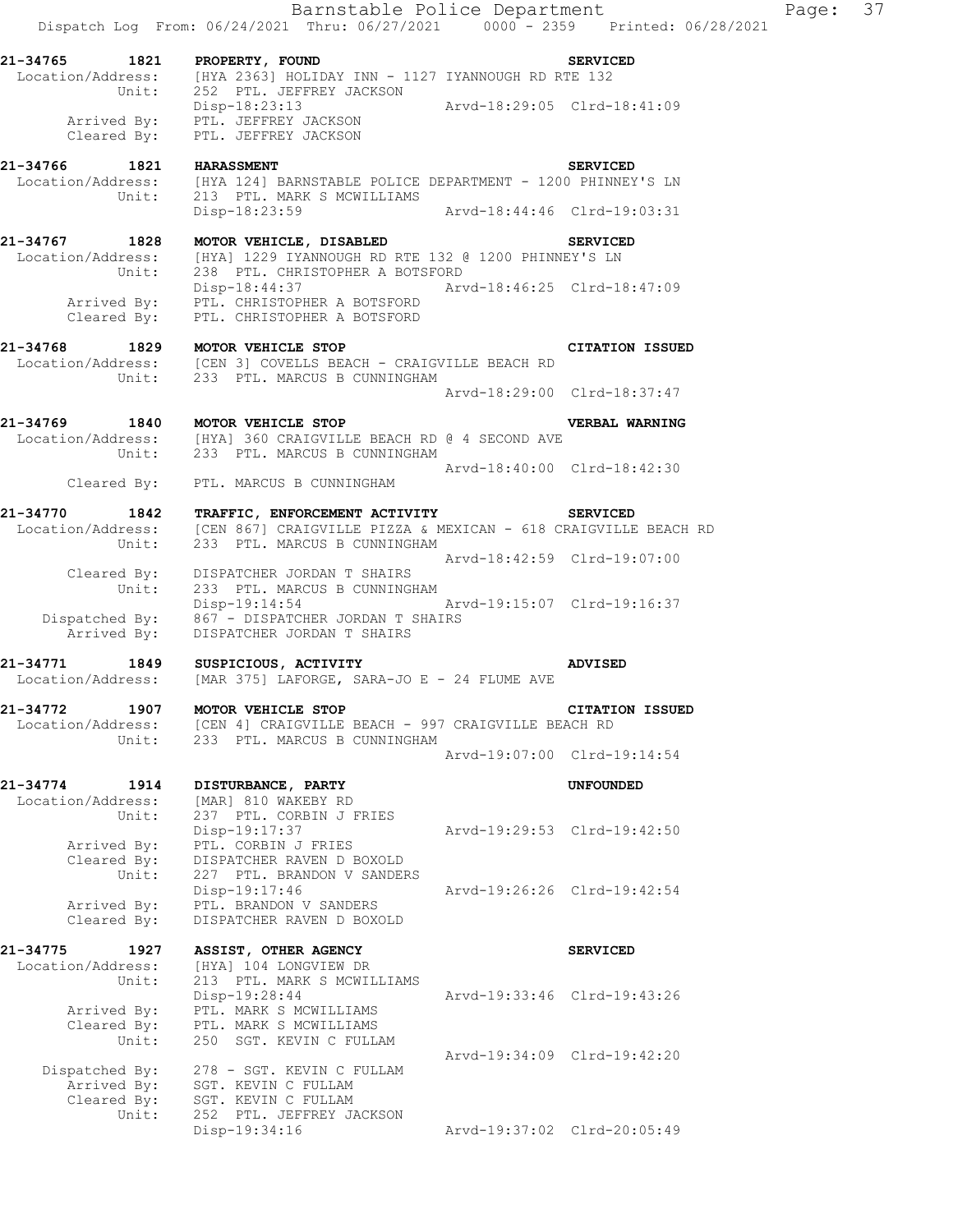|                                                | Barnstable Police Department<br>Dispatch Log From: 06/24/2021 Thru: 06/27/2021 0000 - 2359 Printed: 06/28/2021                               |                             |                             | Page: | 37 |
|------------------------------------------------|----------------------------------------------------------------------------------------------------------------------------------------------|-----------------------------|-----------------------------|-------|----|
| 21-34765 1821 PROPERTY, FOUND                  | Location/Address: [HYA 2363] HOLIDAY INN - 1127 IYANNOUGH RD RTE 132                                                                         |                             | <b>SERVICED</b>             |       |    |
| Cleared By:                                    | Unit: 252 PTL. JEFFREY JACKSON<br>Disp-18:23:13<br>Arrived By: PTL. JEFFREY JACKSON<br>PTL. JEFFREY JACKSON                                  | Arvd-18:29:05 Clrd-18:41:09 |                             |       |    |
|                                                | 21-34766 1821 HARASSMENT<br>Location/Address: [HYA 124] BARNSTABLE POLICE DEPARTMENT - 1200 PHINNEY'S LN<br>Unit: 213 PTL. MARK S MCWILLIAMS |                             |                             |       |    |
|                                                | Disp-18:23:59                                                                                                                                | Arvd-18:44:46 Clrd-19:03:31 |                             |       |    |
| 21-34767 1828<br>Unit:                         | MOTOR VEHICLE, DISABLED<br>Location/Address: [HYA] 1229 IYANNOUGH RD RTE 132 @ 1200 PHINNEY'S LN<br>238 PTL. CHRISTOPHER A BOTSFORD          |                             | <b>SERVICED</b>             |       |    |
| Cleared By:                                    | Disp-18:44:37<br>Arrived By: PTL. CHRISTOPHER A BOTSFORD<br>PTL. CHRISTOPHER A BOTSFORD                                                      | Arvd-18:46:25 Clrd-18:47:09 |                             |       |    |
| 21-34768<br>Unit:                              | 1829 MOTOR VEHICLE STOP<br>Location/Address: [CEN 3] COVELLS BEACH - CRAIGVILLE BEACH RD<br>233 PTL. MARCUS B CUNNINGHAM                     |                             | <b>CITATION ISSUED</b>      |       |    |
|                                                |                                                                                                                                              |                             | Arvd-18:29:00 Clrd-18:37:47 |       |    |
| 21-34769 1840 MOTOR VEHICLE STOP<br>Unit:      | Location/Address: [HYA] 360 CRAIGVILLE BEACH RD @ 4 SECOND AVE<br>233 PTL. MARCUS B CUNNINGHAM                                               |                             | VERBAL WARNING              |       |    |
| Cleared By:                                    | PTL. MARCUS B CUNNINGHAM                                                                                                                     |                             | Arvd-18:40:00 Clrd-18:42:30 |       |    |
| 21-34770<br>1842<br>Location/Address:          | TRAFFIC, ENFORCEMENT ACTIVITY SERVICED<br>[CEN 867] CRAIGVILLE PIZZA & MEXICAN - 618 CRAIGVILLE BEACH RD                                     |                             |                             |       |    |
| Unit:<br>Cleared By:                           | 233 PTL. MARCUS B CUNNINGHAM<br>DISPATCHER JORDAN T SHAIRS                                                                                   | Arvd-18:42:59 Clrd-19:07:00 |                             |       |    |
| Unit:                                          | 233 PTL. MARCUS B CUNNINGHAM<br>Disp-19:14:54<br>Dispatched By: 867 - DISPATCHER JORDAN T SHAIRS                                             | Arvd-19:15:07 Clrd-19:16:37 |                             |       |    |
| Arrived By:                                    | DISPATCHER JORDAN T SHAIRS                                                                                                                   |                             |                             |       |    |
| 21-34771                                       | 1849 SUSPICIOUS, ACTIVITY<br>Location/Address: [MAR 375] LAFORGE, SARA-JO E - 24 FLUME AVE                                                   |                             | <b>ADVISED</b>              |       |    |
| 21-34772<br>1907<br>Location/Address:<br>Unit: | MOTOR VEHICLE STOP<br>[CEN 4] CRAIGVILLE BEACH - 997 CRAIGVILLE BEACH RD<br>233 PTL. MARCUS B CUNNINGHAM                                     |                             | <b>CITATION ISSUED</b>      |       |    |
|                                                |                                                                                                                                              |                             | Arvd-19:07:00 Clrd-19:14:54 |       |    |
| 21-34774<br>1914<br>Location/Address:          | DISTURBANCE, PARTY<br>[MAR] 810 WAKEBY RD                                                                                                    |                             | <b>UNFOUNDED</b>            |       |    |
| Unit:<br>Arrived By:<br>Cleared By:            | 237 PTL. CORBIN J FRIES<br>Disp-19:17:37<br>PTL. CORBIN J FRIES<br>DISPATCHER RAVEN D BOXOLD                                                 |                             | Arvd-19:29:53 Clrd-19:42:50 |       |    |
| Unit:<br>Arrived By:<br>Cleared By:            | 227 PTL. BRANDON V SANDERS<br>$Disp-19:17:46$<br>PTL. BRANDON V SANDERS<br>DISPATCHER RAVEN D BOXOLD                                         |                             | Aryd-19:26:26 Clrd-19:42:54 |       |    |
| 21-34775<br>1927<br>Location/Address:          | ASSIST, OTHER AGENCY<br>[HYA] 104 LONGVIEW DR                                                                                                |                             | <b>SERVICED</b>             |       |    |
| Unit:<br>Arrived By:                           | 213 PTL. MARK S MCWILLIAMS<br>Disp-19:28:44<br>PTL. MARK S MCWILLIAMS                                                                        |                             | Arvd-19:33:46 Clrd-19:43:26 |       |    |
| Cleared By:<br>Unit:                           | PTL. MARK S MCWILLIAMS<br>250 SGT. KEVIN C FULLAM                                                                                            |                             |                             |       |    |
| Dispatched By:<br>Arrived By:<br>Cleared By:   | 278 - SGT. KEVIN C FULLAM<br>SGT. KEVIN C FULLAM<br>SGT. KEVIN C FULLAM                                                                      |                             | Arvd-19:34:09 Clrd-19:42:20 |       |    |
| Unit:                                          | 252 PTL. JEFFREY JACKSON<br>Disp-19:34:16                                                                                                    |                             | Arvd-19:37:02 Clrd-20:05:49 |       |    |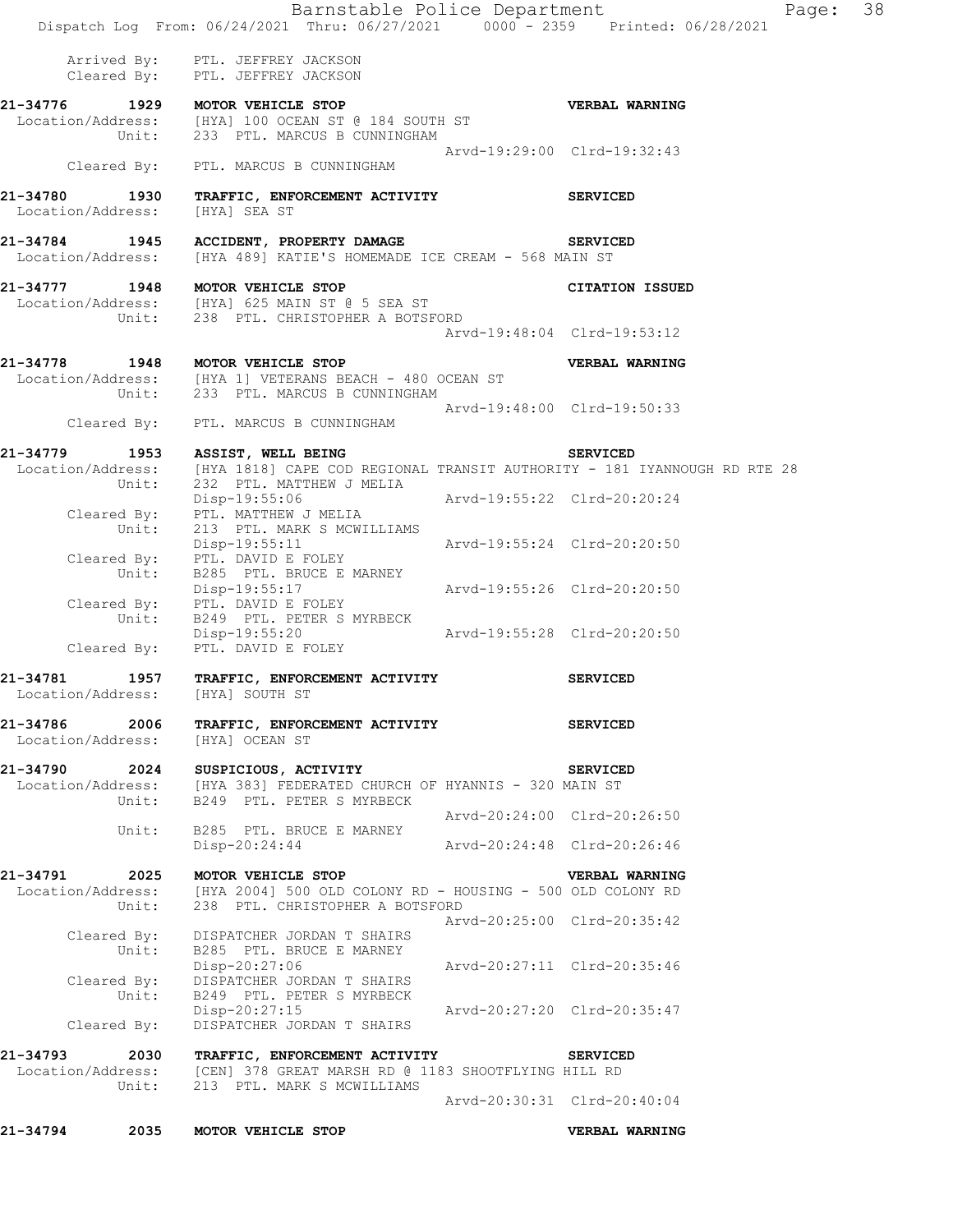|                                       | Barnstable Police Department<br>Dispatch Log From: 06/24/2021 Thru: 06/27/2021 0000 - 2359 Printed: 06/28/2021                             |                             | Page: 38        |  |
|---------------------------------------|--------------------------------------------------------------------------------------------------------------------------------------------|-----------------------------|-----------------|--|
|                                       | Arrived By: PTL. JEFFREY JACKSON<br>Cleared By: PTL. JEFFREY JACKSON                                                                       |                             |                 |  |
|                                       | 21-34776 1929 MOTOR VEHICLE STOP<br>Location/Address: [HYA] 100 OCEAN ST @ 184 SOUTH ST<br>Unit: 233 PTL. MARCUS B CUNNINGHAM              |                             | VERBAL WARNING  |  |
| Cleared By:                           | PTL. MARCUS B CUNNINGHAM                                                                                                                   | Arvd-19:29:00 Clrd-19:32:43 |                 |  |
| 21-34780<br>1930<br>Location/Address: | TRAFFIC, ENFORCEMENT ACTIVITY<br>[HYA] SEA ST                                                                                              |                             | <b>SERVICED</b> |  |
| Location/Address:                     | 21-34784 1945 ACCIDENT, PROPERTY DAMAGE SERVICED<br>[HYA 489] KATIE'S HOMEMADE ICE CREAM - 568 MAIN ST                                     |                             |                 |  |
| Unit:                                 | 21-34777 1948 MOTOR VEHICLE STOP<br>Location/Address: [HYA] 625 MAIN ST @ 5 SEA ST<br>238 PTL. CHRISTOPHER A BOTSFORD                      |                             | CITATION ISSUED |  |
|                                       |                                                                                                                                            | Arvd-19:48:04 Clrd-19:53:12 |                 |  |
|                                       | 21-34778 1948 MOTOR VEHICLE STOP<br>Location/Address: [HYA 1] VETERANS BEACH - 480 OCEAN ST<br>Unit: 233 PTL. MARCUS B CUNNINGHAM          |                             | VERBAL WARNING  |  |
|                                       | Cleared By: PTL. MARCUS B CUNNINGHAM                                                                                                       | Arvd-19:48:00 Clrd-19:50:33 |                 |  |
| 21-34779                              | 1953 ASSIST, WELL BEING                                                                                                                    |                             | <b>SERVICED</b> |  |
| Unit:                                 | Location/Address: [HYA 1818] CAPE COD REGIONAL TRANSIT AUTHORITY - 181 IYANNOUGH RD RTE 28<br>232 PTL. MATTHEW J MELIA                     |                             |                 |  |
| Cleared By:                           | Disp-19:55:06 Arvd-19:55:22 Clrd-20:20:24<br>PTL. MATTHEW J MELIA                                                                          |                             |                 |  |
| Unit:                                 | 213 PTL. MARK S MCWILLIAMS<br>Disp-19:55:11<br>Cleared By: PTL. DAVID E FOLEY                                                              | Arvd-19:55:24 Clrd-20:20:50 |                 |  |
| Unit:                                 | B285 PTL. BRUCE E MARNEY<br>Disp-19:55:17 Arvd-19:55:26 Clrd-20:20:50<br>Cleared By: PTL. DAVID E FOLEY                                    |                             |                 |  |
| Unit:                                 | B249 PTL. PETER S MYRBECK<br>Disp-19:55:20<br>Cleared By: PTL. DAVID E FOLEY                                                               | Arvd-19:55:28 Clrd-20:20:50 |                 |  |
| 21-34781<br>1957<br>Location/Address: | TRAFFIC, ENFORCEMENT ACTIVITY<br>[HYA] SOUTH ST                                                                                            |                             | <b>SERVICED</b> |  |
| 21-34786 2006<br>Location/Address:    | TRAFFIC, ENFORCEMENT ACTIVITY<br>[HYA] OCEAN ST                                                                                            |                             | <b>SERVICED</b> |  |
|                                       | 21-34790 2024 SUSPICIOUS, ACTIVITY<br>Location/Address: [HYA 383] FEDERATED CHURCH OF HYANNIS - 320 MAIN ST                                |                             | <b>SERVICED</b> |  |
| Unit:                                 | B249 PTL. PETER S MYRBECK                                                                                                                  | Arvd-20:24:00 Clrd-20:26:50 |                 |  |
| Unit:                                 | B285 PTL. BRUCE E MARNEY<br>Disp-20:24:44                                                                                                  | Arvd-20:24:48 Clrd-20:26:46 |                 |  |
| 21-34791<br>Unit:                     | 2025 MOTOR VEHICLE STOP<br>Location/Address: [HYA 2004] 500 OLD COLONY RD - HOUSING - 500 OLD COLONY RD<br>238 PTL. CHRISTOPHER A BOTSFORD |                             | VERBAL WARNING  |  |
|                                       | Cleared By: DISPATCHER JORDAN T SHAIRS<br>Unit: B285 PTL. BRUCE E MARNEY                                                                   | Arvd-20:25:00 Clrd-20:35:42 |                 |  |
| Cleared By:<br>Unit:                  | Disp-20:27:06<br>DISPATCHER JORDAN T SHAIRS<br>B249 PTL. PETER S MYRBECK                                                                   | Arvd-20:27:11 Clrd-20:35:46 |                 |  |
| Cleared By:                           | Disp-20:27:15 Arvd-20:27:20 Clrd-20:35:47<br>DISPATCHER JORDAN T SHAIRS                                                                    |                             |                 |  |
|                                       | 21-34793 2030 TRAFFIC, ENFORCEMENT ACTIVITY                                                                                                |                             | <b>SERVICED</b> |  |
| Unit:                                 | Location/Address: [CEN] 378 GREAT MARSH RD @ 1183 SHOOTFLYING HILL RD<br>213 PTL. MARK S MCWILLIAMS                                        |                             |                 |  |
|                                       |                                                                                                                                            | Arvd-20:30:31 Clrd-20:40:04 |                 |  |
| 2035<br>21-34794                      | MOTOR VEHICLE STOP                                                                                                                         |                             | VERBAL WARNING  |  |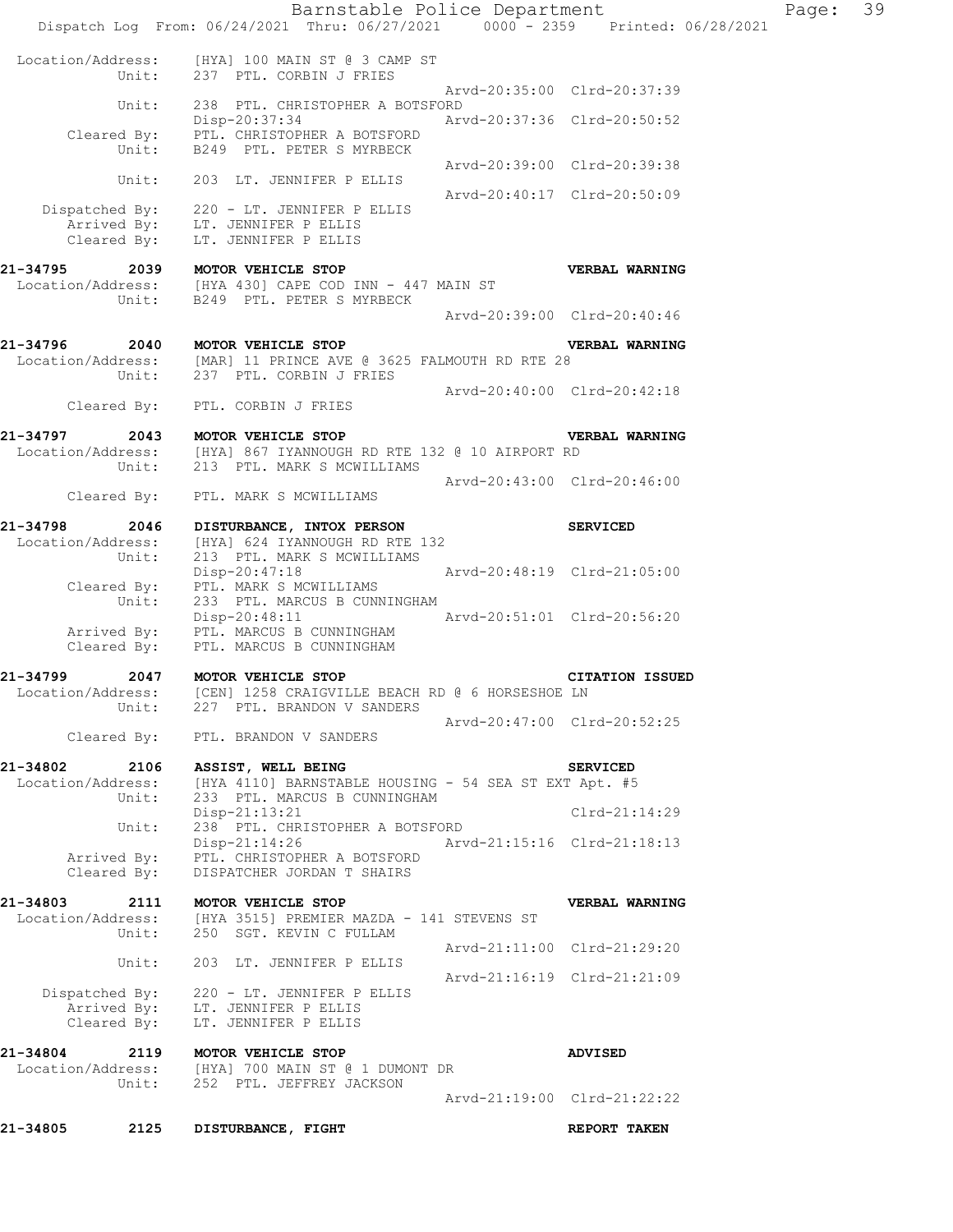Barnstable Police Department Page: 39 Dispatch Log From: 06/24/2021 Thru: 06/27/2021 0000 - 2359 Printed: 06/28/2021 Location/Address: [HYA] 100 MAIN ST @ 3 CAMP ST Unit: 237 PTL. CORBIN J FRIES Arvd-20:35:00 Clrd-20:37:39 Unit: 238 PTL. CHRISTOPHER A BOTSFORD Disp-20:37:34 Arvd-20:37:36 Clrd-20:50:52 Cleared By: PTL. CHRISTOPHER A BOTSFORD Unit: B249 PTL. PETER S MYRBECK Arvd-20:39:00 Clrd-20:39:38 Unit: 203 LT. JENNIFER P ELLIS Arvd-20:40:17 Clrd-20:50:09 Dispatched By: 220 - LT. JENNIFER P ELLIS .<br>Arrived By: LT. JENNIFER P ELLIS Cleared By: LT. JENNIFER P ELLIS **21-34795 2039 MOTOR VEHICLE STOP VERBAL WARNING**  Location/Address: [HYA 430] CAPE COD INN - 447 MAIN ST Unit: B249 PTL. PETER S MYRBECK Arvd-20:39:00 Clrd-20:40:46 **21-34796 2040 MOTOR VEHICLE STOP VERBAL WARNING**  Location/Address: [MAR] 11 PRINCE AVE @ 3625 FALMOUTH RD RTE 28 Unit: 237 PTL. CORBIN J FRIES Arvd-20:40:00 Clrd-20:42:18 Cleared By: PTL. CORBIN J FRIES **21-34797 2043 MOTOR VEHICLE STOP VERBAL WARNING**  Location/Address: [HYA] 867 IYANNOUGH RD RTE 132 @ 10 AIRPORT RD Unit: 213 PTL. MARK S MCWILLIAMS Arvd-20:43:00 Clrd-20:46:00 Cleared By: PTL. MARK S MCWILLIAMS **21-34798 2046 DISTURBANCE, INTOX PERSON SERVICED**  Location/Address: [HYA] 624 IYANNOUGH RD RTE 132 Unit: 213 PTL. MARK S MCWILLIAMS Disp-20:47:18 Arvd-20:48:19 Clrd-21:05:00 Cleared By: PTL. MARK S MCWILLIAMS Unit: 233 PTL. MARCUS B CUNNINGHAM Unit: 233 PTL. MARCUS B CUNNINGHAM<br>Disp-20:48:11 Arvd-20:51:01 Clrd-20:56:20 Arrived By: PTL. MARCUS B CUNNINGHAM Cleared By: PTL. MARCUS B CUNNINGHAM **21-34799 2047 MOTOR VEHICLE STOP CITATION ISSUED**  Location/Address: [CEN] 1258 CRAIGVILLE BEACH RD @ 6 HORSESHOE LN Unit: 227 PTL. BRANDON V SANDERS Arvd-20:47:00 Clrd-20:52:25 Cleared By: PTL. BRANDON V SANDERS **21-34802 2106 ASSIST, WELL BEING SERVICED**  Location/Address: [HYA 4110] BARNSTABLE HOUSING - 54 SEA ST EXT Apt. #5 Unit: 233 PTL. MARCUS B CUNNINGHAM Disp-21:13:21 Clrd-21:14:29 Unit: 238 PTL. CHRISTOPHER A BOTSFORD Disp-21:14:26 Arvd-21:15:16 Clrd-21:18:13 Arrived By: PTL. CHRISTOPHER A BOTSFORD Cleared By: DISPATCHER JORDAN T SHAIRS **21-34803 2111 MOTOR VEHICLE STOP VERBAL WARNING**  Location/Address: [HYA 3515] PREMIER MAZDA - 141 STEVENS ST Unit: 250 SGT. KEVIN C FULLAM Arvd-21:11:00 Clrd-21:29:20 Unit: 203 LT. JENNIFER P ELLIS Arvd-21:16:19 Clrd-21:21:09 Dispatched By: 220 - LT. JENNIFER P ELLIS .<br>Arrived By: LT. JENNIFER P ELLIS Cleared By: LT. JENNIFER P ELLIS **21-34804 2119 MOTOR VEHICLE STOP ADVISED**  Location/Address: [HYA] 700 MAIN ST @ 1 DUMONT DR Unit: 252 PTL. JEFFREY JACKSON Arvd-21:19:00 Clrd-21:22:22 **21-34805 2125 DISTURBANCE, FIGHT REPORT TAKEN**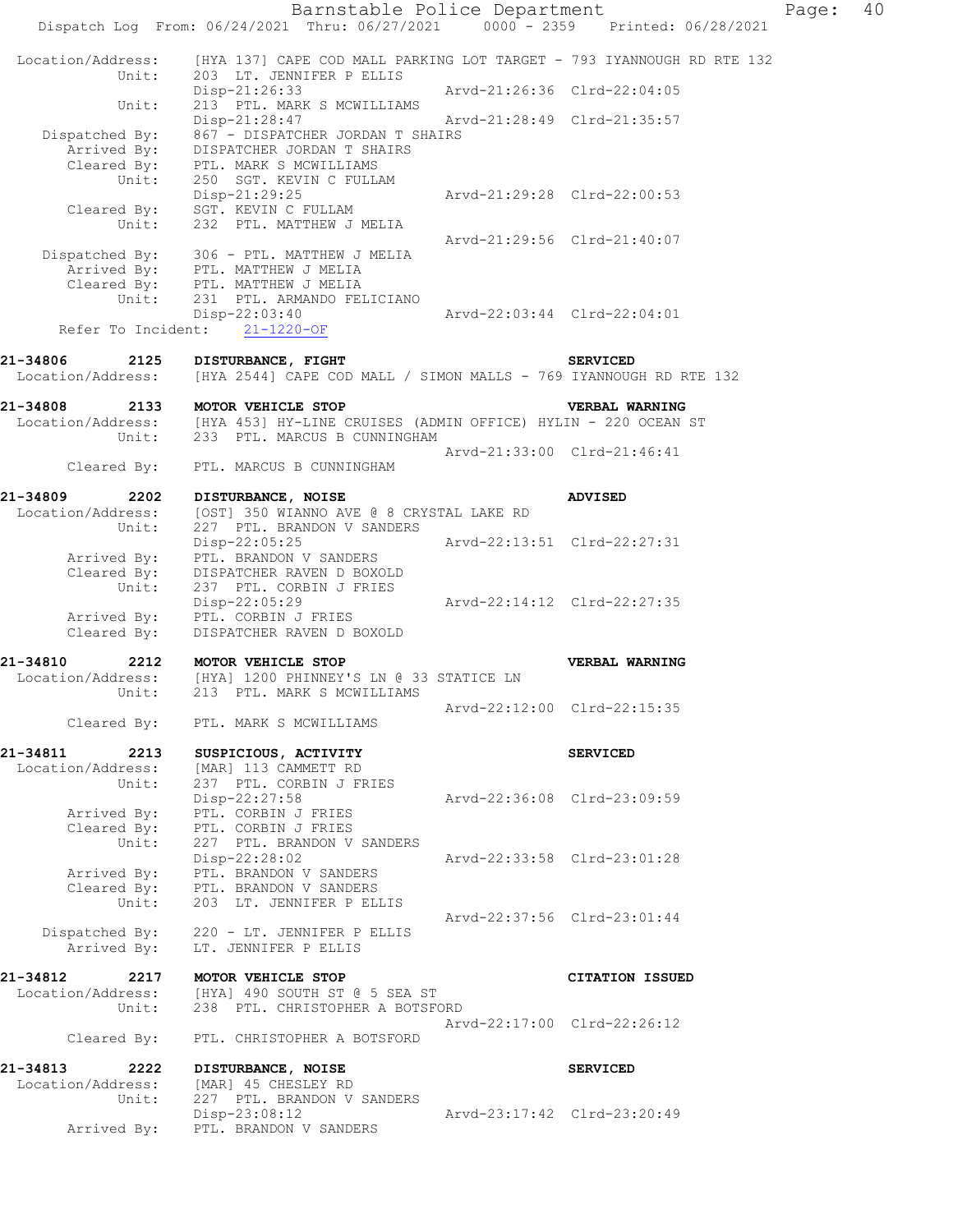Barnstable Police Department Page: 40 Dispatch Log From: 06/24/2021 Thru: 06/27/2021 0000 - 2359 Printed: 06/28/2021 Location/Address: [HYA 137] CAPE COD MALL PARKING LOT TARGET - 793 IYANNOUGH RD RTE 132 Unit: 203 LT. JENNIFER P ELLIS Disp-21:26:33 Arvd-21:26:36 Clrd-22:04:05 Unit: 213 PTL. MARK S MCWILLIAMS Disp-21:28:47 Arvd-21:28:49 Clrd-21:35:57 Dispatched By: 867 - DISPATCHER JORDAN T SHAIRS Arrived By: DISPATCHER JORDAN T SHAIRS Cleared By: PTL. MARK S MCWILLIAMS Unit: 250 SGT. KEVIN C FULLAM Disp-21:29:25 Arvd-21:29:28 Clrd-22:00:53 Cleared By: SGT. KEVIN C FULLAM Unit: 232 PTL. MATTHEW J MELIA Arvd-21:29:56 Clrd-21:40:07 Dispatched By: 306 - PTL. MATTHEW J MELIA .<br>Arrived Bv: PTL. MATTHEW J MELIA Cleared By: PTL. MATTHEW J MELIA Unit: 231 PTL. ARMANDO FELICIANO Disp-22:03:40 Arvd-22:03:44 Clrd-22:04:01 Refer To Incident: 21-1220-OF **21-34806 2125 DISTURBANCE, FIGHT SERVICED**<br>Location/Address: [HYA 2544] CAPE COD MALL / SIMON MALLS - 769 IYANNOUG [HYA 2544] CAPE COD MALL / SIMON MALLS - 769 IYANNOUGH RD RTE 132 **21-34808 2133 MOTOR VEHICLE STOP VERBAL WARNING**  Location/Address: [HYA 453] HY-LINE CRUISES (ADMIN OFFICE) HYLIN - 220 OCEAN ST Unit: 233 PTL. MARCUS B CUNNINGHAM Arvd-21:33:00 Clrd-21:46:41 Cleared By: PTL. MARCUS B CUNNINGHAM **21-34809 2202 DISTURBANCE, NOISE ADVISED**  Location/Address: [OST] 350 WIANNO AVE @ 8 CRYSTAL LAKE RD Unit: 227 PTL. BRANDON V SANDERS<br>Disp-22:05:25 Arvd-22:13:51 Clrd-22:27:31 Arrived By: PTL. BRANDON V SANDERS Cleared By: DISPATCHER RAVEN D BOXOLD Unit: 237 PTL. CORBIN J FRIES Disp-22:05:29 Arvd-22:14:12 Clrd-22:27:35 Arrived By: PTL. CORBIN J FRIES Cleared By: DISPATCHER RAVEN D BOXOLD **21-34810 2212 MOTOR VEHICLE STOP VERBAL WARNING**  Location/Address: [HYA] 1200 PHINNEY'S LN @ 33 STATICE LN Unit: 213 PTL. MARK S MCWILLIAMS Arvd-22:12:00 Clrd-22:15:35 Cleared By: PTL. MARK S MCWILLIAMS **21-34811 2213 SUSPICIOUS, ACTIVITY SERVICED**  Location/Address: [MAR] 113 CAMMETT RD Unit: 237 PTL. CORBIN J FRIES Disp-22:27:58 Arvd-22:36:08 Clrd-23:09:59 Arrived By: PTL. CORBIN J FRIES Cleared By: PTL. CORBIN J FRIES Unit: 227 PTL. BRANDON V SANDERS Disp-22:28:02 Arvd-22:33:58 Clrd-23:01:28 Arrived By: PTL. BRANDON V SANDERS Cleared By: PTL. BRANDON V SANDERS Unit: 203 LT. JENNIFER P ELLIS Arvd-22:37:56 Clrd-23:01:44 Dispatched By: 220 - LT. JENNIFER P ELLIS Arrived By: LT. JENNIFER P ELLIS **21-34812 2217 MOTOR VEHICLE STOP CITATION ISSUED**  Location/Address: [HYA] 490 SOUTH ST @ 5 SEA ST Unit: 238 PTL. CHRISTOPHER A BOTSFORD Arvd-22:17:00 Clrd-22:26:12 Cleared By: PTL. CHRISTOPHER A BOTSFORD 21-34813 2222 DISTURBANCE, NOISE **1988** SERVICED Location/Address: [MAR] 45 CHESLEY RD Unit: 227 PTL. BRANDON V SANDERS Disp-23:08:12 Arvd-23:17:42 Clrd-23:20:49 Arrived By: PTL. BRANDON V SANDERS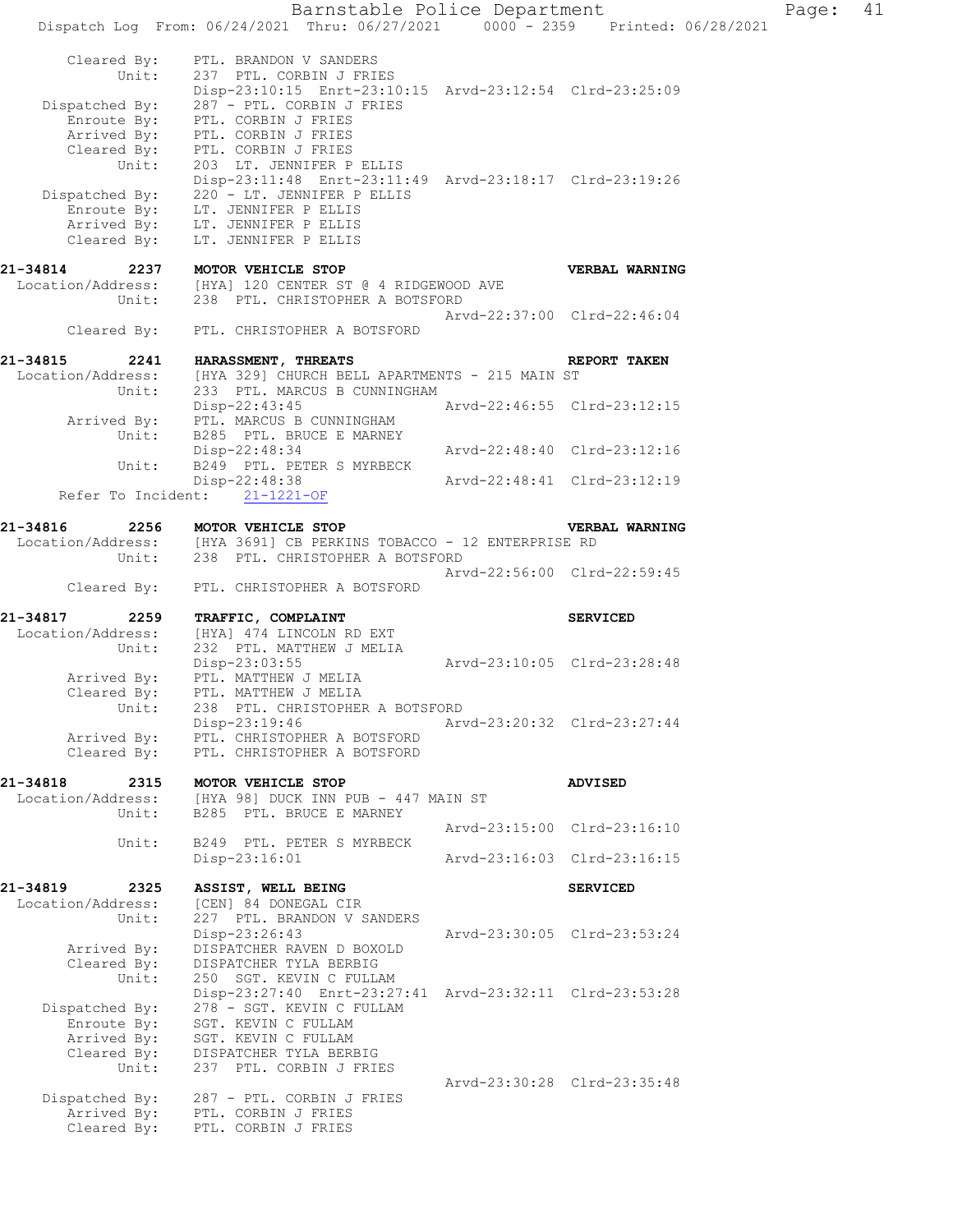Barnstable Police Department Page: 41 Dispatch Log From: 06/24/2021 Thru: 06/27/2021 0000 - 2359 Printed: 06/28/2021 Cleared By: PTL. BRANDON V SANDERS Unit: 237 PTL. CORBIN J FRIES Disp-23:10:15 Enrt-23:10:15 Arvd-23:12:54 Clrd-23:25:09 Dispatched By: 287 - PTL. CORBIN J FRIES .<br>Enroute By: PTL. CORBIN J FRIES Arrived By: PTL. CORBIN J FRIES Cleared By: PTL. CORBIN J FRIES Unit: 203 LT. JENNIFER P ELLIS Disp-23:11:48 Enrt-23:11:49 Arvd-23:18:17 Clrd-23:19:26<br>Dispatched By: 220 - LT. JENNIFER P ELLIS 220 - LT. JENNIFER P ELLIS .<br>Enroute By: LT. JENNIFER P ELLIS Arrived By: LT. JENNIFER P ELLIS Cleared  $\overrightarrow{By}$ : LT. JENNIFER P ELLIS **21-34814 2237 MOTOR VEHICLE STOP VERBAL WARNING**  Location/Address: [HYA] 120 CENTER ST @ 4 RIDGEWOOD AVE Unit: 238 PTL. CHRISTOPHER A BOTSFORD Arvd-22:37:00 Clrd-22:46:04 Cleared By: PTL. CHRISTOPHER A BOTSFORD **21-34815 2241 HARASSMENT, THREATS REPORT TAKEN**  Location/Address: [HYA 329] CHURCH BELL APARTMENTS - 215 MAIN ST Unit: 233 PTL. MARCUS B CUNNINGHAM Disp-22:43:45 Arvd-22:46:55 Clrd-23:12:15 Arrived By: PTL. MARCUS B CUNNINGHAM Unit: B285 PTL. BRUCE E MARNEY Disp-22:48:34 Arvd-22:48:40 Clrd-23:12:16 Unit: B249 PTL. PETER S MYRBECK Disp-22:48:38 Arvd-22:48:41 Clrd-23:12:19 Refer To Incident: 21-1221-OF **21-34816 2256 MOTOR VEHICLE STOP VERBAL WARNING**  Location/Address: [HYA 3691] CB PERKINS TOBACCO - 12 ENTERPRISE RD Unit: 238 PTL. CHRISTOPHER A BOTSFORD Arvd-22:56:00 Clrd-22:59:45 Cleared By: PTL. CHRISTOPHER A BOTSFORD **21-34817 2259 TRAFFIC, COMPLAINT SERVICED**  Location/Address: [HYA] 474 LINCOLN RD EXT Unit: 232 PTL. MATTHEW J MELIA Disp-23:03:55 Arvd-23:10:05 Clrd-23:28:48 Arrived By: PTL. MATTHEW J MELIA Cleared By: PTL. MATTHEW J MELIA Unit: 238 PTL. CHRISTOPHER A BOTSFORD Disp-23:19:46 Arvd-23:20:32 Clrd-23:27:44 Arrived By: PTL. CHRISTOPHER A BOTSFORD Cleared By: PTL. CHRISTOPHER A BOTSFORD **21-34818 2315 MOTOR VEHICLE STOP ADVISED**  Location/Address: [HYA 98] DUCK INN PUB - 447 MAIN ST Unit: B285 PTL. BRUCE E MARNEY Arvd-23:15:00 Clrd-23:16:10 Unit: B249 PTL. PETER S MYRBECK Disp-23:16:01 Arvd-23:16:03 Clrd-23:16:15 **21-34819 2325 ASSIST, WELL BEING SERVICED**  Location/Address: [CEN] 84 DONEGAL CIR Unit: 227 PTL. BRANDON V SANDERS Disp-23:26:43 Arvd-23:30:05 Clrd-23:53:24 Arrived By: DISPATCHER RAVEN D BOXOLD Cleared By: DISPATCHER TYLA BERBIG Unit: 250 SGT. KEVIN C FULLAM Disp-23:27:40 Enrt-23:27:41 Arvd-23:32:11 Clrd-23:53:28 Dispatched By: 278 - SGT. KEVIN C FULLAM Enroute By: 270 SGI. REVIN C PULLAM Arrived By: SGT. KEVIN C FULLAM Cleared By: DISPATCHER TYLA BERBIG Unit: 237 PTL. CORBIN J FRIES Arvd-23:30:28 Clrd-23:35:48 Dispatched By: 287 - PTL. CORBIN J FRIES .<br>Arrived By: PTL. CORBIN J FRIES Cleared By: PTL. CORBIN J FRIES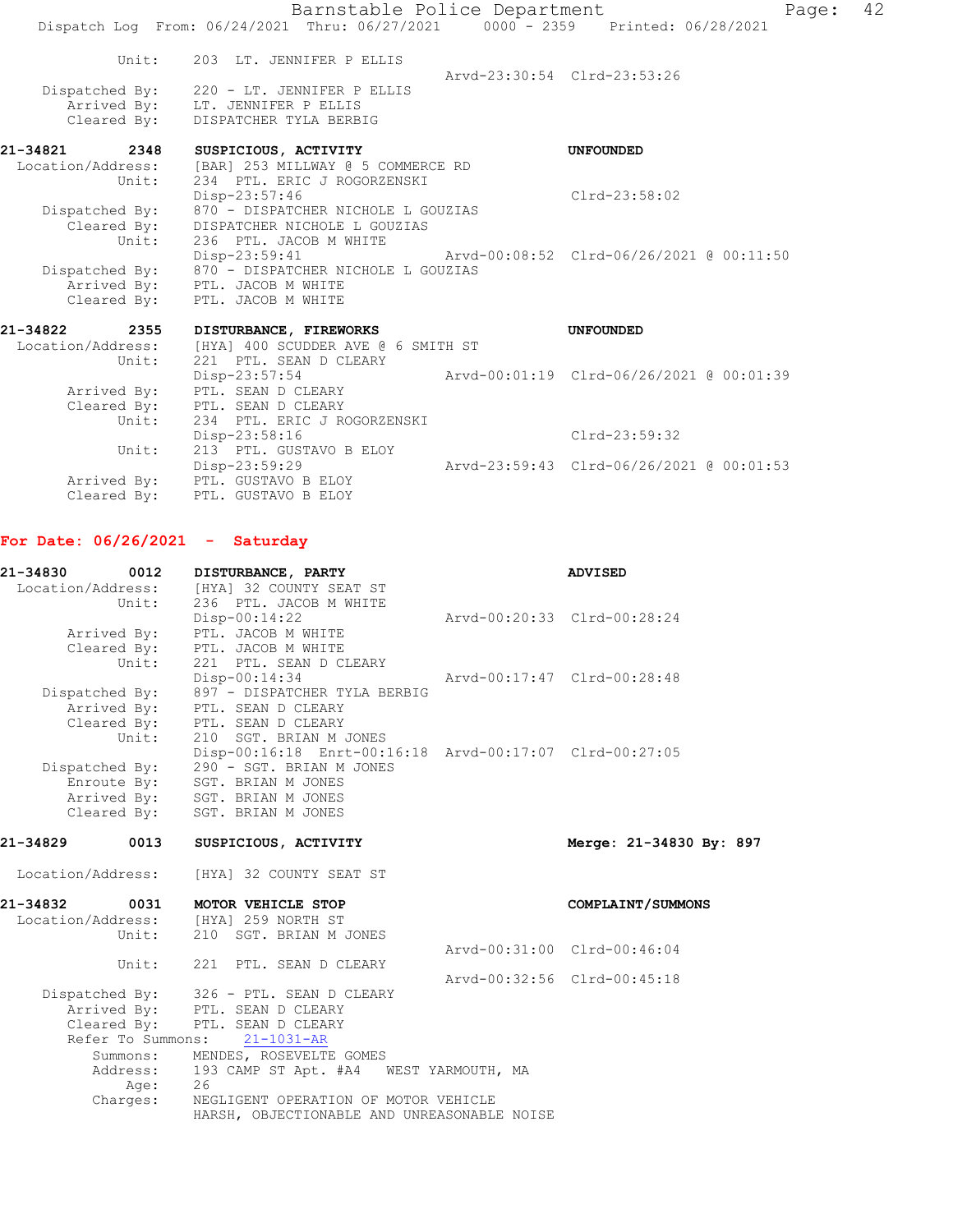|                               | Barnstable Police Department                                                             |                                          | Page: 42 |
|-------------------------------|------------------------------------------------------------------------------------------|------------------------------------------|----------|
|                               | Dispatch Log From: 06/24/2021 Thru: 06/27/2021 0000 - 2359 Printed: 06/28/2021           |                                          |          |
| Unit:                         | 203 LT. JENNIFER P ELLIS                                                                 | Arvd-23:30:54 Clrd-23:53:26              |          |
| Dispatched By:<br>Cleared By: | 220 - LT. JENNIFER P ELLIS<br>Arrived By: LT. JENNIFER P ELLIS<br>DISPATCHER TYLA BERBIG |                                          |          |
| 21-34821<br>2348              | SUSPICIOUS, ACTIVITY                                                                     | <b>UNFOUNDED</b>                         |          |
| Location/Address:             | [BAR] 253 MILLWAY @ 5 COMMERCE RD                                                        |                                          |          |
| Unit:                         | 234 PTL. ERIC J ROGORZENSKI<br>Disp-23:57:46                                             | $Clrd-23:58:02$                          |          |
| Dispatched By:                | 870 - DISPATCHER NICHOLE L GOUZIAS                                                       |                                          |          |
| Cleared By:                   | DISPATCHER NICHOLE L GOUZIAS                                                             |                                          |          |
| Unit:                         | 236 PTL. JACOB M WHITE                                                                   |                                          |          |
|                               | Disp-23:59:41                                                                            |                                          |          |
| Dispatched By:                | 870 - DISPATCHER NICHOLE L GOUZIAS<br>Arrived By: PTL. JACOB M WHITE                     |                                          |          |
|                               | Cleared By: PTL. JACOB M WHITE                                                           |                                          |          |
|                               |                                                                                          |                                          |          |
| 21-34822 2355                 | DISTURBANCE, FIREWORKS                                                                   | <b>UNFOUNDED</b>                         |          |
| Location/Address:             | [HYA] 400 SCUDDER AVE @ 6 SMITH ST                                                       |                                          |          |
| Unit:                         | 221 PTL. SEAN D CLEARY                                                                   |                                          |          |
| Arrived By:                   | Disp-23:57:54                                                                            | Arvd-00:01:19 Clrd-06/26/2021 @ 00:01:39 |          |
| Cleared By:                   | PTL. SEAN D CLEARY<br>PTL. SEAN D CLEARY                                                 |                                          |          |
| Unit:                         | 234 PTL. ERIC J ROGORZENSKI                                                              |                                          |          |
|                               | Disp-23:58:16                                                                            | Clrd-23:59:32                            |          |
| Unit:                         | 213 PTL. GUSTAVO B ELOY                                                                  |                                          |          |
|                               | Disp-23:59:29                                                                            | Arvd-23:59:43 Clrd-06/26/2021 @ 00:01:53 |          |
| Arrived By:                   | PTL. GUSTAVO B ELOY                                                                      |                                          |          |
| Cleared By:                   | PTL. GUSTAVO B ELOY                                                                      |                                          |          |

## **For Date: 06/26/2021 - Saturday**

| 21-34830          | 0012              | DISTURBANCE, PARTY                                      |                                             | <b>ADVISED</b>              |
|-------------------|-------------------|---------------------------------------------------------|---------------------------------------------|-----------------------------|
|                   |                   | Location/Address: [HYA] 32 COUNTY SEAT ST               |                                             |                             |
|                   | Unit:             | 236 PTL. JACOB M WHITE                                  |                                             |                             |
|                   |                   | $Disp-00:14:22$                                         |                                             | Arvd-00:20:33 Clrd-00:28:24 |
|                   | Arrived By:       | PTL. JACOB M WHITE                                      |                                             |                             |
|                   |                   | Cleared By: PTL. JACOB M WHITE                          |                                             |                             |
|                   | Unit:             | 221 PTL. SEAN D CLEARY                                  |                                             |                             |
|                   |                   | Disp-00:14:34                                           |                                             | Arvd-00:17:47 Clrd-00:28:48 |
|                   | Dispatched By:    | 897 - DISPATCHER TYLA BERBIG                            |                                             |                             |
|                   |                   | Arrived By: PTL. SEAN D CLEARY                          |                                             |                             |
|                   |                   | Cleared By: PTL. SEAN D CLEARY                          |                                             |                             |
|                   | Unit:             | 210 SGT. BRIAN M JONES                                  |                                             |                             |
|                   |                   | Disp-00:16:18 Enrt-00:16:18 Arvd-00:17:07 Clrd-00:27:05 |                                             |                             |
|                   | Dispatched By:    | 290 - SGT. BRIAN M JONES                                |                                             |                             |
|                   | Enroute By:       | SGT. BRIAN M JONES                                      |                                             |                             |
|                   |                   | Arrived By: SGT. BRIAN M JONES                          |                                             |                             |
|                   |                   | Cleared By: SGT. BRIAN M JONES                          |                                             |                             |
| 21-34829          | 0013              | SUSPICIOUS, ACTIVITY                                    |                                             | Merge: 21-34830 By: 897     |
| Location/Address: |                   | [HYA] 32 COUNTY SEAT ST                                 |                                             |                             |
| 21-34832          | 0031              | MOTOR VEHICLE STOP                                      |                                             | COMPLAINT/SUMMONS           |
|                   |                   | Location/Address: [HYA] 259 NORTH ST                    |                                             |                             |
|                   | Unit:             | 210 SGT. BRIAN M JONES                                  |                                             |                             |
|                   |                   |                                                         |                                             | Arvd-00:31:00 Clrd-00:46:04 |
|                   | Unit:             | 221 PTL. SEAN D CLEARY                                  |                                             |                             |
|                   |                   |                                                         |                                             | Arvd-00:32:56 Clrd-00:45:18 |
|                   |                   | Dispatched By: 326 - PTL. SEAN D CLEARY                 |                                             |                             |
|                   |                   | Arrived By: PTL. SEAN D CLEARY                          |                                             |                             |
|                   | Cleared By:       | PTL. SEAN D CLEARY                                      |                                             |                             |
|                   | Refer To Summons: | $21 - 1031 - AR$                                        |                                             |                             |
|                   |                   | Summons: MENDES, ROSEVELTE GOMES                        |                                             |                             |
|                   | Address:          | 193 CAMP ST Apt. #A4 WEST YARMOUTH, MA                  |                                             |                             |
|                   | Age:              | 26                                                      |                                             |                             |
|                   | Charges:          | NEGLIGENT OPERATION OF MOTOR VEHICLE                    |                                             |                             |
|                   |                   |                                                         | HARSH, OBJECTIONABLE AND UNREASONABLE NOISE |                             |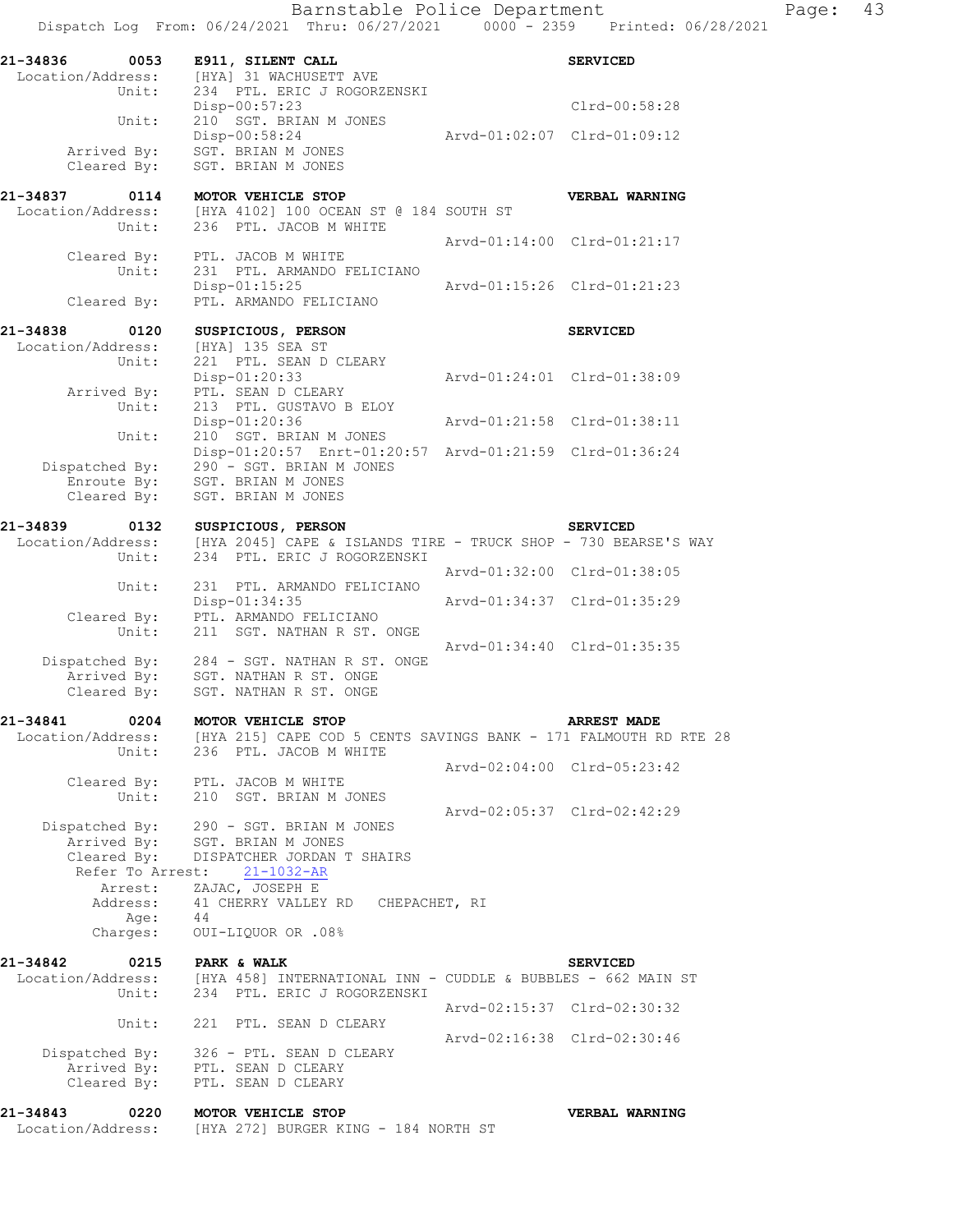| 0053<br>21-34836<br>Location/Address:<br>Unit:                   | E911, SILENT CALL<br>[HYA] 31 WACHUSETT AVE<br>234 PTL. ERIC J ROGORZENSKI                                                              |                             | <b>SERVICED</b>             |
|------------------------------------------------------------------|-----------------------------------------------------------------------------------------------------------------------------------------|-----------------------------|-----------------------------|
| Unit:                                                            | Disp-00:57:23<br>210 SGT. BRIAN M JONES                                                                                                 |                             | Clrd-00:58:28               |
| Arrived By:<br>Cleared By:                                       | Disp-00:58:24<br>SGT. BRIAN M JONES<br>SGT. BRIAN M JONES                                                                               |                             | Arvd-01:02:07 Clrd-01:09:12 |
| Unit:                                                            | 21-34837 0114 MOTOR VEHICLE STOP<br>Location/Address: [HYA 4102] 100 OCEAN ST @ 184 SOUTH ST<br>236 PTL. JACOB M WHITE                  |                             | VERBAL WARNING              |
| Unit:                                                            | Cleared By: PTL. JACOB M WHITE<br>231 PTL. ARMANDO FELICIANO                                                                            |                             | Arvd-01:14:00 Clrd-01:21:17 |
| Cleared By:                                                      | $Disp-01:15:25$<br>PTL. ARMANDO FELICIANO                                                                                               | Arvd-01:15:26 Clrd-01:21:23 |                             |
| 21-34838<br>0120<br>Location/Address:<br>Unit:                   | SUSPICIOUS, PERSON<br>[HYA] 135 SEA ST<br>221 PTL. SEAN D CLEARY                                                                        |                             | <b>SERVICED</b>             |
| Arrived By:<br>ed By:<br>Unit:                                   | Disp-01:20:33<br>PTL. SEAN D CLEARY<br>213 PTL. GUSTAVO B ELOY                                                                          |                             | Arvd-01:24:01 Clrd-01:38:09 |
| Unit:                                                            | Disp-01:20:36<br>210 SGT. BRIAN M JONES                                                                                                 |                             | Arvd-01:21:58 Clrd-01:38:11 |
| Dispatched By:<br>spatched By:<br>Enroute By:                    | Disp-01:20:57 Enrt-01:20:57 Arvd-01:21:59 Clrd-01:36:24<br>290 - SGT. BRIAN M JONES                                                     |                             |                             |
| Cleared By:                                                      | SGT. BRIAN M JONES<br>SGT. BRIAN M JONES                                                                                                |                             |                             |
| 21-34839<br>0132                                                 | SUSPICIOUS, PERSON                                                                                                                      |                             | <b>SERVICED</b>             |
| Location/Address:<br>Unit:                                       | SERVICED<br>[HYA 2045] CAPE & ISLANDS TIRE - TRUCK SHOP - 730 BEARSE'S WAY<br>234 PTL, ERIC J ROCOREMENT<br>234 PTL. ERIC J ROGORZENSKI |                             |                             |
| Unit:                                                            | 231 PTL. ARMANDO FELICIANO                                                                                                              |                             | Arvd-01:32:00 Clrd-01:38:05 |
| Cleared By:<br>Unit:                                             | Disp-01:34:35<br>PTL. ARMANDO FELICIANO<br>211 SGT. NATHAN R ST. ONGE                                                                   |                             | Arvd-01:34:37 Clrd-01:35:29 |
| Cleared By:                                                      | Dispatched By: 284 - SGT. NATHAN R ST. ONGE<br>Arrived By: SGT. NATHAN R ST. ONGE<br>SGT. NATHAN R ST. ONGE                             |                             | Arvd-01:34:40 Clrd-01:35:35 |
| 21-34841<br>$\sim$ 0204                                          | MOTOR VEHICLE STOP                                                                                                                      |                             | <b>ARREST MADE</b>          |
| Location/Address:<br>Unit:                                       | [HYA 215] CAPE COD 5 CENTS SAVINGS BANK - 171 FALMOUTH RD RTE 28<br>236 PTL. JACOB M WHITE                                              |                             |                             |
| Cleared By:<br>Unit:                                             | PTL. JACOB M WHITE<br>210 SGT. BRIAN M JONES                                                                                            |                             | Arvd-02:04:00 Clrd-05:23:42 |
| Dispatched By:<br>Arrived By:<br>Cleared By:<br>Refer To Arrest: | 290 - SGT. BRIAN M JONES<br>SGT. BRIAN M JONES<br>DISPATCHER JORDAN T SHAIRS<br>$21 - 1032 - AR$<br>ZAJAC, JOSEPH E                     |                             | Arvd-02:05:37 Clrd-02:42:29 |
| Arrest:<br>Address:<br>Age:<br>Charges:                          | 41 CHERRY VALLEY RD<br>CHEPACHET, RI<br>44<br>OUI-LIQUOR OR .08%                                                                        |                             |                             |
| 21-34842<br>0215<br>Location/Address:                            | PARK & WALK<br>[HYA 458] INTERNATIONAL INN - CUDDLE & BUBBLES - 662 MAIN ST                                                             |                             | <b>SERVICED</b>             |
| Unit:                                                            | 234 PTL. ERIC J ROGORZENSKI                                                                                                             |                             | Arvd-02:15:37 Clrd-02:30:32 |
| Unit:                                                            | 221 PTL. SEAN D CLEARY                                                                                                                  |                             | Arvd-02:16:38 Clrd-02:30:46 |
| Dispatched By:<br>Arrived By:<br>Cleared By:                     | 326 - PTL. SEAN D CLEARY<br>PTL. SEAN D CLEARY<br>PTL. SEAN D CLEARY                                                                    |                             |                             |
| 21-34843<br>0220<br>Location/Address:                            | MOTOR VEHICLE STOP<br>[HYA 272] BURGER KING - 184 NORTH ST                                                                              |                             | <b>VERBAL WARNING</b>       |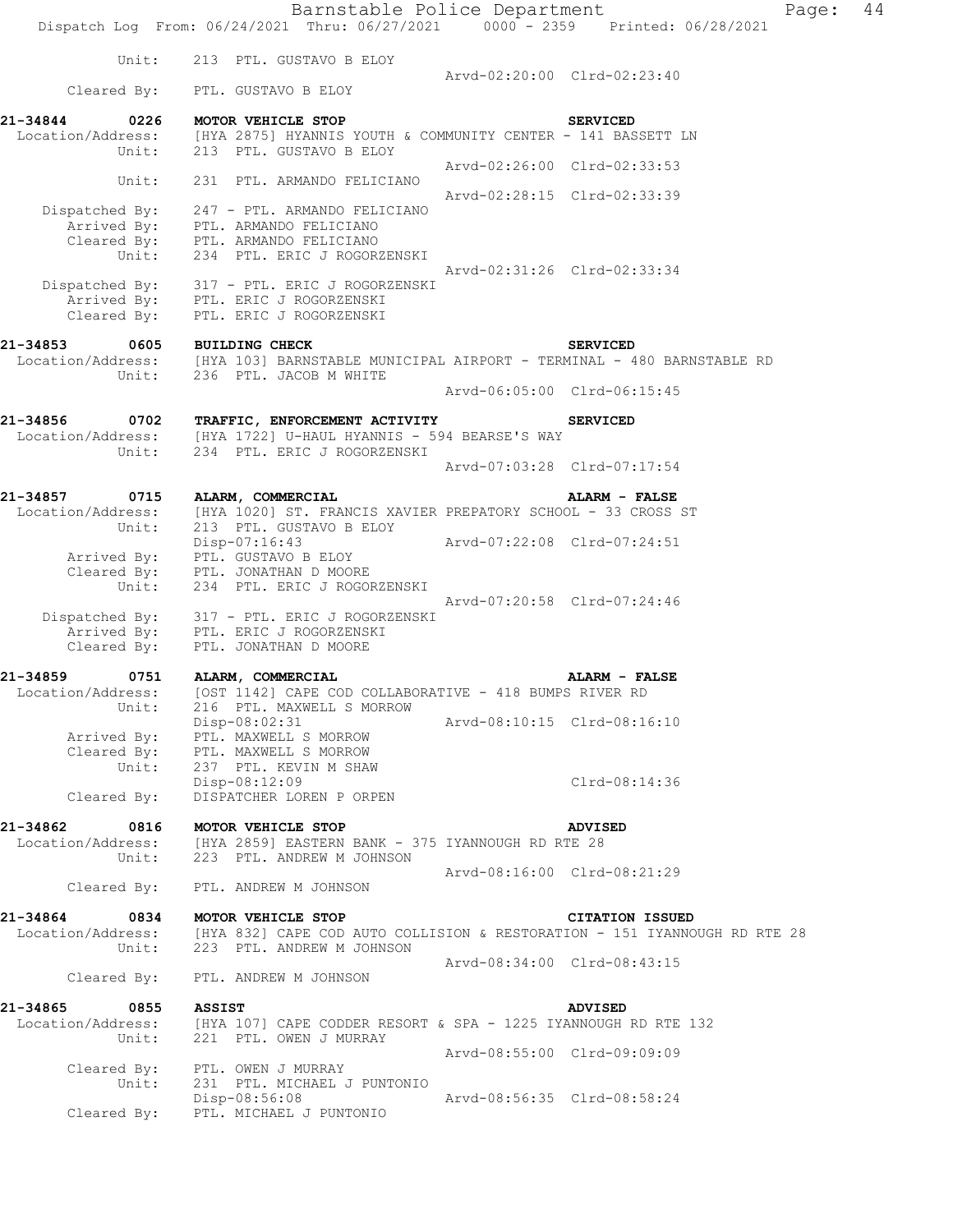|                                       | Barnstable Police Department<br>Dispatch Log From: 06/24/2021 Thru: 06/27/2021 0000 - 2359 Printed: 06/28/2021    |                             |                             | Page: | 44 |
|---------------------------------------|-------------------------------------------------------------------------------------------------------------------|-----------------------------|-----------------------------|-------|----|
|                                       |                                                                                                                   |                             |                             |       |    |
| Unit:                                 | 213 PTL. GUSTAVO B ELOY                                                                                           |                             | Arvd-02:20:00 Clrd-02:23:40 |       |    |
| Cleared By:                           | PTL. GUSTAVO B ELOY                                                                                               |                             |                             |       |    |
| 21-34844<br>0226                      | MOTOR VEHICLE STOP                                                                                                |                             | <b>SERVICED</b>             |       |    |
|                                       | Location/Address: [HYA 2875] HYANNIS YOUTH & COMMUNITY CENTER - 141 BASSETT LN                                    |                             |                             |       |    |
| Unit:                                 | 213 PTL. GUSTAVO B ELOY                                                                                           |                             | Arvd-02:26:00 Clrd-02:33:53 |       |    |
| Unit:                                 | 231 PTL. ARMANDO FELICIANO                                                                                        |                             |                             |       |    |
| Dispatched By:                        | 247 - PTL. ARMANDO FELICIANO                                                                                      |                             | Arvd-02:28:15 Clrd-02:33:39 |       |    |
|                                       | Arrived By: PTL. ARMANDO FELICIANO                                                                                |                             |                             |       |    |
| Unit:                                 | Cleared By: PTL. ARMANDO FELICIANO<br>234 PTL. ERIC J ROGORZENSKI                                                 |                             |                             |       |    |
|                                       |                                                                                                                   |                             | Arvd-02:31:26 Clrd-02:33:34 |       |    |
|                                       | Dispatched By: 317 - PTL. ERIC J ROGORZENSKI                                                                      |                             |                             |       |    |
| Cleared By:                           | Arrived By: PTL. ERIC J ROGORZENSKI<br>PTL. ERIC J ROGORZENSKI                                                    |                             |                             |       |    |
|                                       |                                                                                                                   |                             |                             |       |    |
| 21-34853<br>0605                      | <b>BUILDING CHECK</b>                                                                                             |                             | <b>SERVICED</b>             |       |    |
| Unit:                                 | Location/Address: [HYA 103] BARNSTABLE MUNICIPAL AIRPORT - TERMINAL - 480 BARNSTABLE RD<br>236 PTL. JACOB M WHITE |                             |                             |       |    |
|                                       |                                                                                                                   |                             | Arvd-06:05:00 Clrd-06:15:45 |       |    |
| 21-34856<br>0702                      | TRAFFIC, ENFORCEMENT ACTIVITY                                                                                     |                             | <b>SERVICED</b>             |       |    |
| Location/Address:                     | [HYA 1722] U-HAUL HYANNIS - 594 BEARSE'S WAY                                                                      |                             |                             |       |    |
| Unit:                                 | 234 PTL. ERIC J ROGORZENSKI                                                                                       |                             |                             |       |    |
|                                       |                                                                                                                   |                             | Arvd-07:03:28 Clrd-07:17:54 |       |    |
| 21-34857<br>0715                      | ALARM, COMMERCIAL                                                                                                 |                             | ALARM - FALSE               |       |    |
| Location/Address:<br>Unit:            | [HYA 1020] ST. FRANCIS XAVIER PREPATORY SCHOOL - 33 CROSS ST<br>213 PTL. GUSTAVO B ELOY                           |                             |                             |       |    |
|                                       | Disp-07:16:43                                                                                                     |                             | Arvd-07:22:08 Clrd-07:24:51 |       |    |
|                                       | Arrived By: PTL. GUSTAVO B ELOY                                                                                   |                             |                             |       |    |
| Cleared By:<br>Unit:                  | PTL. JONATHAN D MOORE<br>234 PTL. ERIC J ROGORZENSKI                                                              |                             |                             |       |    |
|                                       |                                                                                                                   |                             | Arvd-07:20:58 Clrd-07:24:46 |       |    |
|                                       | Dispatched By: 317 - PTL. ERIC J ROGORZENSKI<br>Arrived By: PTL. ERIC J ROGORZENSKI                               |                             |                             |       |    |
| Cleared By:                           | PTL. JONATHAN D MOORE                                                                                             |                             |                             |       |    |
| 21-34859                              |                                                                                                                   |                             |                             |       |    |
| 0751<br>Location/Address:             | ALARM, COMMERCIAL<br>[OST 1142] CAPE COD COLLABORATIVE - 418 BUMPS RIVER RD                                       |                             | ALARM - FALSE               |       |    |
| Unit:                                 | 216 PTL. MAXWELL S MORROW                                                                                         |                             |                             |       |    |
| Arrived By:                           | Disp-08:02:31<br>PTL. MAXWELL S MORROW                                                                            | Arvd-08:10:15 Clrd-08:16:10 |                             |       |    |
| Cleared By:                           | PTL. MAXWELL S MORROW                                                                                             |                             |                             |       |    |
| Unit:                                 | 237 PTL. KEVIN M SHAW<br>Disp-08:12:09                                                                            |                             | Clrd-08:14:36               |       |    |
| Cleared By:                           | DISPATCHER LOREN P ORPEN                                                                                          |                             |                             |       |    |
|                                       |                                                                                                                   |                             |                             |       |    |
| 21-34862<br>0816<br>Location/Address: | MOTOR VEHICLE STOP<br>[HYA 2859] EASTERN BANK - 375 IYANNOUGH RD RTE 28                                           |                             | <b>ADVISED</b>              |       |    |
| Unit:                                 | 223 PTL. ANDREW M JOHNSON                                                                                         |                             |                             |       |    |
| Cleared By:                           | PTL. ANDREW M JOHNSON                                                                                             |                             | Arvd-08:16:00 Clrd-08:21:29 |       |    |
| 21-34864<br>0834                      | MOTOR VEHICLE STOP                                                                                                |                             | <b>CITATION ISSUED</b>      |       |    |
| Location/Address:                     | [HYA 832] CAPE COD AUTO COLLISION & RESTORATION - 151 IYANNOUGH RD RTE 28                                         |                             |                             |       |    |
| Unit:                                 | 223 PTL. ANDREW M JOHNSON                                                                                         |                             |                             |       |    |
| Cleared By:                           | PTL. ANDREW M JOHNSON                                                                                             |                             | Arvd-08:34:00 Clrd-08:43:15 |       |    |
| 21-34865<br>0855                      | <b>ASSIST</b>                                                                                                     |                             | <b>ADVISED</b>              |       |    |
| Location/Address:                     | [HYA 107] CAPE CODDER RESORT & SPA - 1225 IYANNOUGH RD RTE 132                                                    |                             |                             |       |    |
| Unit:                                 | 221 PTL. OWEN J MURRAY                                                                                            |                             | Arvd-08:55:00 Clrd-09:09:09 |       |    |
| Cleared By:                           | PTL. OWEN J MURRAY                                                                                                |                             |                             |       |    |
| Unit:                                 | 231 PTL. MICHAEL J PUNTONIO<br>Disp-08:56:08                                                                      |                             | Arvd-08:56:35 Clrd-08:58:24 |       |    |
| Cleared By:                           | PTL. MICHAEL J PUNTONIO                                                                                           |                             |                             |       |    |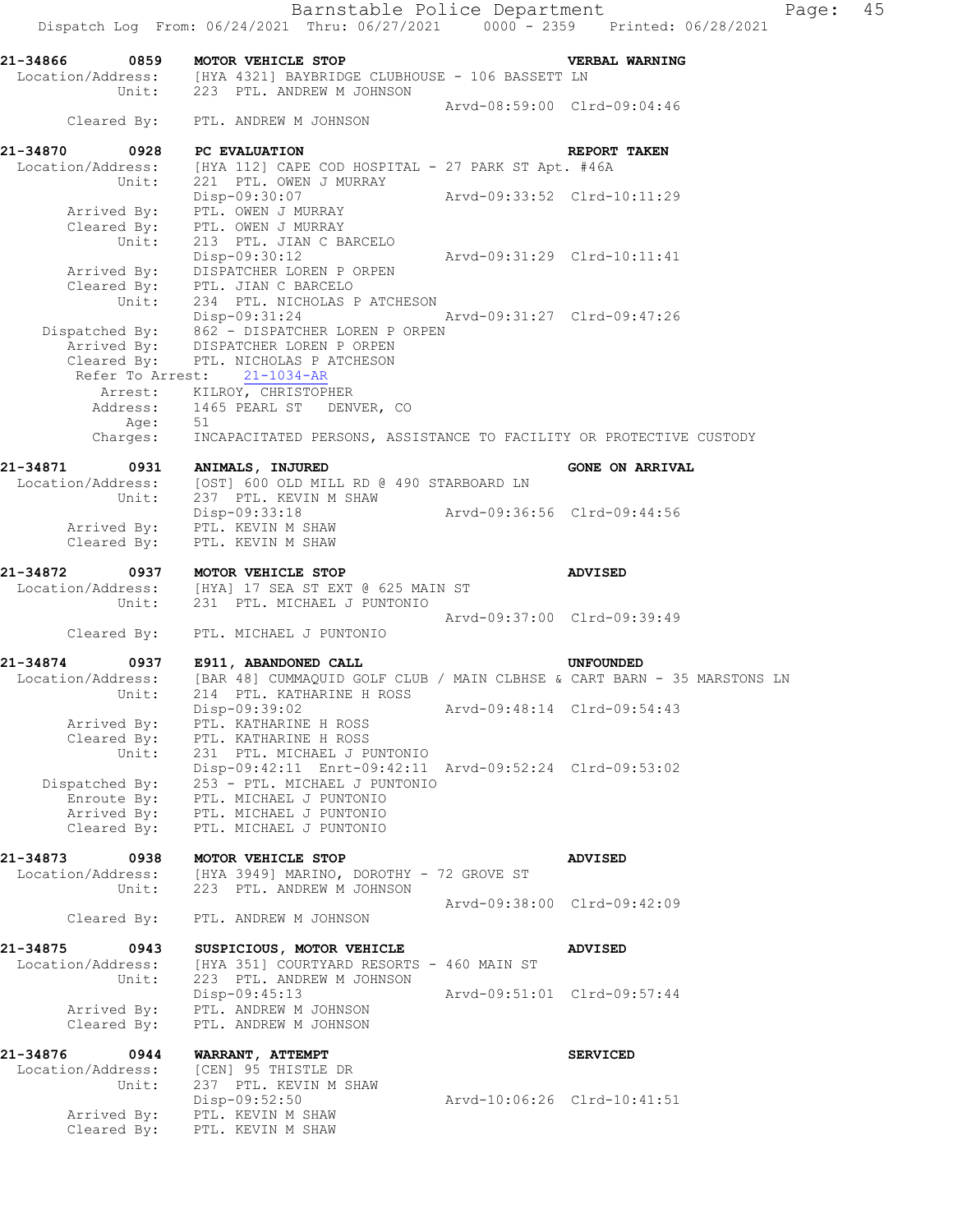Barnstable Police Department Fage: 45 Dispatch Log From: 06/24/2021 Thru: 06/27/2021 0000 - 2359 Printed: 06/28/2021 **21-34866 0859 MOTOR VEHICLE STOP VERBAL WARNING**  Location/Address: [HYA 4321] BAYBRIDGE CLUBHOUSE - 106 BASSETT LN Unit: 223 PTL. ANDREW M JOHNSON Arvd-08:59:00 Clrd-09:04:46 Cleared By: PTL. ANDREW M JOHNSON **21-34870 0928 PC EVALUATION REPORT TAKEN**  Location/Address: [HYA 112] CAPE COD HOSPITAL - 27 PARK ST Apt. #46A Unit: 221 PTL. OWEN J MURRAY Disp-09:30:07 Arvd-09:33:52 Clrd-10:11:29 Disp-09:30:07<br>Arrived By: PTL. OWEN J MURRAY Cleared By: PTL. OWEN J MURRAY Unit: 213 PTL. JIAN C BARCELO Disp-09:30:12 Arvd-09:31:29 Clrd-10:11:41 Arrived By: DISPATCHER LOREN P ORPEN Cleared By: PTL. JIAN C BARCELO Unit: 234 PTL. NICHOLAS P ATCHESON Disp-09:31:24 Arvd-09:31:27 Clrd-09:47:26 Dispatched By: 862 - DISPATCHER LOREN P ORPEN Arrived By: DISPATCHER LOREN P ORPEN Cleared By: PTL. NICHOLAS P ATCHESON Refer To Arrest: 21-1034-AR Arrest: KILROY, CHRISTOPHER Address: 1465 PEARL ST DENVER, CO Age: 51 Charges: INCAPACITATED PERSONS, ASSISTANCE TO FACILITY OR PROTECTIVE CUSTODY 21-34871 0931 ANIMALS, INJURED **CONE ON ARRIVAL**  Location/Address: [OST] 600 OLD MILL RD @ 490 STARBOARD LN Unit: 237 PTL. KEVIN M SHAW Disp-09:33:18 Arvd-09:36:56 Clrd-09:44:56 Arrived By: PTL. KEVIN M SHAW Cleared By: PTL. KEVIN M SHAW **21-34872 0937 MOTOR VEHICLE STOP ADVISED**  Location/Address: [HYA] 17 SEA ST EXT @ 625 MAIN ST Unit: 231 PTL. MICHAEL J PUNTONIO Arvd-09:37:00 Clrd-09:39:49 Cleared By: PTL. MICHAEL J PUNTONIO **21-34874 0937 E911, ABANDONED CALL UNFOUNDED**  Location/Address: [BAR 48] CUMMAQUID GOLF CLUB / MAIN CLBHSE & CART BARN - 35 MARSTONS LN Unit: 214 PTL. KATHARINE H ROSS Disp-09:39:02 Arvd-09:48:14 Clrd-09:54:43 Arrived By: PTL. KATHARINE H ROSS Cleared By: PTL. KATHARINE H ROSS Unit: 231 PTL. MICHAEL J PUNTONIO Disp-09:42:11 Enrt-09:42:11 Arvd-09:52:24 Clrd-09:53:02 Dispatched By: 253 - PTL. MICHAEL J PUNTONIO Enroute By: PTL. MICHAEL J PUNTONIO Arrived By: PTL. MICHAEL J PUNTONIO Cleared By: PTL. MICHAEL J PUNTONIO **21-34873 0938 MOTOR VEHICLE STOP ADVISED**  Location/Address: [HYA 3949] MARINO, DOROTHY - 72 GROVE ST Unit: 223 PTL. ANDREW M JOHNSON Arvd-09:38:00 Clrd-09:42:09 Cleared By: PTL. ANDREW M JOHNSON **21-34875 0943 SUSPICIOUS, MOTOR VEHICLE ADVISED**  Location/Address: [HYA 351] COURTYARD RESORTS - 460 MAIN ST Unit: 223 PTL. ANDREW M JOHNSON Disp-09:45:13 Arvd-09:51:01 Clrd-09:57:44 Arrived By: PTL. ANDREW M JOHNSON Cleared By: PTL. ANDREW M JOHNSON **21-34876 0944 WARRANT, ATTEMPT SERVICED**  Location/Address: [CEN] 95 THISTLE DR Unit: 237 PTL. KEVIN M SHAW Disp-09:52:50 Arvd-10:06:26 Clrd-10:41:51 Arrived By: PTL. KEVIN M SHAW Cleared By: PTL. KEVIN M SHAW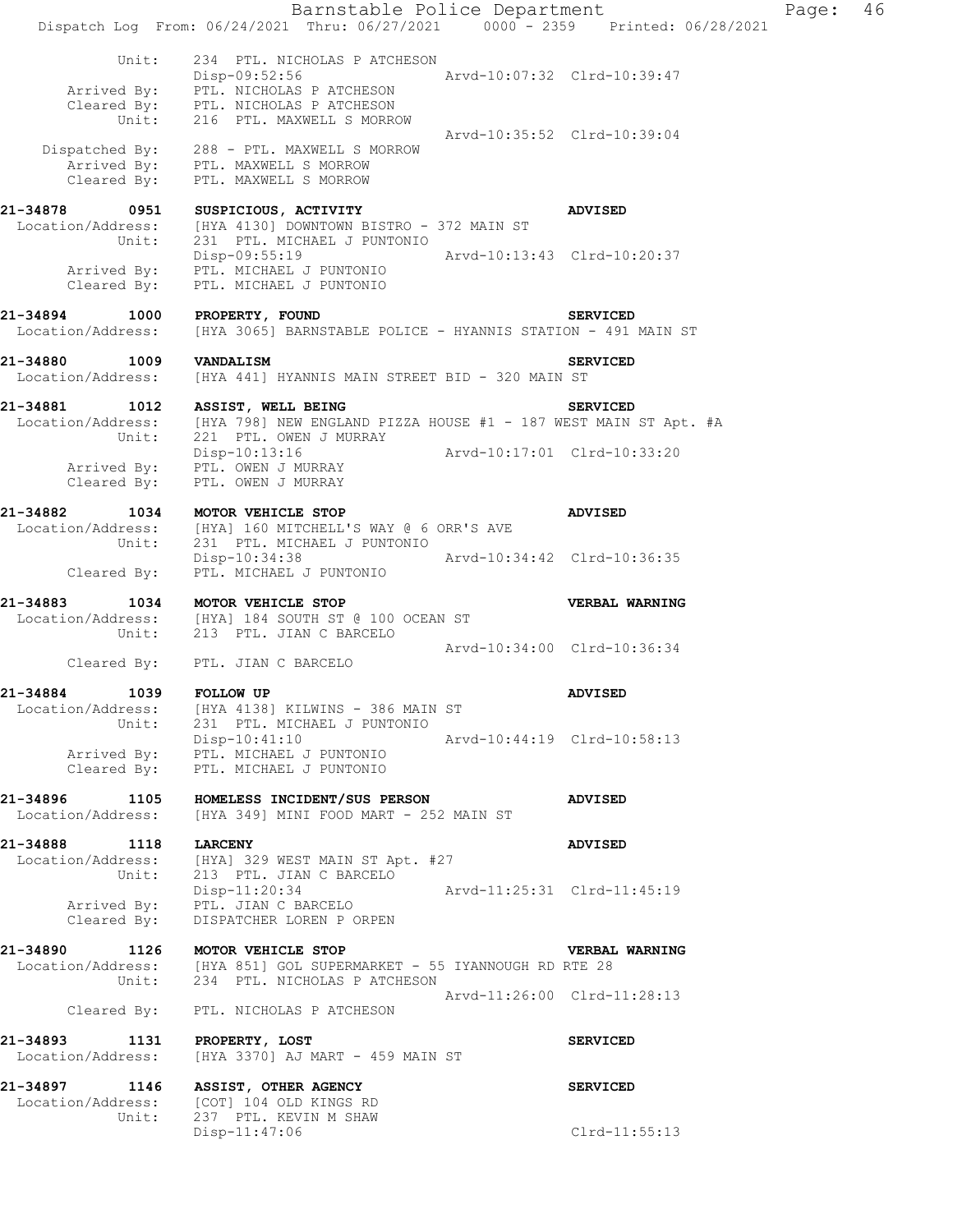Barnstable Police Department Page: 46 Dispatch Log From: 06/24/2021 Thru: 06/27/2021 0000 - 2359 Printed: 06/28/2021 Unit: 234 PTL. NICHOLAS P ATCHESON Disp-09:52:56 Arvd-10:07:32 Clrd-10:39:47 Arrived By: PTL. NICHOLAS P ATCHESON Cleared By: PTL. NICHOLAS P ATCHESON Unit: 216 PTL. MAXWELL S MORROW Arvd-10:35:52 Clrd-10:39:04 Dispatched By: 288 - PTL. MAXWELL S MORROW Arrived By: PTL. MAXWELL S MORROW Cleared By: PTL. MAXWELL S MORROW **21-34878 0951 SUSPICIOUS, ACTIVITY ADVISED**  Location/Address: [HYA 4130] DOWNTOWN BISTRO - 372 MAIN ST Unit: 231 PTL. MICHAEL J PUNTONIO Disp-09:55:19 Arvd-10:13:43 Clrd-10:20:37 Arrived By: PTL. MICHAEL J PUNTONIO Cleared By: PTL. MICHAEL J PUNTONIO **21-34894 1000 PROPERTY, FOUND SERVICED**  Location/Address: [HYA 3065] BARNSTABLE POLICE - HYANNIS STATION - 491 MAIN ST **21-34880 1009 VANDALISM SERVICED**  Location/Address: [HYA 441] HYANNIS MAIN STREET BID - 320 MAIN ST **21-34881 1012 ASSIST, WELL BEING SERVICED**  Location/Address: [HYA 798] NEW ENGLAND PIZZA HOUSE #1 - 187 WEST MAIN ST Apt. #A Unit: 221 PTL. OWEN J MURRAY Disp-10:13:16 Arvd-10:17:01 Clrd-10:33:20 Arrived By: PTL. OWEN J MURRAY Cleared  $\overline{\text{{\tt Bv}}}$ : PTL. OWEN J MURRAY **21-34882 1034 MOTOR VEHICLE STOP ADVISED**  Location/Address: [HYA] 160 MITCHELL'S WAY @ 6 ORR'S AVE Unit: 231 PTL. MICHAEL J PUNTONIO Disp-10:34:38 Arvd-10:34:42 Clrd-10:36:35 Disp-10:34:38<br>Cleared By: PTL. MICHAEL J PUNTONIO **21-34883 1034 MOTOR VEHICLE STOP VERBAL WARNING**  Location/Address: [HYA] 184 SOUTH ST @ 100 OCEAN ST Unit: 213 PTL. JIAN C BARCELO Arvd-10:34:00 Clrd-10:36:34 Cleared By: PTL. JIAN C BARCELO **21-34884 1039 FOLLOW UP ADVISED**  Location/Address: [HYA 4138] KILWINS - 386 MAIN ST Unit: 231 PTL. MICHAEL J PUNTONIO Disp-10:41:10 Arvd-10:44:19 Clrd-10:58:13 Arrived By: PTL. MICHAEL J PUNTONIO Cleared By: PTL. MICHAEL J PUNTONIO **21-34896 1105 HOMELESS INCIDENT/SUS PERSON ADVISED**  Location/Address: [HYA 349] MINI FOOD MART - 252 MAIN ST **21-34888 1118 LARCENY ADVISED**  Location/Address: [HYA] 329 WEST MAIN ST Apt. #27 Unit: 213 PTL. JIAN C BARCELO Disp-11:20:34 Arvd-11:25:31 Clrd-11:45:19 Arrived By: PTL. JIAN C BARCELO Disp-11:20:34<br>Arrived By: PTL. JIAN C BARCELO<br>Cleared By: DISPATCHER LOREN P ORPEN **21-34890 1126 MOTOR VEHICLE STOP VERBAL WARNING**  Location/Address: [HYA 851] GOL SUPERMARKET - 55 IYANNOUGH RD RTE 28 Unit: 234 PTL. NICHOLAS P ATCHESON Arvd-11:26:00 Clrd-11:28:13 Cleared By: PTL. NICHOLAS P ATCHESON **21-34893 1131 PROPERTY, LOST SERVICED**  Location/Address: [HYA 3370] AJ MART - 459 MAIN ST **21-34897 1146 ASSIST, OTHER AGENCY SERVICED**  Location/Address: [COT] 104 OLD KINGS RD Unit: 237 PTL. KEVIN M SHAW Disp-11:47:06 Clrd-11:55:13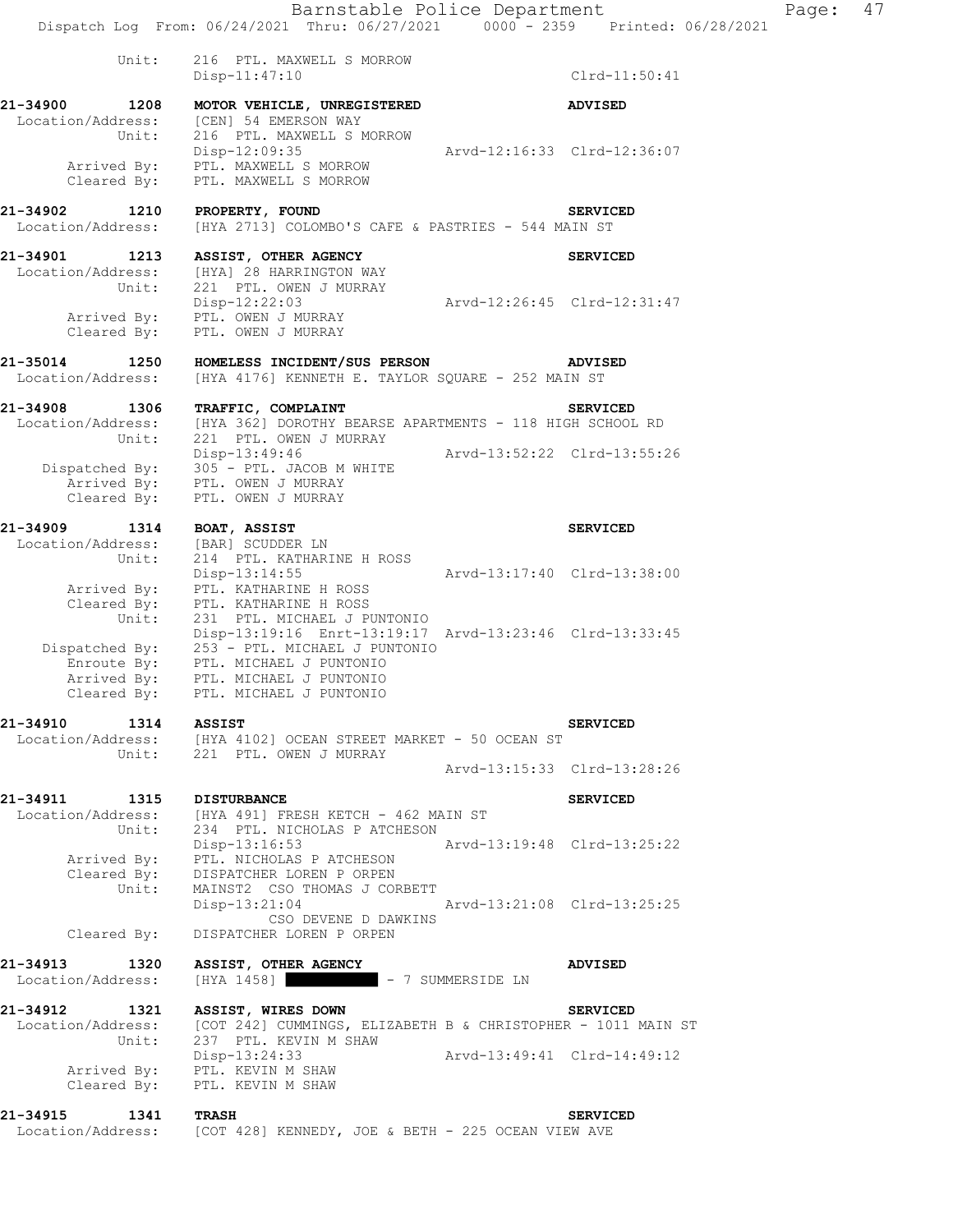## **21-34901 1213 ASSIST, OTHER AGENCY SERVICED**  Location/Address: [HYA] 28 HARRINGTON WAY Unit: 221 PTL. OWEN J MURRAY Unit: 221 PTL. OWEN J MURRAY<br>Disp-12:22:03 Arvd-12:26:45 Clrd-12:31:47 Arrived By: PTL. OWEN J MURRAY Cleared By: PTL. OWEN J MURRAY

**21-35014 1250 HOMELESS INCIDENT/SUS PERSON ADVISED**  Location/Address: [HYA 4176] KENNETH E. TAYLOR SQUARE - 252 MAIN ST

**21-34908 1306 TRAFFIC, COMPLAINT SERVICED**  Location/Address: [HYA 362] DOROTHY BEARSE APARTMENTS - 118 HIGH SCHOOL RD Unit: 221 PTL. OWEN J MURRAY Disp-13:49:46 Arvd-13:52:22 Clrd-13:55:26 Dispatched By: 305 - PTL. JACOB M WHITE .<br>Arrived By: PTL. OWEN J MURRAY Cleared  $\overline{\text{{\tt Bv}}}$ : PTL. OWEN J MURRAY

**21-34909 1314 BOAT, ASSIST SERVICED**  Location/Address: [BAR] SCUDDER LN Unit: 214 PTL. KATHARINE H ROSS Disp-13:14:55 Arvd-13:17:40 Clrd-13:38:00 Arrived By: PTL. KATHARINE H ROSS Cleared By: PTL. KATHARINE H ROSS Unit: 231 PTL. MICHAEL J PUNTONIO Disp-13:19:16 Enrt-13:19:17 Arvd-13:23:46 Clrd-13:33:45 Dispatched By: 253 - PTL. MICHAEL J PUNTONIO Enroute By: PTL. MICHAEL J PUNTONIO Arrived By: PTL. MICHAEL J PUNTONIO Cleared By: PTL. MICHAEL J PUNTONIO

**21-34910 1314 ASSIST SERVICED**  Location/Address: [HYA 4102] OCEAN STREET MARKET - 50 OCEAN ST Unit: 221 PTL. OWEN J MURRAY Arvd-13:15:33 Clrd-13:28:26

**21-34911 1315 DISTURBANCE SERVICED**  Location/Address: [HYA 491] FRESH KETCH - 462 MAIN ST Unit: 234 PTL. NICHOLAS P ATCHESON Unit: 234 PTL. NICHOLAS P ATCHESON<br>Disp-13:16:53 Arvd-13:19:48 Clrd-13:25:22 Arrived By: PTL. NICHOLAS P ATCHESON Cleared By: DISPATCHER LOREN P ORPEN Unit: MAINST2 CSO THOMAS J CORBETT Disp-13:21:04 Arvd-13:21:08 Clrd-13:25:25 CSO DEVENE D DAWKINS Cleared By: DISPATCHER LOREN P ORPEN

**21-34913 1320 ASSIST, OTHER AGENCY ADVISED**  Location/Address: [HYA 1458] - 7 SUMMERSIDE LN

**21-34912 1321 ASSIST, WIRES DOWN SERVICED**  Location/Address: [COT 242] CUMMINGS, ELIZABETH B & CHRISTOPHER - 1011 MAIN ST Unit: 237 PTL. KEVIN M SHAW Disp-13:24:33 Arvd-13:49:41 Clrd-14:49:12 Arrived By: PTL. KEVIN M SHAW Cleared By: PTL. KEVIN M SHAW

**21-34915 1341 TRASH SERVICED**  Location/Address: [COT 428] KENNEDY, JOE & BETH - 225 OCEAN VIEW AVE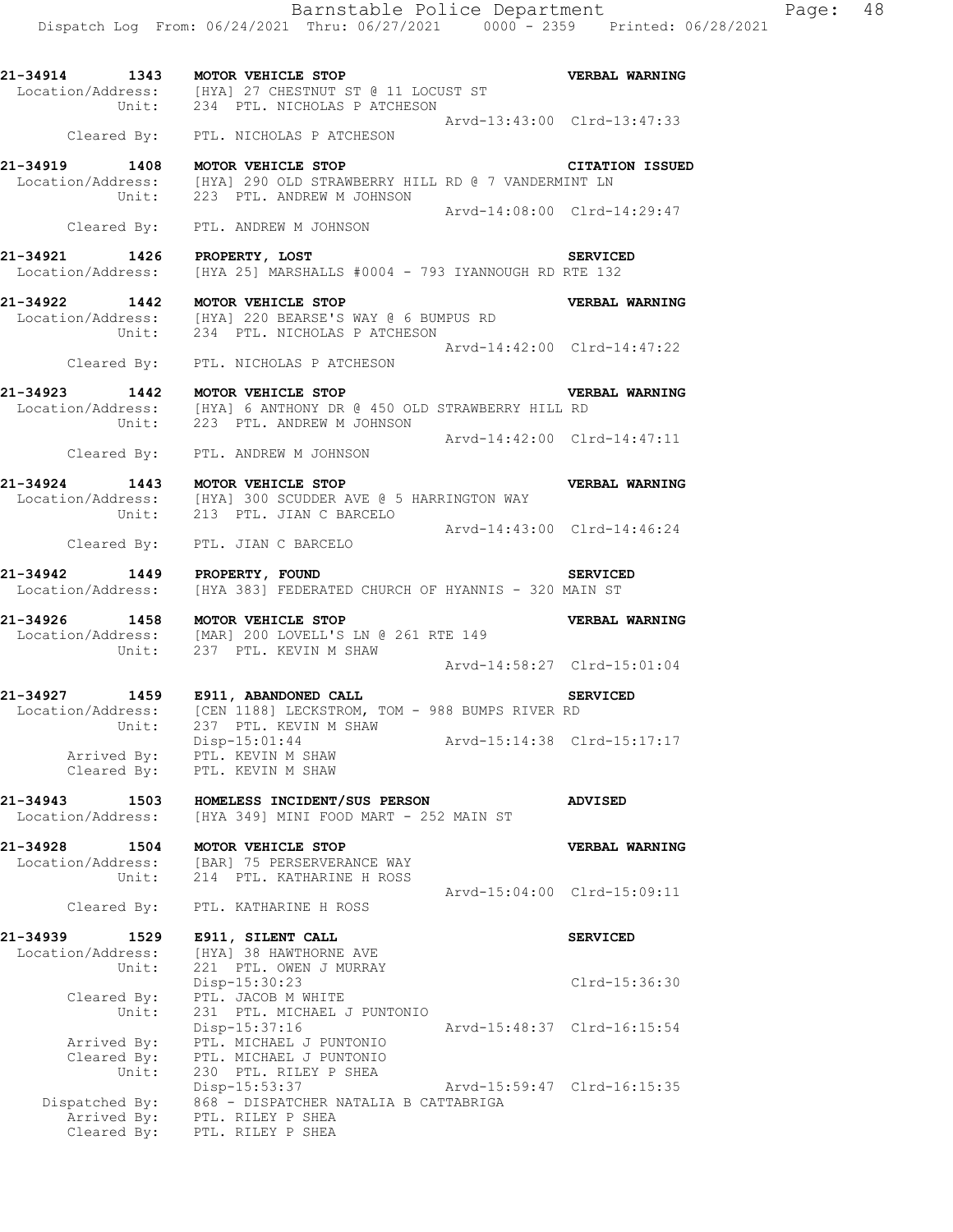**21-34914 1343 MOTOR VEHICLE STOP VERBAL WARNING**  Location/Address: [HYA] 27 CHESTNUT ST @ 11 LOCUST ST Unit: 234 PTL. NICHOLAS P ATCHESON Arvd-13:43:00 Clrd-13:47:33 Cleared By: PTL. NICHOLAS P ATCHESON

**21-34919 1408 MOTOR VEHICLE STOP CITATION ISSUED**  Location/Address: [HYA] 290 OLD STRAWBERRY HILL RD @ 7 VANDERMINT LN Unit: 223 PTL. ANDREW M JOHNSON Arvd-14:08:00 Clrd-14:29:47 Cleared By: PTL. ANDREW M JOHNSON

**21-34921 1426 PROPERTY, LOST SERVICED**  Location/Address: [HYA 25] MARSHALLS #0004 - 793 IYANNOUGH RD RTE 132

**21-34922 1442 MOTOR VEHICLE STOP VERBAL WARNING**  Location/Address: [HYA] 220 BEARSE'S WAY @ 6 BUMPUS RD Unit: 234 PTL. NICHOLAS P ATCHESON Arvd-14:42:00 Clrd-14:47:22 Cleared By: PTL. NICHOLAS P ATCHESON

**21-34923 1442 MOTOR VEHICLE STOP VERBAL WARNING**  Location/Address: [HYA] 6 ANTHONY DR @ 450 OLD STRAWBERRY HILL RD Unit: 223 PTL. ANDREW M JOHNSON Arvd-14:42:00 Clrd-14:47:11

Cleared By: PTL. ANDREW M JOHNSON

**21-34924 1443 MOTOR VEHICLE STOP VERBAL WARNING**  Location/Address: [HYA] 300 SCUDDER AVE @ 5 HARRINGTON WAY Unit: 213 PTL. JIAN C BARCELO Arvd-14:43:00 Clrd-14:46:24

Cleared By: PTL. JIAN C BARCELO

**21-34942 1449 PROPERTY, FOUND SERVICED**  Location/Address: [HYA 383] FEDERATED CHURCH OF HYANNIS - 320 MAIN ST

**21-34926 1458 MOTOR VEHICLE STOP VERBAL WARNING**  Location/Address: [MAR] 200 LOVELL'S LN @ 261 RTE 149 Unit: 237 PTL. KEVIN M SHAW Arvd-14:58:27 Clrd-15:01:04

**21-34927 1459 E911, ABANDONED CALL SERVICED**  Location/Address: [CEN 1188] LECKSTROM, TOM - 988 BUMPS RIVER RD Unit: 237 PTL. KEVIN M SHAW Disp-15:01:44 Arvd-15:14:38 Clrd-15:17:17 Arrived By: PTL. KEVIN M SHAW Cleared By: PTL. KEVIN M SHAW

**21-34943 1503 HOMELESS INCIDENT/SUS PERSON ADVISED**  Location/Address: [HYA 349] MINI FOOD MART - 252 MAIN ST

**21-34928 1504 MOTOR VEHICLE STOP VERBAL WARNING**  Location/Address: [BAR] 75 PERSERVERANCE WAY Unit: 214 PTL. KATHARINE H ROSS Arvd-15:04:00 Clrd-15:09:11 Cleared By: PTL. KATHARINE H ROSS

**21-34939 1529 E911, SILENT CALL SERVICED**  Location/Address: [HYA] 38 HAWTHORNE AVE Unit: 221 PTL. OWEN J MURRAY Disp-15:30:23 Clrd-15:36:30 Disp-15:30:23<br>Cleared By: PTL. JACOB M WHITE Unit: 231 PTL. MICHAEL J PUNTONIO Disp-15:37:16 Arvd-15:48:37 Clrd-16:15:54 Arrived By: PTL. MICHAEL J PUNTONIO Cleared By: PTL. MICHAEL J PUNTONIO Unit: 230 PTL. RILEY P SHEA Disp-15:53:37 Arvd-15:59:47 Clrd-16:15:35 Dispatched By: 868 - DISPATCHER NATALIA B CATTABRIGA .<br>Arrived By: PTL. RILEY P SHEA Cleared By: PTL. RILEY P SHEA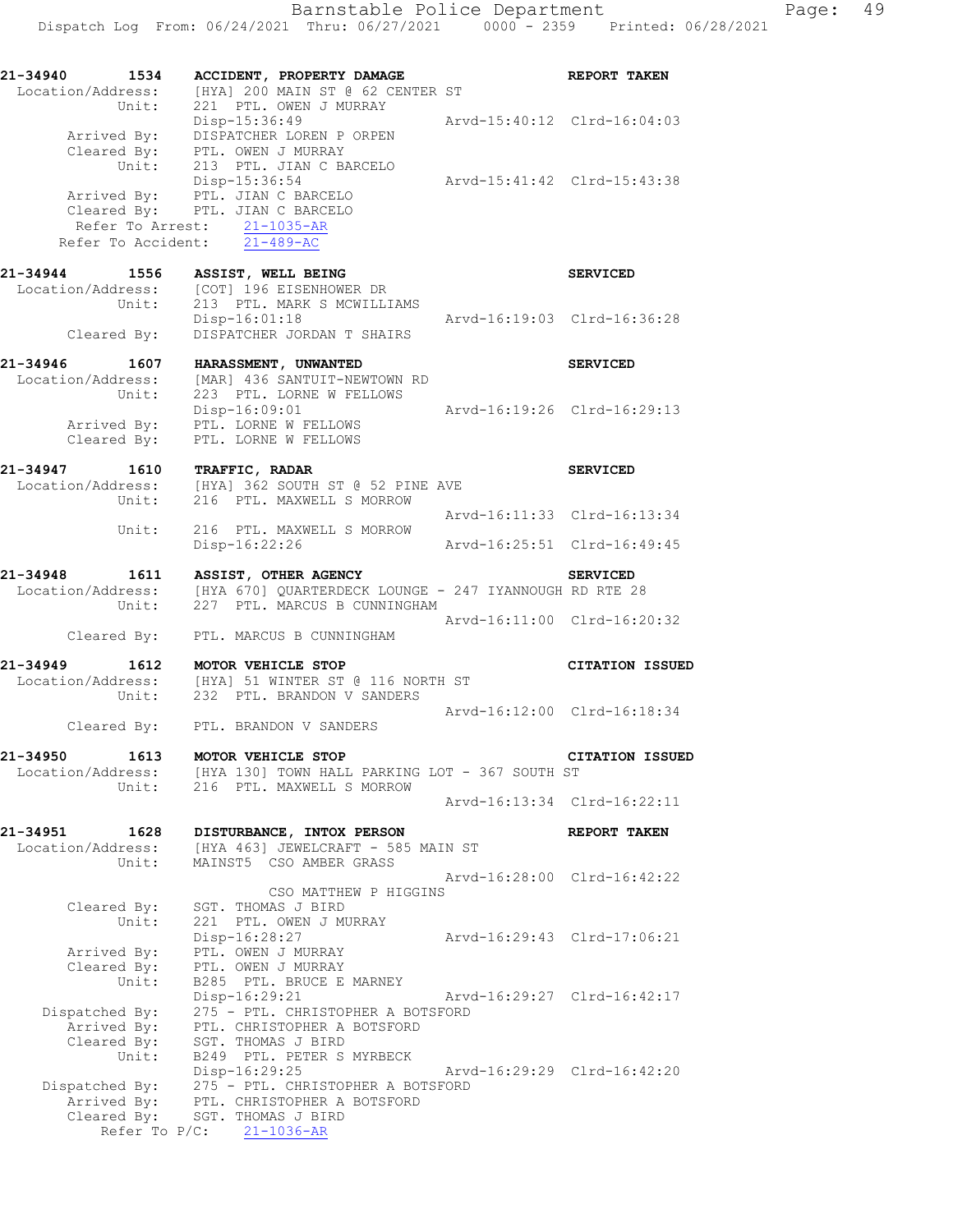| 21-34940<br>1534<br>Unit:                             | ACCIDENT, PROPERTY DAMAGE<br>Location/Address: [HYA] 200 MAIN ST @ 62 CENTER ST<br>221 PTL. OWEN J MURRAY                                                                                                          | <b>REPORT TAKEN</b>         |
|-------------------------------------------------------|--------------------------------------------------------------------------------------------------------------------------------------------------------------------------------------------------------------------|-----------------------------|
|                                                       | Disp-15:36:49<br>Arvd-15:40:12 Clrd-16:04:03<br>Arrived By: DISPATCHER LOREN P ORPEN<br>Cleared By: PTL. OWEN J MURRAY                                                                                             |                             |
|                                                       | Unit: 213 PTL. JIAN C BARCELO<br>Arvd-15:41:42 Clrd-15:43:38<br>Disp-15:36:54<br>Arrived By: PTL. JIAN C BARCELO<br>Cleared By: PTL. JIAN C BARCELO<br>Refer To Arrest: 21-1035-AR<br>Refer To Accident: 21-489-AC |                             |
| 21-34944 1556                                         | ASSIST, WELL BEING                                                                                                                                                                                                 | <b>SERVICED</b>             |
| Unit:<br>Cleared By:                                  | Location/Address: [COT] 196 EISENHOWER DR<br>213 PTL. MARK S MCWILLIAMS<br>$Disp-16:01:18$<br>Arvd-16:19:03 Clrd-16:36:28<br>DISPATCHER JORDAN T SHAIRS                                                            |                             |
| 21-34946 1607                                         |                                                                                                                                                                                                                    | <b>SERVICED</b>             |
| Location/Address:<br>Unit:                            | HARASSMENT, UNWANTED<br>[MAR] 436 SANTUIT-NEWTOWN RD<br>223 PTL. LORNE W FELLOWS                                                                                                                                   |                             |
|                                                       | Disp-16:09:01<br>Arvd-16:19:26 Clrd-16:29:13<br>Arrived By: PTL. LORNE W FELLOWS<br>Cleared By: PTL. LORNE W FELLOWS                                                                                               |                             |
| 21-34947 1610                                         | <b>TRAFFIC, RADAR</b><br>Location/Address: [HYA] 362 SOUTH ST @ 52 PINE AVE                                                                                                                                        | <b>SERVICED</b>             |
| Unit:                                                 | 216 PTL. MAXWELL S MORROW<br>Arvd-16:11:33 Clrd-16:13:34                                                                                                                                                           |                             |
|                                                       | Unit: 216 PTL. MAXWELL S MORROW<br>$Disp-16:22:26$<br>Arvd-16:25:51 Clrd-16:49:45                                                                                                                                  |                             |
| 21-34948                                              | 1611 ASSIST, OTHER AGENCY SERVICED<br>Location/Address: [HYA 670] QUARTERDECK LOUNGE - 247 IYANNOUGH RD RTE 28<br>Unit: 227 PTL. MARCUS B CUNNINGHAM                                                               |                             |
|                                                       | Arvd-16:11:00 Clrd-16:20:32<br>Cleared By: PTL. MARCUS B CUNNINGHAM                                                                                                                                                |                             |
| 21-34949<br>1612                                      | MOTOR VEHICLE STOP<br>Location/Address: [HYA] 51 WINTER ST @ 116 NORTH ST<br>Unit: 232 PTL. BRANDON V SANDERS                                                                                                      | <b>CITATION ISSUED</b>      |
|                                                       | Cleared By: PTL. BRANDON V SANDERS                                                                                                                                                                                 | Arvd-16:12:00 Clrd-16:18:34 |
| 21-34950 1613 MOTOR VEHICLE STOP<br>Location/Address: | [HYA 130] TOWN HALL PARKING LOT - 367 SOUTH ST<br>Unit: 216 PTL. MAXWELL S MORROW                                                                                                                                  | <b>CITATION ISSUED</b>      |
|                                                       |                                                                                                                                                                                                                    | Arvd-16:13:34 Clrd-16:22:11 |
| 21-34951<br>1628                                      | DISTURBANCE, INTOX PERSON<br>Location/Address: [HYA 463] JEWELCRAFT - 585 MAIN ST                                                                                                                                  | REPORT TAKEN                |
| Unit:                                                 | MAINST5 CSO AMBER GRASS                                                                                                                                                                                            | Arvd-16:28:00 Clrd-16:42:22 |
| Cleared By:<br>Unit:                                  | CSO MATTHEW P HIGGINS<br>SGT. THOMAS J BIRD<br>221 PTL. OWEN J MURRAY                                                                                                                                              |                             |
| Arrived By:<br>Cleared By:                            | Disp-16:28:27<br>PTL. OWEN J MURRAY<br>PTL. OWEN J MURRAY                                                                                                                                                          | Arvd-16:29:43 Clrd-17:06:21 |
| Unit:<br>Dispatched By:                               | B285 PTL. BRUCE E MARNEY<br>Disp-16:29:21<br>275 - PTL. CHRISTOPHER A BOTSFORD<br>275 - PTL. CHALOICLER<br>PTL. CHRISTOPHER A BOTSFORD                                                                             | Arvd-16:29:27 Clrd-16:42:17 |
| Arrived By:<br>Cleared By:<br>Unit:<br>Dispatched By: | SGT. THOMAS J BIRD<br>B249 PTL. PETER S MYRBECK<br>Disp-16:29:25                                                                                                                                                   | Arvd-16:29:29 Clrd-16:42:20 |
| Arrived By:<br>Cleared By:                            | 275 - PTL. CHRISTOPHER A BOTSFORD<br>PTL. CHRISTOPHER A BOTSFORD<br>SGT. THOMAS J BIRD<br>Refer To $P/C$ : 21-1036-AR                                                                                              |                             |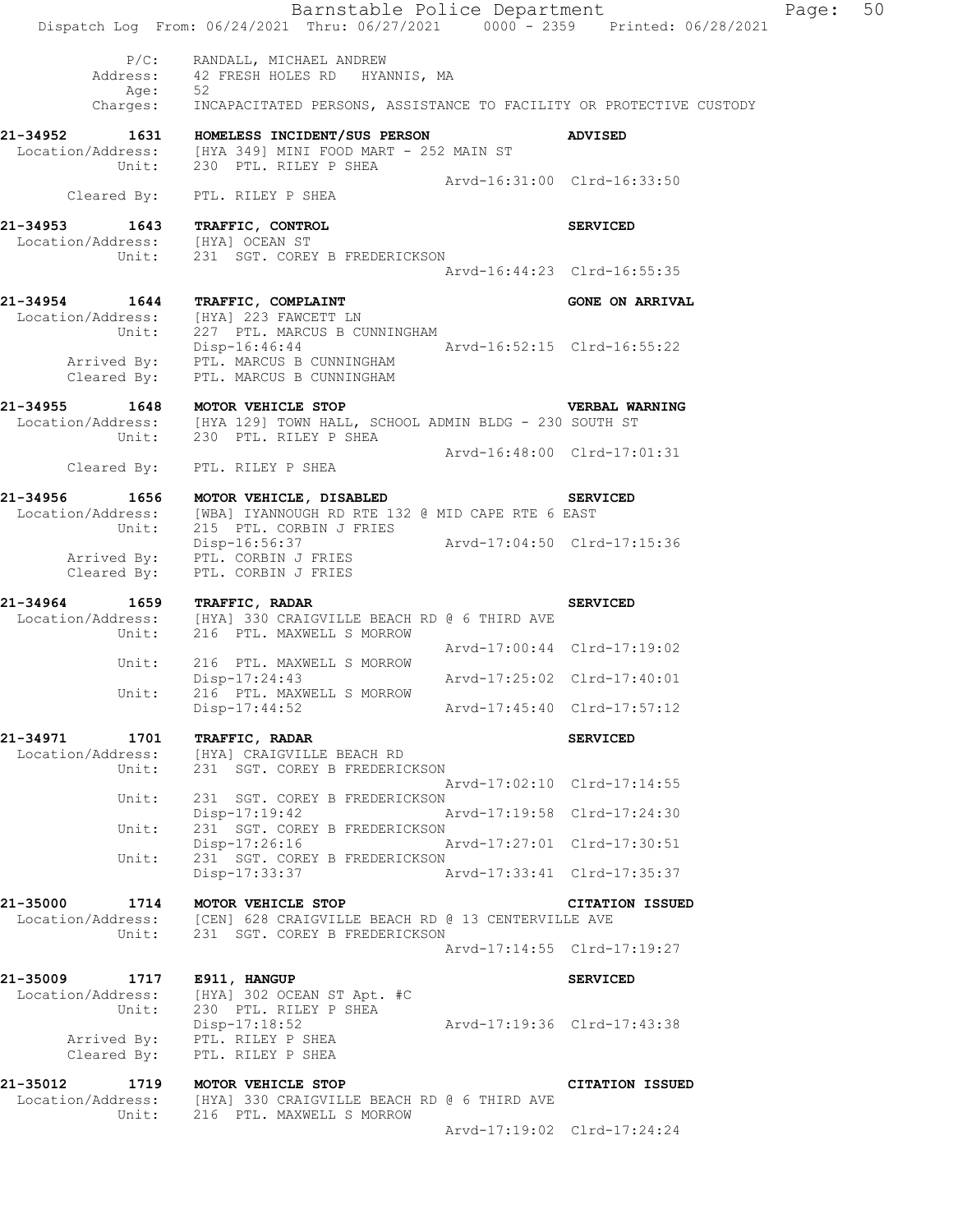|                                | Barnstable Police Department<br>Dispatch Log From: 06/24/2021 Thru: 06/27/2021 0000 - 2359 Printed: 06/28/2021                               |                             |                             | Page: | 50 |
|--------------------------------|----------------------------------------------------------------------------------------------------------------------------------------------|-----------------------------|-----------------------------|-------|----|
|                                | P/C: RANDALL, MICHAEL ANDREW<br>Address: 42 FRESH HOLES RD HYANNIS, MA                                                                       |                             |                             |       |    |
|                                | Age: 52<br>Charges: INCAPACITATED PERSONS, ASSISTANCE TO FACILITY OR PROTECTIVE CUSTODY                                                      |                             |                             |       |    |
|                                |                                                                                                                                              |                             |                             |       |    |
|                                | 21-34952 1631 HOMELESS INCIDENT/SUS PERSON<br>Location/Address: [HYA 349] MINI FOOD MART - 252 MAIN ST<br>Unit: 230 PTL. RILEY P SHEA        |                             | <b>ADVISED</b>              |       |    |
|                                | Cleared By: PTL. RILEY P SHEA                                                                                                                | Arvd-16:31:00 Clrd-16:33:50 |                             |       |    |
| 21-34953 1643 TRAFFIC, CONTROL |                                                                                                                                              |                             | <b>SERVICED</b>             |       |    |
|                                | Location/Address: [HYA] OCEAN ST<br>Unit: 231 SGT. COREY B FREDERICKSON                                                                      |                             | Arvd-16:44:23 Clrd-16:55:35 |       |    |
|                                | 21-34954 1644 TRAFFIC, COMPLAINT                                                                                                             |                             |                             |       |    |
|                                | Location/Address: [HYA] 223 FAWCETT LN<br>Unit: 227 PTL. MARCUS B CUNNINGHAM                                                                 |                             | <b>GONE ON ARRIVAL</b>      |       |    |
|                                | Disp-16:46:44 Arvd-16:52:15 Clrd-16:55:22<br>Arrived By: PTL. MARCUS B CUNNINGHAM<br>Cleared By: PTL. MARCUS B CUNNINGHAM                    |                             |                             |       |    |
|                                | 21-34955 1648 MOTOR VEHICLE STOP<br>Location/Address: [HYA 129] TOWN HALL, SCHOOL ADMIN BLDG - 230 SOUTH ST                                  |                             | <b>VERBAL WARNING</b>       |       |    |
|                                | Unit: 230 PTL. RILEY P SHEA<br>Cleared By: PTL. RILEY P SHEA                                                                                 | Arvd-16:48:00 Clrd-17:01:31 |                             |       |    |
|                                |                                                                                                                                              |                             |                             |       |    |
|                                | 21-34956 1656 MOTOR VEHICLE, DISABLED<br>Location/Address: [WBA] IYANNOUGH RD RTE 132 @ MID CAPE RTE 6 EAST<br>Unit: 215 PTL. CORBIN J FRIES |                             | <b>SERVICED</b>             |       |    |
|                                | Disp-16:56:37 Arvd-17:04:50 Clrd-17:15:36<br>Arrived By: PTL. CORBIN J FRIES<br>Cleared By: PTL. CORBIN J FRIES                              |                             |                             |       |    |
|                                |                                                                                                                                              |                             |                             |       |    |
| 21-34964 1659 TRAFFIC, RADAR   | Location/Address: [HYA] 330 CRAIGVILLE BEACH RD @ 6 THIRD AVE<br>Unit: 216 PTL. MAXWELL S MORROW                                             |                             | <b>SERVICED</b>             |       |    |
|                                |                                                                                                                                              | Arvd-17:00:44 Clrd-17:19:02 |                             |       |    |
|                                | Unit: 216 PTL. MAXWELL S MORROW<br>Disp-17:24:43<br>Unit: 216 PTL. MAXWELL S MORROW                                                          | Arvd-17:25:02 Clrd-17:40:01 |                             |       |    |
|                                | $Disp-17:44:52$                                                                                                                              | Arvd-17:45:40 Clrd-17:57:12 |                             |       |    |
| 21-34971                       | 1701 TRAFFIC, RADAR<br>Location/Address: [HYA] CRAIGVILLE BEACH RD<br>Unit: 231 SGT. COREY B FREDERIC                                        |                             | <b>SERVICED</b>             |       |    |
|                                | 231 SGT. COREY B FREDERICKSON                                                                                                                | Arvd-17:02:10 Clrd-17:14:55 |                             |       |    |
| Unit:                          | 231 SGT. COREY B FREDERICKSON                                                                                                                |                             |                             |       |    |
| Unit:                          | Disp-17:19:42<br>231 SGT. COREY B FREDERICKSON                                                                                               | Arvd-17:19:58 Clrd-17:24:30 |                             |       |    |
| Unit:                          | Disp-17:26:16<br>231 SGT. COREY B FREDERICKSON                                                                                               | Arvd-17:27:01 Clrd-17:30:51 |                             |       |    |
|                                | Disp-17:33:37                                                                                                                                | Arvd-17:33:41 Clrd-17:35:37 |                             |       |    |
| 21-35000                       | 1714 MOTOR VEHICLE STOP<br>Location/Address: [CEN] 628 CRAIGVILLE BEACH RD @ 13 CENTERVILLE AVE                                              |                             | <b>CITATION ISSUED</b>      |       |    |
|                                | Unit: 231 SGT. COREY B FREDERICKSON                                                                                                          |                             | Arvd-17:14:55 Clrd-17:19:27 |       |    |
| 21-35009 1717 E911, HANGUP     |                                                                                                                                              |                             | <b>SERVICED</b>             |       |    |
|                                | Location/Address: [HYA] 302 OCEAN ST Apt. #C<br>Unit: 230 PTL. RILEY P SHEA                                                                  |                             |                             |       |    |
| Cleared By:                    | Disp-17:18:52<br>Arrived By: PTL. RILEY P SHEA<br>PTL. RILEY P SHEA                                                                          | Arvd-17:19:36 Clrd-17:43:38 |                             |       |    |
|                                | 21-35012 1719 MOTOR VEHICLE STOP                                                                                                             |                             | CITATION ISSUED             |       |    |
|                                | Location/Address: [HYA] 330 CRAIGVILLE BEACH RD @ 6 THIRD AVE<br>Unit: 216 PTL. MAXWELL S MORROW                                             |                             |                             |       |    |
|                                |                                                                                                                                              |                             |                             |       |    |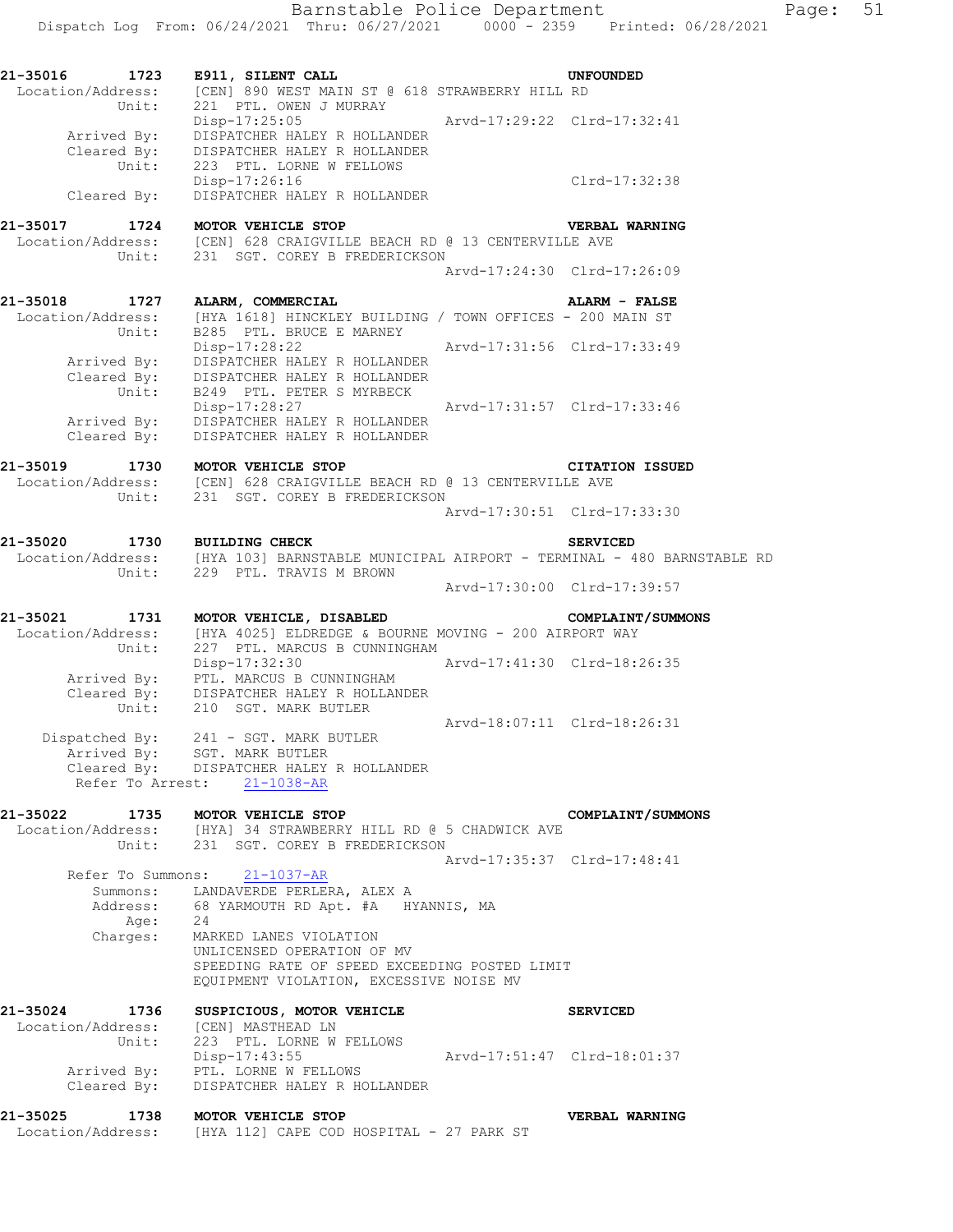**21-35016 1723 E911, SILENT CALL UNFOUNDED**  Location/Address: [CEN] 890 WEST MAIN ST @ 618 STRAWBERRY HILL RD Unit: 221 PTL. OWEN J MURRAY Disp-17:25:05 Arvd-17:29:22 Clrd-17:32:41 Arrived By: DISPATCHER HALEY R HOLLANDER Cleared By: DISPATCHER HALEY R HOLLANDER Unit: 223 PTL. LORNE W FELLOWS Disp-17:26:16 Clrd-17:32:38 Disp-17:26:16<br>Cleared By: DISPATCHER HALEY R HOLLANDER **21-35017 1724 MOTOR VEHICLE STOP VERBAL WARNING**  Location/Address: [CEN] 628 CRAIGVILLE BEACH RD @ 13 CENTERVILLE AVE Unit: 231 SGT. COREY B FREDERICKSON Arvd-17:24:30 Clrd-17:26:09 **21-35018 1727 ALARM, COMMERCIAL ALARM - FALSE**  Location/Address: [HYA 1618] HINCKLEY BUILDING / TOWN OFFICES - 200 MAIN ST Unit: B285 PTL. BRUCE E MARNEY Disp-17:28:22 Arvd-17:31:56 Clrd-17:33:49 Arrived By: DISPATCHER HALEY R HOLLANDER Cleared By: DISPATCHER HALEY R HOLLANDER Unit: B249 PTL. PETER S MYRBECK Disp-17:28:27 Arvd-17:31:57 Clrd-17:33:46 Arrived By: DISPATCHER HALEY R HOLLANDER Cleared By: DISPATCHER HALEY R HOLLANDER **21-35019 1730 MOTOR VEHICLE STOP CITATION ISSUED**  Location/Address: [CEN] 628 CRAIGVILLE BEACH RD @ 13 CENTERVILLE AVE Unit: 231 SGT. COREY B FREDERICKSON Arvd-17:30:51 Clrd-17:33:30 **21-35020 1730 BUILDING CHECK SERVICED**  Location/Address: [HYA 103] BARNSTABLE MUNICIPAL AIRPORT - TERMINAL - 480 BARNSTABLE RD Unit: 229 PTL. TRAVIS M BROWN Arvd-17:30:00 Clrd-17:39:57 **21-35021 1731 MOTOR VEHICLE, DISABLED COMPLAINT/SUMMONS**  Location/Address: [HYA 4025] ELDREDGE & BOURNE MOVING - 200 AIRPORT WAY Unit: 227 PTL. MARCUS B CUNNINGHAM Disp-17:32:30 Arvd-17:41:30 Clrd-18:26:35 Arrived By: PTL. MARCUS B CUNNINGHAM Cleared By: DISPATCHER HALEY R HOLLANDER Unit: 210 SGT. MARK BUTLER Arvd-18:07:11 Clrd-18:26:31 Dispatched By: 241 - SGT. MARK BUTLER .<br>Arrived By: SGT. MARK BUTLER Cleared By: DISPATCHER HALEY R HOLLANDER Refer To Arrest: 21-1038-AR **21-35022 1735 MOTOR VEHICLE STOP COMPLAINT/SUMMONS**  Location/Address: [HYA] 34 STRAWBERRY HILL RD @ 5 CHADWICK AVE Unit: 231 SGT. COREY B FREDERICKSON Arvd-17:35:37 Clrd-17:48:41 Refer To Summons: 21-1037-AR Summons: LANDAVERDE PERLERA, ALEX A Address: 68 YARMOUTH RD Apt. #A HYANNIS, MA Age: 24 Charges: MARKED LANES VIOLATION UNLICENSED OPERATION OF MV SPEEDING RATE OF SPEED EXCEEDING POSTED LIMIT EQUIPMENT VIOLATION, EXCESSIVE NOISE MV **21-35024 1736 SUSPICIOUS, MOTOR VEHICLE SERVICED**  Location/Address: [CEN] MASTHEAD LN Unit: 223 PTL. LORNE W FELLOWS Disp-17:43:55 Arvd-17:51:47 Clrd-18:01:37 Disp-17:43:55<br>Arrived By: PTL. LORNE W FELLOWS Cleared By: DISPATCHER HALEY R HOLLANDER **21-35025 1738 MOTOR VEHICLE STOP VERBAL WARNING**  Location/Address: [HYA 112] CAPE COD HOSPITAL - 27 PARK ST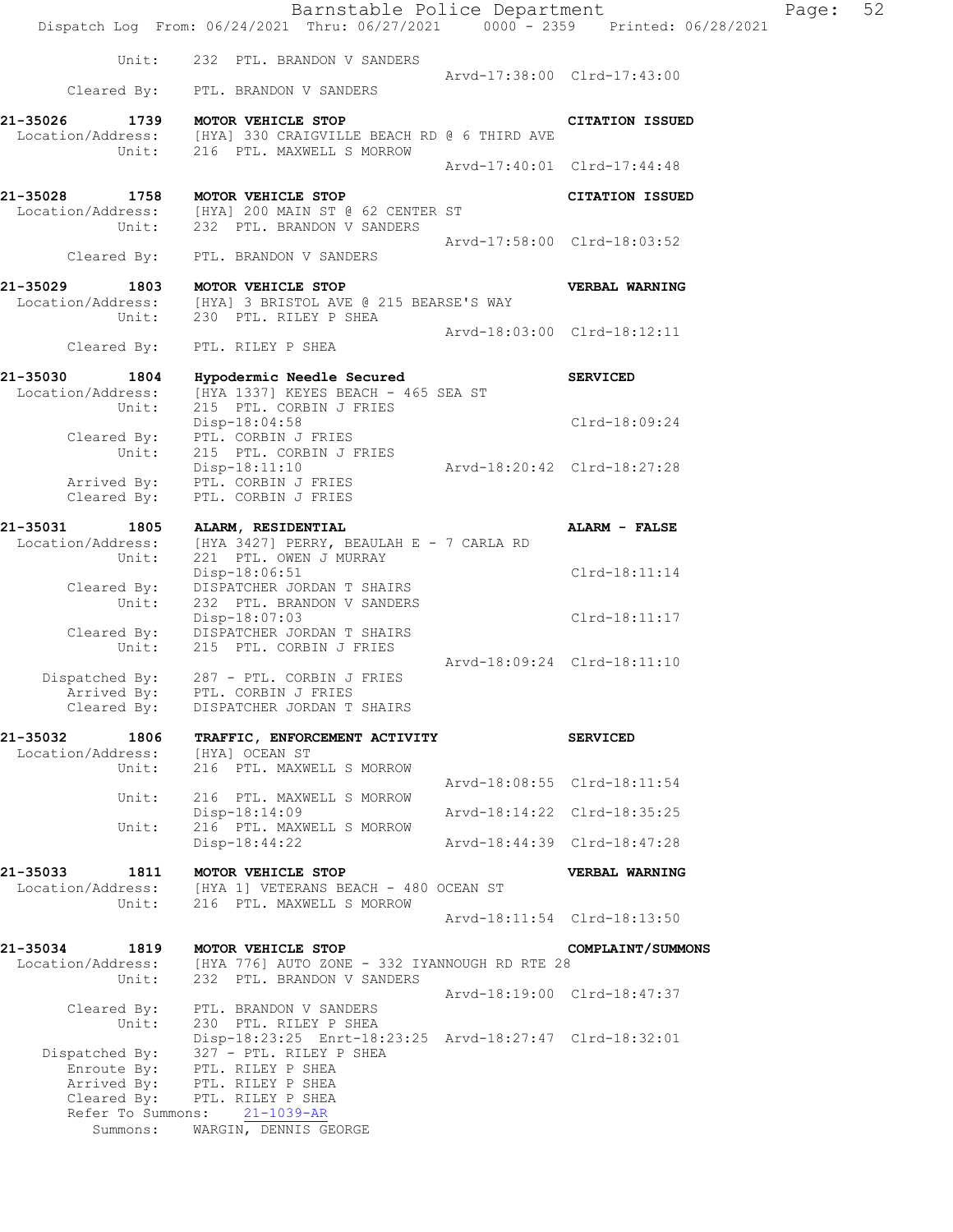|                                        | Dispatch Log From: 06/24/2021 Thru: 06/27/2021 0000 - 2359 Printed: 06/28/2021                                                                                                                                                      |                             | Barnstable Police Department | Page: 52 |  |
|----------------------------------------|-------------------------------------------------------------------------------------------------------------------------------------------------------------------------------------------------------------------------------------|-----------------------------|------------------------------|----------|--|
|                                        | Unit: 232 PTL. BRANDON V SANDERS                                                                                                                                                                                                    |                             | Arvd-17:38:00 Clrd-17:43:00  |          |  |
|                                        | Cleared By: PTL. BRANDON V SANDERS                                                                                                                                                                                                  |                             |                              |          |  |
|                                        | 21-35026 1739 MOTOR VEHICLE STOP<br>Location/Address: [HYA] 330 CRAIGVILLE BEACH RD @ 6 THIRD AVE                                                                                                                                   |                             | <b>CITATION ISSUED</b>       |          |  |
|                                        | Unit: 216 PTL. MAXWELL S MORROW                                                                                                                                                                                                     |                             | Arvd-17:40:01 Clrd-17:44:48  |          |  |
|                                        | 21-35028 1758 MOTOR VEHICLE STOP<br>Location/Address: [HYA] 200 MAIN ST @ 62 CENTER ST                                                                                                                                              |                             | <b>CITATION ISSUED</b>       |          |  |
|                                        | Unit: 232 PTL. BRANDON V SANDERS<br>Cleared By: PTL. BRANDON V SANDERS                                                                                                                                                              | Arvd-17:58:00 Clrd-18:03:52 |                              |          |  |
|                                        | 21-35029 1803 MOTOR VEHICLE STOP                                                                                                                                                                                                    |                             | VERBAL WARNING               |          |  |
|                                        | Location/Address: [HYA] 3 BRISTOL AVE @ 215 BEARSE'S WAY<br>Unit: 230 PTL. RILEY P SHEA                                                                                                                                             |                             |                              |          |  |
|                                        | Cleared By: PTL. RILEY P SHEA                                                                                                                                                                                                       | Arvd-18:03:00 Clrd-18:12:11 |                              |          |  |
|                                        | 21-35030 1804 Hypodermic Needle Secured                                                                                                                                                                                             |                             | <b>SERVICED</b>              |          |  |
|                                        | Location/Address: [HYA 1337] KEYES BEACH - 465 SEA ST<br>Unit: 215 PTL. CORBIN J FRIES                                                                                                                                              |                             |                              |          |  |
|                                        | Disp-18:04:58<br>Cleared By: PTL. CORBIN J FRIES                                                                                                                                                                                    |                             | Clrd-18:09:24                |          |  |
| Unit:<br>Cleared By:                   | 215 PTL. CORBIN J FRIES<br>${\small \begin{tabular}{l} \bf{Diric} & \bf{Disp-18:11:10} \\ \bf{Arrived By:} \end{tabular}}$ ${\small \begin{tabular}{l} \bf{Pric} \\ \bf{Pric} \\ \bf{INC} \\ \end{tabular}}$<br>PTL. CORBIN J FRIES |                             |                              |          |  |
|                                        | 21-35031 1805 ALARM, RESIDENTIAL<br>Location/Address: $[HYA 3427]$ PERRY, BEAULAH E - 7 CARLA RD                                                                                                                                    |                             | ALARM - FALSE                |          |  |
| Unit:                                  | 221 PTL. OWEN J MURRAY<br>Disp-18:06:51<br>DISPATCHER JORDAN T SHAIRS                                                                                                                                                               |                             | Clrd-18:11:14                |          |  |
| Cleared By:<br>Unit:                   | 232 PTL. BRANDON V SANDERS<br>Disp-18:07:03                                                                                                                                                                                         |                             | Clrd-18:11:17                |          |  |
| Unit:                                  | Cleared By: DISPATCHER JORDAN T SHAIRS<br>215 PTL. CORBIN J FRIES                                                                                                                                                                   |                             |                              |          |  |
| Arrived By:<br>Cleared By:             | Dispatched By: 287 - PTL. CORBIN J FRIES<br>PTL. CORBIN J FRIES<br>DISPATCHER JORDAN T SHAIRS                                                                                                                                       | Arvd-18:09:24 Clrd-18:11:10 |                              |          |  |
| 21-35032<br>1806<br>Location/Address:  | TRAFFIC, ENFORCEMENT ACTIVITY<br>[HYA] OCEAN ST                                                                                                                                                                                     |                             | <b>SERVICED</b>              |          |  |
| Unit:                                  | 216 PTL. MAXWELL S MORROW                                                                                                                                                                                                           |                             | Arvd-18:08:55 Clrd-18:11:54  |          |  |
| Unit:                                  | 216 PTL. MAXWELL S MORROW<br>$Disp-18:14:09$                                                                                                                                                                                        |                             | Arvd-18:14:22 Clrd-18:35:25  |          |  |
| Unit:                                  | 216 PTL. MAXWELL S MORROW<br>$Disp-18:44:22$                                                                                                                                                                                        |                             | Arvd-18:44:39 Clrd-18:47:28  |          |  |
| 21-35033<br>Location/Address:          | 1811 MOTOR VEHICLE STOP<br>[HYA 1] VETERANS BEACH - 480 OCEAN ST                                                                                                                                                                    |                             | VERBAL WARNING               |          |  |
| Unit:                                  | 216 PTL. MAXWELL S MORROW                                                                                                                                                                                                           |                             |                              |          |  |
|                                        |                                                                                                                                                                                                                                     |                             | Arvd-18:11:54 Clrd-18:13:50  |          |  |
| 21-35034<br>Location/Address:<br>Unit: | 1819 MOTOR VEHICLE STOP<br>[HYA 776] AUTO ZONE - 332 IYANNOUGH RD RTE 28<br>232 PTL. BRANDON V SANDERS                                                                                                                              |                             | COMPLAINT/SUMMONS            |          |  |
| Cleared By:                            | PTL. BRANDON V SANDERS                                                                                                                                                                                                              |                             | Arvd-18:19:00 Clrd-18:47:37  |          |  |
| Unit:                                  | 230 PTL. RILEY P SHEA<br>Disp-18:23:25 Enrt-18:23:25 Arvd-18:27:47 Clrd-18:32:01                                                                                                                                                    |                             |                              |          |  |
| Dispatched By:                         | 327 - PTL. RILEY P SHEA<br>Enroute By: PTL. RILEY P SHEA                                                                                                                                                                            |                             |                              |          |  |
|                                        | Arrived By: PTL. RILEY P SHEA<br>Cleared By: PTL. RILEY P SHEA                                                                                                                                                                      |                             |                              |          |  |
| Refer To Summons:<br>Summons:          | $21 - 1039 - AR$<br>WARGIN, DENNIS GEORGE                                                                                                                                                                                           |                             |                              |          |  |
|                                        |                                                                                                                                                                                                                                     |                             |                              |          |  |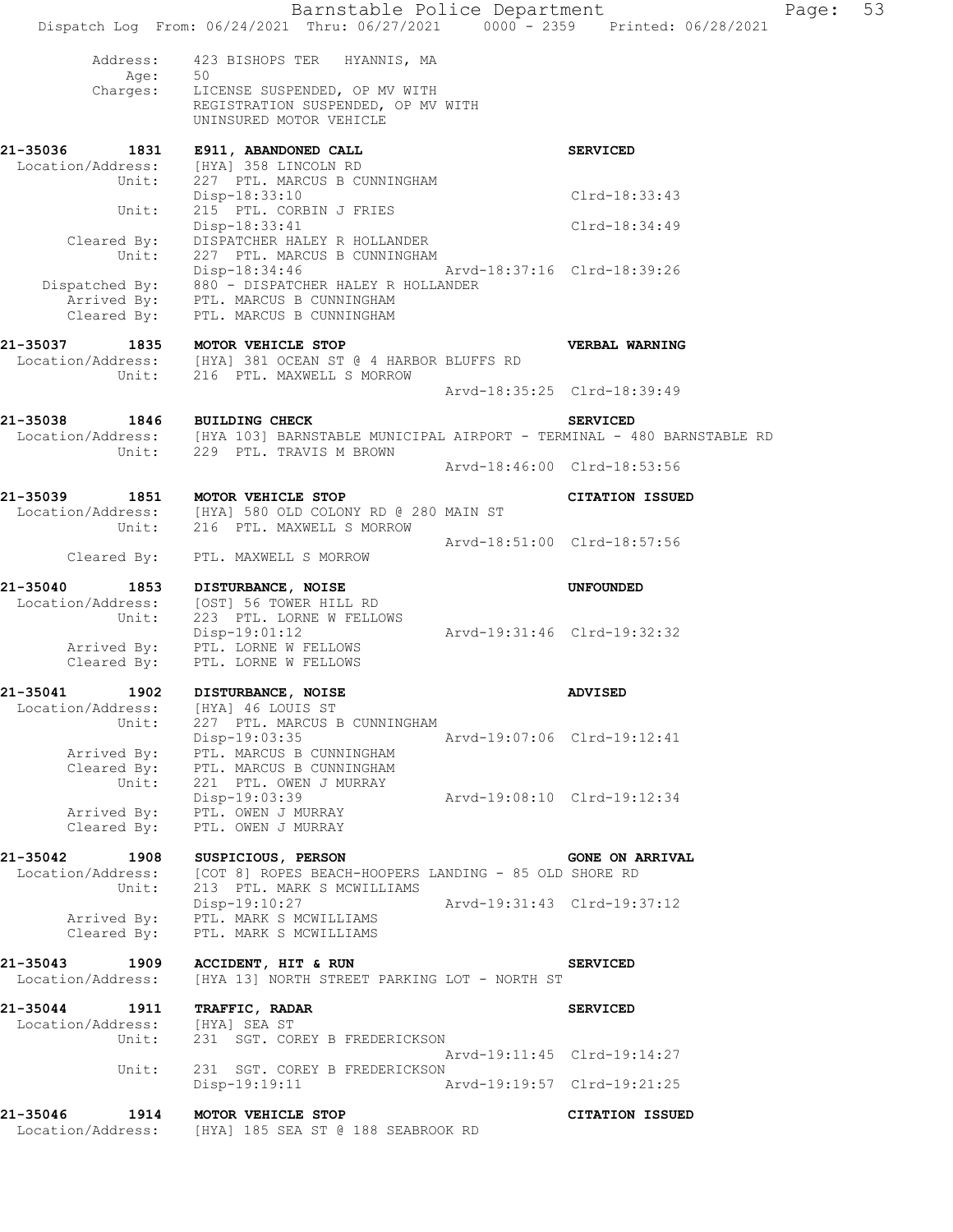| Address:<br>423 BISHOPS TER HYANNIS, MA<br>Age:<br>50<br>Age: 50<br>Charges: LICENSE SUSPENDED, OP MV WITH<br>REGISTRATION SUSPENDED, OP MV WITH<br>UNINSURED MOTOR VEHICLE<br>21-35036 1831<br>E911, ABANDONED CALL<br><b>SERVICED</b><br>Location/Address: [HYA] 358 LINCOLN RD<br>Unit: 227 PTL. MARCUS B CUNNINGHAM<br>Clrd-18:33:43<br>Disp-18:33:10<br>215 PTL. CORBIN J FRIES<br>Unit:<br>Disp-18:33:41<br>Clrd-18:34:49<br>Cleared By:<br>DISPATCHER HALEY R HOLLANDER<br>Unit:<br>227 PTL. MARCUS B CUNNINGHAM<br>Arvd-18:37:16 Clrd-18:39:26<br>Disp-18:34:46<br>Dispatched By: 880 - DISPATCHER HALEY R HOLLANDER<br>Arrived By: PTL. MARCUS B CUNNINGHAM<br>Cleared By:<br>PTL. MARCUS B CUNNINGHAM<br>21-35037 1835 MOTOR VEHICLE STOP<br>VERBAL WARNING<br>Location/Address: [HYA] 381 OCEAN ST @ 4 HARBOR BLUFFS RD<br>Unit: 216 PTL. MAXWELL S MORROW<br>Arvd-18:35:25 Clrd-18:39:49<br>1846 BUILDING CHECK<br><b>SERVICED</b><br>Location/Address: [HYA 103] BARNSTABLE MUNICIPAL AIRPORT - TERMINAL - 480 BARNSTABLE RD<br>Unit: 229 PTL. TRAVIS M BROWN<br>Arvd-18:46:00 Clrd-18:53:56<br>1851 MOTOR VEHICLE STOP<br><b>CITATION ISSUED</b><br>Location/Address: [HYA] 580 OLD COLONY RD @ 280 MAIN ST<br>Unit: 216 PTL. MAXWELL S MORROW<br>Arvd-18:51:00 Clrd-18:57:56<br>Cleared By: PTL. MAXWELL S MORROW<br>21-35040<br>1853<br>DISTURBANCE, NOISE<br><b>UNFOUNDED</b><br>Location/Address:<br>[OST] 56 TOWER HILL RD<br>Unit:<br>223 PTL. LORNE W FELLOWS<br>$Disp-19:01:12$<br>Arvd-19:31:46 Clrd-19:32:32<br>Arrived By: PTL. LORNE W FELLOWS<br>Cleared By:<br>PTL. LORNE W FELLOWS<br>21-35041<br>1902<br>DISTURBANCE, NOISE<br><b>ADVISED</b><br>Location/Address:<br>[HYA] 46 LOUIS ST<br>227 PTL. MARCUS B CUNNINGHAM<br>Unit:<br>Disp-19:03:35<br>Arvd-19:07:06 Clrd-19:12:41<br>Arrived By: PTL. MARCUS B CUNNINGHAM<br>Cleared By: PTL. MARCUS B CUNNINGHAM<br>Unit:<br>221 PTL. OWEN J MURRAY<br>Disp-19:03:39<br>Arvd-19:08:10 Clrd-19:12:34<br>PTL. OWEN J MURRAY<br>Arrived By:<br>Cleared By:<br>PTL. OWEN J MURRAY<br>21-35042 1908<br>SUSPICIOUS, PERSON<br><b>GONE ON ARRIVAL</b><br>Location/Address:<br>[COT 8] ROPES BEACH-HOOPERS LANDING - 85 OLD SHORE RD |  |
|------------------------------------------------------------------------------------------------------------------------------------------------------------------------------------------------------------------------------------------------------------------------------------------------------------------------------------------------------------------------------------------------------------------------------------------------------------------------------------------------------------------------------------------------------------------------------------------------------------------------------------------------------------------------------------------------------------------------------------------------------------------------------------------------------------------------------------------------------------------------------------------------------------------------------------------------------------------------------------------------------------------------------------------------------------------------------------------------------------------------------------------------------------------------------------------------------------------------------------------------------------------------------------------------------------------------------------------------------------------------------------------------------------------------------------------------------------------------------------------------------------------------------------------------------------------------------------------------------------------------------------------------------------------------------------------------------------------------------------------------------------------------------------------------------------------------------------------------------------------------------------------------------------------------------------------------------------------------------------------------------------------------------------------------------------------------------------------------------------------------------------------------------------------------------------------------------------|--|
|                                                                                                                                                                                                                                                                                                                                                                                                                                                                                                                                                                                                                                                                                                                                                                                                                                                                                                                                                                                                                                                                                                                                                                                                                                                                                                                                                                                                                                                                                                                                                                                                                                                                                                                                                                                                                                                                                                                                                                                                                                                                                                                                                                                                            |  |
|                                                                                                                                                                                                                                                                                                                                                                                                                                                                                                                                                                                                                                                                                                                                                                                                                                                                                                                                                                                                                                                                                                                                                                                                                                                                                                                                                                                                                                                                                                                                                                                                                                                                                                                                                                                                                                                                                                                                                                                                                                                                                                                                                                                                            |  |
|                                                                                                                                                                                                                                                                                                                                                                                                                                                                                                                                                                                                                                                                                                                                                                                                                                                                                                                                                                                                                                                                                                                                                                                                                                                                                                                                                                                                                                                                                                                                                                                                                                                                                                                                                                                                                                                                                                                                                                                                                                                                                                                                                                                                            |  |
|                                                                                                                                                                                                                                                                                                                                                                                                                                                                                                                                                                                                                                                                                                                                                                                                                                                                                                                                                                                                                                                                                                                                                                                                                                                                                                                                                                                                                                                                                                                                                                                                                                                                                                                                                                                                                                                                                                                                                                                                                                                                                                                                                                                                            |  |
|                                                                                                                                                                                                                                                                                                                                                                                                                                                                                                                                                                                                                                                                                                                                                                                                                                                                                                                                                                                                                                                                                                                                                                                                                                                                                                                                                                                                                                                                                                                                                                                                                                                                                                                                                                                                                                                                                                                                                                                                                                                                                                                                                                                                            |  |
| 21-35038<br>21-35039                                                                                                                                                                                                                                                                                                                                                                                                                                                                                                                                                                                                                                                                                                                                                                                                                                                                                                                                                                                                                                                                                                                                                                                                                                                                                                                                                                                                                                                                                                                                                                                                                                                                                                                                                                                                                                                                                                                                                                                                                                                                                                                                                                                       |  |
|                                                                                                                                                                                                                                                                                                                                                                                                                                                                                                                                                                                                                                                                                                                                                                                                                                                                                                                                                                                                                                                                                                                                                                                                                                                                                                                                                                                                                                                                                                                                                                                                                                                                                                                                                                                                                                                                                                                                                                                                                                                                                                                                                                                                            |  |
|                                                                                                                                                                                                                                                                                                                                                                                                                                                                                                                                                                                                                                                                                                                                                                                                                                                                                                                                                                                                                                                                                                                                                                                                                                                                                                                                                                                                                                                                                                                                                                                                                                                                                                                                                                                                                                                                                                                                                                                                                                                                                                                                                                                                            |  |
|                                                                                                                                                                                                                                                                                                                                                                                                                                                                                                                                                                                                                                                                                                                                                                                                                                                                                                                                                                                                                                                                                                                                                                                                                                                                                                                                                                                                                                                                                                                                                                                                                                                                                                                                                                                                                                                                                                                                                                                                                                                                                                                                                                                                            |  |
|                                                                                                                                                                                                                                                                                                                                                                                                                                                                                                                                                                                                                                                                                                                                                                                                                                                                                                                                                                                                                                                                                                                                                                                                                                                                                                                                                                                                                                                                                                                                                                                                                                                                                                                                                                                                                                                                                                                                                                                                                                                                                                                                                                                                            |  |
|                                                                                                                                                                                                                                                                                                                                                                                                                                                                                                                                                                                                                                                                                                                                                                                                                                                                                                                                                                                                                                                                                                                                                                                                                                                                                                                                                                                                                                                                                                                                                                                                                                                                                                                                                                                                                                                                                                                                                                                                                                                                                                                                                                                                            |  |
|                                                                                                                                                                                                                                                                                                                                                                                                                                                                                                                                                                                                                                                                                                                                                                                                                                                                                                                                                                                                                                                                                                                                                                                                                                                                                                                                                                                                                                                                                                                                                                                                                                                                                                                                                                                                                                                                                                                                                                                                                                                                                                                                                                                                            |  |
|                                                                                                                                                                                                                                                                                                                                                                                                                                                                                                                                                                                                                                                                                                                                                                                                                                                                                                                                                                                                                                                                                                                                                                                                                                                                                                                                                                                                                                                                                                                                                                                                                                                                                                                                                                                                                                                                                                                                                                                                                                                                                                                                                                                                            |  |
|                                                                                                                                                                                                                                                                                                                                                                                                                                                                                                                                                                                                                                                                                                                                                                                                                                                                                                                                                                                                                                                                                                                                                                                                                                                                                                                                                                                                                                                                                                                                                                                                                                                                                                                                                                                                                                                                                                                                                                                                                                                                                                                                                                                                            |  |
|                                                                                                                                                                                                                                                                                                                                                                                                                                                                                                                                                                                                                                                                                                                                                                                                                                                                                                                                                                                                                                                                                                                                                                                                                                                                                                                                                                                                                                                                                                                                                                                                                                                                                                                                                                                                                                                                                                                                                                                                                                                                                                                                                                                                            |  |
|                                                                                                                                                                                                                                                                                                                                                                                                                                                                                                                                                                                                                                                                                                                                                                                                                                                                                                                                                                                                                                                                                                                                                                                                                                                                                                                                                                                                                                                                                                                                                                                                                                                                                                                                                                                                                                                                                                                                                                                                                                                                                                                                                                                                            |  |
|                                                                                                                                                                                                                                                                                                                                                                                                                                                                                                                                                                                                                                                                                                                                                                                                                                                                                                                                                                                                                                                                                                                                                                                                                                                                                                                                                                                                                                                                                                                                                                                                                                                                                                                                                                                                                                                                                                                                                                                                                                                                                                                                                                                                            |  |
| Unit:<br>213 PTL. MARK S MCWILLIAMS                                                                                                                                                                                                                                                                                                                                                                                                                                                                                                                                                                                                                                                                                                                                                                                                                                                                                                                                                                                                                                                                                                                                                                                                                                                                                                                                                                                                                                                                                                                                                                                                                                                                                                                                                                                                                                                                                                                                                                                                                                                                                                                                                                        |  |
| Disp-19:10:27<br>Arvd-19:31:43 Clrd-19:37:12<br>Arrived By:<br>PTL. MARK S MCWILLIAMS<br>Cleared By:<br>PTL. MARK S MCWILLIAMS                                                                                                                                                                                                                                                                                                                                                                                                                                                                                                                                                                                                                                                                                                                                                                                                                                                                                                                                                                                                                                                                                                                                                                                                                                                                                                                                                                                                                                                                                                                                                                                                                                                                                                                                                                                                                                                                                                                                                                                                                                                                             |  |
| 1909<br>21-35043<br>ACCIDENT, HIT & RUN<br><b>SERVICED</b><br>Location/Address:<br>[HYA 13] NORTH STREET PARKING LOT - NORTH ST                                                                                                                                                                                                                                                                                                                                                                                                                                                                                                                                                                                                                                                                                                                                                                                                                                                                                                                                                                                                                                                                                                                                                                                                                                                                                                                                                                                                                                                                                                                                                                                                                                                                                                                                                                                                                                                                                                                                                                                                                                                                            |  |
| 21-35044 1911<br><b>TRAFFIC, RADAR</b><br><b>SERVICED</b><br>Location/Address: [HYA] SEA ST<br>231 SGT. COREY B FREDERICKSON<br>Unit:                                                                                                                                                                                                                                                                                                                                                                                                                                                                                                                                                                                                                                                                                                                                                                                                                                                                                                                                                                                                                                                                                                                                                                                                                                                                                                                                                                                                                                                                                                                                                                                                                                                                                                                                                                                                                                                                                                                                                                                                                                                                      |  |
| Arvd-19:11:45 Clrd-19:14:27<br>Unit:                                                                                                                                                                                                                                                                                                                                                                                                                                                                                                                                                                                                                                                                                                                                                                                                                                                                                                                                                                                                                                                                                                                                                                                                                                                                                                                                                                                                                                                                                                                                                                                                                                                                                                                                                                                                                                                                                                                                                                                                                                                                                                                                                                       |  |
| 231 SGT. COREY B FREDERICKSON<br>Disp-19:19:11<br>Arvd-19:19:57 Clrd-19:21:25                                                                                                                                                                                                                                                                                                                                                                                                                                                                                                                                                                                                                                                                                                                                                                                                                                                                                                                                                                                                                                                                                                                                                                                                                                                                                                                                                                                                                                                                                                                                                                                                                                                                                                                                                                                                                                                                                                                                                                                                                                                                                                                              |  |
| 21-35046 1914<br>MOTOR VEHICLE STOP<br>CITATION ISSUED<br>Location/Address:<br>[HYA] 185 SEA ST @ 188 SEABROOK RD                                                                                                                                                                                                                                                                                                                                                                                                                                                                                                                                                                                                                                                                                                                                                                                                                                                                                                                                                                                                                                                                                                                                                                                                                                                                                                                                                                                                                                                                                                                                                                                                                                                                                                                                                                                                                                                                                                                                                                                                                                                                                          |  |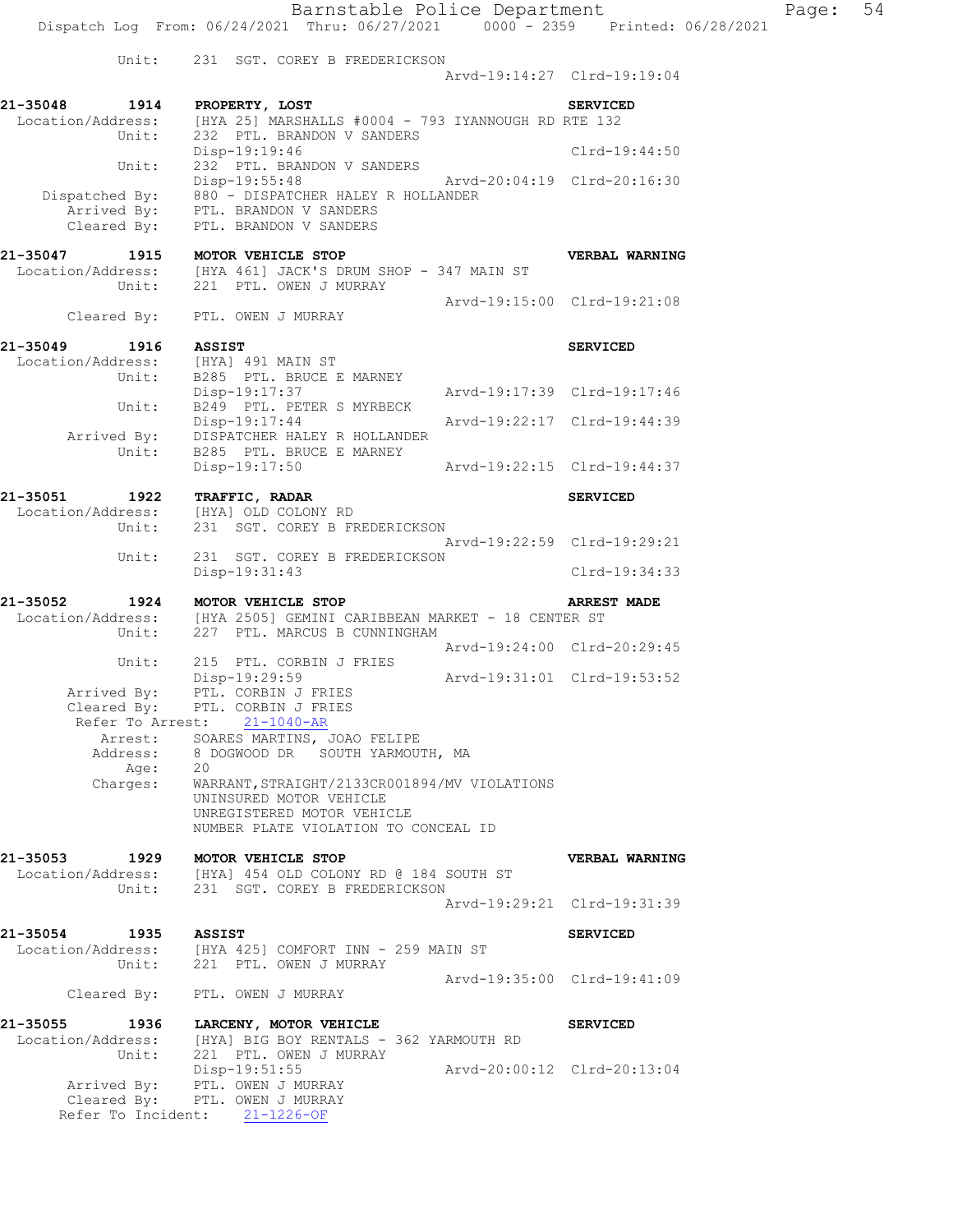Barnstable Police Department Page: 54 Dispatch Log From: 06/24/2021 Thru: 06/27/2021 0000 - 2359 Printed: 06/28/2021 Unit: 231 SGT. COREY B FREDERICKSON Arvd-19:14:27 Clrd-19:19:04 **21-35048 1914 PROPERTY, LOST SERVICED**  Location/Address: [HYA 25] MARSHALLS #0004 - 793 IYANNOUGH RD RTE 132 Unit: 232 PTL. BRANDON V SANDERS Unit: 232 PTL. BRANDON V SANDERS<br>Disp-19:19:46 Clrd-19:44:50 Unit: 232 PTL. BRANDON V SANDERS Disp-19:55:48 Arvd-20:04:19 Clrd-20:16:30 Dispatched By: 880 - DISPATCHER HALEY R HOLLANDER .<br>Arrived By: PTL. BRANDON V SANDERS Cleared By: PTL. BRANDON V SANDERS **21-35047 1915 MOTOR VEHICLE STOP VERBAL WARNING**  Location/Address: [HYA 461] JACK'S DRUM SHOP - 347 MAIN ST Unit: 221 PTL. OWEN J MURRAY Arvd-19:15:00 Clrd-19:21:08 Cleared By: PTL. OWEN J MURRAY **21-35049 1916 ASSIST SERVICED**  Location/Address: [HYA] 491 MAIN ST Unit: B285 PTL. BRUCE E MARNEY Disp-19:17:37 Arvd-19:17:39 Clrd-19:17:46 Unit: B249 PTL. PETER S MYRBECK Disp-19:17:44 Arvd-19:22:17 Clrd-19:44:39 Arrived By: DISPATCHER HALEY R HOLLANDER Unit: B285 PTL. BRUCE E MARNEY Disp-19:17:50 Arvd-19:22:15 Clrd-19:44:37 **21-35051 1922 TRAFFIC, RADAR SERVICED**  Location/Address: [HYA] OLD COLONY RD Unit: 231 SGT. COREY B FREDERICKSON Arvd-19:22:59 Clrd-19:29:21 Unit: 231 SGT. COREY B FREDERICKSON Disp-19:31:43 Clrd-19:34:33 **21-35052 1924 MOTOR VEHICLE STOP ARREST MADE**  Location/Address: [HYA 2505] GEMINI CARIBBEAN MARKET - 18 CENTER ST Unit: 227 PTL. MARCUS B CUNNINGHAM Unit: 227 PTL. MARCUS B CUNNINGHAM<br>Arvd-19:24:00 Clrd-20:29:45 Unit: 215 PTL. CORBIN J FRIES Disp-19:29:59 Arvd-19:31:01 Clrd-19:53:52 Arrived By: PTL. CORBIN J FRIES Cleared By: PTL. CORBIN J FRIES Refer To Arrest: 21-1040-AR Arrest: SOARES MARTINS, JOAO FELIPE Address: 8 DOGWOOD DR SOUTH YARMOUTH, MA Age: 20 Charges: WARRANT,STRAIGHT/2133CR001894/MV VIOLATIONS UNINSURED MOTOR VEHICLE UNREGISTERED MOTOR VEHICLE NUMBER PLATE VIOLATION TO CONCEAL ID **21-35053 1929 MOTOR VEHICLE STOP VERBAL WARNING**  Location/Address: [HYA] 454 OLD COLONY RD @ 184 SOUTH ST Unit: 231 SGT. COREY B FREDERICKSON Arvd-19:29:21 Clrd-19:31:39 **21-35054 1935 ASSIST SERVICED**  Location/Address: [HYA 425] COMFORT INN - 259 MAIN ST Unit: 221 PTL. OWEN J MURRAY Arvd-19:35:00 Clrd-19:41:09 Cleared By: PTL. OWEN J MURRAY **21-35055 1936 LARCENY, MOTOR VEHICLE SERVICED**  Location/Address: [HYA] BIG BOY RENTALS - 362 YARMOUTH RD Unit: 221 PTL. OWEN J MURRAY Disp-19:51:55 Arvd-20:00:12 Clrd-20:13:04

 Arrived By: PTL. OWEN J MURRAY Cleared By: PTL. OWEN J MURRAY

Refer To Incident: 21-1226-OF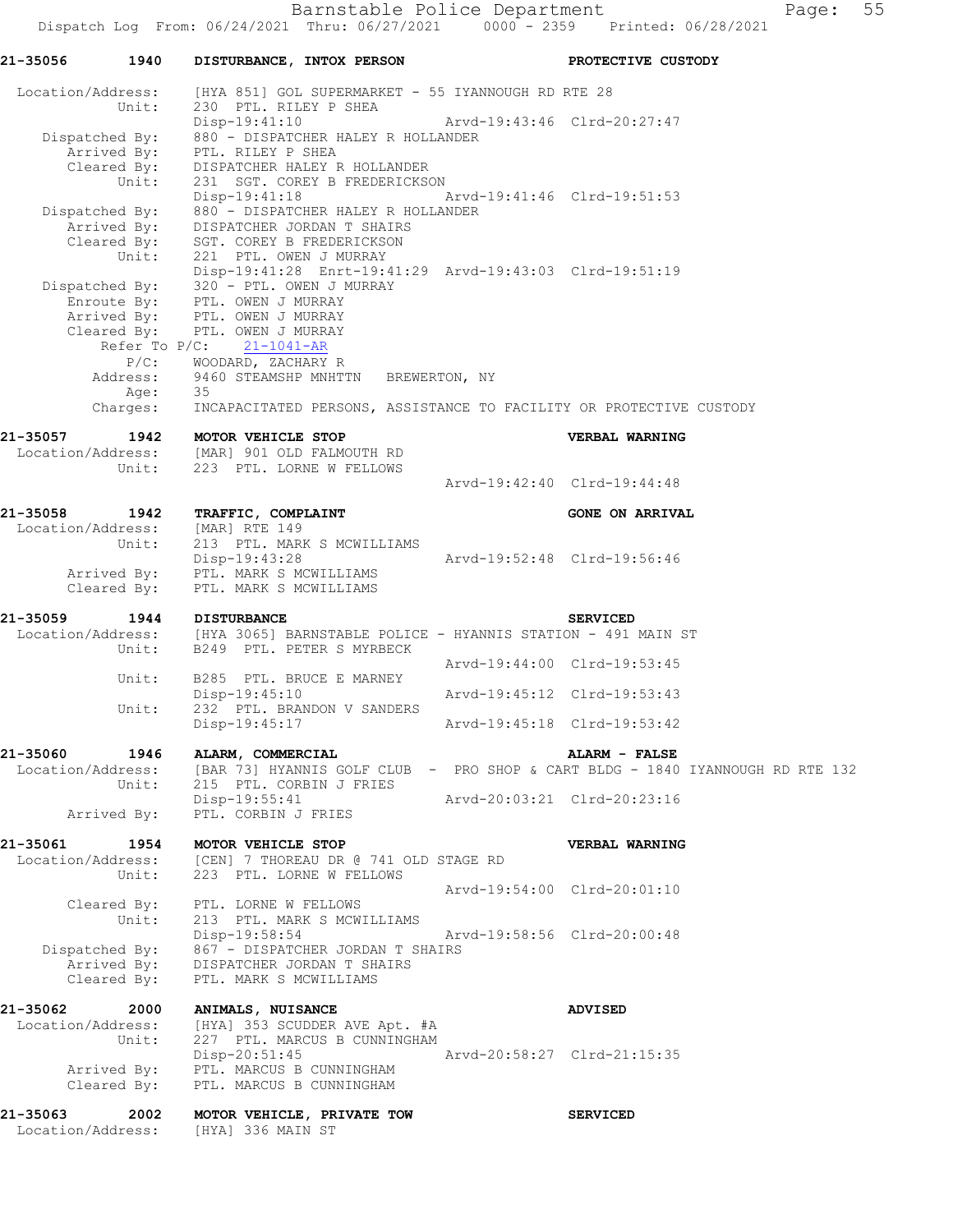| 21-35056                                                | 1940             |                                                                                                  | DISTURBANCE, INTOX PERSON                                                                                                                                                                                          |                             | PROTECTIVE CUSTODY                                                                                |
|---------------------------------------------------------|------------------|--------------------------------------------------------------------------------------------------|--------------------------------------------------------------------------------------------------------------------------------------------------------------------------------------------------------------------|-----------------------------|---------------------------------------------------------------------------------------------------|
|                                                         |                  |                                                                                                  | Location/Address: [HYA 851] GOL SUPERMARKET - 55 IYANNOUGH RD RTE 28                                                                                                                                               |                             |                                                                                                   |
|                                                         | Unit:            | 230 PTL. RILEY P SHEA                                                                            | $Disp-19:41:10$<br>Dispatched By: 880 - DISPATCHER HALEY R HOLLANDER<br>Arrived By: PTL. RILEY P SHEA<br>Cleared By: DISPATCHER HALEY R HOLLANDER                                                                  | Arvd-19:43:46 Clrd-20:27:47 |                                                                                                   |
|                                                         | Unit:            |                                                                                                  | 231 SGT. COREY B FREDERICKSON<br>Disp-19:41:18 Arvd-19:41:46 Clrd-19:51:53<br>Dispatched By: 880 - DISPATCHER HALEY R HOLLANDER<br>Arrived By: DISPATCHER JORDAN T SHAIRS<br>Cleared By: SGT. COREY B FREDERICKSON |                             |                                                                                                   |
| Dispatched By: 320 - PTL. OWEN J MURRAY                 |                  | Unit: 221 PTL. OWEN J MURRAY<br>Enroute By: PTL. OWEN J MURRAY<br>Arrived By: PTL. OWEN J MURRAY | Disp-19:41:28 Enrt-19:41:29 Arvd-19:43:03 Clrd-19:51:19                                                                                                                                                            |                             |                                                                                                   |
|                                                         |                  | Cleared By: PTL. OWEN J MURRAY<br>Refer To $P/C$ : 21-1041-AR<br>P/C: WOODARD, ZACHARY R         |                                                                                                                                                                                                                    |                             |                                                                                                   |
|                                                         |                  |                                                                                                  | Address: 9460 STEAMSHP MNHTTN BREWERTON, NY                                                                                                                                                                        |                             | Age: 35<br>Charges: INCAPACITATED PERSONS, ASSISTANCE TO FACILITY OR PROTECTIVE CUSTODY           |
|                                                         |                  |                                                                                                  |                                                                                                                                                                                                                    |                             |                                                                                                   |
| 21-35057<br>Location/Address: [MAR] 901 OLD FALMOUTH RD |                  | 1942 MOTOR VEHICLE STOP                                                                          | Unit: 223 PTL. LORNE W FELLOWS                                                                                                                                                                                     |                             | VERBAL WARNING                                                                                    |
|                                                         |                  |                                                                                                  |                                                                                                                                                                                                                    | Arvd-19:42:40 Clrd-19:44:48 |                                                                                                   |
| 21-35058 1942 TRAFFIC, COMPLAINT                        |                  |                                                                                                  |                                                                                                                                                                                                                    |                             | <b>GONE ON ARRIVAL</b>                                                                            |
| Location/Address: [MAR] RTE 149                         |                  |                                                                                                  | Unit: 213 PTL. MARK S MCWILLIAMS                                                                                                                                                                                   |                             |                                                                                                   |
|                                                         |                  | Disp-19:43:28<br>Arrived By: PTL. MARK S MCWILLIAMS<br>Cleared By: PTL. MARK S MCWILLIAMS        |                                                                                                                                                                                                                    | Arvd-19:52:48 Clrd-19:56:46 |                                                                                                   |
|                                                         |                  |                                                                                                  |                                                                                                                                                                                                                    |                             |                                                                                                   |
| 21-35059                                                | 1944 DISTURBANCE |                                                                                                  | Unit: B249 PTL. PETER S MYRBECK                                                                                                                                                                                    |                             | <b>SERVICED</b><br>Location/Address: [HYA 3065] BARNSTABLE POLICE - HYANNIS STATION - 491 MAIN ST |
|                                                         | Unit:            |                                                                                                  | B285 PTL. BRUCE E MARNEY                                                                                                                                                                                           | Arvd-19:44:00 Clrd-19:53:45 |                                                                                                   |
|                                                         | Unit:            | Disp-19:45:10                                                                                    | 232 PTL. BRANDON V SANDERS                                                                                                                                                                                         | Arvd-19:45:12 Clrd-19:53:43 |                                                                                                   |
|                                                         |                  | Disp-19:45:17                                                                                    |                                                                                                                                                                                                                    | Arvd-19:45:18 Clrd-19:53:42 |                                                                                                   |
| 21-35060<br>Location/Address:                           | 1946             | ALARM, COMMERCIAL                                                                                |                                                                                                                                                                                                                    |                             | ALARM - FALSE<br>[BAR 73] HYANNIS GOLF CLUB - PRO SHOP & CART BLDG - 1840 IYANNOUGH RD RTE 132    |
|                                                         | Unit:            | Disp-19:55:41                                                                                    | 215 PTL. CORBIN J FRIES                                                                                                                                                                                            | Arvd-20:03:21 Clrd-20:23:16 |                                                                                                   |
| Arrived By:                                             |                  | PTL. CORBIN J FRIES                                                                              |                                                                                                                                                                                                                    |                             |                                                                                                   |
| 21-35061<br>Location/Address:                           | Unit:            | 1954 MOTOR VEHICLE STOP                                                                          | [CEN] 7 THOREAU DR @ 741 OLD STAGE RD<br>223 PTL. LORNE W FELLOWS                                                                                                                                                  |                             | VERBAL WARNING                                                                                    |
|                                                         | Unit:            | Cleared By: PTL. LORNE W FELLOWS                                                                 | 213 PTL. MARK S MCWILLIAMS                                                                                                                                                                                         | Arvd-19:54:00 Clrd-20:01:10 |                                                                                                   |
|                                                         |                  | Disp-19:58:54<br>Cleared By: PTL. MARK S MCWILLIAMS                                              | Dispatched By: 867 - DISPATCHER JORDAN T SHAIRS<br>Arrived By: DISPATCHER JORDAN T SHAIRS                                                                                                                          | Arvd-19:58:56 Clrd-20:00:48 |                                                                                                   |
| 21-35062<br>Location/Address:                           | 2000<br>Unit:    | <b>ANIMALS, NUISANCE</b>                                                                         | [HYA] 353 SCUDDER AVE Apt. #A<br>227 PTL. MARCUS B CUNNINGHAM                                                                                                                                                      |                             | <b>ADVISED</b>                                                                                    |
|                                                         |                  | $Disp-20:51:45$                                                                                  | Arrived By: PTL. MARCUS B CUNNINGHAM<br>Cleared By: PTL. MARCUS B CUNNINGHAM                                                                                                                                       |                             |                                                                                                   |
| 21-35063<br>Location/Address:                           | 2002             | [HYA] 336 MAIN ST                                                                                | MOTOR VEHICLE, PRIVATE TOW                                                                                                                                                                                         |                             | <b>SERVICED</b>                                                                                   |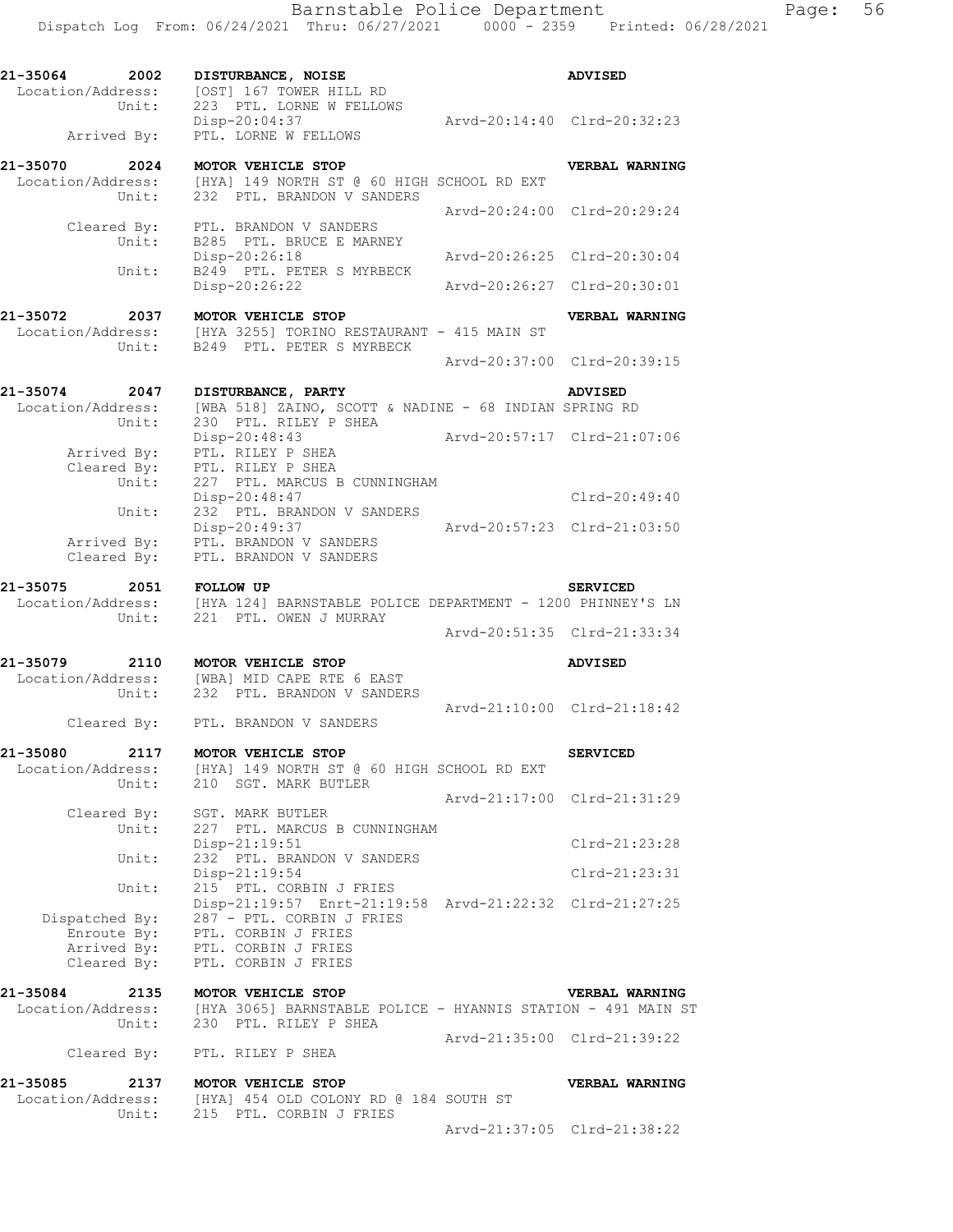| 21-35064 2002<br>Location/Address:<br>Unit: | DISTURBANCE, NOISE<br>[OST] 167 TOWER HILL RD<br>223 PTL. LORNE W FELLOWS                                                           | <b>ADVISED</b>              |
|---------------------------------------------|-------------------------------------------------------------------------------------------------------------------------------------|-----------------------------|
| Arrived By:                                 | Disp-20:04:37<br>PTL. LORNE W FELLOWS                                                                                               | Arvd-20:14:40 Clrd-20:32:23 |
| 21-35070 2024<br>Location/Address:          | MOTOR VEHICLE STOP<br>dress: [HYA] 149 NORTH ST @ 60 HIGH SCHOOL RD EXT<br>Unit: 232 PTL. BRANDON V SANDERS                         | VERBAL WARNING              |
| Cleared By:                                 | PTL. BRANDON V SANDERS                                                                                                              | Arvd-20:24:00 Clrd-20:29:24 |
| Unit:                                       | B285 PTL. BRUCE E MARNEY<br>Disp-20:26:18                                                                                           | Arvd-20:26:25 Clrd-20:30:04 |
| Unit:                                       | B249 PTL. PETER S MYRBECK<br>Disp-20:26:22                                                                                          | Arvd-20:26:27 Clrd-20:30:01 |
| 21-35072 2037 MOTOR VEHICLE STOP<br>Unit:   | Location/Address: $[HYA 3255]$ TORINO RESTAURANT - 415 MAIN ST<br>B249 PTL. PETER S MYRBECK                                         | VERBAL WARNING              |
|                                             |                                                                                                                                     | Arvd-20:37:00 Clrd-20:39:15 |
| 21-35074 2047<br>Location/Address:<br>Unit: | DISTURBANCE, PARTY<br>[WBA 518] ZAINO, SCOTT & NADINE - 68 INDIAN SPRING RD<br>230 PTL. RILEY P SHEA                                | <b>ADVISED</b>              |
| Arrived By:                                 | Disp-20:48:43<br>PTL. RILEY P SHEA                                                                                                  |                             |
| Cleared By:<br>Unit:<br>Unit:               | PTL. RILEY P SHEA<br>227 PTL. MARCUS B CUNNINGHAM<br>Disp-20:48:47<br>232 PTL. BRANDON V SANDERS                                    | Clrd-20:49:40               |
| Arrived By:<br>Cleared By:                  | Disp-20:49:37<br>PTL. BRANDON V SANDERS<br>PTL. BRANDON V SANDERS                                                                   | Arvd-20:57:23 Clrd-21:03:50 |
| 21-35075<br>Unit:                           | 2051 FOLLOW UP<br>Location/Address: [HYA 124] BARNSTABLE POLICE DEPARTMENT - 1200 PHINNEY'S LN<br>221 PTL. OWEN J MURRAY            | <b>SERVICED</b>             |
|                                             |                                                                                                                                     | Arvd-20:51:35 Clrd-21:33:34 |
| 21-35079 2110 MOTOR VEHICLE STOP<br>Unit:   | Location/Address: [WBA] MID CAPE RTE 6 EAST<br>232 PTL. BRANDON V SANDERS                                                           | <b>ADVISED</b>              |
|                                             | Cleared By: PTL. BRANDON V SANDERS                                                                                                  | Arvd-21:10:00 Clrd-21:18:42 |
| 21-35080<br>2117<br>Location/Address:       | MOTOR VEHICLE STOP<br>[HYA] 149 NORTH ST @ 60 HIGH SCHOOL RD EXT<br>Unit: 210 SGT. MARK BUTLER                                      | <b>SERVICED</b>             |
|                                             | Cleared By: SGT. MARK BUTLER                                                                                                        | Arvd-21:17:00 Clrd-21:31:29 |
| Unit:                                       | 227 PTL. MARCUS B CUNNINGHAM<br>Disp-21:19:51                                                                                       | Clrd-21:23:28               |
| Unit:                                       | 232 PTL. BRANDON V SANDERS<br>Disp-21:19:54                                                                                         | $Clrd-21:23:31$             |
| Unit:<br>Dispatched By:                     | 215 PTL. CORBIN J FRIES<br>Disp-21:19:57 Enrt-21:19:58 Arvd-21:22:32 Clrd-21:27:25<br>287 - PTL. CORBIN J FRIES                     |                             |
| Cleared By:                                 | Enroute By: PTL. CORBIN J FRIES<br>Arrived By: PTL. CORBIN J FRIES<br>PTL. CORBIN J FRIES                                           |                             |
| 21-35084<br>2135                            | MOTOR VEHICLE STOP<br>Location/Address: [HYA 3065] BARNSTABLE POLICE - HYANNIS STATION - 491 MAIN ST<br>Unit: 230 PTL. RILEY P SHEA | <b>VERBAL WARNING</b>       |
|                                             | Cleared By: PTL. RILEY P SHEA                                                                                                       | Arvd-21:35:00 Clrd-21:39:22 |
| 21-35085                                    | 2137 MOTOR VEHICLE STOP<br>Location/Address: [HYA] 454 OLD COLONY RD @ 184 SOUTH ST                                                 | VERBAL WARNING              |
| Unit:                                       | 215 PTL. CORBIN J FRIES                                                                                                             | Arvd-21:37:05 Clrd-21:38:22 |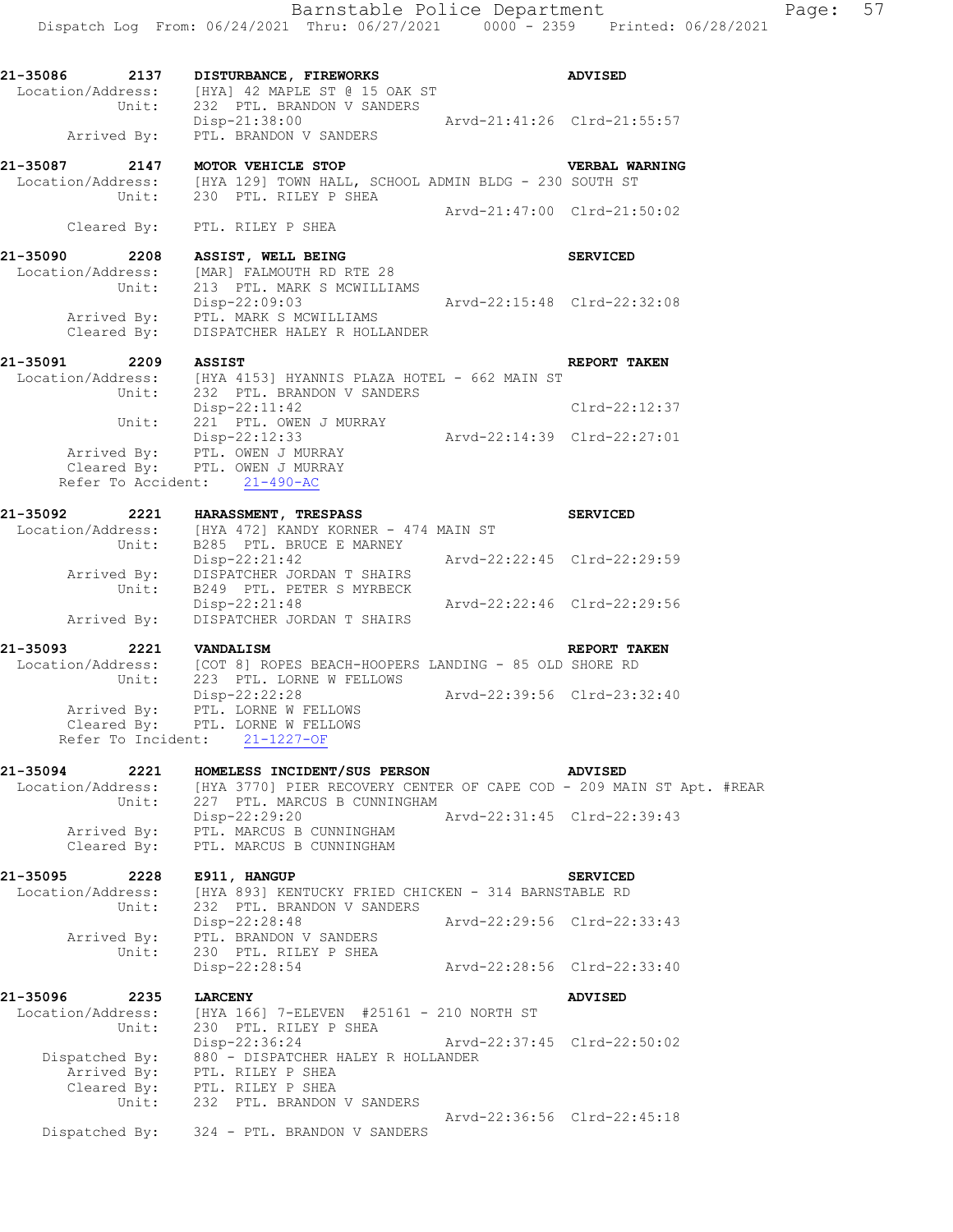| 21-35086<br>2137           | DISTURBANCE, FIREWORKS<br>Location/Address: [HYA] 42 MAPLE ST @ 15 OAK ST<br>Unit: 232 PTL. BRANDON V SANDERS                                      |                             | <b>ADVISED</b>        |
|----------------------------|----------------------------------------------------------------------------------------------------------------------------------------------------|-----------------------------|-----------------------|
|                            | Disp-21:38:00 Arvd-21:41:26 Clrd-21:55:57<br>Arrived By: PTL. BRANDON V SANDERS                                                                    |                             |                       |
|                            | 21-35087 2147 MOTOR VEHICLE STOP VERBAL WA Location/Address: [HYA 129] TOWN HALL, SCHOOL ADMIN BLDG - 230 SOUTH ST<br>Unit: 230 PTL. RILEY P SHEA  |                             | <b>VERBAL WARNING</b> |
|                            | Cleared By: PTL. RILEY P SHEA                                                                                                                      | Arvd-21:47:00 Clrd-21:50:02 |                       |
| 21-35090 2208              | ASSIST, WELL BEING<br>Location/Address: [MAR] FALMOUTH RD RTE 28<br>213 PTL. MARK S MCWILLIAMS                                                     |                             | <b>SERVICED</b>       |
| Unit:                      | Disp-22:09:03 Arvd-22:15:48 Clrd-22:32:08<br>Arrived By: PTL. MARK S MCWILLIAMS<br>Cleared By: DISPATCHER HALEY R HOLLANDER                        |                             |                       |
|                            |                                                                                                                                                    |                             | REPORT TAKEN          |
|                            | 21-35091 2209 ASSIST<br>Location/Address: [HYA 4153] HYANNIS PLAZA HOTEL - 662 MAIN ST<br>Unit: 232 PTL. BRANDON V SANDERS                         |                             |                       |
|                            | Unit: 221 PTL. OWEN J MURRAY                                                                                                                       |                             | $Clrd-22:12:37$       |
|                            | Disp-22:12:33 Arvd-22:14:39 Clrd-22:27:01<br>Cleared By: PTL. OWEN J MURRAY<br>Cleared By: PTL. OWEN J MURRAY                                      |                             |                       |
|                            | Refer To Accident: 21-490-AC                                                                                                                       |                             |                       |
|                            | 21-35092 2221 HARASSMENT, TRESPASS<br>Location/Address: [HYA 472] KANDY KORNER - 474 MAIN ST<br>Unit: B285 PTL. BRUCE E MARNEY                     |                             | <b>SERVICED</b>       |
|                            | Disp-22:21:42<br>Arrived By: DISPATCHER JORDAN T SHAIRS<br>Unit: B249 PTL. PETER S MYRBECK                                                         | Arvd-22:22:45 Clrd-22:29:59 |                       |
|                            | Disp-22:21:48 Arvd-22:22:46 Clrd-22:29:56<br>Arrived By: DISPATCHER JORDAN T SHAIRS                                                                |                             |                       |
| 21-35093                   | 2221 VANDALISM                                                                                                                                     |                             | <b>REPORT TAKEN</b>   |
|                            | Location/Address: [COT 8] ROPES BEACH-HOOPERS LANDING - 85 OLD SHORE RD<br>Unit: 223 PTL. LORNE W FELLOWS                                          |                             |                       |
|                            | Disp-22:22:28 Arvd-22:39:56 Clrd-23:32:40<br>Arrived By: PTL. LORNE W FELLOWS<br>Cleared By: PTL. LORNE W FELLOWS<br>Refer To Incident: 21-1227-OF |                             |                       |
| 21-35094<br>2221           | HOMELESS INCIDENT/SUS PERSON                                                                                                                       |                             | <b>ADVISED</b>        |
| Location/Address:<br>Unit: | [HYA 3770] PIER RECOVERY CENTER OF CAPE COD - 209 MAIN ST Apt. #REAR<br>227 PTL. MARCUS B CUNNINGHAM                                               |                             |                       |
| Arrived By:<br>Cleared By: | $Disp-22:29:20$<br>PTL. MARCUS B CUNNINGHAM<br>PTL. MARCUS B CUNNINGHAM                                                                            | Arvd-22:31:45 Clrd-22:39:43 |                       |
| 2228<br>21-35095           | E911, HANGUP                                                                                                                                       |                             | <b>SERVICED</b>       |
| Location/Address:<br>Unit: | [HYA 893] KENTUCKY FRIED CHICKEN - 314 BARNSTABLE RD<br>232 PTL. BRANDON V SANDERS                                                                 |                             |                       |
| Arrived By:                | Disp-22:28:48<br>PTL. BRANDON V SANDERS                                                                                                            | Arvd-22:29:56 Clrd-22:33:43 |                       |
| Unit:                      | 230 PTL. RILEY P SHEA<br>Disp-22:28:54                                                                                                             | Arvd-22:28:56 Clrd-22:33:40 |                       |
| 21-35096<br>2235           | <b>LARCENY</b>                                                                                                                                     |                             | <b>ADVISED</b>        |
| Location/Address:<br>Unit: | [HYA 166] 7-ELEVEN #25161 - 210 NORTH ST<br>230 PTL. RILEY P SHEA<br>Disp-22:36:24                                                                 | Arvd-22:37:45 Clrd-22:50:02 |                       |
| Dispatched By:             | 880 - DISPATCHER HALEY R HOLLANDER<br>Arrived By: PTL. RILEY P SHEA<br>Cleared By: PTL. RILEY P SHEA                                               |                             |                       |
| Unit:                      | 232 PTL. BRANDON V SANDERS                                                                                                                         | Arvd-22:36:56 Clrd-22:45:18 |                       |
|                            | Dispatched By: 324 - PTL. BRANDON V SANDERS                                                                                                        |                             |                       |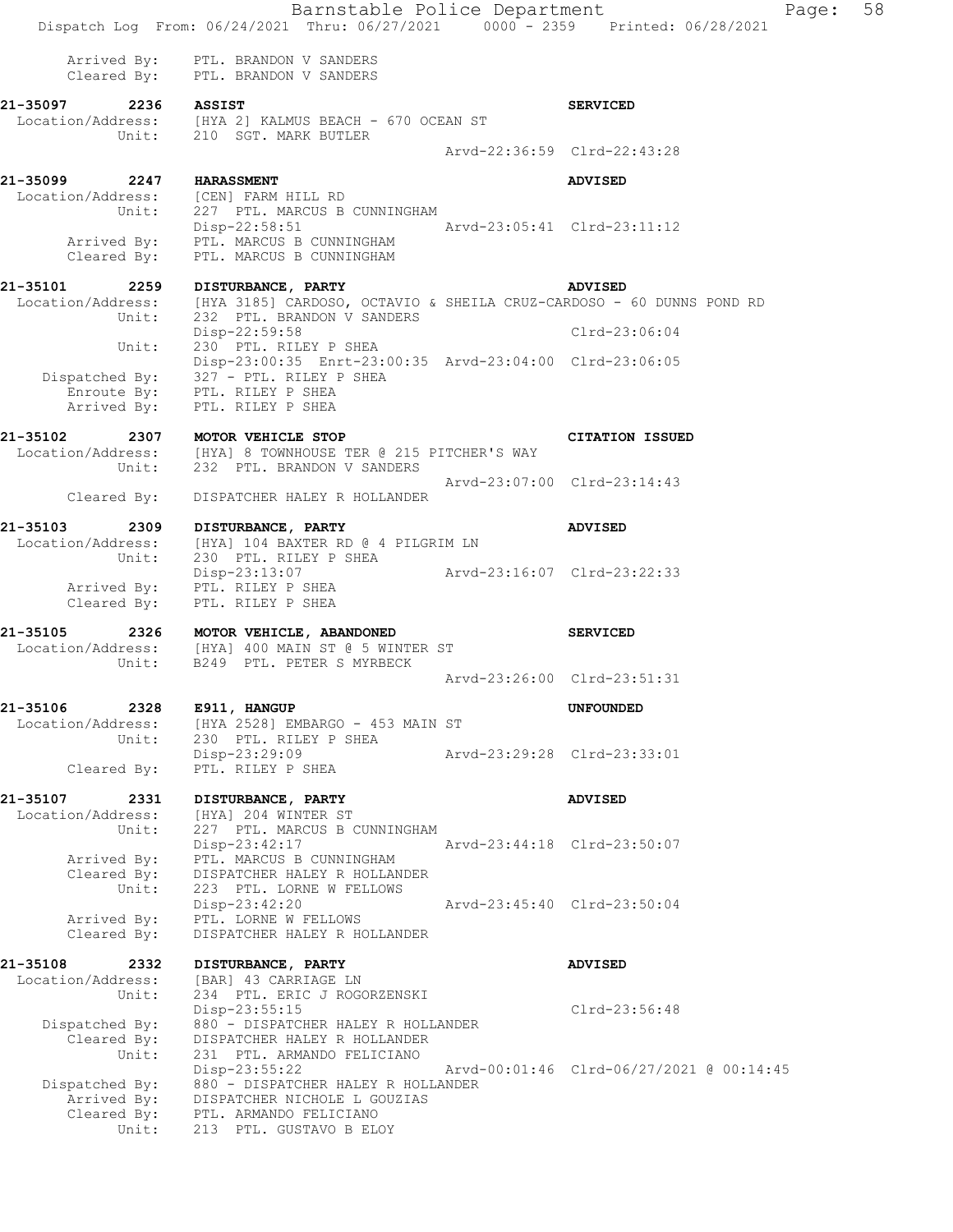|                                                                | Barnstable Police Department<br>Dispatch Log From: 06/24/2021 Thru: 06/27/2021 0000 - 2359 Printed: 06/28/2021                                                           |                             |                                          | Page: | 58 |
|----------------------------------------------------------------|--------------------------------------------------------------------------------------------------------------------------------------------------------------------------|-----------------------------|------------------------------------------|-------|----|
|                                                                | Arrived By: PTL. BRANDON V SANDERS<br>Cleared By: PTL. BRANDON V SANDERS                                                                                                 |                             |                                          |       |    |
| 21-35097 2236 ASSIST<br>Unit:                                  | Location/Address: [HYA 2] KALMUS BEACH - 670 OCEAN ST<br>210 SGT. MARK BUTLER                                                                                            |                             | <b>SERVICED</b>                          |       |    |
|                                                                |                                                                                                                                                                          | Arvd-22:36:59 Clrd-22:43:28 |                                          |       |    |
| 21-35099 2247 HARASSMENT                                       |                                                                                                                                                                          |                             | <b>ADVISED</b>                           |       |    |
| Unit:                                                          | Location/Address: [CEN] FARM HILL RD<br>227 PTL. MARCUS B CUNNINGHAM<br>Disp-22:58:51 Arvd-23:05:41 Clrd-23:11:12<br>Arrived By: PTL. MARCUS B CUNNINGHAM                |                             |                                          |       |    |
| Cleared By:                                                    | PTL. MARCUS B CUNNINGHAM                                                                                                                                                 |                             |                                          |       |    |
| 21-35101 2259<br>Unit:                                         | DISTURBANCE, PARTY<br>Location/Address: [HYA 3185] CARDOSO, OCTAVIO & SHEILA CRUZ-CARDOSO - 60 DUNNS POND RD<br>232 PTL. BRANDON V SANDERS                               |                             | ADVISED                                  |       |    |
| Unit:                                                          | Disp-22:59:58<br>230 PTL. RILEY P SHEA                                                                                                                                   |                             | Clrd-23:06:04                            |       |    |
| Arrived By:                                                    | Disp-23:00:35 Enrt-23:00:35 Arvd-23:04:00 Clrd-23:06:05<br>Dispatched By: 327 - PTL. RILEY P SHEA<br>Enroute By: PTL. RILEY P SHEA<br>PTL. RILEY P SHEA                  |                             |                                          |       |    |
| 21-35102                                                       | 1-35102 2307 MOTOR VEHICLE STOP<br>Location/Address: [HYA] 8 TOWNHOUSE TER @ 215 PITCHER'S WAY<br>Unit: 232 PTL. BRANDON V SANDERS                                       |                             | CITATION ISSUED                          |       |    |
| Cleared By:                                                    | DISPATCHER HALEY R HOLLANDER                                                                                                                                             | Arvd-23:07:00 Clrd-23:14:43 |                                          |       |    |
| 21-35103<br>2309                                               | DISTURBANCE, PARTY                                                                                                                                                       |                             | <b>ADVISED</b>                           |       |    |
| Location/Address:<br>Unit:                                     | [HYA] 104 BAXTER RD @ 4 PILGRIM LN<br>230 PTL. RILEY P SHEA                                                                                                              | Arvd-23:16:07 Clrd-23:22:33 |                                          |       |    |
| Cleared By:                                                    | Disp-23:13:07<br>Arrived By: PTL. RILEY P SHEA<br>PTL. RILEY P SHEA                                                                                                      |                             |                                          |       |    |
| Unit:                                                          | 21-35105 2326 MOTOR VEHICLE, ABANDONED<br>Location/Address: [HYA] 400 MAIN ST @ 5 WINTER ST<br>B249 PTL. PETER S MYRBECK                                                 |                             | <b>SERVICED</b>                          |       |    |
|                                                                |                                                                                                                                                                          |                             | Arvd-23:26:00 Clrd-23:51:31              |       |    |
| 21-35106<br>2328<br>Location/Address:<br>Unit:                 | E911, HANGUP<br>[HYA 2528] EMBARGO - 453 MAIN ST<br>230 PTL. RILEY P SHEA                                                                                                |                             | <b>UNFOUNDED</b>                         |       |    |
| Cleared By:                                                    | Disp-23:29:09<br>PTL. RILEY P SHEA                                                                                                                                       |                             | Arvd-23:29:28 Clrd-23:33:01              |       |    |
| 21-35107<br>2331                                               | DISTURBANCE, PARTY                                                                                                                                                       |                             | <b>ADVISED</b>                           |       |    |
| Location/Address:<br>Unit:<br>Arrived By:                      | [HYA] 204 WINTER ST<br>227 PTL. MARCUS B CUNNINGHAM<br>Disp-23:42:17<br>PTL. MARCUS B CUNNINGHAM                                                                         | Arvd-23:44:18 Clrd-23:50:07 |                                          |       |    |
| Cleared By:<br>Unit:<br>Arrived By:                            | DISPATCHER HALEY R HOLLANDER<br>223 PTL. LORNE W FELLOWS<br>$Disp-23:42:20$<br>PTL. LORNE W FELLOWS                                                                      |                             | Arvd-23:45:40 Clrd-23:50:04              |       |    |
| Cleared By:                                                    | DISPATCHER HALEY R HOLLANDER                                                                                                                                             |                             |                                          |       |    |
| 21-35108<br>2332<br>Location/Address:<br>Unit:                 | DISTURBANCE, PARTY<br>[BAR] 43 CARRIAGE LN<br>234 PTL. ERIC J ROGORZENSKI                                                                                                |                             | <b>ADVISED</b>                           |       |    |
| Dispatched By:<br>Cleared By:                                  | Disp-23:55:15<br>880 - DISPATCHER HALEY R HOLLANDER<br>DISPATCHER HALEY R HOLLANDER                                                                                      |                             | Clrd-23:56:48                            |       |    |
| Unit:<br>Dispatched By:<br>Arrived By:<br>Cleared By:<br>Unit: | 231 PTL. ARMANDO FELICIANO<br>$Disp-23:55:22$<br>880 - DISPATCHER HALEY R HOLLANDER<br>DISPATCHER NICHOLE L GOUZIAS<br>PTL. ARMANDO FELICIANO<br>213 PTL. GUSTAVO B ELOY |                             | Arvd-00:01:46 Clrd-06/27/2021 @ 00:14:45 |       |    |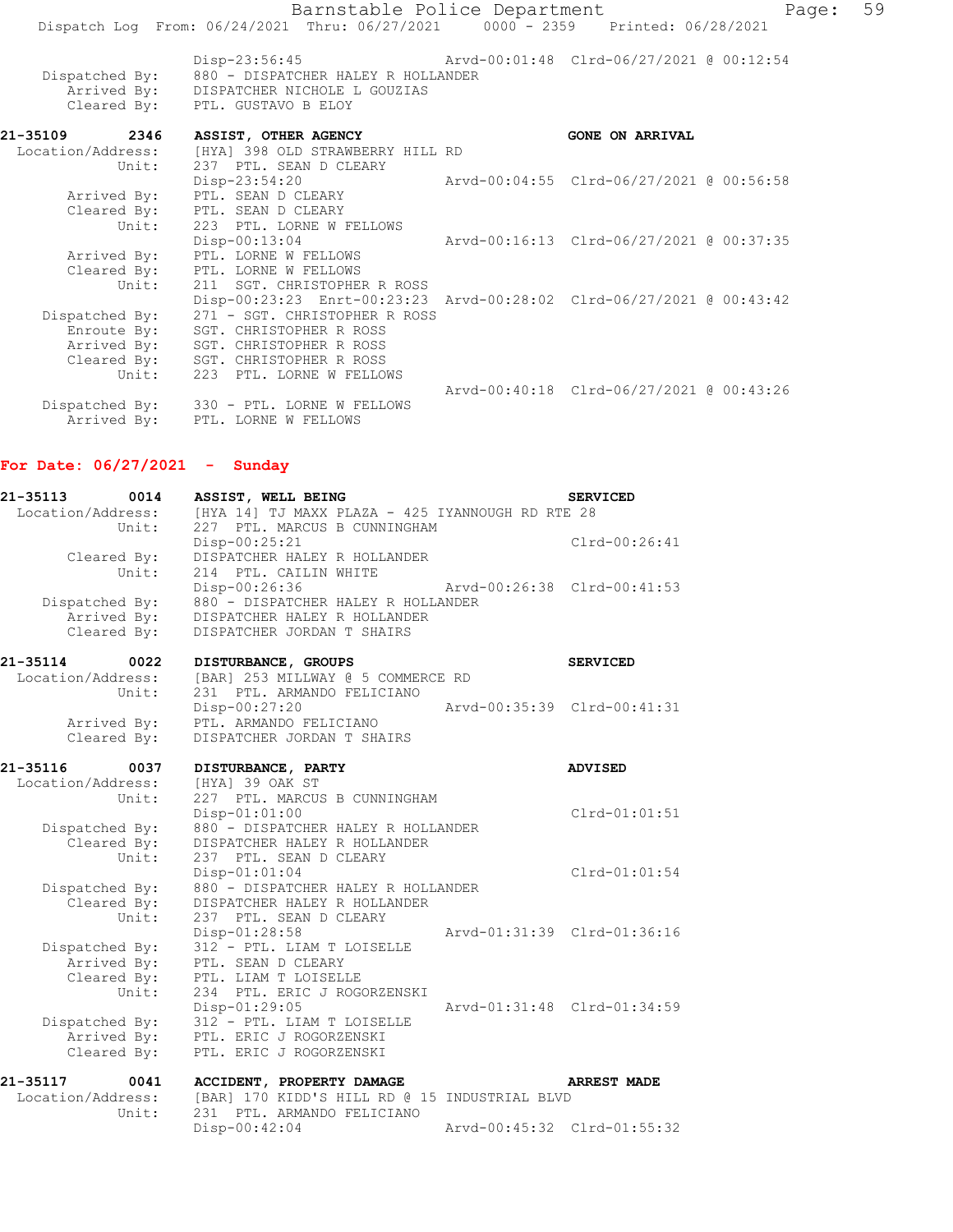| Barnstable Police Department<br>Dispatch Log From: 06/24/2021 Thru: 06/27/2021 0000 - 2359 Printed: 06/28/2021 |                                                                                                                                                                                                                    |  |                                          | 59<br>Page: |
|----------------------------------------------------------------------------------------------------------------|--------------------------------------------------------------------------------------------------------------------------------------------------------------------------------------------------------------------|--|------------------------------------------|-------------|
| Dispatched By:<br>Arrived By:                                                                                  | Disp-23:56:45 Arvd-00:01:48 Clrd-06/27/2021 @ 00:12:54<br>880 - DISPATCHER HALEY R HOLLANDER<br>DISPATCHER NICHOLE L GOUZIAS<br>Cleared By: PTL. GUSTAVO B ELOY                                                    |  |                                          |             |
| 21-35109 2346<br>Location/Address:<br>Unit:                                                                    | ASSIST, OTHER AGENCY<br>[HYA] 398 OLD STRAWBERRY HILL RD<br>237 PTL. SEAN D CLEARY                                                                                                                                 |  | <b>GONE ON ARRIVAL</b>                   |             |
| Arrived By:<br>Unit:                                                                                           | Disp-23:54:20<br>PTL. SEAN D CLEARY<br>Cleared By: PTL. SEAN D CLEARY<br>223 PTL. LORNE W FELLOWS                                                                                                                  |  | Arvd-00:04:55 Clrd-06/27/2021 @ 00:56:58 |             |
| Arrived By:<br>Unit:                                                                                           | Disp-00:13:04<br>PTL. LORNE W FELLOWS<br>Cleared By: PTL. LORNE W FELLOWS<br>211 SGT. CHRISTOPHER R ROSS                                                                                                           |  | Arvd-00:16:13 Clrd-06/27/2021 @ 00:37:35 |             |
| Dispatched By:<br>Enroute By:<br>Arrived By:<br>Cleared By:<br>Unit:                                           | Disp-00:23:23 Enrt-00:23:23 Arvd-00:28:02 Clrd-06/27/2021 @ 00:43:42<br>271 - SGT. CHRISTOPHER R ROSS<br>SGT. CHRISTOPHER R ROSS<br>SGT. CHRISTOPHER R ROSS<br>SGT. CHRISTOPHER R ROSS<br>223 PTL. LORNE W FELLOWS |  |                                          |             |
| Dispatched By:<br>Arrived By:                                                                                  | 330 - PTL. LORNE W FELLOWS<br>PTL. LORNE W FELLOWS                                                                                                                                                                 |  | Arvd-00:40:18 Clrd-06/27/2021 @ 00:43:26 |             |

## **For Date: 06/27/2021 - Sunday**

| 21-35113<br>0014<br>Location/Address:<br>Unit: | ASSIST, WELL BEING<br>[HYA 14] TJ MAXX PLAZA - 425 IYANNOUGH RD RTE 28<br>227 PTL. MARCUS B CUNNINGHAM            |                             | <b>SERVICED</b>    |
|------------------------------------------------|-------------------------------------------------------------------------------------------------------------------|-----------------------------|--------------------|
| Cleared By:<br>Unit:                           | Disp-00:25:21<br>DISPATCHER HALEY R HOLLANDER<br>214 PTL. CAILIN WHITE                                            |                             | $Clrd-00:26:41$    |
| Dispatched By:<br>Arrived By:<br>Cleared By:   | Disp-00:26:36<br>880 - DISPATCHER HALEY R HOLLANDER<br>DISPATCHER HALEY R HOLLANDER<br>DISPATCHER JORDAN T SHAIRS | Arvd-00:26:38 Clrd-00:41:53 |                    |
| 21-35114<br>0022                               | DISTURBANCE, GROUPS                                                                                               |                             | <b>SERVICED</b>    |
| Location/Address:<br>Unit:                     | [BAR] 253 MILLWAY @ 5 COMMERCE RD<br>231 PTL. ARMANDO FELICIANO                                                   |                             |                    |
|                                                | Disp-00:27:20                                                                                                     | Arvd-00:35:39 Clrd-00:41:31 |                    |
| Arrived By:<br>Cleared By:                     | PTL. ARMANDO FELICIANO<br>DISPATCHER JORDAN T SHAIRS                                                              |                             |                    |
|                                                |                                                                                                                   |                             |                    |
| 21-35116<br>0037                               | DISTURBANCE, PARTY                                                                                                |                             | <b>ADVISED</b>     |
| Location/Address:<br>Unit:                     | [HYA] 39 OAK ST<br>227 PTL. MARCUS B CUNNINGHAM                                                                   |                             |                    |
|                                                | $Disp-01:01:00$                                                                                                   |                             | $Clrd-01:01:51$    |
| Dispatched By:<br>Cleared By:                  | 880 - DISPATCHER HALEY R HOLLANDER<br>DISPATCHER HALEY R HOLLANDER                                                |                             |                    |
| Unit:                                          | 237 PTL. SEAN D CLEARY                                                                                            |                             |                    |
|                                                | $Disp-01:01:04$                                                                                                   |                             | $Clrd-01:01:54$    |
| Dispatched By:<br>Cleared By:                  | 880 - DISPATCHER HALEY R HOLLANDER<br>DISPATCHER HALEY R HOLLANDER                                                |                             |                    |
| Unit:                                          | 237 PTL. SEAN D CLEARY                                                                                            |                             |                    |
|                                                | Disp-01:28:58                                                                                                     | Arvd-01:31:39 Clrd-01:36:16 |                    |
| Dispatched By:<br>Arrived By:                  | 312 - PTL. LIAM T LOISELLE<br>PTL. SEAN D CLEARY                                                                  |                             |                    |
| Cleared By:                                    | PTL. LIAM T LOISELLE                                                                                              |                             |                    |
| Unit:                                          | 234 PTL. ERIC J ROGORZENSKI<br>Disp-01:29:05                                                                      | Arvd-01:31:48 Clrd-01:34:59 |                    |
| Dispatched By:                                 | 312 - PTL. LIAM T LOISELLE                                                                                        |                             |                    |
| Arrived By:                                    | PTL. ERIC J ROGORZENSKI                                                                                           |                             |                    |
| Cleared By:                                    | PTL. ERIC J ROGORZENSKI                                                                                           |                             |                    |
| 21-35117<br>0041                               | ACCIDENT, PROPERTY DAMAGE                                                                                         |                             | <b>ARREST MADE</b> |
| Location/Address:<br>Unit:                     | [BAR] 170 KIDD'S HILL RD @ 15 INDUSTRIAL BLVD<br>231 PTL. ARMANDO FELICIANO                                       |                             |                    |
|                                                | Disp-00:42:04                                                                                                     | Arvd-00:45:32 Clrd-01:55:32 |                    |
|                                                |                                                                                                                   |                             |                    |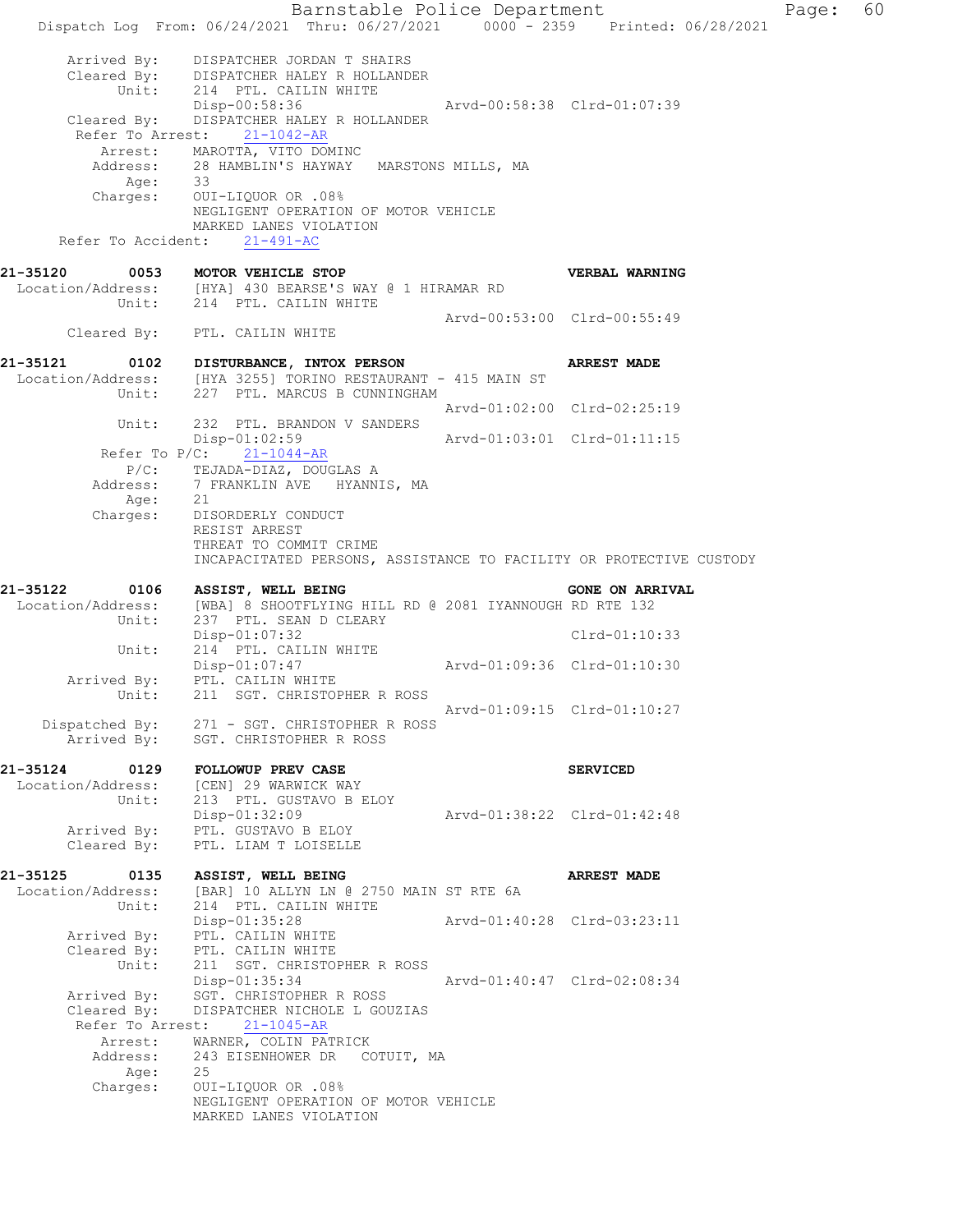Barnstable Police Department Page: 60 Dispatch Log From: 06/24/2021 Thru: 06/27/2021 0000 - 2359 Printed: 06/28/2021 Arrived By: DISPATCHER JORDAN T SHAIRS Cleared By: DISPATCHER HALEY R HOLLANDER Unit: 214 PTL. CAILIN WHITE Disp-00:58:36 Arvd-00:58:38 Clrd-01:07:39 Cleared By: DISPATCHER HALEY R HOLLANDER Refer To Arrest: 21-1042-AR Arrest: MAROTTA, VITO DOMINC Address: 28 HAMBLIN'S HAYWAY MARSTONS MILLS, MA Age: 33<br>arges: OUJ Charges: OUI-LIQUOR OR .08% NEGLIGENT OPERATION OF MOTOR VEHICLE MARKED LANES VIOLATION Refer To Accident: 21-491-AC **21-35120 0053 MOTOR VEHICLE STOP VERBAL WARNING**  Location/Address: [HYA] 430 BEARSE'S WAY @ 1 HIRAMAR RD Unit: 214 PTL. CAILIN WHITE Arvd-00:53:00 Clrd-00:55:49 Cleared By: PTL. CAILIN WHITE **21-35121 0102 DISTURBANCE, INTOX PERSON ARREST MADE**  Location/Address: [HYA 3255] TORINO RESTAURANT - 415 MAIN ST Unit: 227 PTL. MARCUS B CUNNINGHAM 227 PTL. MARCUS B CUNNINGHAM<br>Arvd-01:02:00 Clrd-02:25:19 Unit: 232 PTL. BRANDON V SANDERS Disp-01:02:59 Arvd-01:03:01 Clrd-01:11:15 Refer To P/C: 21-1044-AR P/C: TEJADA-DIAZ, DOUGLAS A Address: 7 FRANKLIN AVE HYANNIS, MA Age: 21 Charges: DISORDERLY CONDUCT RESIST ARREST THREAT TO COMMIT CRIME INCAPACITATED PERSONS, ASSISTANCE TO FACILITY OR PROTECTIVE CUSTODY **21-35122 0106 ASSIST, WELL BEING GONE ON ARRIVAL**  21-35122 0106 ASSIST, WELL BEING<br>Location/Address: [WBA] 8 SHOOTFLYING HILL RD @ 2081 IYANNOUGH RD RTE 132 Unit: 237 PTL. SEAN D CLEARY Disp-01:07:32 Clrd-01:10:33 Unit: 214 PTL. CAILIN WHITE Disp-01:07:47 Arvd-01:09:36 Clrd-01:10:30 Arrived By: PTL. CAILIN WHITE Unit: 211 SGT. CHRISTOPHER R ROSS Arvd-01:09:15 Clrd-01:10:27 Dispatched By: 271 - SGT. CHRISTOPHER R ROSS .<br>Arrived By: SGT. CHRISTOPHER R ROSS 21-35124 0129 FOLLOWUP PREV CASE **SERVICED**  Location/Address: [CEN] 29 WARWICK WAY Unit: 213 PTL. GUSTAVO B ELOY Disp-01:32:09 Arvd-01:38:22 Clrd-01:42:48 Arrived By: PTL. GUSTAVO B ELOY Cleared By: PTL. LIAM T LOISELLE **21-35125 0135 ASSIST, WELL BEING ARREST MADE**  Location/Address: [BAR] 10 ALLYN LN @ 2750 MAIN ST RTE 6A Unit: 214 PTL. CAILIN WHITE Disp-01:35:28 Arvd-01:40:28 Clrd-03:23:11 Arrived By: PTL. CAILIN WHITE Cleared By: PTL. CAILIN WHITE Unit: 211 SGT. CHRISTOPHER R ROSS Disp-01:35:34 Arvd-01:40:47 Clrd-02:08:34 Arrived By: SGT. CHRISTOPHER R ROSS Cleared By: DISPATCHER NICHOLE L GOUZIAS Refer To Arrest: 21-1045-AR Arrest: WARNER, COLIN PATRICK Address: 243 EISENHOWER DR COTUIT, MA Age: 25 Charges: OUI-LIQUOR OR .08% NEGLIGENT OPERATION OF MOTOR VEHICLE MARKED LANES VIOLATION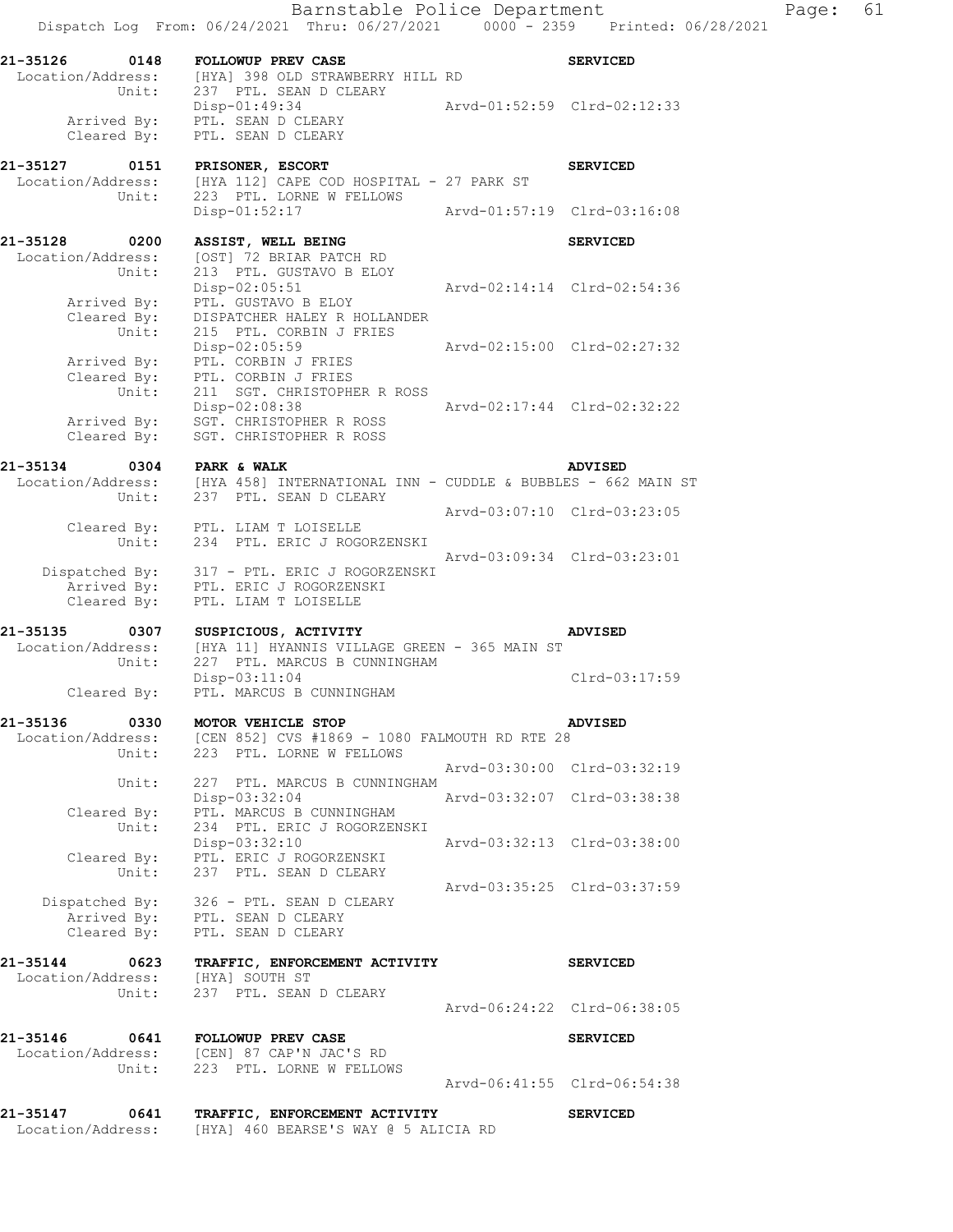|                                                         | Barnstable Police Department<br>Dispatch Log From: 06/24/2021 Thru: 06/27/2021 0000 - 2359 Printed: 06/28/2021                             |                             |                             | Page: | 61 |
|---------------------------------------------------------|--------------------------------------------------------------------------------------------------------------------------------------------|-----------------------------|-----------------------------|-------|----|
| 21-35126 0148 FOLLOWUP PREV CASE                        | Location/Address: [HYA] 398 OLD STRAWBERRY HILL RD<br>Unit: 237 PTL. SEAN D CLEARY                                                         |                             | <b>SERVICED</b>             |       |    |
|                                                         | Disp-01:49:34<br>Arrived By: PTL. SEAN D CLEARY                                                                                            | Arvd-01:52:59 Clrd-02:12:33 |                             |       |    |
|                                                         | Cleared By: PTL. SEAN D CLEARY                                                                                                             |                             |                             |       |    |
|                                                         | Unit: 223 PTL. LORNE W FELLOWS                                                                                                             |                             | <b>SERVICED</b>             |       |    |
|                                                         | Disp-01:52:17<br>Arvd-01:57:19 Clrd-03:16:08                                                                                               |                             |                             |       |    |
| 21-35128 0200<br>Unit:                                  | <b>ASSIST, WELL BEING</b><br>Location/Address: [OST] 72 BRIAR PATCH RD<br>213 PTL. GUSTAVO B ELOY                                          |                             | <b>SERVICED</b>             |       |    |
| Unit:                                                   | $Disp-02:05:51$<br>Arrived By: PTL. GUSTAVO B ELOY<br>Cleared By: DISPATCHER HALEY R HOLLANDER<br>215 PTL. CORBIN J FRIES                  | Arvd-02:14:14 Clrd-02:54:36 |                             |       |    |
|                                                         | Disp-02:05:59<br>Arrived By: PTL. CORBIN J FRIES<br>Cleared By: PTL. CORBIN J FRIES                                                        | Arvd-02:15:00 Clrd-02:27:32 |                             |       |    |
| Unit:<br>Cleared By:                                    | 211 SGT. CHRISTOPHER R ROSS<br>Disp-02:08:38 Arvd-02:17:44 Clrd-02:32:22<br>Arrived By: SGT. CHRISTOPHER R ROSS<br>SGT. CHRISTOPHER R ROSS |                             |                             |       |    |
| 21-35134 0304 PARK & WALK                               |                                                                                                                                            |                             | <b>ADVISED</b>              |       |    |
|                                                         | Location/Address: [HYA 458] INTERNATIONAL INN - CUDDLE & BUBBLES - 662 MAIN ST Unit: 237 PTL. SEAN D CLEARY                                |                             |                             |       |    |
|                                                         | Cleared By: PTL. LIAM T LOISELLE<br>Unit: 234 PTL. ERIC J ROGORZENSKI                                                                      |                             | Arvd-03:07:10 Clrd-03:23:05 |       |    |
|                                                         | Dispatched By: 317 - PTL. ERIC J ROGORZENSKI<br>Arrived By: PTL. ERIC J ROGORZENSKI<br>Cleared By: PTL. LIAM T LOISELLE                    |                             | Arvd-03:09:34 Clrd-03:23:01 |       |    |
|                                                         |                                                                                                                                            |                             | <b>ADVISED</b>              |       |    |
| Unit:<br>Cleared By:                                    | 227 PTL. MARCUS B CUNNINGHAM<br>Disp-03:11:04<br>PTL. MARCUS B CUNNINGHAM                                                                  |                             | Clrd-03:17:59               |       |    |
|                                                         | 21-35136 0330 MOTOR VEHICLE STOP                                                                                                           |                             | <b>ADVISED</b>              |       |    |
|                                                         | Location/Address: [CEN 852] CVS #1869 - 1080 FALMOUTH RD RTE 28<br>Unit: 223 PTL. LORNE W FELLOWS                                          |                             |                             |       |    |
| Unit:                                                   | 227 PTL. MARCUS B CUNNINGHAM                                                                                                               |                             | Arvd-03:30:00 Clrd-03:32:19 |       |    |
| Unit:                                                   | Disp-03:32:04 Arvd-03:32:07 Clrd-03:38:38<br>Cleared By: PTL. MARCUS B CUNNINGHAM<br>234 PTL. ERIC J ROGORZENSKI                           |                             |                             |       |    |
|                                                         | Disp-03:32:10<br>Cleared By: PTL. ERIC J ROGORZENSKI                                                                                       | Arvd-03:32:13 Clrd-03:38:00 |                             |       |    |
|                                                         | Unit: 237 PTL. SEAN D CLEARY<br>Dispatched By: 326 - PTL. SEAN D CLEARY<br>Arrived By: PTL. SEAN D CLEARY                                  |                             | Arvd-03:35:25 Clrd-03:37:59 |       |    |
|                                                         | Cleared By: PTL. SEAN D CLEARY                                                                                                             |                             |                             |       |    |
| Location/Address: [HYA] SOUTH ST<br>Unit: 237 PTL. SEAN | 21-35144 0623 TRAFFIC, ENFORCEMENT ACTIVITY<br>237 PTL. SEAN D CLEARY                                                                      |                             | <b>SERVICED</b>             |       |    |
|                                                         |                                                                                                                                            | Arvd-06:24:22 Clrd-06:38:05 |                             |       |    |
| 21-35146 0641 FOLLOWUP PREV CASE<br>Unit:               | Location/Address: [CEN] 87 CAP'N JAC'S RD<br>223 PTL. LORNE W FELLOWS                                                                      |                             | <b>SERVICED</b>             |       |    |
|                                                         |                                                                                                                                            | Arvd-06:41:55 Clrd-06:54:38 |                             |       |    |
| Location/Address:                                       | 21-35147 0641 TRAFFIC, ENFORCEMENT ACTIVITY<br>[HYA] 460 BEARSE'S WAY @ 5 ALICIA RD                                                        |                             | <b>SERVICED</b>             |       |    |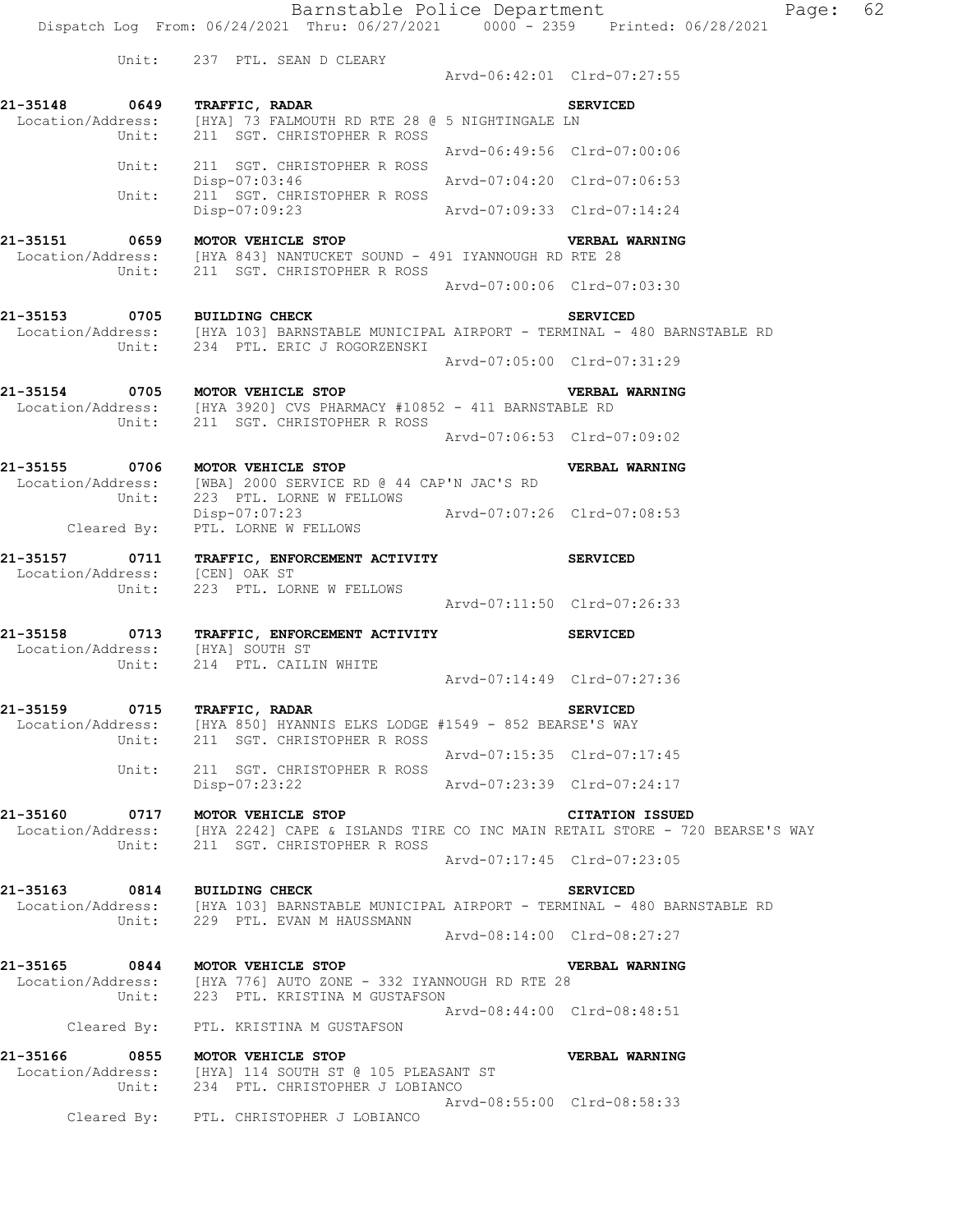Barnstable Police Department Fage: 62 Dispatch Log From: 06/24/2021 Thru: 06/27/2021 0000 - 2359 Printed: 06/28/2021

Unit: 237 PTL. SEAN D CLEARY

 Arvd-06:42:01 Clrd-07:27:55 **21-35148 0649 TRAFFIC, RADAR SERVICED**  Location/Address: [HYA] 73 FALMOUTH RD RTE 28 @ 5 NIGHTINGALE LN Unit: 211 SGT. CHRISTOPHER R ROSS Arvd-06:49:56 Clrd-07:00:06 Unit: 211 SGT. CHRISTOPHER R ROSS Disp-07:03:46 Arvd-07:04:20 Clrd-07:06:53 Unit: 211 SGT. CHRISTOPHER R ROSS Disp-07:09:23 Arvd-07:09:33 Clrd-07:14:24 **21-35151 0659 MOTOR VEHICLE STOP VERBAL WARNING**  Location/Address: [HYA 843] NANTUCKET SOUND - 491 IYANNOUGH RD RTE 28 Unit: 211 SGT. CHRISTOPHER R ROSS Arvd-07:00:06 Clrd-07:03:30 **21-35153 0705 BUILDING CHECK SERVICED**  Location/Address: [HYA 103] BARNSTABLE MUNICIPAL AIRPORT - TERMINAL - 480 BARNSTABLE RD Unit: 234 PTL. ERIC J ROGORZENSKI Arvd-07:05:00 Clrd-07:31:29 **21-35154 0705 MOTOR VEHICLE STOP VERBAL WARNING**  Location/Address: [HYA 3920] CVS PHARMACY #10852 - 411 BARNSTABLE RD Unit: 211 SGT. CHRISTOPHER R ROSS Arvd-07:06:53 Clrd-07:09:02 **21-35155 0706 MOTOR VEHICLE STOP VERBAL WARNING**  Location/Address: [WBA] 2000 SERVICE RD @ 44 CAP'N JAC'S RD Unit: 223 PTL. LORNE W FELLOWS Disp-07:07:23 Arvd-07:07:26 Clrd-07:08:53 Disp-07:07:23<br>Cleared By: PTL. LORNE W FELLOWS **21-35157 0711 TRAFFIC, ENFORCEMENT ACTIVITY SERVICED**  Location/Address: [CEN] OAK ST Unit: 223 PTL. LORNE W FELLOWS Arvd-07:11:50 Clrd-07:26:33 **21-35158 0713 TRAFFIC, ENFORCEMENT ACTIVITY SERVICED**  Location/Address: [HYA] SOUTH ST Unit: 214 PTL. CAILIN WHITE  $Arvd-07:14:49 \quad \text{Cl} \, \text{rd}-07:27:36$ **21-35159 0715 TRAFFIC, RADAR SERVICED**  Location/Address: [HYA 850] HYANNIS ELKS LODGE #1549 - 852 BEARSE'S WAY Unit: 211 SGT. CHRISTOPHER R ROSS Arvd-07:15:35 Clrd-07:17:45 Unit: 211 SGT. CHRISTOPHER R ROSS Disp-07:23:22 Arvd-07:23:39 Clrd-07:24:17 **21-35160 0717 MOTOR VEHICLE STOP CITATION ISSUED**  Location/Address: [HYA 2242] CAPE & ISLANDS TIRE CO INC MAIN RETAIL STORE - 720 BEARSE'S WAY Unit: 211 SGT. CHRISTOPHER R ROSS Arvd-07:17:45 Clrd-07:23:05 **21-35163 0814 BUILDING CHECK SERVICED**  Location/Address: [HYA 103] BARNSTABLE MUNICIPAL AIRPORT - TERMINAL - 480 BARNSTABLE RD Unit: 229 PTL. EVAN M HAUSSMANN Arvd-08:14:00 Clrd-08:27:27 **21-35165 0844 MOTOR VEHICLE STOP VERBAL WARNING**  Location/Address: [HYA 776] AUTO ZONE - 332 IYANNOUGH RD RTE 28 Unit: 223 PTL. KRISTINA M GUSTAFSON Arvd-08:44:00 Clrd-08:48:51 Cleared By: PTL. KRISTINA M GUSTAFSON **21-35166 0855 MOTOR VEHICLE STOP VERBAL WARNING**  Location/Address: [HYA] 114 SOUTH ST @ 105 PLEASANT ST Unit: 234 PTL. CHRISTOPHER J LOBIANCO Arvd-08:55:00 Clrd-08:58:33 Cleared By: PTL. CHRISTOPHER J LOBIANCO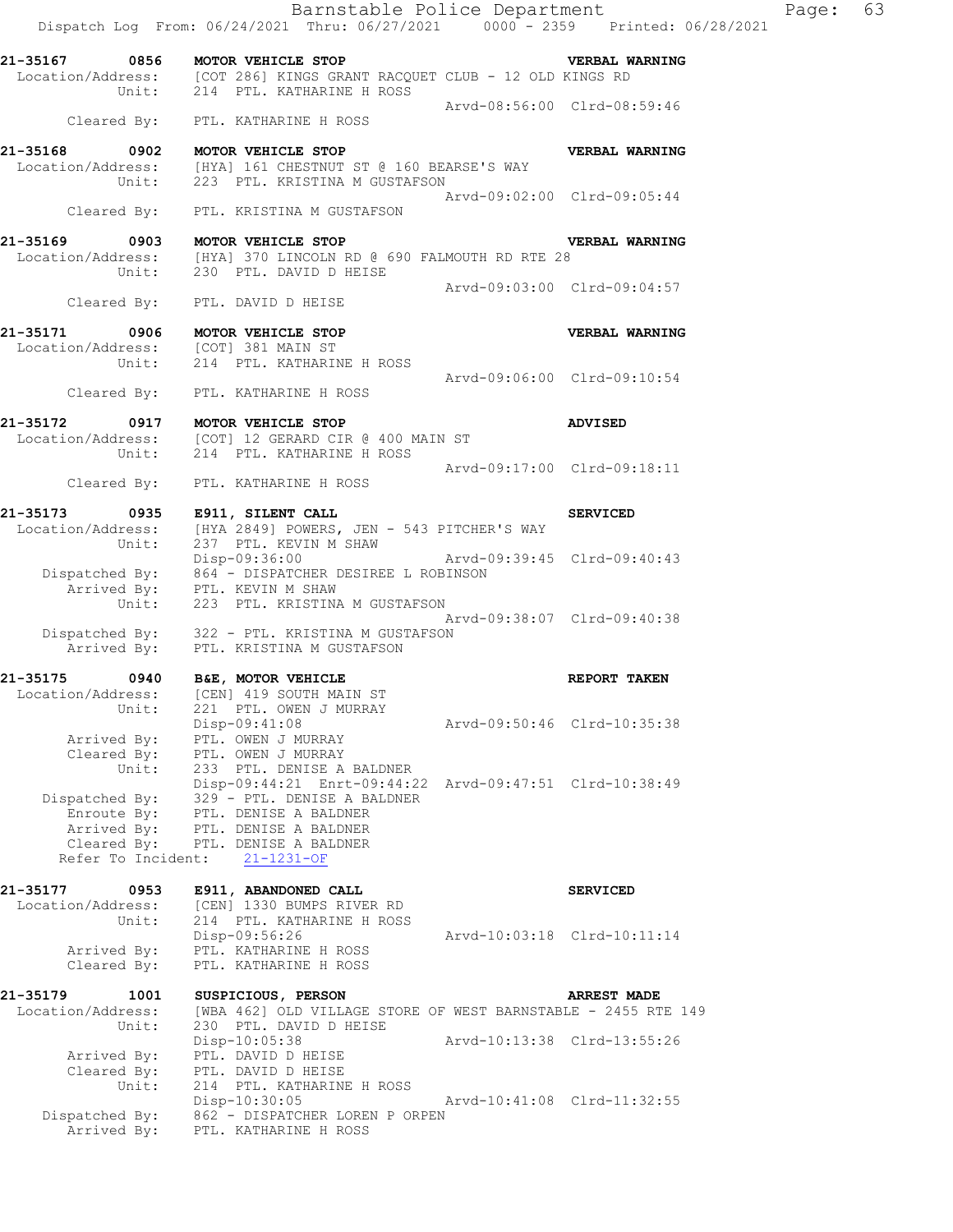|                                                                         | Dispatch Log From: 06/24/2021 Thru: 06/27/2021 0000 - 2359 Printed: 06/28/2021                                                        |                             | Barnstable Police Department | Page: | 63 |
|-------------------------------------------------------------------------|---------------------------------------------------------------------------------------------------------------------------------------|-----------------------------|------------------------------|-------|----|
| 21-35167 0856 MOTOR VEHICLE STOP                                        | Location/Address: [COT 286] KINGS GRANT RACQUET CLUB - 12 OLD KINGS RD<br>Unit: 214 PTL. KATHARINE H ROSS                             |                             | <b>VERBAL WARNING</b>        |       |    |
|                                                                         |                                                                                                                                       | Arvd-08:56:00 Clrd-08:59:46 |                              |       |    |
|                                                                         | Cleared By: PTL. KATHARINE H ROSS                                                                                                     |                             |                              |       |    |
|                                                                         | 21-35168 0902 MOTOR VEHICLE STOP<br>Location/Address: [HYA] 161 CHESTNUT ST @ 160 BEARSE'S WAY<br>Unit: 223 PTL. KRISTINA M GUSTAFSON |                             | VERBAL WARNING               |       |    |
|                                                                         | Cleared By: PTL. KRISTINA M GUSTAFSON                                                                                                 | Arvd-09:02:00 Clrd-09:05:44 |                              |       |    |
| 21-35169 0903 MOTOR VEHICLE STOP                                        | Location/Address: [HYA] 370 LINCOLN RD @ 690 FALMOUTH RD RTE 28                                                                       |                             | <b>VERBAL WARNING</b>        |       |    |
|                                                                         | Unit: 230 PTL. DAVID D HEISE<br>Cleared By: PTL. DAVID D HEISE                                                                        | Arvd-09:03:00 Clrd-09:04:57 |                              |       |    |
|                                                                         |                                                                                                                                       |                             |                              |       |    |
| 21-35171 0906 MOTOR VEHICLE STOP<br>Location/Address: [COT] 381 MAIN ST | Unit: 214 PTL. KATHARINE H ROSS                                                                                                       |                             | VERBAL WARNING               |       |    |
|                                                                         | Cleared By: PTL. KATHARINE H ROSS                                                                                                     | Arvd-09:06:00 Clrd-09:10:54 |                              |       |    |
|                                                                         | 21-35172 0917 MOTOR VEHICLE STOP<br>Location/Address: [COT] 12 GERARD CIR @ 400 MAIN ST<br>Unit: 214 PTL. KATHARINE H ROSS            |                             | <b>ADVISED</b>               |       |    |
|                                                                         | Cleared By: PTL. KATHARINE H ROSS                                                                                                     | Arvd-09:17:00 Clrd-09:18:11 |                              |       |    |
| 21-35173 0935 E911, SILENT CALL                                         |                                                                                                                                       |                             | <b>SERVICED</b>              |       |    |
|                                                                         | Location/Address: [HYA 2849] POWERS, JEN - 543 PITCHER'S WAY<br>Unit: 237 PTL. KEVIN M SHAW                                           |                             |                              |       |    |
|                                                                         | Disp-09:36:00 Arvd-09:39:45 Clrd-09:40:43<br>Dispatched By: 864 - DISPATCHER DESIREE L ROBINSON                                       |                             |                              |       |    |
|                                                                         | Arrived By: PTL. KEVIN M SHAW<br>Unit: 223 PTL. KRISTINA M GUSTAFSON                                                                  |                             |                              |       |    |
|                                                                         | Dispatched By: 322 - PTL. KRISTINA M GUSTAFSON<br>Arrived By: PTL. KRISTINA M GUSTAFSON                                               |                             | Arvd-09:38:07 Clrd-09:40:38  |       |    |
| 21-35175 0940 B&E, MOTOR VEHICLE                                        |                                                                                                                                       |                             | REPORT TAKEN                 |       |    |
| Location/Address:<br>Unit:                                              | [CEN] 419 SOUTH MAIN ST<br>221 PTL. OWEN J MURRAY                                                                                     |                             |                              |       |    |
| Arrived By:                                                             | Disp-09:41:08<br>PTL. OWEN J MURRAY                                                                                                   |                             | Arvd-09:50:46 Clrd-10:35:38  |       |    |
| Cleared By:<br>Unit:                                                    | PTL. OWEN J MURRAY<br>233 PTL. DENISE A BALDNER<br>Disp-09:44:21 Enrt-09:44:22 Arvd-09:47:51 Clrd-10:38:49                            |                             |                              |       |    |
| Dispatched By:<br>Enroute By:                                           | 329 - PTL. DENISE A BALDNER<br>PTL. DENISE A BALDNER                                                                                  |                             |                              |       |    |
| Arrived By:<br>Cleared By:                                              | PTL. DENISE A BALDNER<br>PTL. DENISE A BALDNER                                                                                        |                             |                              |       |    |
| Refer To Incident:                                                      | $21 - 1231 - OF$                                                                                                                      |                             |                              |       |    |
| 21-35177<br>0953<br>Location/Address:<br>Unit:                          | E911, ABANDONED CALL<br>[CEN] 1330 BUMPS RIVER RD<br>214 PTL. KATHARINE H ROSS                                                        |                             | <b>SERVICED</b>              |       |    |
| Arrived By:<br>Cleared By:                                              | Disp-09:56:26<br>PTL. KATHARINE H ROSS<br>PTL. KATHARINE H ROSS                                                                       |                             | Arvd-10:03:18 Clrd-10:11:14  |       |    |
| 21-35179<br>1001<br>Location/Address:                                   | SUSPICIOUS, PERSON<br>[WBA 462] OLD VILLAGE STORE OF WEST BARNSTABLE - 2455 RTE 149                                                   |                             | <b>ARREST MADE</b>           |       |    |
| Unit:                                                                   | 230 PTL. DAVID D HEISE<br>Disp-10:05:38                                                                                               |                             | Arvd-10:13:38 Clrd-13:55:26  |       |    |
| Arrived By:<br>Cleared By:<br>Unit:                                     | PTL. DAVID D HEISE<br>PTL. DAVID D HEISE<br>214 PTL. KATHARINE H ROSS                                                                 |                             |                              |       |    |
| Dispatched By:<br>Arrived By:                                           | Disp-10:30:05<br>862 - DISPATCHER LOREN P ORPEN<br>PTL. KATHARINE H ROSS                                                              |                             | Arvd-10:41:08 Clrd-11:32:55  |       |    |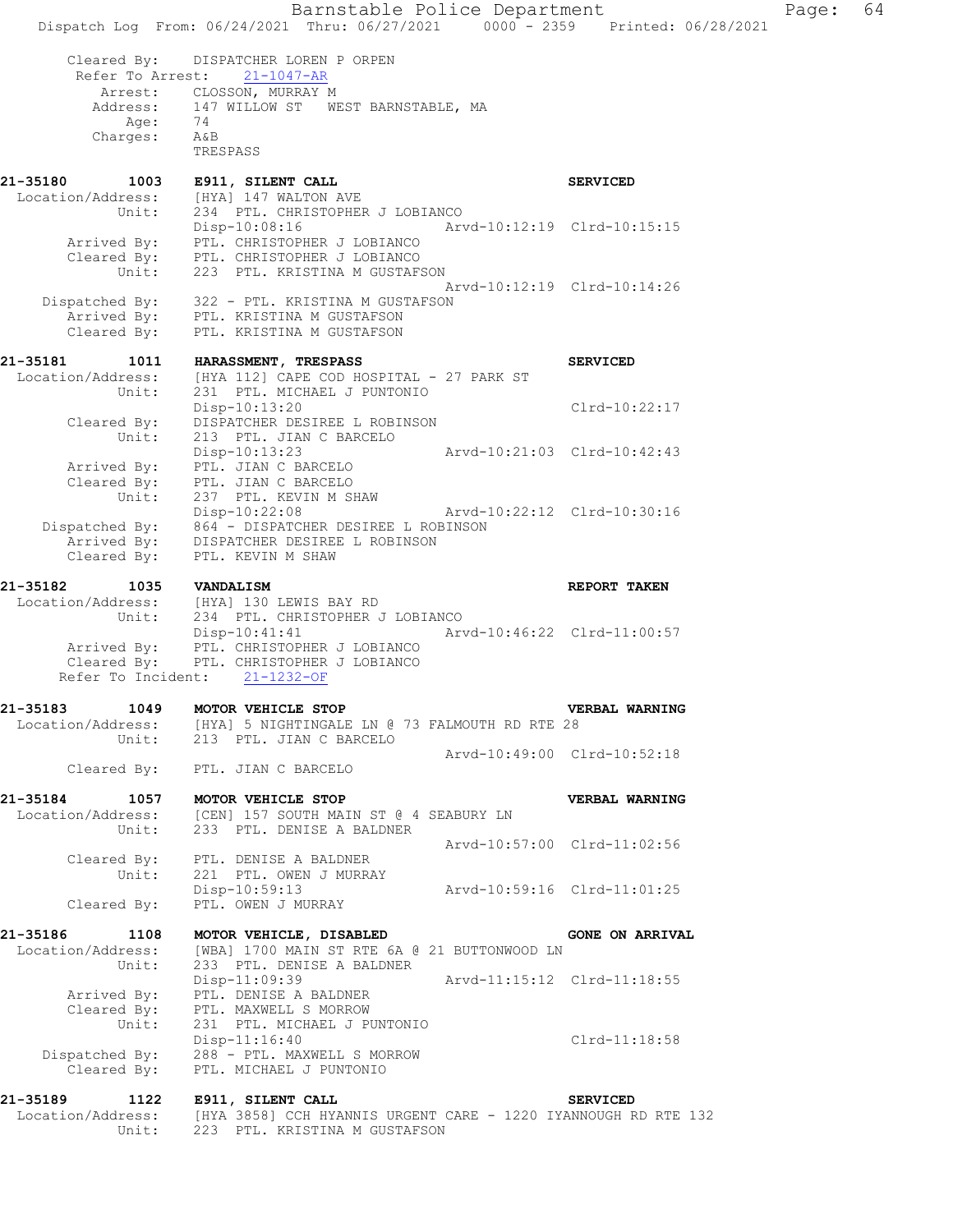|                                  | Barnstable Police Department<br>Dispatch Log From: 06/24/2021 Thru: 06/27/2021 0000 - 2359 Printed: 06/28/2021 | Page:                       | 64 |
|----------------------------------|----------------------------------------------------------------------------------------------------------------|-----------------------------|----|
| Cleared By:<br>Refer To Arrest:  | DISPATCHER LOREN P ORPEN<br>$21 - 1047 - AR$                                                                   |                             |    |
|                                  | Arrest: CLOSSON, MURRAY M                                                                                      |                             |    |
|                                  | Address: 147 WILLOW ST WEST BARNSTABLE, MA                                                                     |                             |    |
| Age:<br>Charges:                 | 74<br>A&B                                                                                                      |                             |    |
|                                  | TRESPASS                                                                                                       |                             |    |
| 1003<br>21-35180                 | E911, SILENT CALL                                                                                              | <b>SERVICED</b>             |    |
| Location/Address:                | [HYA] 147 WALTON AVE                                                                                           |                             |    |
| Unit:                            | 234 PTL. CHRISTOPHER J LOBIANCO<br>Disp-10:08:16                                                               |                             |    |
|                                  | Arrived By: PTL. CHRISTOPHER J LOBIANCO                                                                        |                             |    |
|                                  | Cleared By: PTL. CHRISTOPHER J LOBIANCO                                                                        |                             |    |
| Unit:                            | 223 PTL. KRISTINA M GUSTAFSON                                                                                  | Arvd-10:12:19 Clrd-10:14:26 |    |
|                                  | Dispatched By: 322 - PTL. KRISTINA M GUSTAFSON                                                                 |                             |    |
|                                  | Arrived By: PTL. KRISTINA M GUSTAFSON                                                                          |                             |    |
| Cleared By:                      | PTL. KRISTINA M GUSTAFSON                                                                                      |                             |    |
| 21-35181<br>1011                 | HARASSMENT, TRESPASS                                                                                           | <b>SERVICED</b>             |    |
| Location/Address:                | [HYA 112] CAPE COD HOSPITAL - 27 PARK ST                                                                       |                             |    |
| Unit:                            | 231 PTL. MICHAEL J PUNTONIO                                                                                    |                             |    |
| Cleared By:                      | Disp-10:13:20<br>DISPATCHER DESIREE L ROBINSON                                                                 | Clrd-10:22:17               |    |
| Unit:                            | 213 PTL. JIAN C BARCELO                                                                                        |                             |    |
|                                  | $Disp-10:13:23$                                                                                                |                             |    |
| Arrived By:                      | PTL. JIAN C BARCELO                                                                                            |                             |    |
| Cleared $\vec{By}$ :<br>Unit:    | PTL. JIAN C BARCELO                                                                                            |                             |    |
|                                  | 237 PTL. KEVIN M SHAW<br>Arvd-10:22:12 Clrd-10:30:16<br>$Disp-10:22:08$                                        |                             |    |
|                                  | Dispatched By: 864 - DISPATCHER DESIREE L ROBINSON                                                             |                             |    |
| Arrived By:                      | DISPATCHER DESIREE L ROBINSON                                                                                  |                             |    |
| Cleared By:                      | PTL. KEVIN M SHAW                                                                                              |                             |    |
| 21-35182<br>1035                 | <b>VANDALISM</b>                                                                                               | REPORT TAKEN                |    |
|                                  | Location/Address: [HYA] 130 LEWIS BAY RD                                                                       |                             |    |
| Unit:                            | 234 PTL. CHRISTOPHER J LOBIANCO<br>$Disp-10:41:41$                                                             | Arvd-10:46:22 Clrd-11:00:57 |    |
|                                  | Arrived By: PTL. CHRISTOPHER J LOBIANCO                                                                        |                             |    |
|                                  | Cleared By: PTL. CHRISTOPHER J LOBIANCO                                                                        |                             |    |
| Refer To Incident:               | $21 - 1232 - OF$                                                                                               |                             |    |
| 21-35183<br>1049                 | MOTOR VEHICLE STOP                                                                                             | VERBAL WARNING              |    |
|                                  | Location/Address: [HYA] 5 NIGHTINGALE LN @ 73 FALMOUTH RD RTE 28                                               |                             |    |
| Unit:                            | 213 PTL. JIAN C BARCELO                                                                                        | Arvd-10:49:00 Clrd-10:52:18 |    |
|                                  | Cleared By: PTL. JIAN C BARCELO                                                                                |                             |    |
| 21-35184 1057 MOTOR VEHICLE STOP |                                                                                                                | VERBAL WARNING              |    |
|                                  | Location/Address: [CEN] 157 SOUTH MAIN ST @ 4 SEABURY LN                                                       |                             |    |
| Unit:                            | 233 PTL. DENISE A BALDNER                                                                                      |                             |    |
|                                  |                                                                                                                | Arvd-10:57:00 Clrd-11:02:56 |    |
| Cleared By:<br>Unit:             | PTL. DENISE A BALDNER<br>221 PTL. OWEN J MURRAY                                                                |                             |    |
|                                  | Arvd-10:59:16 Clrd-11:01:25<br>Disp-10:59:13                                                                   |                             |    |
| Cleared By:                      | PTL. OWEN J MURRAY                                                                                             |                             |    |
| 21-35186<br>1108                 | MOTOR VEHICLE, DISABLED                                                                                        | <b>GONE ON ARRIVAL</b>      |    |
| Location/Address:                | [WBA] 1700 MAIN ST RTE 6A @ 21 BUTTONWOOD LN                                                                   |                             |    |
| Unit:                            | 233 PTL. DENISE A BALDNER                                                                                      |                             |    |
|                                  | Arvd-11:15:12 Clrd-11:18:55<br>Disp-11:09:39                                                                   |                             |    |
| Arrived By:<br>Cleared By:       | PTL. DENISE A BALDNER<br>PTL. MAXWELL S MORROW                                                                 |                             |    |
| Unit:                            | 231 PTL. MICHAEL J PUNTONIO                                                                                    |                             |    |
|                                  | $Disp-11:16:40$                                                                                                | Clrd-11:18:58               |    |
| Dispatched By:                   | 288 - PTL. MAXWELL S MORROW                                                                                    |                             |    |
| Cleared By:                      | PTL. MICHAEL J PUNTONIO                                                                                        |                             |    |
| 21-35189 1122                    | E911, SILENT CALL                                                                                              | <b>SERVICED</b>             |    |
| Location/Address:                | [HYA 3858] CCH HYANNIS URGENT CARE - 1220 IYANNOUGH RD RTE 132                                                 |                             |    |
| Unit:                            | 223 PTL. KRISTINA M GUSTAFSON                                                                                  |                             |    |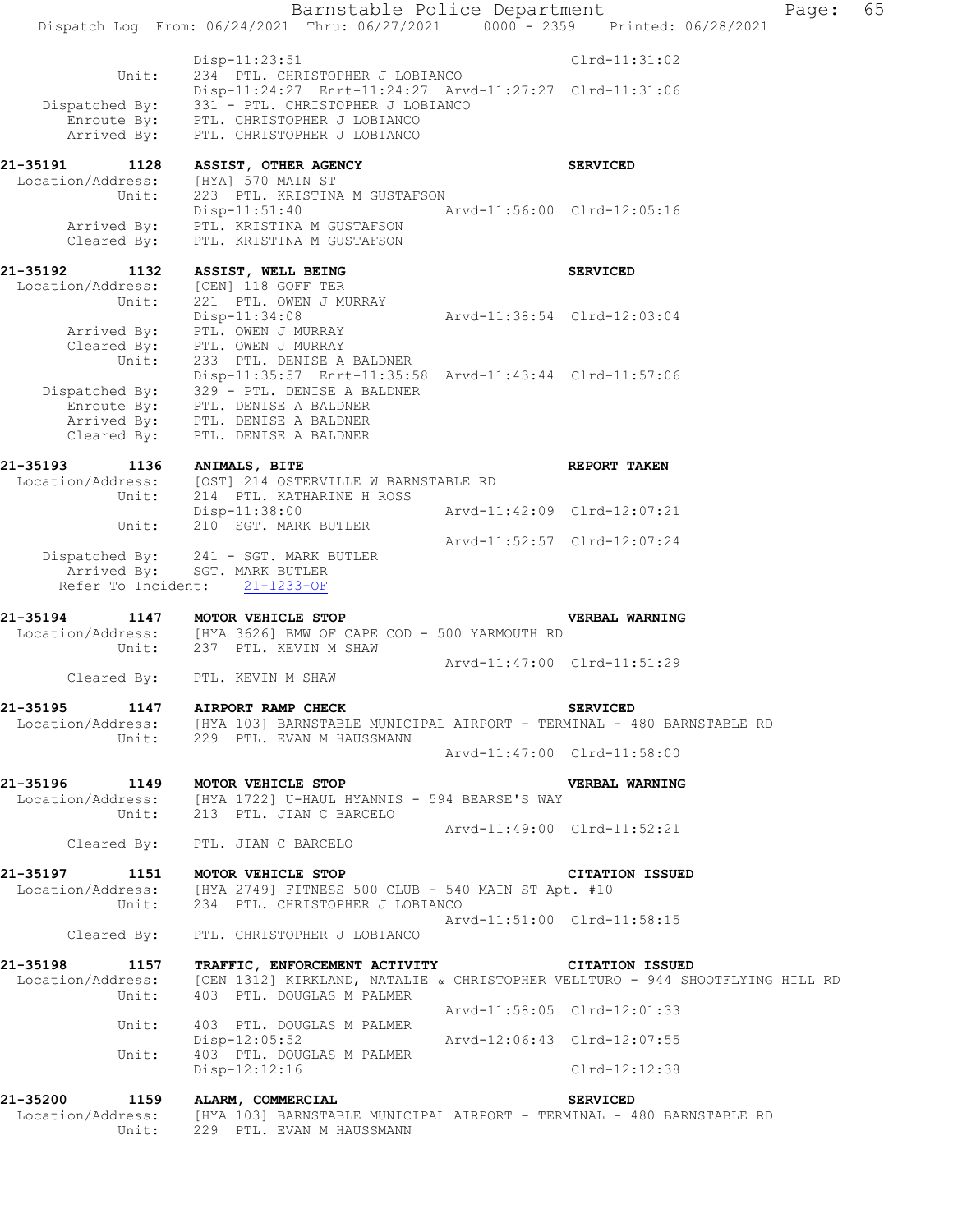|                                       | Barnstable Police Department<br>Dispatch Log From: 06/24/2021 Thru: 06/27/2021 0000 - 2359 Printed: 06/28/2021                                                                                              |                             |                 | Page: | 65 |
|---------------------------------------|-------------------------------------------------------------------------------------------------------------------------------------------------------------------------------------------------------------|-----------------------------|-----------------|-------|----|
|                                       |                                                                                                                                                                                                             |                             |                 |       |    |
| Unit:                                 | $Disp-11:23:51$<br>234 PTL. CHRISTOPHER J LOBIANCO                                                                                                                                                          |                             | $Clrd-11:31:02$ |       |    |
| Dispatched By:<br>Arrived By:         | Disp-11:24:27 Enrt-11:24:27 Arvd-11:27:27 Clrd-11:31:06<br>331 - PTL. CHRISTOPHER J LOBIANCO<br>Enroute By: PTL. CHRISTOPHER J LOBIANCO<br>PTL. CHRISTOPHER J LOBIANCO                                      |                             |                 |       |    |
| 21-35191<br>1128<br>Location/Address: | ASSIST, OTHER AGENCY<br>[HYA] 570 MAIN ST                                                                                                                                                                   |                             | <b>SERVICED</b> |       |    |
| Unit:<br>Cleared By:                  | 223 PTL. KRISTINA M GUSTAFSON<br>$Disp-11:51:40$<br>Arrived By: PTL. KRISTINA M GUSTAFSON<br>PTL. KRISTINA M GUSTAFSON                                                                                      | Arvd-11:56:00 Clrd-12:05:16 |                 |       |    |
| 21-35192<br>1132<br>Unit:             | ASSIST, WELL BEING<br>Location/Address: [CEN] 118 GOFF TER<br>221 PTL. OWEN J MURRAY                                                                                                                        |                             | <b>SERVICED</b> |       |    |
| Arrived By:<br>Cleared By:<br>Unit:   | $Disp-11:34:08$<br>PTL. OWEN J MURRAY<br>PTL. OWEN J MURRAY<br>233 PTL. DENISE A BALDNER                                                                                                                    | Arvd-11:38:54 Clrd-12:03:04 |                 |       |    |
| Cleared By:                           | Disp-11:35:57 Enrt-11:35:58 Arvd-11:43:44 Clrd-11:57:06<br>Dispatched By: $329 - PTL$ . DENISE A BALDNER<br>Enroute By: PTL. DENISE A BALDNER<br>Arrived By: PTL. DENISE A BALDNER<br>PTL. DENISE A BALDNER |                             |                 |       |    |
| 1136<br>21-35193                      | <b>ANIMALS, BITE</b>                                                                                                                                                                                        |                             | REPORT TAKEN    |       |    |
|                                       | Location/Address: [OST] 214 OSTERVILLE W BARNSTABLE RD<br>Unit: 214 PTL. KATHARINE H ROSS                                                                                                                   |                             |                 |       |    |
| Unit:                                 | Disp-11:38:00<br>210 SGT. MARK BUTLER                                                                                                                                                                       | Arvd-11:42:09 Clrd-12:07:21 |                 |       |    |
|                                       | Dispatched By: 241 - SGT. MARK BUTLER<br>Arrived By: SGT. MARK BUTLER<br>Refer To Incident: 21-1233-OF                                                                                                      | Arvd-11:52:57 Clrd-12:07:24 |                 |       |    |
| 21-35194<br>Unit:                     | 1147 MOTOR VEHICLE STOP<br>$Location/Address:$ [HYA 3626] BMW OF CAPE COD - 500 YARMOUTH RD<br>237 PTL. KEVIN M SHAW                                                                                        |                             | VERBAL WARNING  |       |    |
|                                       |                                                                                                                                                                                                             | Arvd-11:47:00 Clrd-11:51:29 |                 |       |    |
|                                       | Cleared By: PTL. KEVIN M SHAW                                                                                                                                                                               |                             |                 |       |    |
| 21-35195 1147 AIRPORT RAMP CHECK      | Location/Address: [HYA 103] BARNSTABLE MUNICIPAL AIRPORT - TERMINAL - 480 BARNSTABLE RD<br>Unit: 229 PTL. EVAN M HAUSSMANN                                                                                  |                             | <b>SERVICED</b> |       |    |
|                                       |                                                                                                                                                                                                             | Arvd-11:47:00 Clrd-11:58:00 |                 |       |    |
| 21-35196 1149<br>Location/Address:    | <b>MOTOR VEHICLE STOP</b><br>[HYA 1722] U-HAUL HYANNIS - 594 BEARSE'S WAY<br>Unit: 213 PTL. JIAN C BARCELO                                                                                                  |                             | VERBAL WARNING  |       |    |
|                                       | Cleared By: PTL. JIAN C BARCELO                                                                                                                                                                             | Arvd-11:49:00 Clrd-11:52:21 |                 |       |    |
| 21-35197 1151 MOTOR VEHICLE STOP      |                                                                                                                                                                                                             |                             | CITATION ISSUED |       |    |
|                                       | Location/Address: [HYA 2749] FITNESS 500 CLUB - 540 MAIN ST Apt. #10<br>Unit: 234 PTL. CHRISTOPHER J LOBIANCO                                                                                               |                             |                 |       |    |
|                                       | Cleared By: PTL. CHRISTOPHER J LOBIANCO                                                                                                                                                                     | Arvd-11:51:00 Clrd-11:58:15 |                 |       |    |
|                                       | 21-35198 1157 TRAFFIC, ENFORCEMENT ACTIVITY CITATION ISSUED                                                                                                                                                 |                             |                 |       |    |
| Unit:                                 | Location/Address: [CEN 1312] KIRKLAND, NATALIE & CHRISTOPHER VELLTURO - 944 SHOOTFLYING HILL RD<br>403 PTL. DOUGLAS M PALMER                                                                                |                             |                 |       |    |
| Unit:                                 | 403 PTL. DOUGLAS M PALMER                                                                                                                                                                                   | Arvd-11:58:05 Clrd-12:01:33 |                 |       |    |
| Unit:                                 | $Disp-12:05:52$<br>403 PTL. DOUGLAS M PALMER                                                                                                                                                                | Arvd-12:06:43 Clrd-12:07:55 |                 |       |    |
|                                       | Disp-12:12:16                                                                                                                                                                                               |                             | Clrd-12:12:38   |       |    |
| 21-35200<br>1159                      | ALARM, COMMERCIAL                                                                                                                                                                                           |                             | <b>SERVICED</b> |       |    |
| Location/Address:                     | [HYA 103] BARNSTABLE MUNICIPAL AIRPORT - TERMINAL - 480 BARNSTABLE RD<br>Unit: 229 PTL. EVAN M HAUSSMANN                                                                                                    |                             |                 |       |    |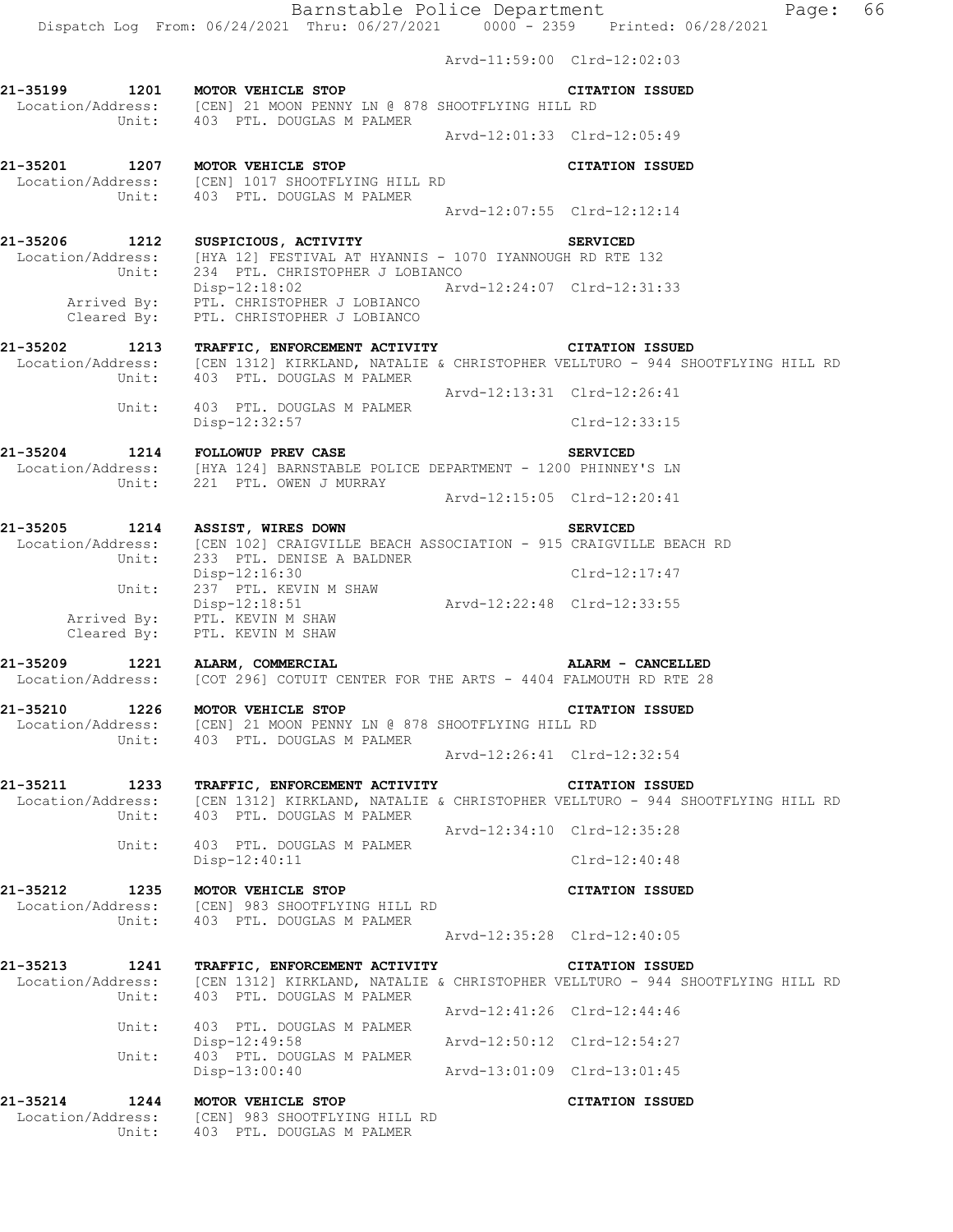Arvd-11:59:00 Clrd-12:02:03 **21-35199 1201 MOTOR VEHICLE STOP CITATION ISSUED**  Location/Address: [CEN] 21 MOON PENNY LN @ 878 SHOOTFLYING HILL RD Unit: 403 PTL. DOUGLAS M PALMER  $Arvd-12:01:33 \quad \text{Cl} \, \text{rd} -12:05:49$ **21-35201 1207 MOTOR VEHICLE STOP CITATION ISSUED**  Location/Address: [CEN] 1017 SHOOTFLYING HILL RD Unit: 403 PTL. DOUGLAS M PALMER Arvd-12:07:55 Clrd-12:12:14 **21-35206 1212 SUSPICIOUS, ACTIVITY SERVICED**  Location/Address: [HYA 12] FESTIVAL AT HYANNIS - 1070 IYANNOUGH RD RTE 132 Unit: 234 PTL. CHRISTOPHER J LOBIANCO Disp-12:18:02 Arvd-12:24:07 Clrd-12:31:33 Arrived By: PTL. CHRISTOPHER J LOBIANCO Cleared By: PTL. CHRISTOPHER J LOBIANCO **21-35202 1213 TRAFFIC, ENFORCEMENT ACTIVITY CITATION ISSUED**  Location/Address: [CEN 1312] KIRKLAND, NATALIE & CHRISTOPHER VELLTURO - 944 SHOOTFLYING HILL RD Unit: 403 PTL. DOUGLAS M PALMER Unit: 403 PTL. DOUGLAS M PALMER<br>Arvd-12:13:31 Clrd-12:26:41 Unit: 403 PTL. DOUGLAS M PALMER Disp-12:32:57 Clrd-12:33:15 **21-35204 1214 FOLLOWUP PREV CASE SERVICED**  Location/Address: [HYA 124] BARNSTABLE POLICE DEPARTMENT - 1200 PHINNEY'S LN Unit: 221 PTL. OWEN J MURRAY Arvd-12:15:05 Clrd-12:20:41 **21-35205 1214 ASSIST, WIRES DOWN SERVICED**  Location/Address: [CEN 102] CRAIGVILLE BEACH ASSOCIATION - 915 CRAIGVILLE BEACH RD Unit: 233 PTL. DENISE A BALDNER Disp-12:16:30 Clrd-12:17:47 Unit: 237 PTL. KEVIN M SHAW Disp-12:18:51 Arvd-12:22:48 Clrd-12:33:55 Arrived By: PTL. KEVIN M SHAW Arrived By: PTL. KEVIN M SHAW<br>Cleared By: PTL. KEVIN M SHAW **21-35209 1221 ALARM, COMMERCIAL ALARM - CANCELLED**  Location/Address: [COT 296] COTUIT CENTER FOR THE ARTS - 4404 FALMOUTH RD RTE 28 **21-35210 1226 MOTOR VEHICLE STOP CITATION ISSUED**  Location/Address: [CEN] 21 MOON PENNY LN @ 878 SHOOTFLYING HILL RD Unit: 403 PTL. DOUGLAS M PALMER Arvd-12:26:41 Clrd-12:32:54 **21-35211 1233 TRAFFIC, ENFORCEMENT ACTIVITY CITATION ISSUED**  Location/Address: [CEN 1312] KIRKLAND, NATALIE & CHRISTOPHER VELLTURO - 944 SHOOTFLYING HILL RD Unit: 403 PTL. DOUGLAS M PALMER Arvd-12:34:10 Clrd-12:35:28 Unit: 403 PTL. DOUGLAS M PALMER Disp-12:40:11 Clrd-12:40:48 **21-35212 1235 MOTOR VEHICLE STOP CITATION ISSUED**  Location/Address: [CEN] 983 SHOOTFLYING HILL RD Unit: 403 PTL. DOUGLAS M PALMER Arvd-12:35:28 Clrd-12:40:05 **21-35213 1241 TRAFFIC, ENFORCEMENT ACTIVITY CITATION ISSUED**  Location/Address: [CEN 1312] KIRKLAND, NATALIE & CHRISTOPHER VELLTURO - 944 SHOOTFLYING HILL RD Unit: 403 PTL. DOUGLAS M PALMER Arvd-12:41:26 Clrd-12:44:46 Unit: 403 PTL. DOUGLAS M PALMER Disp-12:49:58 Arvd-12:50:12 Clrd-12:54:27 Unit: 403 PTL. DOUGLAS M PALMER

Disp-13:00:40 Arvd-13:01:09 Clrd-13:01:45

**21-35214 1244 MOTOR VEHICLE STOP CITATION ISSUED**  Location/Address: [CEN] 983 SHOOTFLYING HILL RD Unit: 403 PTL. DOUGLAS M PALMER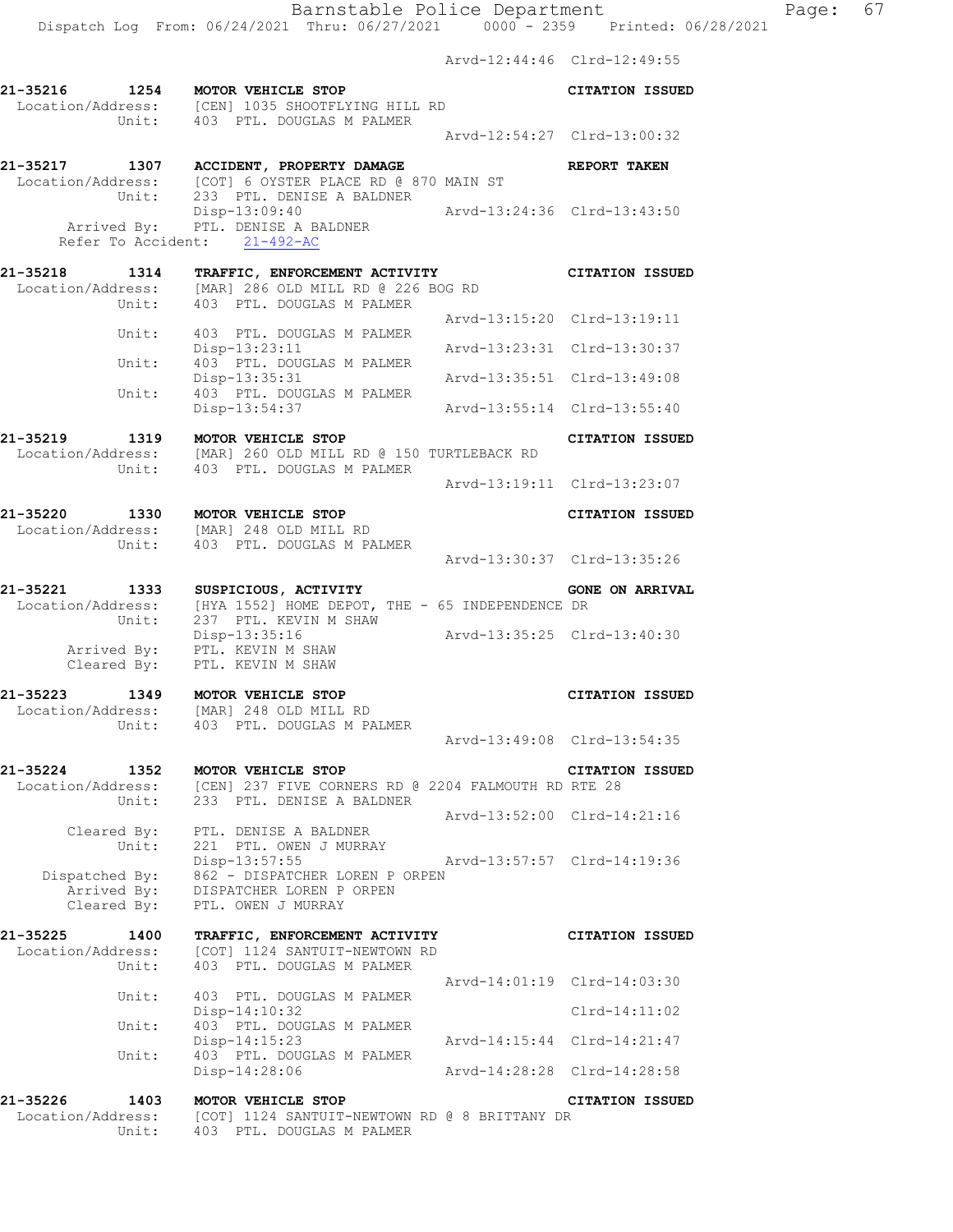Arvd-12:44:46 Clrd-12:49:55 **21-35216 1254 MOTOR VEHICLE STOP CITATION ISSUED**  Location/Address: [CEN] 1035 SHOOTFLYING HILL RD Unit: 403 PTL. DOUGLAS M PALMER  $Arvd-12:54:27 \quad \text{Cl} \, \text{rd} -13:00:32$ **21-35217 1307 ACCIDENT, PROPERTY DAMAGE REPORT TAKEN**  Location/Address: [COT] 6 OYSTER PLACE RD @ 870 MAIN ST Unit: 233 PTL. DENISE A BALDNER Disp-13:09:40 Arvd-13:24:36 Clrd-13:43:50 Arrived By: PTL. DENISE A BALDNER Refer To Accident: 21-492-AC **21-35218 1314 TRAFFIC, ENFORCEMENT ACTIVITY CITATION ISSUED**  Location/Address: [MAR] 286 OLD MILL RD @ 226 BOG RD Unit: 403 PTL. DOUGLAS M PALMER Arvd-13:15:20 Clrd-13:19:11 Unit: 403 PTL. DOUGLAS M PALMER Disp-13:23:11 Arvd-13:23:31 Clrd-13:30:37 Unit: 403 PTL. DOUGLAS M PALMER Disp-13:35:31 Arvd-13:35:51 Clrd-13:49:08<br>Unit: 403 PTL. DOUGLAS M PALMER<br>Disp-13:54:37 Arvd-13:55:14 Clrd-13:55:40 403 PTL. DOUGLAS M PALMER Disp-13:54:37 Arvd-13:55:14 Clrd-13:55:40 **21-35219 1319 MOTOR VEHICLE STOP CITATION ISSUED**  Location/Address: [MAR] 260 OLD MILL RD @ 150 TURTLEBACK RD Unit: 403 PTL. DOUGLAS M PALMER Arvd-13:19:11 Clrd-13:23:07 **21-35220 1330 MOTOR VEHICLE STOP CITATION ISSUED**  Location/Address: [MAR] 248 OLD MILL RD Unit: 403 PTL. DOUGLAS M PALMER Arvd-13:30:37 Clrd-13:35:26 **21-35221 1333 SUSPICIOUS, ACTIVITY GONE ON ARRIVAL**  Location/Address: [HYA 1552] HOME DEPOT, THE - 65 INDEPENDENCE DR Unit: 237 PTL. KEVIN M SHAW Disp-13:35:16 Arvd-13:35:25 Clrd-13:40:30 Arrived By: PTL. KEVIN M SHAW Cleared By: PTL. KEVIN M SHAW **21-35223 1349 MOTOR VEHICLE STOP CITATION ISSUED**  Location/Address: [MAR] 248 OLD MILL RD Unit: 403 PTL. DOUGLAS M PALMER Arvd-13:49:08 Clrd-13:54:35 **21-35224 1352 MOTOR VEHICLE STOP CITATION ISSUED**  Location/Address: [CEN] 237 FIVE CORNERS RD @ 2204 FALMOUTH RD RTE 28 Unit: 233 PTL. DENISE A BALDNER Arvd-13:52:00 Clrd-14:21:16 Cleared By: PTL. DENISE A BALDNER Unit: 221 PTL. OWEN J MURRAY Disp-13:57:55 Arvd-13:57:57 Clrd-14:19:36 Dispatched By: 862 - DISPATCHER LOREN P ORPEN .<br>Arrived By: DISPATCHER LOREN P ORPEN Cleared By: PTL. OWEN J MURRAY **21-35225 1400 TRAFFIC, ENFORCEMENT ACTIVITY CITATION ISSUED**  Location/Address: [COT] 1124 SANTUIT-NEWTOWN RD Unit: 403 PTL. DOUGLAS M PALMER Arvd-14:01:19 Clrd-14:03:30 Unit: 403 PTL. DOUGLAS M PALMER Disp-14:10:32 Clrd-14:11:02 Unit: 403 PTL. DOUGLAS M PALMER Disp-14:15:23 Arvd-14:15:44 Clrd-14:21:47 Unit: 403 PTL. DOUGLAS M PALMER Disp-14:28:06 Arvd-14:28:28 Clrd-14:28:58

**21-35226 1403 MOTOR VEHICLE STOP CITATION ISSUED**  Location/Address: [COT] 1124 SANTUIT-NEWTOWN RD @ 8 BRITTANY DR Unit: 403 PTL. DOUGLAS M PALMER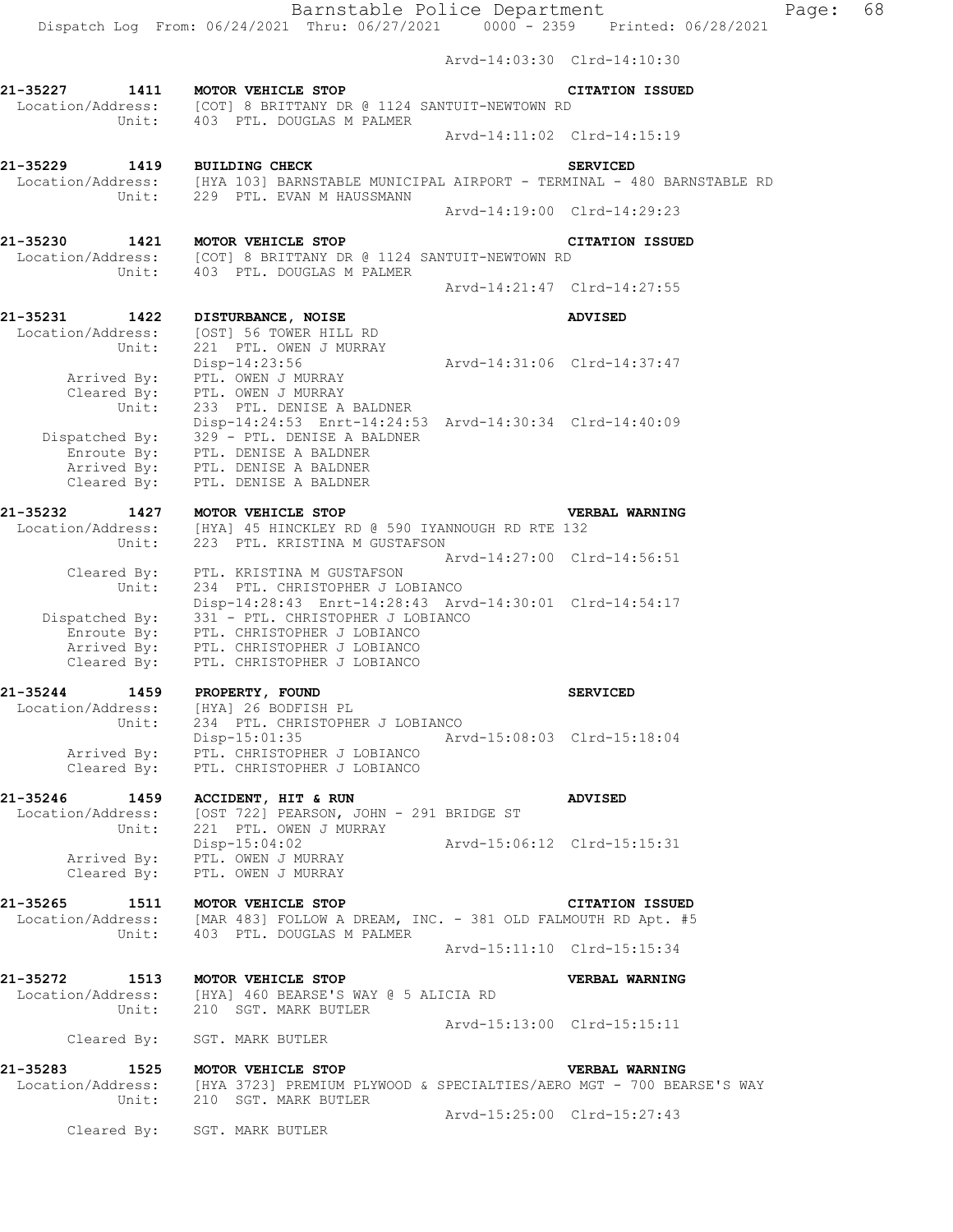Dispatch Log From: 06/24/2021 Thru: 06/27/2021 0000 - 2359 Printed: 06/28/2021

Arvd-14:03:30 Clrd-14:10:30

**21-35227 1411 MOTOR VEHICLE STOP CITATION ISSUED**  Location/Address: [COT] 8 BRITTANY DR @ 1124 SANTUIT-NEWTOWN RD Unit: 403 PTL. DOUGLAS M PALMER Arvd-14:11:02 Clrd-14:15:19 **21-35229 1419 BUILDING CHECK SERVICED**  Location/Address: [HYA 103] BARNSTABLE MUNICIPAL AIRPORT - TERMINAL - 480 BARNSTABLE RD Unit: 229 PTL. EVAN M HAUSSMANN Arvd-14:19:00 Clrd-14:29:23 **21-35230 1421 MOTOR VEHICLE STOP CITATION ISSUED**  Location/Address: [COT] 8 BRITTANY DR @ 1124 SANTUIT-NEWTOWN RD Unit: 403 PTL. DOUGLAS M PALMER Arvd-14:21:47 Clrd-14:27:55 **21-35231 1422 DISTURBANCE, NOISE ADVISED**  Location/Address: [OST] 56 TOWER HILL RD Unit: 221 PTL. OWEN J MURRAY Disp-14:23:56 Arvd-14:31:06 Clrd-14:37:47 Arrived By: PTL. OWEN J MURRAY Cleared By: PTL. OWEN J MURRAY Unit: 233 PTL. DENISE A BALDNER Disp-14:24:53 Enrt-14:24:53 Arvd-14:30:34 Clrd-14:40:09 Dispatched By: 329 - PTL. DENISE A BALDNER .<br>Enroute By: PTL. DENISE A BALDNER Arrived By: PTL. DENISE A BALDNER Cleared By: PTL. DENISE A BALDNER **21-35232 1427 MOTOR VEHICLE STOP VERBAL WARNING**  Location/Address: [HYA] 45 HINCKLEY RD @ 590 IYANNOUGH RD RTE 132 Unit: 223 PTL. KRISTINA M GUSTAFSON Arvd-14:27:00 Clrd-14:56:51 Cleared By: PTL. KRISTINA M GUSTAFSON Unit: 234 PTL. CHRISTOPHER J LOBIANCO Disp-14:28:43 Enrt-14:28:43 Arvd-14:30:01 Clrd-14:54:17 Dispatched By: 331 - PTL. CHRISTOPHER J LOBIANCO Enroute By: PTL. CHRISTOPHER J LOBIANCO Arrived By: PTL. CHRISTOPHER J LOBIANCO Cleared By: PTL. CHRISTOPHER J LOBIANCO **21-35244 1459 PROPERTY, FOUND SERVICED**  Location/Address: [HYA] 26 BODFISH PL Unit: 234 PTL. CHRISTOPHER J LOBIANCO Disp-15:01:35 Arvd-15:08:03 Clrd-15:18:04 Arrived By: PTL. CHRISTOPHER J LOBIANCO Cleared By: PTL. CHRISTOPHER J LOBIANCO **21-35246 1459 ACCIDENT, HIT & RUN ADVISED**  Location/Address: [OST 722] PEARSON, JOHN - 291 BRIDGE ST Unit: 221 PTL. OWEN J MURRAY Disp-15:04:02 Arvd-15:06:12 Clrd-15:15:31 Arrived By: PTL. OWEN J MURRAY Cleared By: PTL. OWEN J MURRAY **21-35265 1511 MOTOR VEHICLE STOP CITATION ISSUED**  Location/Address: [MAR 483] FOLLOW A DREAM, INC. - 381 OLD FALMOUTH RD Apt. #5 Unit: 403 PTL. DOUGLAS M PALMER Arvd-15:11:10 Clrd-15:15:34 **21-35272 1513 MOTOR VEHICLE STOP VERBAL WARNING**  Location/Address: [HYA] 460 BEARSE'S WAY @ 5 ALICIA RD Unit: 210 SGT. MARK BUTLER Arvd-15:13:00 Clrd-15:15:11 Cleared By: SGT. MARK BUTLER **21-35283 1525 MOTOR VEHICLE STOP VERBAL WARNING**  Location/Address: [HYA 3723] PREMIUM PLYWOOD & SPECIALTIES/AERO MGT - 700 BEARSE'S WAY Unit: 210 SGT. MARK BUTLER Arvd-15:25:00 Clrd-15:27:43 Cleared By: SGT. MARK BUTLER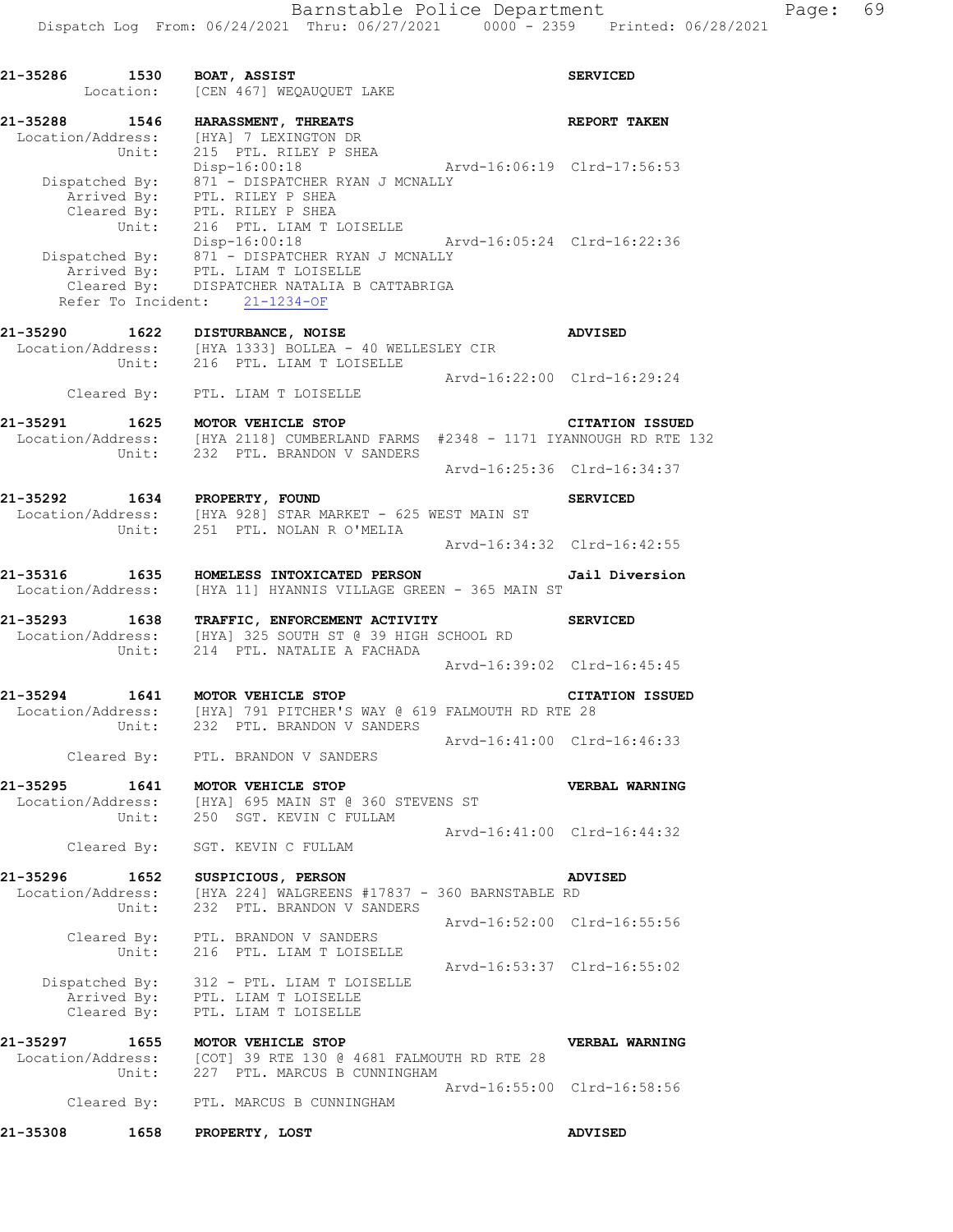|                            | Parmocavic reflect pepartment<br>Dispatch Log From: 06/24/2021 Thru: 06/27/2021 0000 - 2359 Printed: 06/28/2021 |                             |                        |
|----------------------------|-----------------------------------------------------------------------------------------------------------------|-----------------------------|------------------------|
| 21-35286 1530 BOAT, ASSIST | Location: [CEN 467] WEQAUQUET LAKE                                                                              |                             | <b>SERVICED</b>        |
| 21-35288 1546              | <b>HARASSMENT, THREATS</b>                                                                                      |                             | <b>REPORT TAKEN</b>    |
|                            | Location/Address: [HYA] 7 LEXINGTON DR<br>Unit: 215 PTL. RILEY P SHEA                                           |                             |                        |
|                            | Disp-16:00:18    Arvd-16:06:19    Clrd-17:56:53                                                                 |                             |                        |
|                            | Dispatched By: 871 - DISPATCHER RYAN J MCNALLY                                                                  |                             |                        |
|                            |                                                                                                                 |                             |                        |
|                            | Arrived By: PTL. RILEY P SHEA<br>Cleared By: PTL. RILEY P SHEA                                                  |                             |                        |
|                            | Unit: 216 PTL. LIAM T LOISELLE                                                                                  |                             |                        |
|                            | Disp-16:00:18    Arvd-16:05:24    Clrd-16:22:36                                                                 |                             |                        |
|                            | Dispatched By: 871 - DISPATCHER RYAN J MCNALLY                                                                  |                             |                        |
|                            | Arrived By: PTL. LIAM T LOISELLE                                                                                |                             |                        |
|                            | Cleared By: DISPATCHER NATALIA B CATTABRIGA                                                                     |                             |                        |
|                            | Refer To Incident: 21-1234-OF                                                                                   |                             |                        |
|                            | 21-35290 1622 DISTURBANCE, NOISE                                                                                |                             | <b>ADVISED</b>         |
|                            | Location/Address: [HYA 1333] BOLLEA - 40 WELLESLEY CIR                                                          |                             |                        |
| Unit:                      | 216 PTL. LIAM T LOISELLE                                                                                        |                             |                        |
|                            |                                                                                                                 | Arvd-16:22:00 Clrd-16:29:24 |                        |
|                            | Cleared By: PTL. LIAM T LOISELLE                                                                                |                             |                        |
|                            | 21-35291 1625 MOTOR VEHICLE STOP                                                                                |                             | <b>CITATION ISSUED</b> |
|                            | Location/Address: [HYA 2118] CUMBERLAND FARMS #2348 - 1171 IYANNOUGH RD RTE 132                                 |                             |                        |

 Unit: 232 PTL. BRANDON V SANDERS Arvd-16:25:36 Clrd-16:34:37 **21-35292 1634 PROPERTY, FOUND SERVICED** 

Cleared By: PTL. BRANDON V SANDERS

- Location/Address: [HYA 928] STAR MARKET 625 WEST MAIN ST Unit: 251 PTL. NOLAN R O'MELIA Arvd-16:34:32 Clrd-16:42:55
- **21-35316 1635 HOMELESS INTOXICATED PERSON Jail Diversion**  Location/Address: [HYA 11] HYANNIS VILLAGE GREEN - 365 MAIN ST
- **21-35293 1638 TRAFFIC, ENFORCEMENT ACTIVITY SERVICED**  Location/Address: [HYA] 325 SOUTH ST @ 39 HIGH SCHOOL RD Unit: 214 PTL. NATALIE A FACHADA Arvd-16:39:02 Clrd-16:45:45
- **21-35294 1641 MOTOR VEHICLE STOP CITATION ISSUED**  Location/Address: [HYA] 791 PITCHER'S WAY @ 619 FALMOUTH RD RTE 28 Unit: 232 PTL. BRANDON V SANDERS Arvd-16:41:00 Clrd-16:46:33
- **21-35295 1641 MOTOR VEHICLE STOP VERBAL WARNING**  Location/Address: [HYA] 695 MAIN ST @ 360 STEVENS ST Unit: 250 SGT. KEVIN C FULLAM
	- Arvd-16:41:00 Clrd-16:44:32 Cleared By: SGT. KEVIN C FULLAM
- **21-35296 1652 SUSPICIOUS, PERSON ADVISED**  Location/Address: [HYA 224] WALGREENS #17837 - 360 BARNSTABLE RD Unit: 232 PTL. BRANDON V SANDERS Arvd-16:52:00 Clrd-16:55:56 Cleared By: PTL. BRANDON V SANDERS Unit: 216 PTL. LIAM T LOISELLE Arvd-16:53:37 Clrd-16:55:02
- Dispatched By: 312 PTL. LIAM T LOISELLE .<br>Arrived By: PTL. LIAM T LOISELLE Cleared By: PTL. LIAM T LOISELLE
- **21-35297 1655 MOTOR VEHICLE STOP VERBAL WARNING**  Location/Address: [COT] 39 RTE 130 @ 4681 FALMOUTH RD RTE 28 Unit: 227 PTL. MARCUS B CUNNINGHAM Arvd-16:55:00 Clrd-16:58:56 Cleared By: PTL. MARCUS B CUNNINGHAM
- **21-35308 1658 PROPERTY, LOST ADVISED**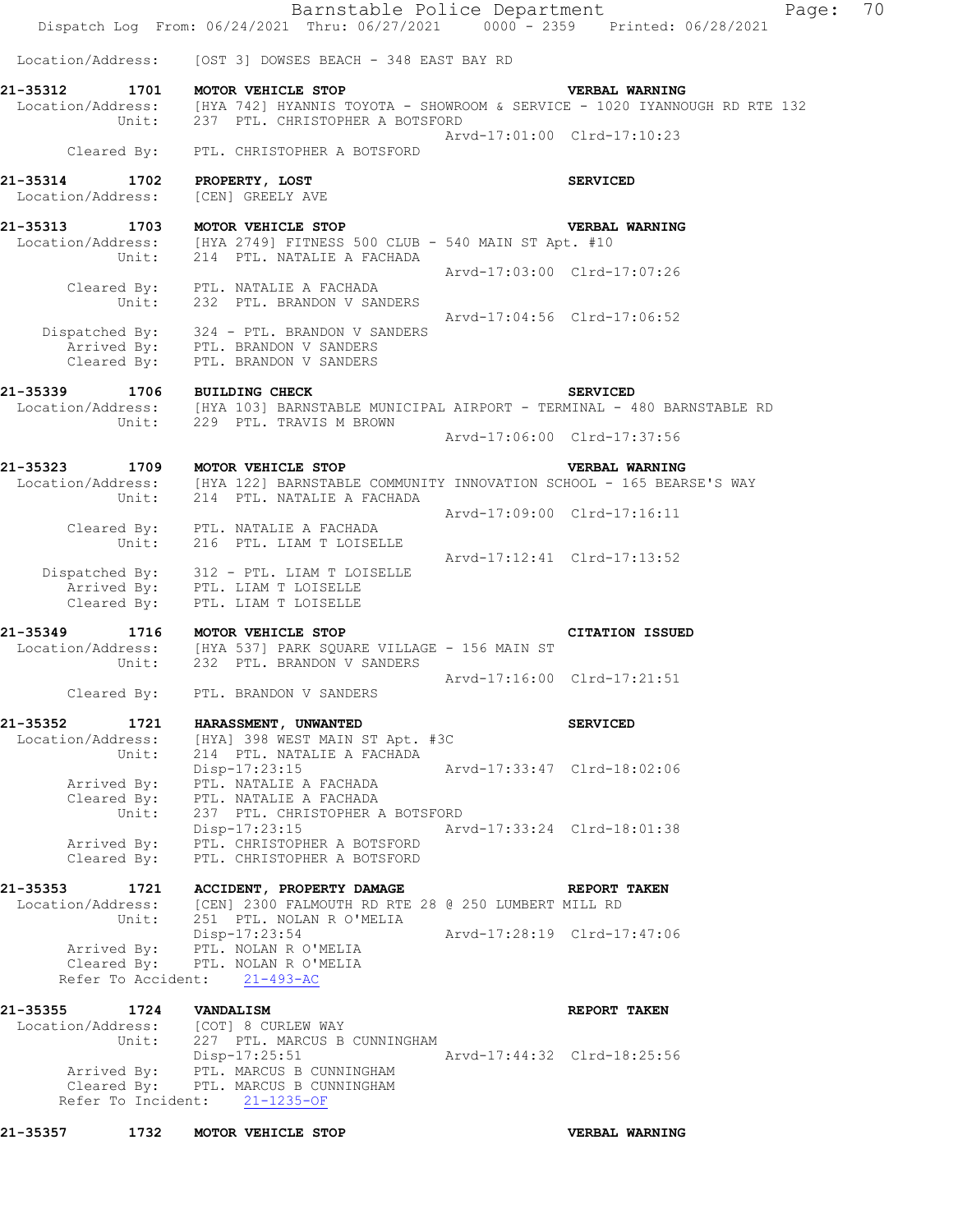| 1732<br>21-35357                                  | MOTOR VEHICLE STOP                                                                                                                                                       |                             | <b>VERBAL WARNING</b>                                      |          |  |
|---------------------------------------------------|--------------------------------------------------------------------------------------------------------------------------------------------------------------------------|-----------------------------|------------------------------------------------------------|----------|--|
|                                                   | Disp-17:25:51<br>Arrived By: PTL. MARCUS B CUNNINGHAM<br>Cleared By: PTL. MARCUS B CUNNINGHAM<br>Refer To Incident: 21-1235-OF                                           | Arvd-17:44:32 Clrd-18:25:56 |                                                            |          |  |
| 21-35355 1724 VANDALISM                           | Location/Address: [COT] 8 CURLEW WAY<br>Unit: 227 PTL. MARCUS B CUNNINGHAM                                                                                               |                             | REPORT TAKEN                                               |          |  |
|                                                   | Arrived By: PTL. NOLAN R O'MELIA<br>Cleared By: PTL. NOLAN R O'MELIA<br>Refer To Accident: 21-493-AC                                                                     |                             |                                                            |          |  |
| Unit:                                             | Location/Address: [CEN] 2300 FALMOUTH RD RTE 28 @ 250 LUMBERT MILL RD<br>251 PTL. NOLAN R O'MELIA<br>Disp-17:23:54                                                       | Arvd-17:28:19 Clrd-17:47:06 |                                                            |          |  |
|                                                   | 21-35353 1721 ACCIDENT, PROPERTY DAMAGE <b>ACCIDENT ACCIDENT</b>                                                                                                         |                             |                                                            |          |  |
| Unit:<br>Cleared By:                              | 237 PTL. CHRISTOPHER A BOTSFORD<br>Disp-17:23:15 Arvd-17:33:24 Clrd-18:01:38<br>Arrived By: PTL. CHRISTOPHER A BOTSFORD<br>PTL. CHRISTOPHER A BOTSFORD                   |                             |                                                            |          |  |
| Unit:                                             | 214 PTL. NATALIE A FACHADA<br>Disp-17:23:15<br>Arrived By: PTL. NATALIE A FACHADA<br>Cleared By: PTL. NATALIE A FACHADA                                                  | Arvd-17:33:47 Clrd-18:02:06 |                                                            |          |  |
|                                                   | 21-35352 1721 HARASSMENT, UNWANTED<br>Location/Address: [HYA] 398 WEST MAIN ST Apt. #3C                                                                                  |                             | <b>SERVICED</b>                                            |          |  |
|                                                   | Cleared By: PTL. BRANDON V SANDERS                                                                                                                                       |                             | Arvd-17:16:00 Clrd-17:21:51                                |          |  |
|                                                   | 21-35349 1716 MOTOR VEHICLE STOP<br>Location/Address: [HYA 537] PARK SQUARE VILLAGE - 156 MAIN ST<br>Unit: 232 PTL. BRANDON V SANDERS                                    |                             | <b>CITATION ISSUED</b>                                     |          |  |
|                                                   | Dispatched By: 312 - PTL. LIAM T LOISELLE<br>Arrived By: PTL. LIAM T LOISELLE<br>Cleared By: PTL. LIAM T LOISELLE                                                        |                             |                                                            |          |  |
|                                                   | Cleared By: PTL. NATALIE A FACHADA<br>Unit: 216 PTL. LIAM T LOISELLE                                                                                                     |                             | Arvd-17:12:41 Clrd-17:13:52                                |          |  |
|                                                   | Location/Address: [HYA 122] BARNSTABLE COMMUNITY INNOVATION SCHOOL - 165 BEARSE'S WAY<br>Unit: 214 PTL. NATALIE A FACHADA                                                | Arvd-17:09:00 Clrd-17:16:11 |                                                            |          |  |
|                                                   | 21-35323 1709 MOTOR VEHICLE STOP                                                                                                                                         |                             | <b>VERBAL WARNING</b>                                      |          |  |
|                                                   |                                                                                                                                                                          |                             | Arvd-17:06:00 Clrd-17:37:56                                |          |  |
| 21-35339 1706 BUILDING CHECK                      | Location/Address: [HYA 103] BARNSTABLE MUNICIPAL AIRPORT - TERMINAL - 480 BARNSTABLE RD<br>Unit: 229 PTL. TRAVIS M BROWN                                                 |                             | <b>SERVICED</b>                                            |          |  |
|                                                   | Dispatched By: 324 - PTL. BRANDON V SANDERS<br>Arrived By: PTL. BRANDON V SANDERS<br>Cleared By: PTL. BRANDON V SANDERS                                                  |                             |                                                            |          |  |
|                                                   | Cleared By: PTL. NATALIE A FACHADA<br>Unit: 232 PTL. BRANDON V SANDERS                                                                                                   |                             | Arvd-17:03:00 Clrd-17:07:26<br>Arvd-17:04:56 Clrd-17:06:52 |          |  |
| 21-35313 1703 MOTOR VEHICLE STOP                  | Location/Address: [HYA 2749] FITNESS 500 CLUB - 540 MAIN ST Apt. #10<br>Unit: 214 PTL. NATALIE A FACHADA                                                                 |                             | VERBAL WARNING                                             |          |  |
| 21-35314 1702 PROPERTY, LOST<br>Location/Address: | [CEN] GREELY AVE                                                                                                                                                         |                             | <b>SERVICED</b>                                            |          |  |
|                                                   | Cleared By: PTL. CHRISTOPHER A BOTSFORD                                                                                                                                  | Arvd-17:01:00 Clrd-17:10:23 |                                                            |          |  |
|                                                   | 21-35312 1701 MOTOR VEHICLE STOP<br>Location/Address: [HYA 742] HYANNIS TOYOTA - SHOWROOM & SERVICE - 1020 IYANNOUGH RD RTE 132<br>Unit: 237 PTL. CHRISTOPHER A BOTSFORD |                             |                                                            |          |  |
|                                                   | Location/Address: [OST 3] DOWSES BEACH - 348 EAST BAY RD                                                                                                                 |                             |                                                            |          |  |
|                                                   | Barnstable Police Department<br>Dispatch Log From: 06/24/2021 Thru: 06/27/2021 0000 - 2359 Printed: 06/28/2021                                                           |                             |                                                            | Page: 70 |  |
|                                                   |                                                                                                                                                                          |                             |                                                            |          |  |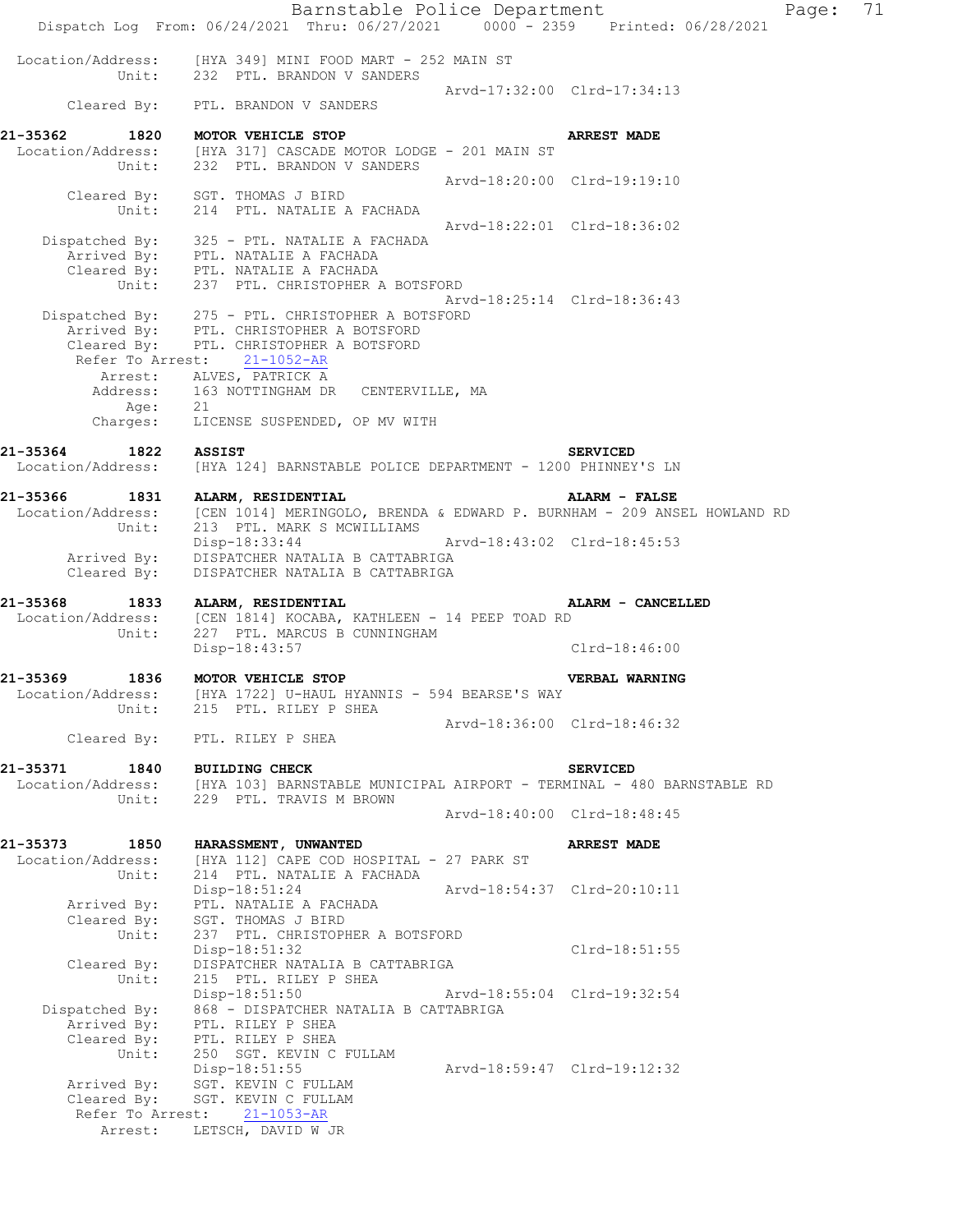Barnstable Police Department Fage: 71 Dispatch Log From: 06/24/2021 Thru: 06/27/2021 0000 - 2359 Printed: 06/28/2021 Location/Address: [HYA 349] MINI FOOD MART - 252 MAIN ST Unit: 232 PTL. BRANDON V SANDERS Arvd-17:32:00 Clrd-17:34:13 Cleared By: PTL. BRANDON V SANDERS **21-35362 1820 MOTOR VEHICLE STOP ARREST MADE**  Location/Address: [HYA 317] CASCADE MOTOR LODGE - 201 MAIN ST Unit: 232 PTL. BRANDON V SANDERS Arvd-18:20:00 Clrd-19:19:10 Cleared By: SGT. THOMAS J BIRD Unit: 214 PTL. NATALIE A FACHADA Arvd-18:22:01 Clrd-18:36:02 Dispatched By: 325 - PTL. NATALIE A FACHADA .<br>Arrived By: PTL. NATALIE A FACHADA Cleared By: PTL. NATALIE A FACHADA Unit: 237 PTL. CHRISTOPHER A BOTSFORD Arvd-18:25:14 Clrd-18:36:43 Dispatched By: 275 - PTL. CHRISTOPHER A BOTSFORD .<br>Arrived By: PTL. CHRISTOPHER A BOTSFORD Cleared By: PTL. CHRISTOPHER A BOTSFORD Refer To Arrest: 21-1052-AR Arrest: ALVES, PATRICK A Address: 163 NOTTINGHAM DR CENTERVILLE, MA Age: 21 Charges: LICENSE SUSPENDED, OP MV WITH **21-35364 1822 ASSIST SERVICED**  Location/Address: [HYA 124] BARNSTABLE POLICE DEPARTMENT - 1200 PHINNEY'S LN **21-35366 1831 ALARM, RESIDENTIAL ALARM - FALSE**  Location/Address: [CEN 1014] MERINGOLO, BRENDA & EDWARD P. BURNHAM - 209 ANSEL HOWLAND RD Unit: 213 PTL. MARK S MCWILLIAMS Disp-18:33:44 Arvd-18:43:02 Clrd-18:45:53 Arrived By: DISPATCHER NATALIA B CATTABRIGA Cleared By: DISPATCHER NATALIA B CATTABRIGA **21-35368 1833 ALARM, RESIDENTIAL ALARM - CANCELLED**  Location/Address: [CEN 1814] KOCABA, KATHLEEN - 14 PEEP TOAD RD Unit: 227 PTL. MARCUS B CUNNINGHAM Unit: 227 PTL. MARCUS B CUNNINGHAM<br>Disp-18:43:57 Clrd-18:46:00 **21-35369 1836 MOTOR VEHICLE STOP VERBAL WARNING**  Location/Address: [HYA 1722] U-HAUL HYANNIS - 594 BEARSE'S WAY Unit: 215 PTL. RILEY P SHEA Arvd-18:36:00 Clrd-18:46:32 Cleared By: PTL. RILEY P SHEA **21-35371 1840 BUILDING CHECK SERVICED**  Location/Address: [HYA 103] BARNSTABLE MUNICIPAL AIRPORT - TERMINAL - 480 BARNSTABLE RD Unit: 229 PTL. TRAVIS M BROWN Arvd-18:40:00 Clrd-18:48:45 **21-35373 1850 HARASSMENT, UNWANTED ARREST MADE**  Location/Address: [HYA 1121 CAPE COD HOSPITAL - 27 PARK ST Unit: 214 PTL. NATALIE A FACHADA Disp-18:51:24 Arvd-18:54:37 Clrd-20:10:11 Arrived By: PTL. NATALIE A FACHADA Cleared By: SGT. THOMAS J BIRD Unit: 237 PTL. CHRISTOPHER A BOTSFORD Disp-18:51:32 Clrd-18:51:55 Cleared By: DISPATCHER NATALIA B CATTABRIGA Unit: 215 PTL. RILEY P SHEA Disp-18:51:50 Arvd-18:55:04 Clrd-19:32:54 Dispatched By: 868 - DISPATCHER NATALIA B CATTABRIGA .<br>Arrived By: PTL. RILEY P SHEA Cleared By: PTL. RILEY P SHEA Unit: 250 SGT. KEVIN C FULLAM Disp-18:51:55 Arvd-18:59:47 Clrd-19:12:32 Arrived By: SGT. KEVIN C FULLAM Cleared By: SGT. KEVIN C FULLAM Refer To Arrest: 21-1053-AR Arrest: LETSCH, DAVID W JR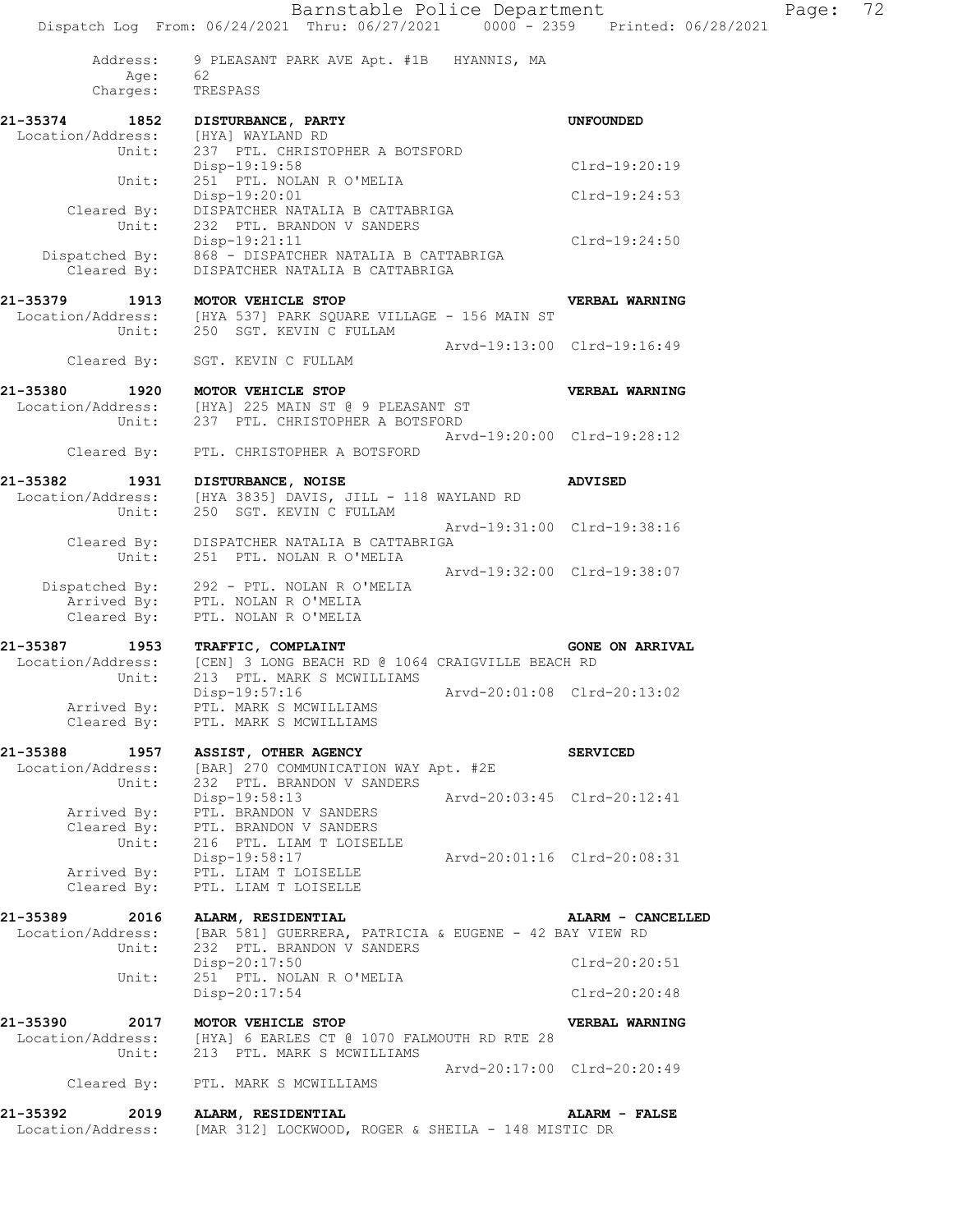Barnstable Police Department Fage: 72 Dispatch Log From: 06/24/2021 Thru: 06/27/2021 0000 - 2359 Printed: 06/28/2021 Address: 9 PLEASANT PARK AVE Apt. #1B HYANNIS, MA Age: 62 Charges: TRESPASS **21-35374 1852 DISTURBANCE, PARTY UNFOUNDED**  Location/Address: [HYA] WAYLAND RD Unit: 237 PTL. CHRISTOPHER A BOTSFORD Disp-19:19:58 Clrd-19:20:19<br>Unit: 251 PTL. NOLAN R O'MELIA 251 PTL. NOLAN R O'MELIA Disp-19:20:01 Clrd-19:24:53 Cleared By: DISPATCHER NATALIA B CATTABRIGA Unit: 232 PTL. BRANDON V SANDERS Disp-19:21:11 Clrd-19:24:50 Dispatched By: 868 - DISPATCHER NATALIA B CATTABRIGA Cleared By: DISPATCHER NATALIA B CATTABRIGA **21-35379 1913 MOTOR VEHICLE STOP VERBAL WARNING**  Location/Address: [HYA 537] PARK SOUARE VILLAGE - 156 MAIN ST Unit: 250 SGT. KEVIN C FULLAM Arvd-19:13:00 Clrd-19:16:49 Cleared By: SGT. KEVIN C FULLAM **21-35380 1920 MOTOR VEHICLE STOP VERBAL WARNING**  Location/Address: [HYA] 225 MAIN ST @ 9 PLEASANT ST Unit: 237 PTL. CHRISTOPHER A BOTSFORD Arvd-19:20:00 Clrd-19:28:12 Cleared By: PTL. CHRISTOPHER A BOTSFORD **21-35382 1931 DISTURBANCE, NOISE ADVISED**  Location/Address: [HYA 3835] DAVIS, JILL - 118 WAYLAND RD Unit: 250 SGT. KEVIN C FULLAM Arvd-19:31:00 Clrd-19:38:16 Cleared By: DISPATCHER NATALIA B CATTABRIGA Unit: 251 PTL. NOLAN R O'MELIA Arvd-19:32:00 Clrd-19:38:07 Dispatched By: 292 - PTL. NOLAN R O'MELIA .<br>Arrived By: PTL. NOLAN R O'MELIA Cleared By: PTL. NOLAN R O'MELIA **21-35387 1953 TRAFFIC, COMPLAINT GONE ON ARRIVAL**  Location/Address: [CEN] 3 LONG BEACH RD @ 1064 CRAIGVILLE BEACH RD Unit: 213 PTL. MARK S MCWILLIAMS Disp-19:57:16 Arvd-20:01:08 Clrd-20:13:02 Arrived By: PTL. MARK S MCWILLIAMS Cleared By: PTL. MARK S MCWILLIAMS **21-35388 1957 ASSIST, OTHER AGENCY SERVICED**  Location/Address: [BAR] 270 COMMUNICATION WAY Apt. #2E Unit: 232 PTL. BRANDON V SANDERS Disp-19:58:13 Arvd-20:03:45 Clrd-20:12:41 Arrived By: PTL. BRANDON V SANDERS Cleared By: PTL. BRANDON V SANDERS Unit: 216 PTL. LIAM T LOISELLE Disp-19:58:17 Arvd-20:01:16 Clrd-20:08:31 Arrived By: PTL. LIAM T LOISELLE Cleared By: PTL. LIAM T LOISELLE **21-35389 2016 ALARM, RESIDENTIAL ALARM - CANCELLED**  Location/Address: [BAR 581] GUERRERA, PATRICIA & EUGENE - 42 BAY VIEW RD Unit: 232 PTL. BRANDON V SANDERS Disp-20:17:50 Clrd-20:20:51 Disp-20:17:50<br>Unit: 251 PTL. NOLAN R O'MELIA Disp-20:17:54 Clrd-20:20:48 **21-35390 2017 MOTOR VEHICLE STOP VERBAL WARNING**  Location/Address: [HYA] 6 EARLES CT @ 1070 FALMOUTH RD RTE 28 Unit: 213 PTL. MARK S MCWILLIAMS Arvd-20:17:00 Clrd-20:20:49 Cleared By: PTL. MARK S MCWILLIAMS **21-35392 2019 ALARM, RESIDENTIAL ALARM - FALSE**  Location/Address: [MAR 312] LOCKWOOD, ROGER & SHEILA - 148 MISTIC DR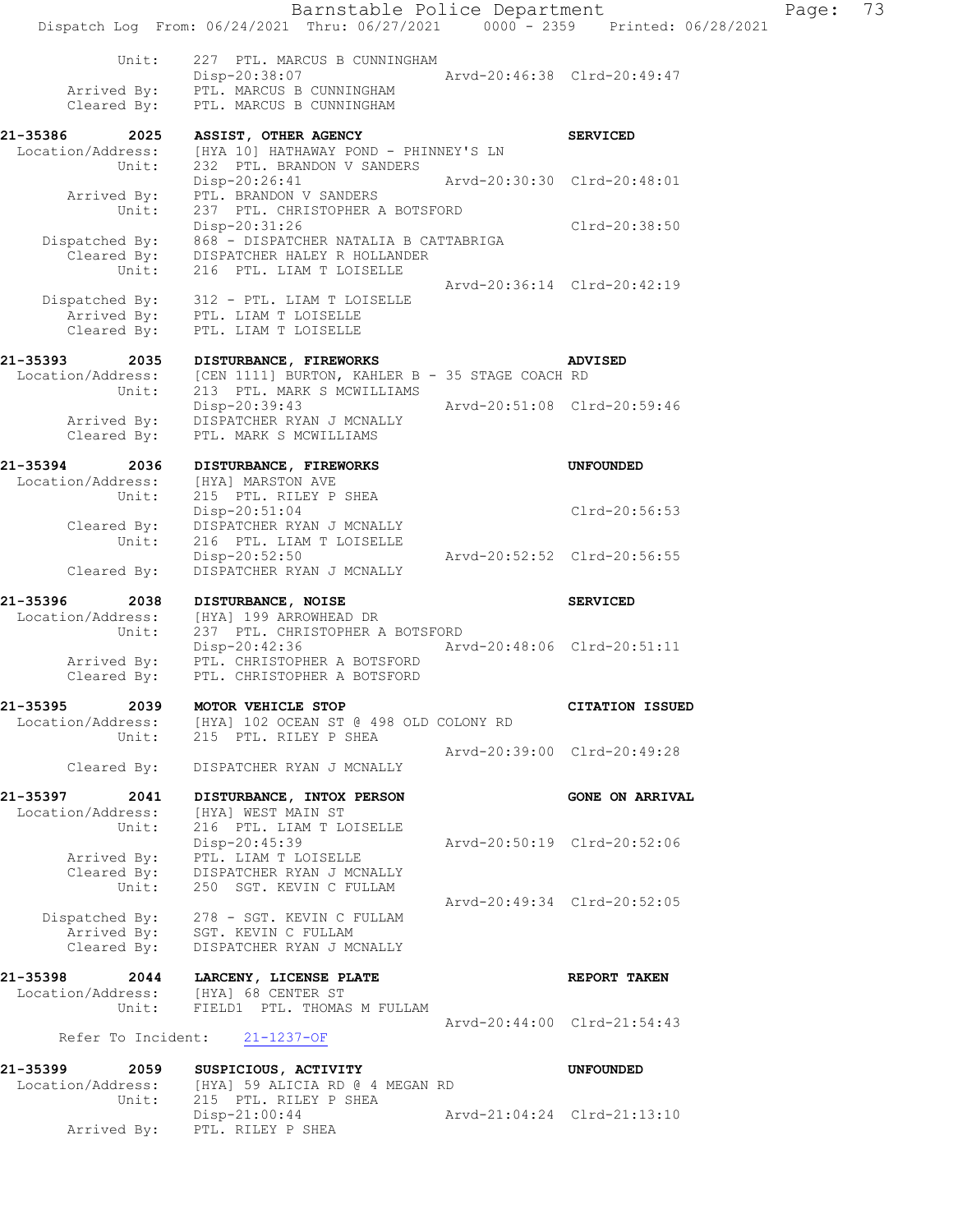Barnstable Police Department Page: 73 Dispatch Log From: 06/24/2021 Thru: 06/27/2021 0000 - 2359 Printed: 06/28/2021 Unit: 227 PTL. MARCUS B CUNNINGHAM Disp-20:38:07 Arvd-20:46:38 Clrd-20:49:47 Arrived By: PTL. MARCUS B CUNNINGHAM Cleared By: PTL. MARCUS B CUNNINGHAM **21-35386 2025 ASSIST, OTHER AGENCY SERVICED**  Location/Address: [HYA 10] HATHAWAY POND - PHINNEY'S LN Unit: 232 PTL. BRANDON V SANDERS Disp-20:26:41 Arvd-20:30:30 Clrd-20:48:01 Arrived By: PTL. BRANDON V SANDERS Unit: 237 PTL. CHRISTOPHER A BOTSFORD Disp-20:31:26 Clrd-20:38:50 Disp-20:31:26<br>Dispatched By: 868 - DISPATCHER NATALIA B CATTABRIGA Cleared By: DISPATCHER HALEY R HOLLANDER Unit: 216 PTL. LIAM T LOISELLE Arvd-20:36:14 Clrd-20:42:19 Dispatched By: 312 - PTL. LIAM T LOISELLE .<br>Arrived By: PTL. LIAM T LOISELLE Cleared By: PTL. LIAM T LOISELLE **21-35393 2035 DISTURBANCE, FIREWORKS ADVISED**  Location/Address: [CEN 1111] BURTON, KAHLER B - 35 STAGE COACH RD Unit: 213 PTL. MARK S MCWILLIAMS Disp-20:39:43 Arvd-20:51:08 Clrd-20:59:46 Arrived By: DISPATCHER RYAN J MCNALLY Cleared By: PTL. MARK S MCWILLIAMS **21-35394 2036 DISTURBANCE, FIREWORKS UNFOUNDED**  Location/Address: [HYA] MARSTON AVE Unit: 215 PTL. RILEY P SHEA Disp-20:51:04 Clrd-20:56:53 Cleared By: DISPATCHER RYAN J MCNALLY Unit: 216 PTL. LIAM T LOISELLE Disp-20:52:50 Arvd-20:52:52 Clrd-20:56:55 Cleared By: DISPATCHER RYAN J MCNALLY **21-35396 2038 DISTURBANCE, NOISE SERVICED**  Location/Address: [HYA] 199 ARROWHEAD DR Unit: 237 PTL. CHRISTOPHER A BOTSFORD Disp-20:42:36 Arvd-20:48:06 Clrd-20:51:11 Arrived By: PTL. CHRISTOPHER A BOTSFORD Arrived By: PTL. CHRISTOPHER A BOTSFORD<br>Cleared By: PTL. CHRISTOPHER A BOTSFORD **21-35395 2039 MOTOR VEHICLE STOP CITATION ISSUED**  Location/Address: [HYA] 102 OCEAN ST @ 498 OLD COLONY RD Unit: 215 PTL. RILEY P SHEA Arvd-20:39:00 Clrd-20:49:28 Cleared By: DISPATCHER RYAN J MCNALLY **21-35397 2041 DISTURBANCE, INTOX PERSON GONE ON ARRIVAL**  Location/Address: [HYA] WEST MAIN ST Unit: 216 PTL. LIAM T LOISELLE Disp-20:45:39 Arvd-20:50:19 Clrd-20:52:06 Arrived By: PTL. LIAM T LOISELLE

 Cleared By: DISPATCHER RYAN J MCNALLY Unit: 250 SGT. KEVIN C FULLAM Arvd-20:49:34 Clrd-20:52:05 Dispatched By: 278 - SGT. KEVIN C FULLAM .<br>Arrived By: SGT. KEVIN C FULLAM Cleared By: DISPATCHER RYAN J MCNALLY

## **21-35398 2044 LARCENY, LICENSE PLATE REPORT TAKEN**  Location/Address: [HYA] 68 CENTER ST Unit: FIELD1 PTL. THOMAS M FULLAM Arvd-20:44:00 Clrd-21:54:43

## Refer To Incident: 21-1237-OF

**21-35399 2059 SUSPICIOUS, ACTIVITY UNFOUNDED**  Location/Address: [HYA] 59 ALICIA RD @ 4 MEGAN RD Unit: 215 PTL. RILEY P SHEA Disp-21:00:44 Arvd-21:04:24 Clrd-21:13:10 Arrived By: PTL. RILEY P SHEA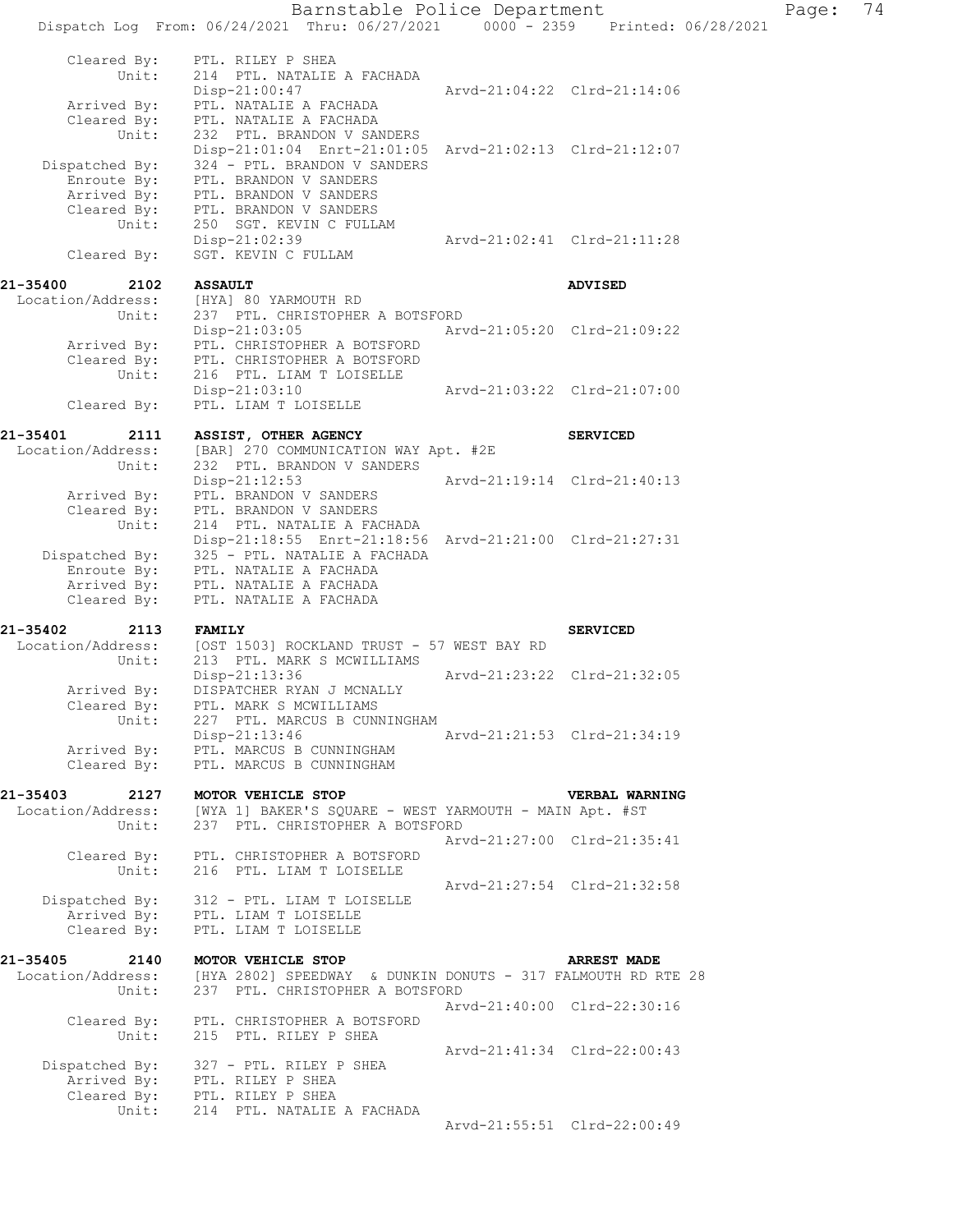Barnstable Police Department Page: 74 Dispatch Log From: 06/24/2021 Thru: 06/27/2021 0000 - 2359 Printed: 06/28/2021 Cleared By: PTL. RILEY P SHEA Unit: 214 PTL. NATALIE A FACHADA Disp-21:00:47 Arvd-21:04:22 Clrd-21:14:06 Arrived By: PTL. NATALIE A FACHADA Cleared By: PTL. NATALIE A FACHADA Unit: 232 PTL. BRANDON V SANDERS Disp-21:01:04 Enrt-21:01:05 Arvd-21:02:13 Clrd-21:12:07 Dispatched By: 324 - PTL. BRANDON V SANDERS .<br>Enroute By: PTL. BRANDON V SANDERS Arrived By: PTL. BRANDON V SANDERS Cleared By: PTL. BRANDON V SANDERS Unit: 250 SGT. KEVIN C FULLAM Disp-21:02:39 Arvd-21:02:41 Clrd-21:11:28 Cleared By: SGT. KEVIN C FULLAM **21-35400 2102 ASSAULT ADVISED**  Location/Address: [HYA] 80 YARMOUTH RD Unit: 237 PTL. CHRISTOPHER A BOTSFORD Disp-21:03:05 Arvd-21:05:20 Clrd-21:09:22 Arrived By: PTL. CHRISTOPHER A BOTSFORD Cleared By: PTL. CHRISTOPHER A BOTSFORD Unit: 216 PTL. LIAM T LOISELLE Disp-21:03:10 Arvd-21:03:22 Clrd-21:07:00 Cleared By: PTL. LIAM T LOISELLE **21-35401 2111 ASSIST, OTHER AGENCY SERVICED**  Location/Address: [BAR] 270 COMMUNICATION WAY Apt. #2E Unit: 232 PTL. BRANDON V SANDERS Disp-21:12:53 Arvd-21:19:14 Clrd-21:40:13 Arrived By: PTL. BRANDON V SANDERS Cleared By: PTL. BRANDON V SANDERS Unit: 214 PTL. NATALIE A FACHADA Disp-21:18:55 Enrt-21:18:56 Arvd-21:21:00 Clrd-21:27:31 Dispatched By: 325 - PTL. NATALIE A FACHADA Enroute By: PTL. NATALIE A FACHADA Arrived By: PTL. NATALIE A FACHADA Cleared By: PTL. NATALIE A FACHADA **21-35402 2113 FAMILY SERVICED**  Location/Address: [OST 1503] ROCKLAND TRUST - 57 WEST BAY RD Unit: 213 PTL. MARK S MCWILLIAMS Disp-21:13:36 Arvd-21:23:22 Clrd-21:32:05 Arrived By: DISPATCHER RYAN J MCNALLY Cleared By: PTL. MARK S MCWILLIAMS Unit: 227 PTL. MARCUS B CUNNINGHAM Disp-21:13:46 Arvd-21:21:53 Clrd-21:34:19 Arrived By: PTL. MARCUS B CUNNINGHAM Cleared By: PTL. MARCUS B CUNNINGHAM **21-35403 2127 MOTOR VEHICLE STOP VERBAL WARNING**  Location/Address: [WYA 1] BAKER'S SQUARE - WEST YARMOUTH - MAIN Apt. #ST Unit: 237 PTL. CHRISTOPHER A BOTSFORD Arvd-21:27:00 Clrd-21:35:41 Cleared By: PTL. CHRISTOPHER A BOTSFORD Unit: 216 PTL. LIAM T LOISELLE Arvd-21:27:54 Clrd-21:32:58 Dispatched By: 312 - PTL. LIAM T LOISELLE .<br>Arrived By: PTL. LIAM T LOISELLE Cleared By: PTL. LIAM T LOISELLE **21-35405 2140 MOTOR VEHICLE STOP ARREST MADE**  Location/Address: [HYA 2802] SPEEDWAY & DUNKIN DONUTS - 317 FALMOUTH RD RTE 28 Unit: 237 PTL. CHRISTOPHER A BOTSFORD  $Arvd-21:40:00 \quad \text{Cl} \, \text{rd} -22:30:16$  Cleared By: PTL. CHRISTOPHER A BOTSFORD Unit: 215 PTL. RILEY P SHEA Arvd-21:41:34 Clrd-22:00:43 Dispatched By: 327 - PTL. RILEY P SHEA Arrived By: PTL. RILEY P SHEA Cleared By: PTL. RILEY P SHEA Unit: 214 PTL. NATALIE A FACHADA Arvd-21:55:51 Clrd-22:00:49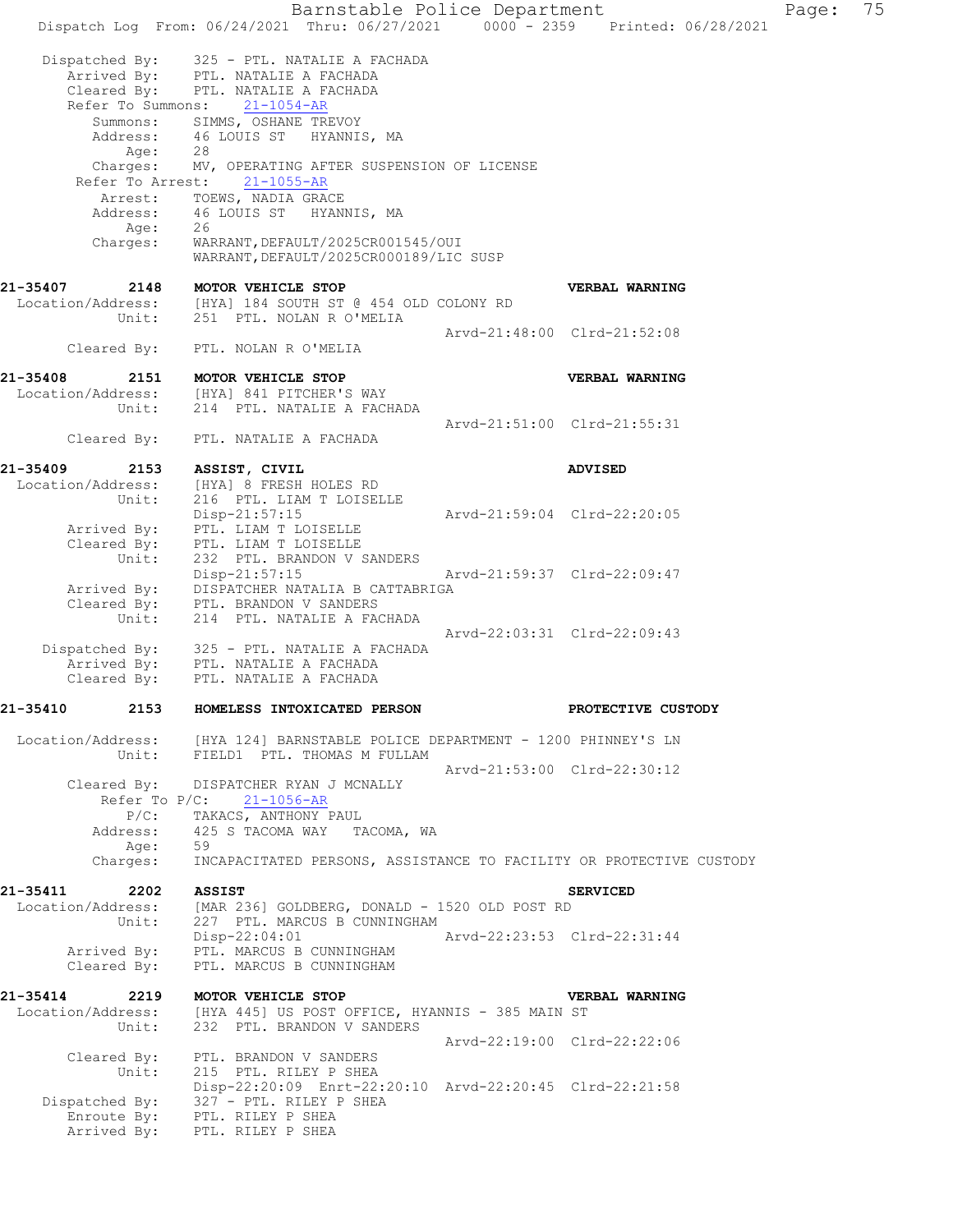Barnstable Police Department Page: 75 Dispatch Log From: 06/24/2021 Thru: 06/27/2021 0000 - 2359 Printed: 06/28/2021 Dispatched By: 325 - PTL. NATALIE A FACHADA .<br>Arrived By: PTL. NATALIE A FACHADA Cleared By: PTL. NATALIE A FACHADA Refer To Summons: 21-1054-AR Summons: SIMMS, OSHANE TREVOY Address: 46 LOUIS ST HYANNIS, MA Age: 28 Charges: MV, OPERATING AFTER SUSPENSION OF LICENSE Refer To Arrest: 21-1055-AR Arrest: TOEWS, NADIA GRACE Address: 46 LOUIS ST HYANNIS, MA Age: 26 Charges: WARRANT, DEFAULT/2025CR001545/OUI WARRANT,DEFAULT/2025CR000189/LIC SUSP **21-35407 2148 MOTOR VEHICLE STOP VERBAL WARNING**  Location/Address: [HYA] 184 SOUTH ST @ 454 OLD COLONY RD Unit: 251 PTL. NOLAN R O'MELIA Arvd-21:48:00 Clrd-21:52:08 Cleared By: PTL. NOLAN R O'MELIA **21-35408 2151 MOTOR VEHICLE STOP VERBAL WARNING**  Location/Address: [HYA] 841 PITCHER'S WAY Unit: 214 PTL. NATALIE A FACHADA Arvd-21:51:00 Clrd-21:55:31 Cleared By: PTL. NATALIE A FACHADA **21-35409 2153 ASSIST, CIVIL ADVISED**  Location/Address: [HYA] 8 FRESH HOLES RD Unit: 216 PTL. LIAM T LOISELLE Disp-21:57:15 Arvd-21:59:04 Clrd-22:20:05 Arrived By: PTL. LIAM T LOISELLE Cleared By: PTL. LIAM T LOISELLE Unit: 232 PTL. BRANDON V SANDERS Disp-21:57:15 Arvd-21:59:37 Clrd-22:09:47 Arrived By: DISPATCHER NATALIA B CATTABRIGA Cleared By: PTL. BRANDON V SANDERS Unit: 214 PTL. NATALIE A FACHADA Arvd-22:03:31 Clrd-22:09:43 Dispatched By: 325 - PTL. NATALIE A FACHADA .<br>Arrived By: PTL. NATALIE A FACHADA Cleared By: PTL. NATALIE A FACHADA **21-35410 2153 HOMELESS INTOXICATED PERSON PROTECTIVE CUSTODY**  Location/Address: [HYA 124] BARNSTABLE POLICE DEPARTMENT - 1200 PHINNEY'S LN Unit: FIELD1 PTL. THOMAS M FULLAM Arvd-21:53:00 Clrd-22:30:12 Cleared By: DISPATCHER RYAN J MCNALLY Refer To P/C: 21-1056-AR P/C: TAKACS, ANTHONY PAUL Address: 425 S TACOMA WAY TACOMA, WA Age: 59<br>Charges: IN INCAPACITATED PERSONS, ASSISTANCE TO FACILITY OR PROTECTIVE CUSTODY **21-35411 2202 ASSIST SERVICED**  Location/Address: [MAR 236] GOLDBERG, DONALD - 1520 OLD POST RD Unit: 227 PTL. MARCUS B CUNNINGHAM Disp-22:04:01 Arvd-22:23:53 Clrd-22:31:44 Arrived By: PTL. MARCUS B CUNNINGHAM Cleared By: PTL. MARCUS B CUNNINGHAM **21-35414 2219 MOTOR VEHICLE STOP VERBAL WARNING**  Location/Address: [HYA 445] US POST OFFICE, HYANNIS - 385 MAIN ST Unit: 232 PTL. BRANDON V SANDERS Unit: 232 PTL. BRANDON V SANDERS<br>Arvd-22:19:00 Clrd-22:22:06 Cleared By: PTL. BRANDON V SANDERS Unit: 215 PTL. RILEY P SHEA Disp-22:20:09 Enrt-22:20:10 Arvd-22:20:45 Clrd-22:21:58 Dispatched By: 327 - PTL. RILEY P SHEA .<br>Enroute By: PTL. RILEY P SHEA Arrived By: PTL. RILEY P SHEA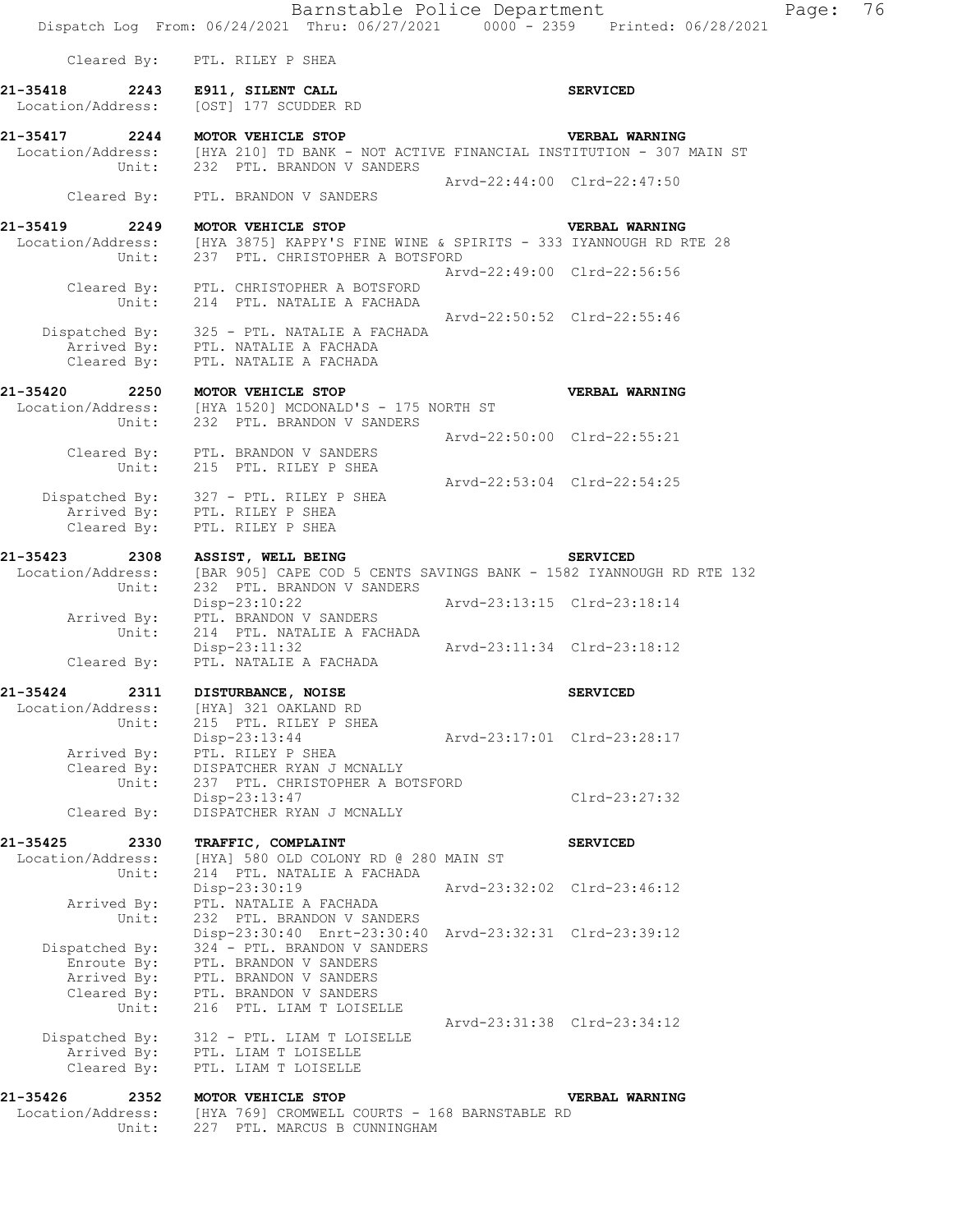|                                                | Barnstable Police Department<br>Dispatch Log From: 06/24/2021 Thru: 06/27/2021 0000 - 2359 Printed: 06/28/2021            |                             |                 | Page: 76 |  |
|------------------------------------------------|---------------------------------------------------------------------------------------------------------------------------|-----------------------------|-----------------|----------|--|
| Cleared By:                                    | PTL. RILEY P SHEA                                                                                                         |                             |                 |          |  |
| 21-35418<br>2243<br>Location/Address:          | E911, SILENT CALL<br>[OST] 177 SCUDDER RD                                                                                 |                             | <b>SERVICED</b> |          |  |
| 21-35417 2244 MOTOR VEHICLE STOP<br>Unit:      | Location/Address: [HYA 210] TD BANK - NOT ACTIVE FINANCIAL INSTITUTION - 307 MAIN ST<br>232 PTL. BRANDON V SANDERS        |                             | VERBAL WARNING  |          |  |
| Cleared By:                                    | PTL. BRANDON V SANDERS                                                                                                    | Arvd-22:44:00 Clrd-22:47:50 |                 |          |  |
|                                                |                                                                                                                           |                             |                 |          |  |
| 21-35419<br>2249<br>Location/Address:<br>Unit: | MOTOR VEHICLE STOP<br>[HYA 3875] KAPPY'S FINE WINE & SPIRITS - 333 IYANNOUGH RD RTE 28<br>237 PTL. CHRISTOPHER A BOTSFORD |                             | VERBAL WARNING  |          |  |
| Cleared By:<br>Unit:                           | PTL. CHRISTOPHER A BOTSFORD<br>214 PTL. NATALIE A FACHADA                                                                 | Arvd-22:49:00 Clrd-22:56:56 |                 |          |  |
| Cleared By:                                    | Dispatched By: 325 - PTL. NATALIE A FACHADA<br>Arrived By: PTL. NATALIE A FACHADA<br>PTL. NATALIE A FACHADA               | Arvd-22:50:52 Clrd-22:55:46 |                 |          |  |
| 21-35420<br>Unit:                              | 2250 MOTOR VEHICLE STOP<br>Location/Address: [HYA 1520] MCDONALD'S - 175 NORTH ST<br>232 PTL. BRANDON V SANDERS           |                             | VERBAL WARNING  |          |  |
| Unit:                                          | Cleared By: PTL. BRANDON V SANDERS<br>215 PTL. RILEY P SHEA                                                               | Arvd-22:50:00 Clrd-22:55:21 |                 |          |  |
| Cleared By:                                    | Dispatched By: 327 - PTL. RILEY P SHEA<br>Arrived By: PTL. RILEY P SHEA<br>PTL. RILEY P SHEA                              | Arvd-22:53:04 Clrd-22:54:25 |                 |          |  |
| 21-35423<br>2308                               | ASSIST, WELL BEING                                                                                                        |                             | <b>SERVICED</b> |          |  |
| Location/Address:<br>Unit:                     | [BAR 905] CAPE COD 5 CENTS SAVINGS BANK - 1582 IYANNOUGH RD RTE 132<br>232 PTL. BRANDON V SANDERS                         |                             |                 |          |  |
| Arrived By:<br>Unit:                           | $Disp-23:10:22$<br>PTL. BRANDON V SANDERS<br>214 PTL. NATALIE A FACHADA                                                   | Arvd-23:13:15 Clrd-23:18:14 |                 |          |  |
| Cleared By:                                    | $Disp-23:11:32$<br>PTL. NATALIE A FACHADA                                                                                 | Arvd-23:11:34 Clrd-23:18:12 |                 |          |  |
| 21-35424<br>2311                               | DISTURBANCE, NOISE                                                                                                        |                             | <b>SERVICED</b> |          |  |
| Location/Address:<br>Unit:                     | [HYA] 321 OAKLAND RD<br>215 PTL. RILEY P SHEA                                                                             |                             |                 |          |  |
| Arrived By:<br>Cleared By:                     | Disp-23:13:44<br>PTL. RILEY P SHEA<br>DISPATCHER RYAN J MCNALLY                                                           | Arvd-23:17:01 Clrd-23:28:17 |                 |          |  |
| Unit:<br>Cleared By:                           | 237 PTL. CHRISTOPHER A BOTSFORD<br>Disp-23:13:47<br>DISPATCHER RYAN J MCNALLY                                             |                             | $Clrd-23:27:32$ |          |  |
| 21-35425<br>2330                               | TRAFFIC, COMPLAINT                                                                                                        |                             | <b>SERVICED</b> |          |  |
| Location/Address:<br>Unit:                     | [HYA] 580 OLD COLONY RD @ 280 MAIN ST<br>214 PTL. NATALIE A FACHADA                                                       |                             |                 |          |  |
| Arrived By:<br>Unit:                           | Disp-23:30:19<br>PTL. NATALIE A FACHADA<br>232 PTL. BRANDON V SANDERS                                                     | Arvd-23:32:02 Clrd-23:46:12 |                 |          |  |
| Dispatched By:                                 | Disp-23:30:40 Enrt-23:30:40 Arvd-23:32:31 Clrd-23:39:12<br>324 - PTL. BRANDON V SANDERS                                   |                             |                 |          |  |
| Enroute By:<br>Arrived By:<br>Cleared By:      | PTL. BRANDON V SANDERS<br>PTL. BRANDON V SANDERS<br>PTL. BRANDON V SANDERS                                                |                             |                 |          |  |
| Unit:                                          | 216 PTL. LIAM T LOISELLE                                                                                                  | Arvd-23:31:38 Clrd-23:34:12 |                 |          |  |
| Dispatched By:<br>Arrived By:<br>Cleared By:   | 312 - PTL. LIAM T LOISELLE<br>PTL. LIAM T LOISELLE<br>PTL. LIAM T LOISELLE                                                |                             |                 |          |  |
| 21-35426<br>2352                               | MOTOR VEHICLE STOP                                                                                                        |                             | VERBAL WARNING  |          |  |
| Location/Address:<br>Unit:                     | [HYA 769] CROMWELL COURTS - 168 BARNSTABLE RD<br>227 PTL. MARCUS B CUNNINGHAM                                             |                             |                 |          |  |